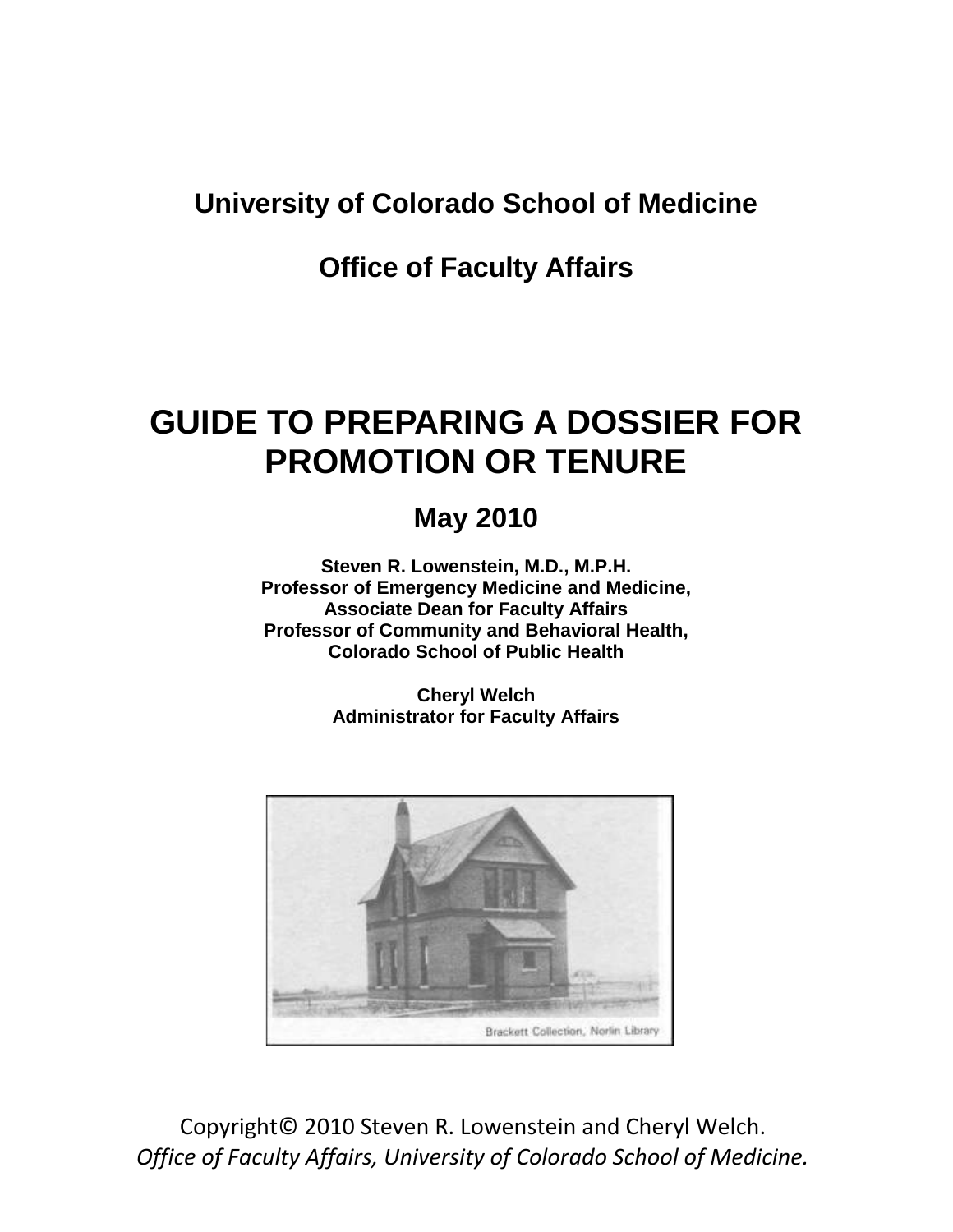# **University of Colorado School of Medicine**

# **Office of Faculty Affairs**

# **GUIDE TO PREPARING A DOSSIER FOR PROMOTION OR TENURE**

# **May 2010**

**Steven R. Lowenstein, M.D., M.P.H. Professor of Emergency Medicine and Medicine, Associate Dean for Faculty Affairs Professor of Community and Behavioral Health, Colorado School of Public Health**

> **Cheryl Welch Administrator for Faculty Affairs**



Copyright© 2010 Steven R. Lowenstein and Cheryl Welch. *Office of Faculty Affairs, University of Colorado School of Medicine.*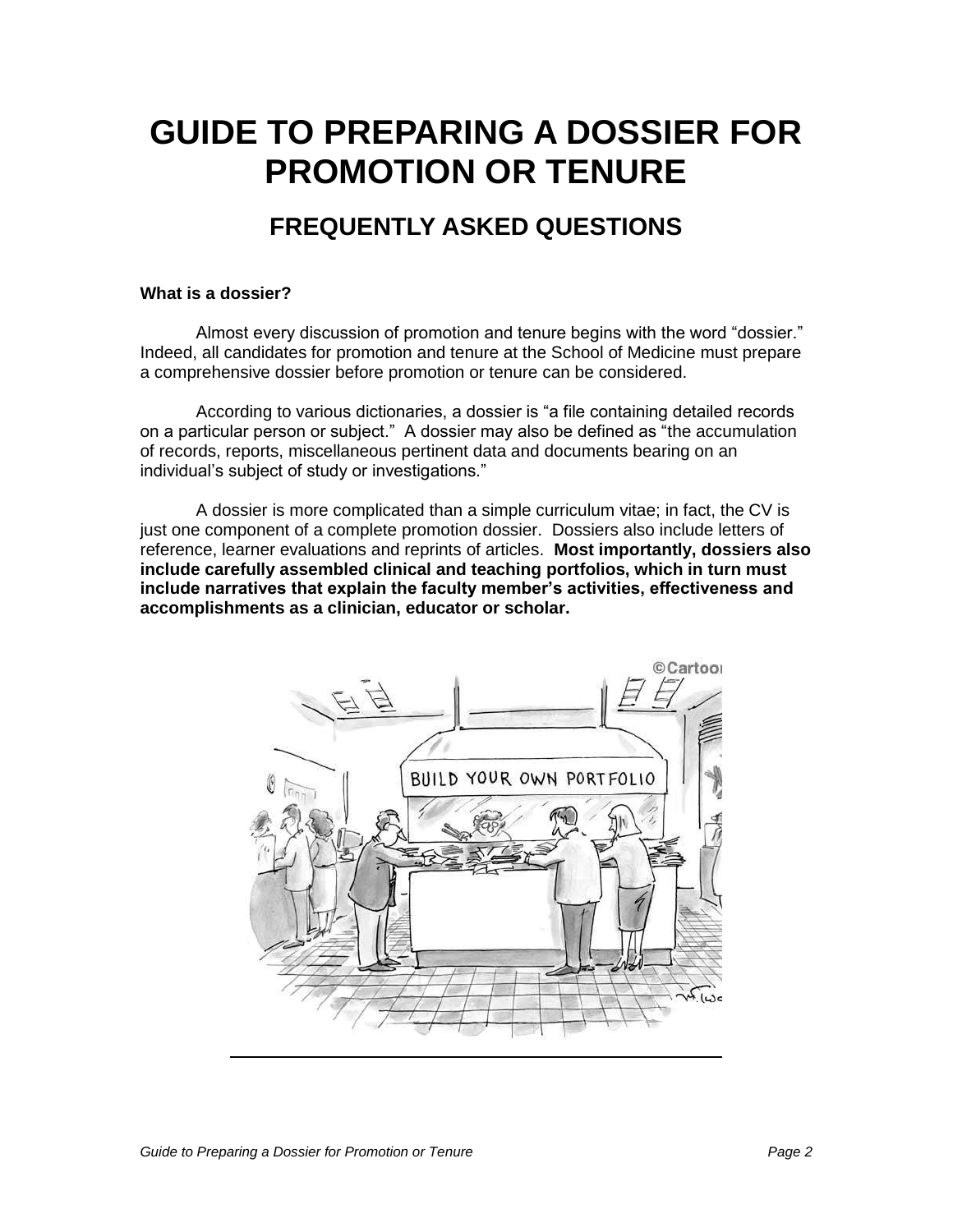# **GUIDE TO PREPARING A DOSSIER FOR PROMOTION OR TENURE**

# **FREQUENTLY ASKED QUESTIONS**

### **What is a dossier?**

Almost every discussion of promotion and tenure begins with the word "dossier." Indeed, all candidates for promotion and tenure at the School of Medicine must prepare a comprehensive dossier before promotion or tenure can be considered.

According to various dictionaries, a dossier is "a file containing detailed records on a particular person or subject." A dossier may also be defined as "the accumulation of records, reports, miscellaneous pertinent data and documents bearing on an individual"s subject of study or investigations."

A dossier is more complicated than a simple curriculum vitae; in fact, the CV is just one component of a complete promotion dossier. Dossiers also include letters of reference, learner evaluations and reprints of articles. **Most importantly, dossiers also include carefully assembled clinical and teaching portfolios, which in turn must include narratives that explain the faculty member's activities, effectiveness and accomplishments as a clinician, educator or scholar.**

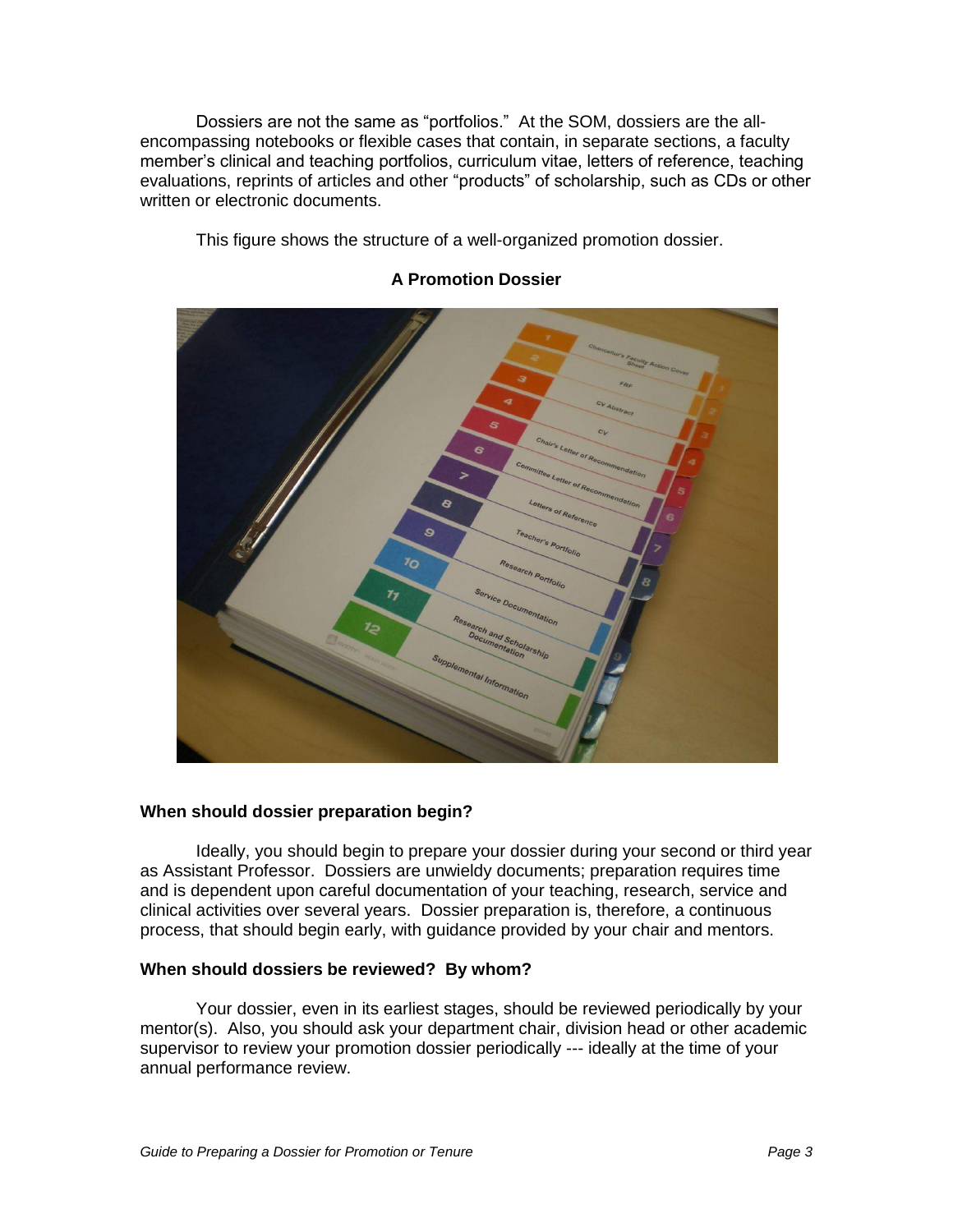Dossiers are not the same as "portfolios." At the SOM, dossiers are the allencompassing notebooks or flexible cases that contain, in separate sections, a faculty member"s clinical and teaching portfolios, curriculum vitae, letters of reference, teaching evaluations, reprints of articles and other "products" of scholarship, such as CDs or other written or electronic documents.

This figure shows the structure of a well-organized promotion dossier.



### **A Promotion Dossier**

### **When should dossier preparation begin?**

Ideally, you should begin to prepare your dossier during your second or third year as Assistant Professor. Dossiers are unwieldy documents; preparation requires time and is dependent upon careful documentation of your teaching, research, service and clinical activities over several years. Dossier preparation is, therefore, a continuous process, that should begin early, with guidance provided by your chair and mentors.

### **When should dossiers be reviewed? By whom?**

Your dossier, even in its earliest stages, should be reviewed periodically by your mentor(s). Also, you should ask your department chair, division head or other academic supervisor to review your promotion dossier periodically --- ideally at the time of your annual performance review.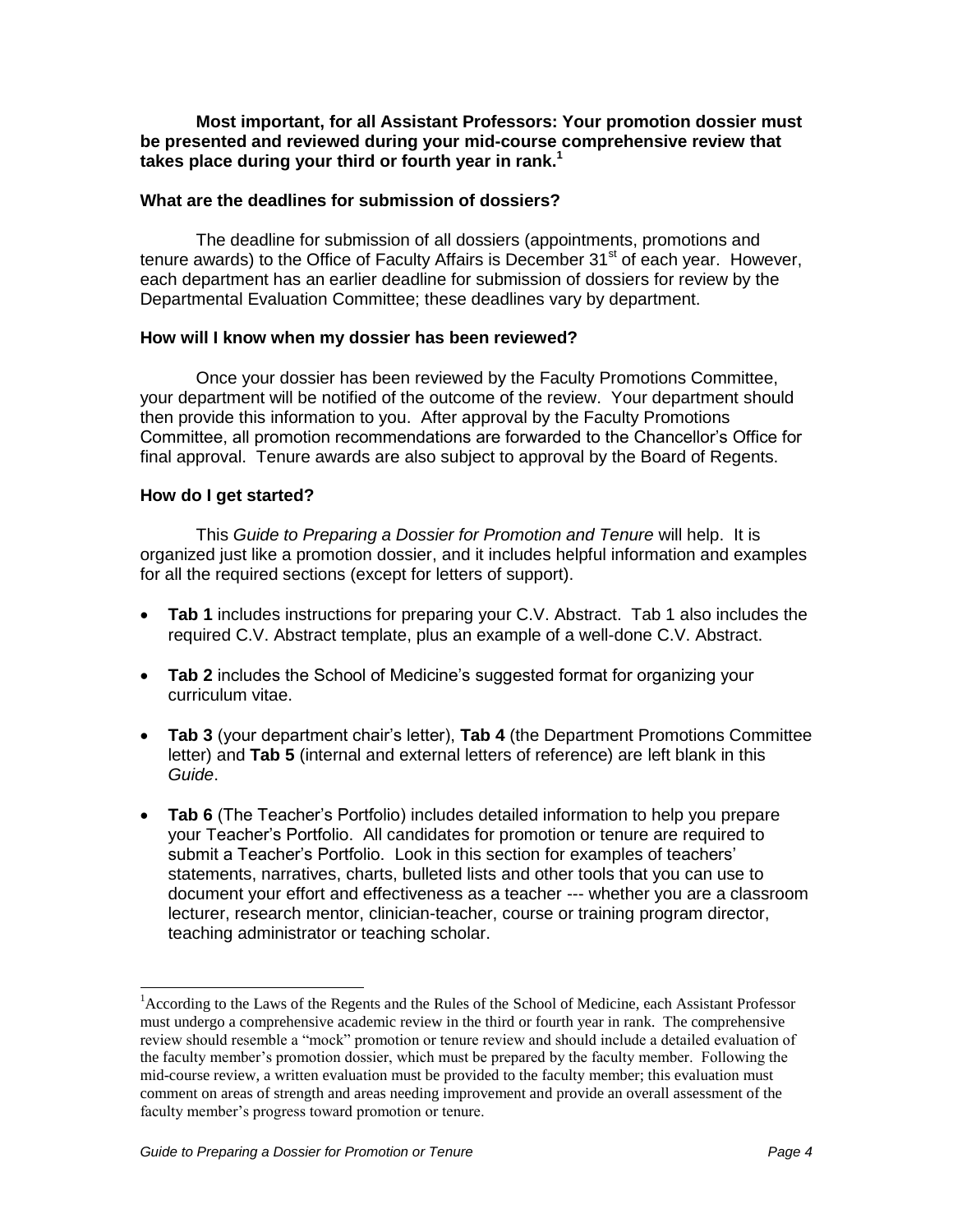**Most important, for all Assistant Professors: Your promotion dossier must be presented and reviewed during your mid-course comprehensive review that takes place during your third or fourth year in rank.<sup>1</sup>**

### **What are the deadlines for submission of dossiers?**

The deadline for submission of all dossiers (appointments, promotions and tenure awards) to the Office of Faculty Affairs is December  $31<sup>st</sup>$  of each year. However, each department has an earlier deadline for submission of dossiers for review by the Departmental Evaluation Committee; these deadlines vary by department.

#### **How will I know when my dossier has been reviewed?**

Once your dossier has been reviewed by the Faculty Promotions Committee, your department will be notified of the outcome of the review. Your department should then provide this information to you. After approval by the Faculty Promotions Committee, all promotion recommendations are forwarded to the Chancellor"s Office for final approval. Tenure awards are also subject to approval by the Board of Regents.

#### **How do I get started?**

 $\overline{a}$ 

This Guide to Preparing a Dossier for Promotion and Tenure will help. It is organized just like a promotion dossier, and it includes helpful information and examples for all the required sections (except for letters of support).

- **Tab 1** includes instructions for preparing your C.V. Abstract. Tab 1 also includes the required C.V. Abstract template, plus an example of a well-done C.V. Abstract.
- Tab 2 includes the School of Medicine's suggested format for organizing your curriculum vitae.
- **Tab 3** (your department chair"s letter), **Tab 4** (the Department Promotions Committee letter) and **Tab 5** (internal and external letters of reference) are left blank in this Guide.
- **Tab 6** (The Teacher"s Portfolio) includes detailed information to help you prepare your Teacher"s Portfolio. All candidates for promotion or tenure are required to submit a Teacher's Portfolio. Look in this section for examples of teachers' statements, narratives, charts, bulleted lists and other tools that you can use to document your effort and effectiveness as a teacher --- whether you are a classroom lecturer, research mentor, clinician-teacher, course or training program director, teaching administrator or teaching scholar.

<sup>&</sup>lt;sup>1</sup> According to the Laws of the Regents and the Rules of the School of Medicine, each Assistant Professor must undergo a comprehensive academic review in the third or fourth year in rank. The comprehensive review should resemble a "mock" promotion or tenure review and should include a detailed evaluation of the faculty member's promotion dossier, which must be prepared by the faculty member. Following the mid-course review, a written evaluation must be provided to the faculty member; this evaluation must comment on areas of strength and areas needing improvement and provide an overall assessment of the faculty member's progress toward promotion or tenure.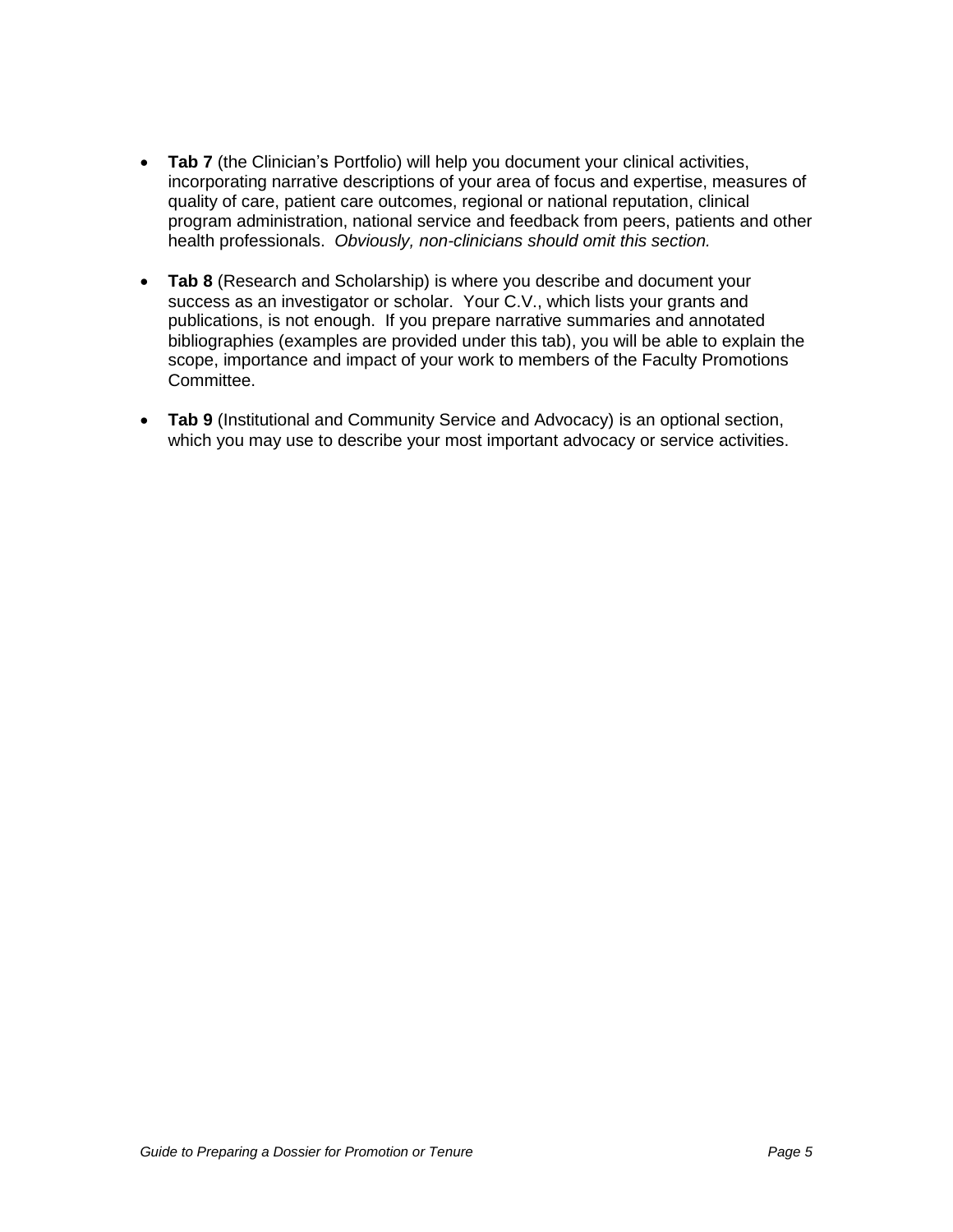- **Tab 7** (the Clinician's Portfolio) will help you document your clinical activities, incorporating narrative descriptions of your area of focus and expertise, measures of quality of care, patient care outcomes, regional or national reputation, clinical program administration, national service and feedback from peers, patients and other health professionals. Obviously, non-clinicians should omit this section.
- **Tab 8** (Research and Scholarship) is where you describe and document your success as an investigator or scholar. Your C.V., which lists your grants and publications, is not enough. If you prepare narrative summaries and annotated bibliographies (examples are provided under this tab), you will be able to explain the scope, importance and impact of your work to members of the Faculty Promotions Committee.
- **Tab 9** (Institutional and Community Service and Advocacy) is an optional section, which you may use to describe your most important advocacy or service activities.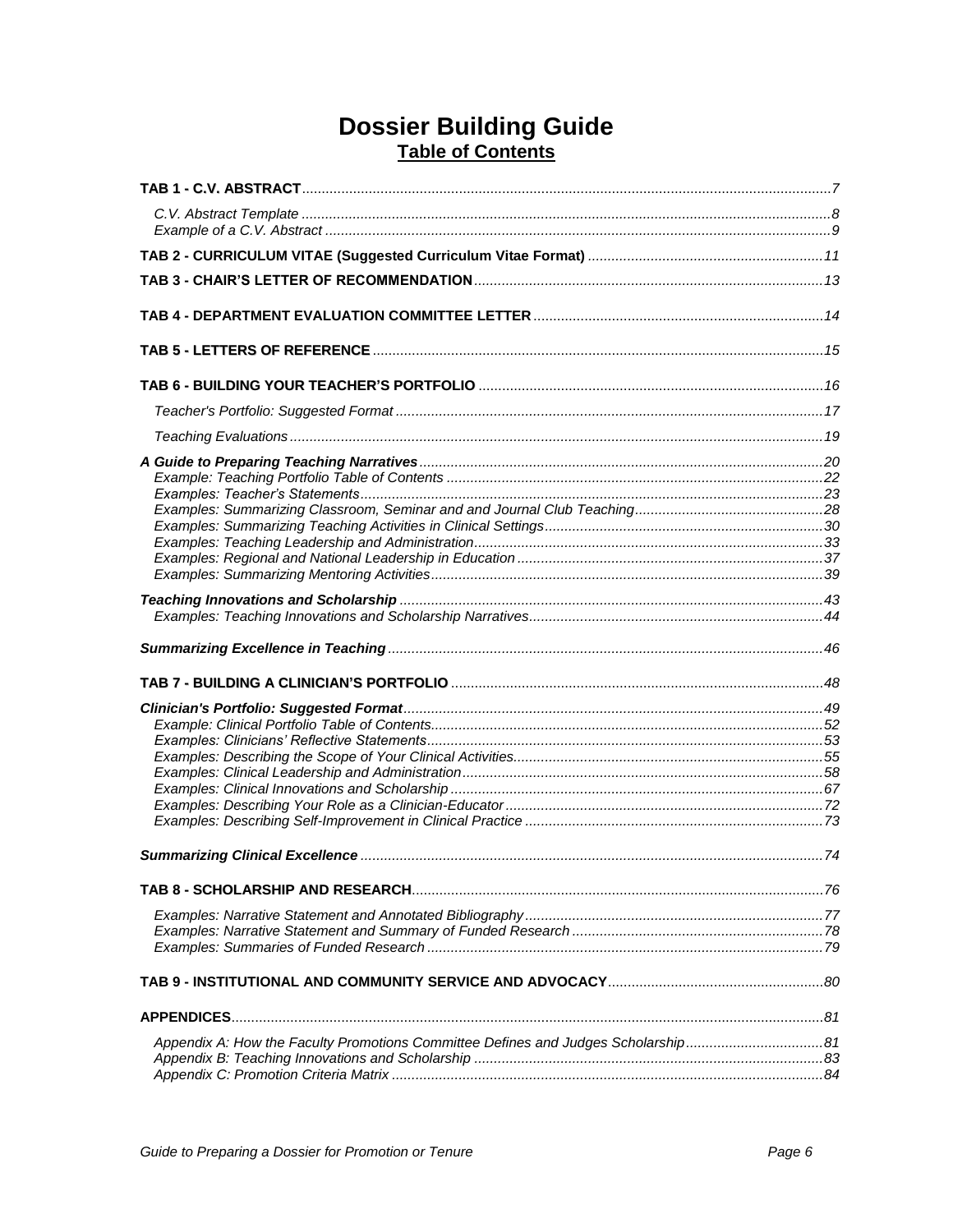## **Dossier Building Guide Table of Contents**

| Appendix A: How the Faculty Promotions Committee Defines and Judges Scholarship81 |  |
|-----------------------------------------------------------------------------------|--|
|                                                                                   |  |
|                                                                                   |  |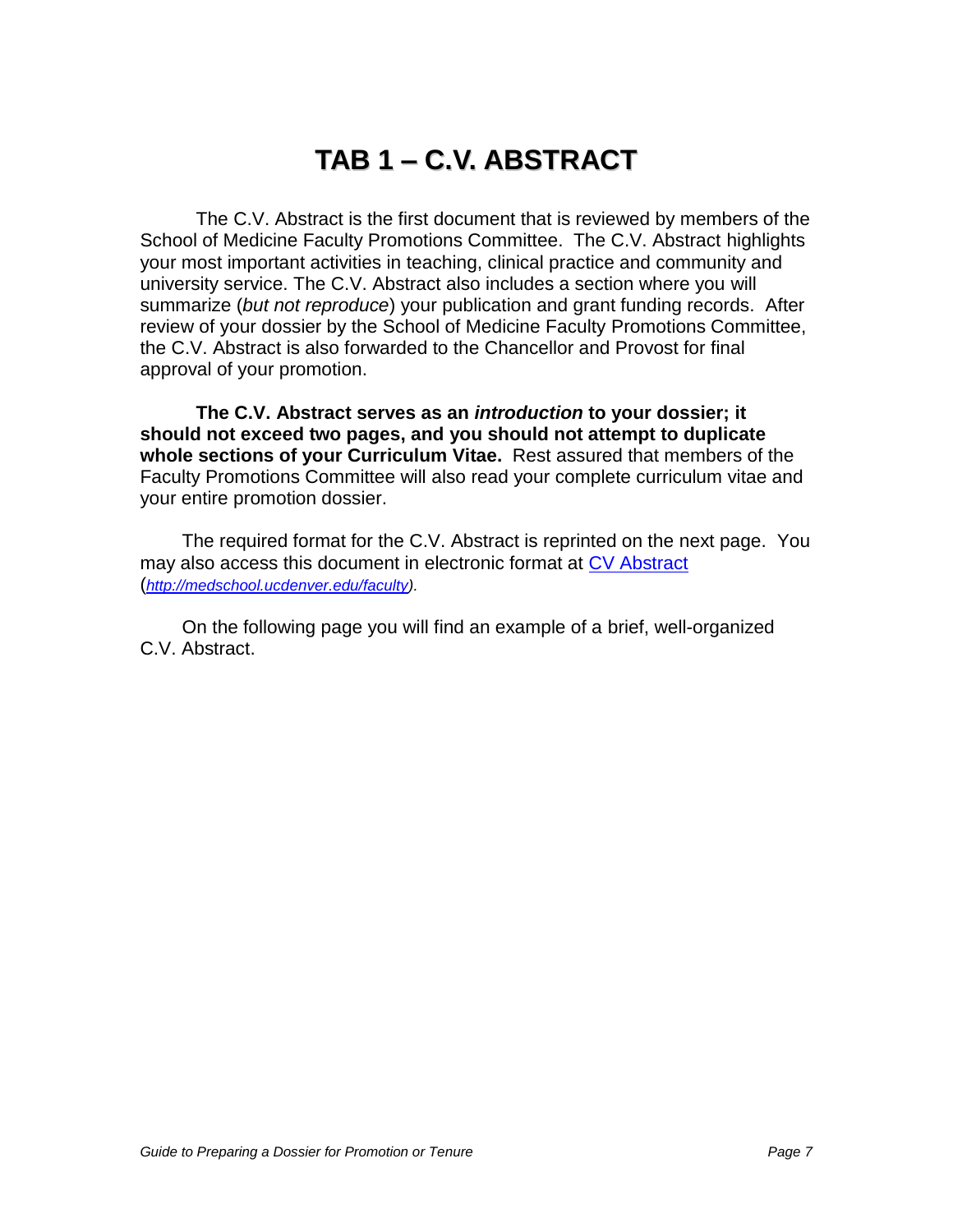# **TAB 1 – C.V. ABSTRACT**

The C.V. Abstract is the first document that is reviewed by members of the School of Medicine Faculty Promotions Committee. The C.V. Abstract highlights your most important activities in teaching, clinical practice and community and university service. The C.V. Abstract also includes a section where you will summarize (but not reproduce) your publication and grant funding records. After review of your dossier by the School of Medicine Faculty Promotions Committee, the C.V. Abstract is also forwarded to the Chancellor and Provost for final approval of your promotion.

**The C.V. Abstract serves as an introduction to your dossier; it should not exceed two pages, and you should not attempt to duplicate whole sections of your Curriculum Vitae.** Rest assured that members of the Faculty Promotions Committee will also read your complete curriculum vitae and your entire promotion dossier.

The required format for the C.V. Abstract is reprinted on the next page. You may also access this document in electronic format at [CV Abstract](http://www.ucdenver.edu/academics/colleges/medicalschool/facultyAffairs/Documents/CVAbstract2010.pdf) ([http://medschool.ucdenver.edu/faculty\)](http://medschool.ucdenver.edu/faculty).

On the following page you will find an example of a brief, well-organized C.V. Abstract.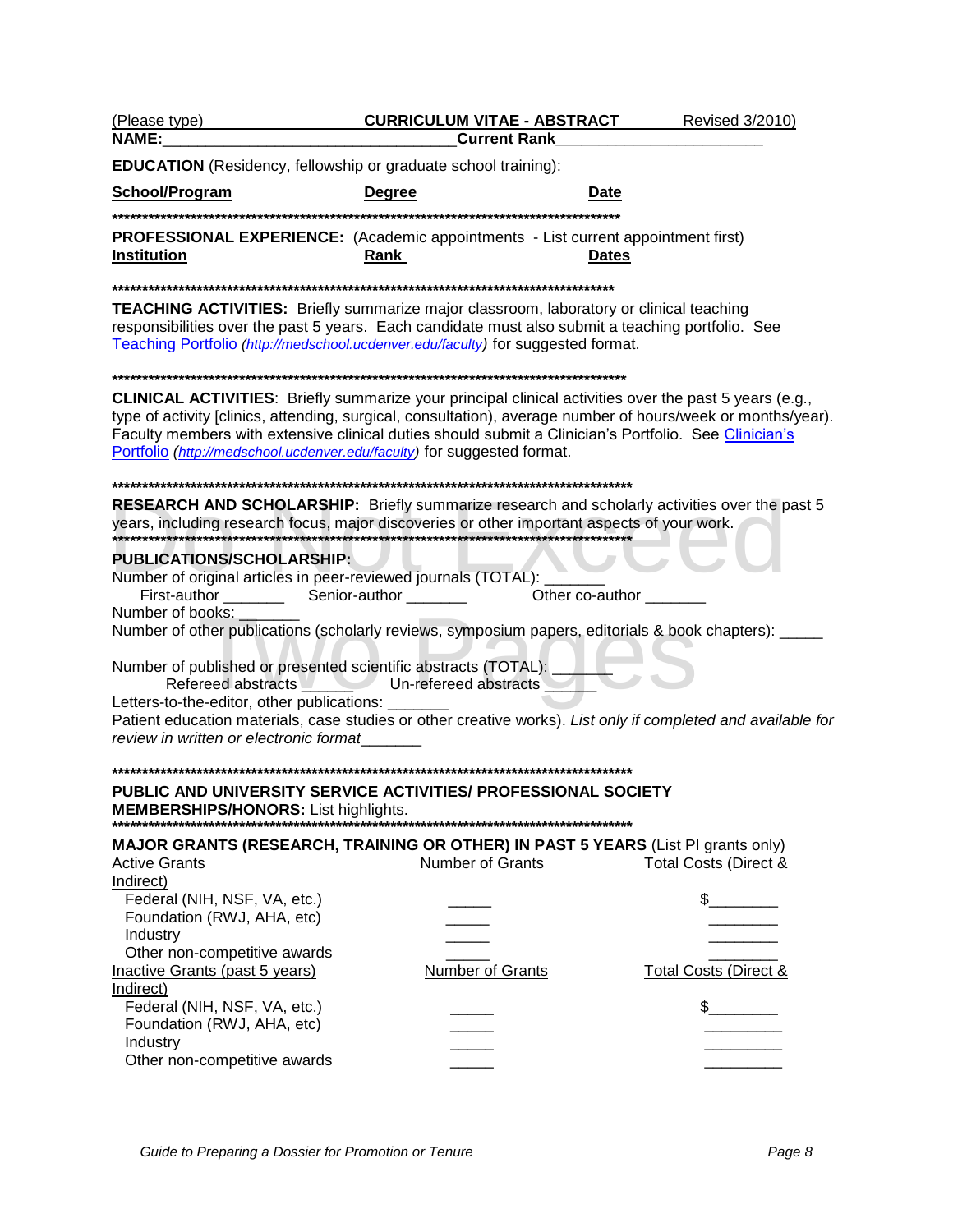| (Please type)<br><b>NAME:</b>                                                                                                                                  | <b>CURRICULUM VITAE - ABSTRACT</b><br><b>Current Rank</b>                                                                                                                                                                                                                                                                              | Revised 3/2010)                  |
|----------------------------------------------------------------------------------------------------------------------------------------------------------------|----------------------------------------------------------------------------------------------------------------------------------------------------------------------------------------------------------------------------------------------------------------------------------------------------------------------------------------|----------------------------------|
| <b>EDUCATION</b> (Residency, fellowship or graduate school training):                                                                                          |                                                                                                                                                                                                                                                                                                                                        |                                  |
| School/Program                                                                                                                                                 | <b>Degree</b><br>Date                                                                                                                                                                                                                                                                                                                  |                                  |
|                                                                                                                                                                |                                                                                                                                                                                                                                                                                                                                        |                                  |
| Institution                                                                                                                                                    | PROFESSIONAL EXPERIENCE: (Academic appointments - List current appointment first)<br>Rank<br><b>Dates</b>                                                                                                                                                                                                                              |                                  |
|                                                                                                                                                                |                                                                                                                                                                                                                                                                                                                                        |                                  |
|                                                                                                                                                                | <b>TEACHING ACTIVITIES:</b> Briefly summarize major classroom, laboratory or clinical teaching<br>responsibilities over the past 5 years. Each candidate must also submit a teaching portfolio. See<br>Teaching Portfolio (http://medschool.ucdenver.edu/faculty) for suggested format.                                                |                                  |
|                                                                                                                                                                |                                                                                                                                                                                                                                                                                                                                        |                                  |
| Portfolio (http://medschool.ucdenver.edu/faculty) for suggested format.                                                                                        | <b>CLINICAL ACTIVITIES:</b> Briefly summarize your principal clinical activities over the past 5 years (e.g.,<br>type of activity [clinics, attending, surgical, consultation), average number of hours/week or months/year).<br>Faculty members with extensive clinical duties should submit a Clinician's Portfolio. See Clinician's |                                  |
|                                                                                                                                                                |                                                                                                                                                                                                                                                                                                                                        |                                  |
|                                                                                                                                                                | <b>RESEARCH AND SCHOLARSHIP:</b> Briefly summarize research and scholarly activities over the past 5                                                                                                                                                                                                                                   |                                  |
| <b>PUBLICATIONS/SCHOLARSHIP:</b>                                                                                                                               |                                                                                                                                                                                                                                                                                                                                        |                                  |
| Number of original articles in peer-reviewed journals (TOTAL): _                                                                                               | Other co-author                                                                                                                                                                                                                                                                                                                        |                                  |
| Number of books:                                                                                                                                               | Number of other publications (scholarly reviews, symposium papers, editorials & book chapters): _____                                                                                                                                                                                                                                  |                                  |
| Number of published or presented scientific abstracts (TOTAL):<br>Letters-to-the-editor, other publications: _______<br>review in written or electronic format | Refereed abstracts Un-refereed abstracts<br>Patient education materials, case studies or other creative works). List only if completed and available for                                                                                                                                                                               |                                  |
|                                                                                                                                                                |                                                                                                                                                                                                                                                                                                                                        |                                  |
| <b>MEMBERSHIPS/HONORS:</b> List highlights.                                                                                                                    | PUBLIC AND UNIVERSITY SERVICE ACTIVITIES/ PROFESSIONAL SOCIETY                                                                                                                                                                                                                                                                         |                                  |
|                                                                                                                                                                | <b>MAJOR GRANTS (RESEARCH, TRAINING OR OTHER) IN PAST 5 YEARS (List PI grants only)</b>                                                                                                                                                                                                                                                |                                  |
| <b>Active Grants</b>                                                                                                                                           | <b>Number of Grants</b>                                                                                                                                                                                                                                                                                                                | Total Costs (Direct &            |
| Indirect)                                                                                                                                                      |                                                                                                                                                                                                                                                                                                                                        |                                  |
| Federal (NIH, NSF, VA, etc.)                                                                                                                                   |                                                                                                                                                                                                                                                                                                                                        | $\mathbb S$                      |
| Foundation (RWJ, AHA, etc)                                                                                                                                     |                                                                                                                                                                                                                                                                                                                                        |                                  |
| Industry                                                                                                                                                       |                                                                                                                                                                                                                                                                                                                                        |                                  |
| Other non-competitive awards<br>Inactive Grants (past 5 years)                                                                                                 | <b>Number of Grants</b>                                                                                                                                                                                                                                                                                                                | <b>Total Costs (Direct &amp;</b> |
| Indirect)                                                                                                                                                      |                                                                                                                                                                                                                                                                                                                                        |                                  |
| Federal (NIH, NSF, VA, etc.)                                                                                                                                   |                                                                                                                                                                                                                                                                                                                                        | $\sim$                           |
| Foundation (RWJ, AHA, etc)                                                                                                                                     |                                                                                                                                                                                                                                                                                                                                        |                                  |
| Industry                                                                                                                                                       |                                                                                                                                                                                                                                                                                                                                        |                                  |
| Other non-competitive awards                                                                                                                                   |                                                                                                                                                                                                                                                                                                                                        |                                  |
|                                                                                                                                                                |                                                                                                                                                                                                                                                                                                                                        |                                  |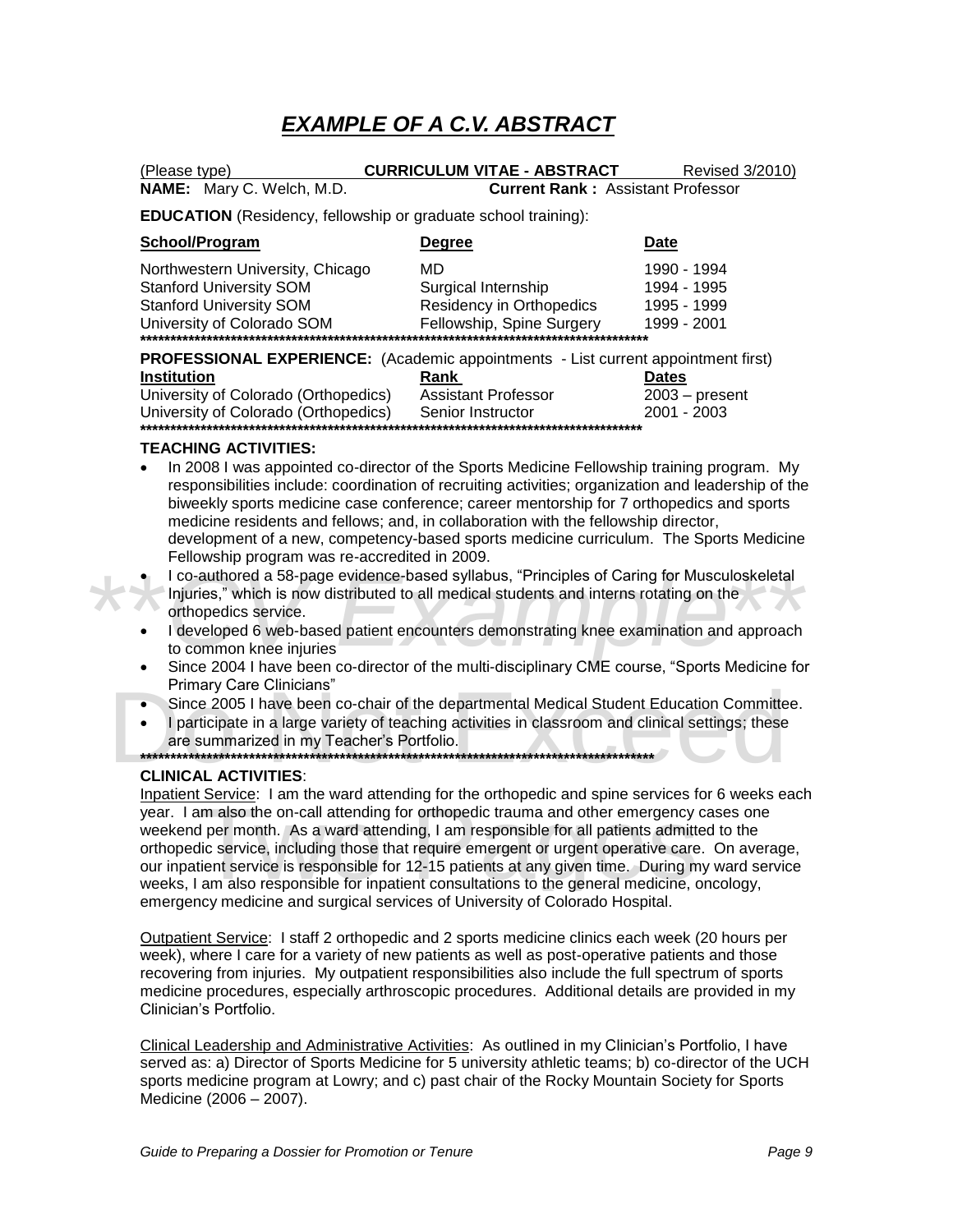# **EXAMPLE OF A C.V. ABSTRACT**

| (Please type)                                                                                                                      | <b>CURRICULUM VITAE - ABSTRACT</b>                                                 | Revised 3/2010)                                          |
|------------------------------------------------------------------------------------------------------------------------------------|------------------------------------------------------------------------------------|----------------------------------------------------------|
| <b>NAME:</b> Mary C. Welch, M.D.                                                                                                   | <b>Current Rank: Assistant Professor</b>                                           |                                                          |
|                                                                                                                                    | <b>EDUCATION</b> (Residency, fellowship or graduate school training):              |                                                          |
| School/Program                                                                                                                     | <b>Degree</b>                                                                      | <b>Date</b>                                              |
| Northwestern University, Chicago<br><b>Stanford University SOM</b><br><b>Stanford University SOM</b><br>University of Colorado SOM | MD<br>Surgical Internship<br>Residency in Orthopedics<br>Fellowship, Spine Surgery | 1990 - 1994<br>1994 - 1995<br>1995 - 1999<br>1999 - 2001 |

**PROFESSIONAL EXPERIENCE:** (Academic appointments - List current appointment first)

| <b>Institution</b>                   | Rank                       | <b>Dates</b>     |
|--------------------------------------|----------------------------|------------------|
| University of Colorado (Orthopedics) | <b>Assistant Professor</b> | $2003 - present$ |
| University of Colorado (Orthopedics) | Senior Instructor          | 2001 - 2003      |
|                                      |                            |                  |

### **TEACHING ACTIVITIES:**

- In 2008 I was appointed co-director of the Sports Medicine Fellowship training program. My responsibilities include: coordination of recruiting activities; organization and leadership of the biweekly sports medicine case conference; career mentorship for 7 orthopedics and sports medicine residents and fellows; and, in collaboration with the fellowship director, development of a new, competency-based sports medicine curriculum. The Sports Medicine Fellowship program was re-accredited in 2009.
- I co-authored a 58-page evidence-based syllabus, "Principles of Caring for Musculoskeletal
- $\blacksquare$  Injuries," which is now distributed to all medical students and interns rotating on the orthopedics service.
- I co-authored a 58-page evidence-based syllabus, "Principles of Caring for Musculoskeletal<br>
Injuries," which is now distributed to all medical students and interns rotating on the<br>
orthopedics service.<br>
 I developed 6 w • I developed 6 web-based patient encounters demonstrating knee examination and approach to common knee injuries
	- Since 2004 I have been co-director of the multi-disciplinary CME course, "Sports Medicine for Primary Care Clinicians"
	- Since 2005 I have been co-chair of the departmental Medical Student Education Committee.
	- Primary Care Clinicians"<br>
	 Since 2005 I have been co-chair of the departmental Medical Student Education Committee.<br>
	 I participate in a large variety of teaching activities in classroom and clinical settings; these<br>
	are I participate in a large variety of teaching activities in classroom and clinical settings; these are summarized in my Teacher"s Portfolio.

**\*\*\*\*\*\*\*\*\*\*\*\*\*\*\*\*\*\*\*\*\*\*\*\*\*\*\*\*\*\*\*\*\*\*\*\*\*\*\*\*\*\*\*\*\*\*\*\*\*\*\*\*\*\*\*\*\*\*\*\*\*\*\*\*\*\*\*\*\*\*\*\*\*\*\*\*\*\*\*\*\*\*\*\*\***

### **CLINICAL ACTIVITIES**:

wear. I am also the on-call attending for the onliquence and other emergency cases one weekend per month. As a ward attending, I am responsible for all patients admitted to the orthopedic service, including those that requ Inpatient Service: I am the ward attending for the orthopedic and spine services for 6 weeks each weekend per month. As a ward attending, I am responsible for all patients admitted to the orthopedic service, including those that require emergent or urgent operative care. On average, our inpatient service is responsible for 12-15 patients at any given time. During my ward service weeks, I am also responsible for inpatient consultations to the general medicine, oncology, emergency medicine and surgical services of University of Colorado Hospital.

Outpatient Service: I staff 2 orthopedic and 2 sports medicine clinics each week (20 hours per week), where I care for a variety of new patients as well as post-operative patients and those recovering from injuries. My outpatient responsibilities also include the full spectrum of sports medicine procedures, especially arthroscopic procedures. Additional details are provided in my Clinician"s Portfolio.

Clinical Leadership and Administrative Activities: As outlined in my Clinician"s Portfolio, I have served as: a) Director of Sports Medicine for 5 university athletic teams; b) co-director of the UCH sports medicine program at Lowry; and c) past chair of the Rocky Mountain Society for Sports Medicine (2006 – 2007).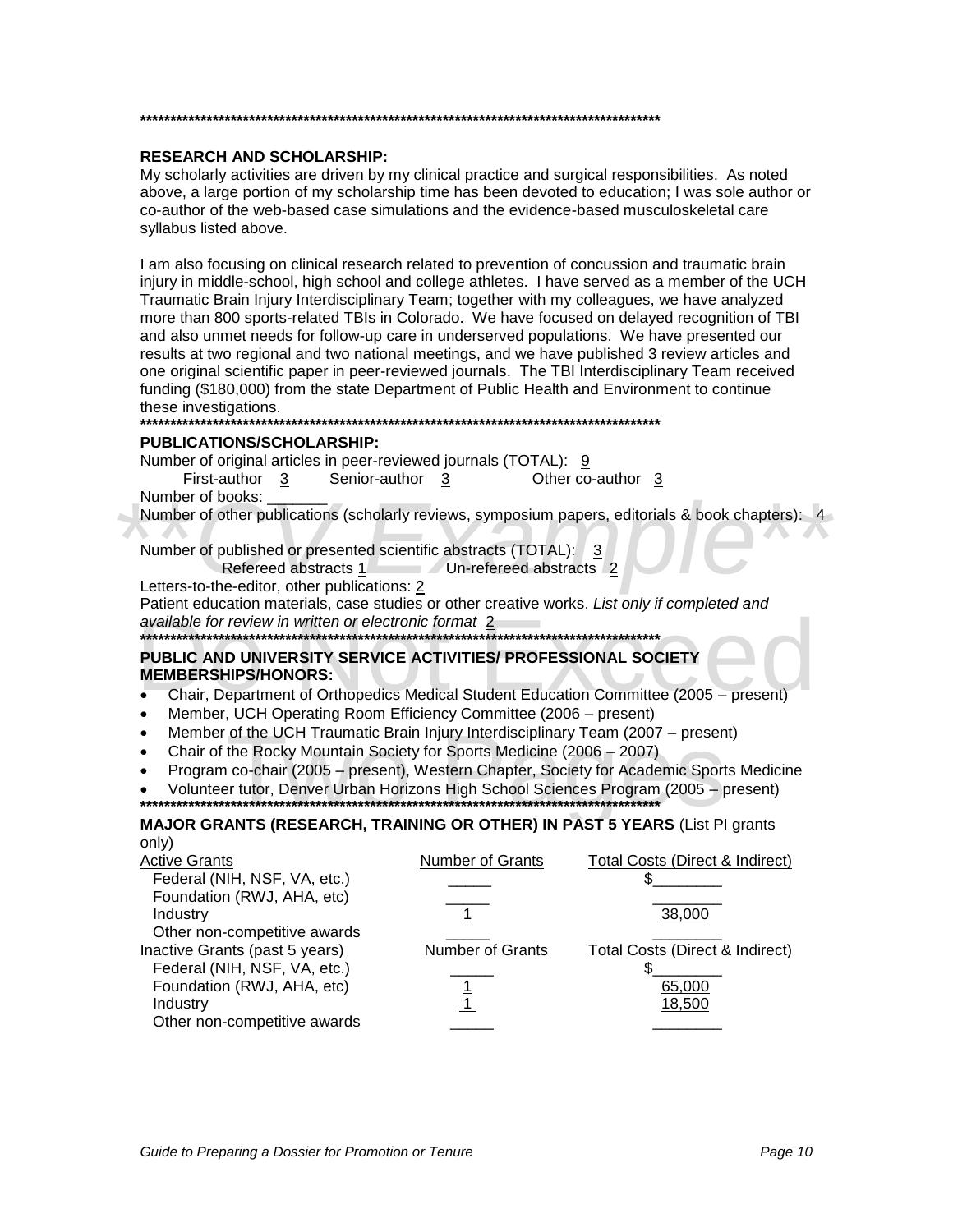#### **\*\*\*\*\*\*\*\*\*\*\*\*\*\*\*\*\*\*\*\*\*\*\*\*\*\*\*\*\*\*\*\*\*\*\*\*\*\*\*\*\*\*\*\*\*\*\*\*\*\*\*\*\*\*\*\*\*\*\*\*\*\*\*\*\*\*\*\*\*\*\*\*\*\*\*\*\*\*\*\*\*\*\*\*\*\***

#### **RESEARCH AND SCHOLARSHIP:**

My scholarly activities are driven by my clinical practice and surgical responsibilities. As noted above, a large portion of my scholarship time has been devoted to education; I was sole author or co-author of the web-based case simulations and the evidence-based musculoskeletal care syllabus listed above.

I am also focusing on clinical research related to prevention of concussion and traumatic brain injury in middle-school, high school and college athletes. I have served as a member of the UCH Traumatic Brain Injury Interdisciplinary Team; together with my colleagues, we have analyzed more than 800 sports-related TBIs in Colorado. We have focused on delayed recognition of TBI and also unmet needs for follow-up care in underserved populations. We have presented our results at two regional and two national meetings, and we have published 3 review articles and one original scientific paper in peer-reviewed journals. The TBI Interdisciplinary Team received funding (\$180,000) from the state Department of Public Health and Environment to continue these investigations.

#### **\*\*\*\*\*\*\*\*\*\*\*\*\*\*\*\*\*\*\*\*\*\*\*\*\*\*\*\*\*\*\*\*\*\*\*\*\*\*\*\*\*\*\*\*\*\*\*\*\*\*\*\*\*\*\*\*\*\*\*\*\*\*\*\*\*\*\*\*\*\*\*\*\*\*\*\*\*\*\*\*\*\*\*\*\*\***

#### **PUBLICATIONS/SCHOLARSHIP:**

Number of original articles in peer-reviewed journals (TOTAL):  $9/9$ 

First-author 3 Senior-author  $\frac{3}{2}$  Other co-author  $\frac{3}{2}$ Number of books:

Number of books:<br>
Number of other publications (scholarly reviews, symposium papers, editorials & book chapters): 4<br>
Number of published or presented scientific abstracts (TOTAL): 3<br>
Refereed abstracts 1 Un-refereed abstra Number of other publications (scholarly reviews, symposium papers, editorials & book chapters): 4

Number of published or presented scientific abstracts (TOTAL): 3

Refereed abstracts 1 Un-refereed abstracts 2

Letters-to-the-editor, other publications: 2

Patient education materials, case studies or other creative works. List only if completed and available for review in written or electronic format 2

**\*\*\*\*\*\*\*\*\*\*\*\*\*\*\*\*\*\*\*\*\*\*\*\*\*\*\*\*\*\*\*\*\*\*\*\*\*\*\*\*\*\*\*\*\*\*\*\*\*\*\*\*\*\*\*\*\*\*\*\*\*\*\*\*\*\*\*\*\*\*\*\*\*\*\*\*\*\*\*\*\*\*\*\*\*\***

# PUBLIC AND UNIVERSITY SERVICE ACTIVITIES/ PROFESSIONAL SOCIETY<br>
MEMBERSHIPS/HONORS:<br>
• Chair, Department of Orthopedics Medical Student Education Committee (2005 – present) **PUBLIC AND UNIVERSITY SERVICE ACTIVITIES/ PROFESSIONAL SOCIETY MEMBERSHIPS/HONORS:**

- 
- Member, UCH Operating Room Efficiency Committee (2006 present)
- Member of the UCH Traumatic Brain Injury Interdisciplinary Team (2007 present)
- Chair of the Rocky Mountain Society for Sports Medicine (2006 2007)
- of the UCH Traumatic Brain Injury Interdisciplinary Team (2007 present<br>the Rocky Mountain Society for Sports Medicine (2006 2007)<br>co-chair (2005 present), Western Chapter, Society for Academic Sport<br>of the Proton Ho Program co-chair (2005 – present), Western Chapter, Society for Academic Sports Medicine
- Volunteer tutor, Denver Urban Horizons High School Sciences Program (2005 present)

**\*\*\*\*\*\*\*\*\*\*\*\*\*\*\*\*\*\*\*\*\*\*\*\*\*\*\*\*\*\*\*\*\*\*\*\*\*\*\*\*\*\*\*\*\*\*\*\*\*\*\*\*\*\*\*\*\*\*\*\*\*\*\*\*\*\*\*\*\*\*\*\*\*\*\*\*\*\*\*\*\*\*\*\*\*\***

#### **MAJOR GRANTS (RESEARCH, TRAINING OR OTHER) IN PAST 5 YEARS** (List PI grants only)

| <b>Active Grants</b>           | <b>Number of Grants</b> | Total Costs (Direct & Indirect) |
|--------------------------------|-------------------------|---------------------------------|
| Federal (NIH, NSF, VA, etc.)   |                         |                                 |
| Foundation (RWJ, AHA, etc)     |                         |                                 |
| Industry                       |                         | 38,000                          |
| Other non-competitive awards   |                         |                                 |
| Inactive Grants (past 5 years) | Number of Grants        | Total Costs (Direct & Indirect) |
| Federal (NIH, NSF, VA, etc.)   |                         |                                 |
| Foundation (RWJ, AHA, etc)     |                         | 65,000                          |
| Industry                       |                         | 18,500                          |
| Other non-competitive awards   |                         |                                 |
|                                |                         |                                 |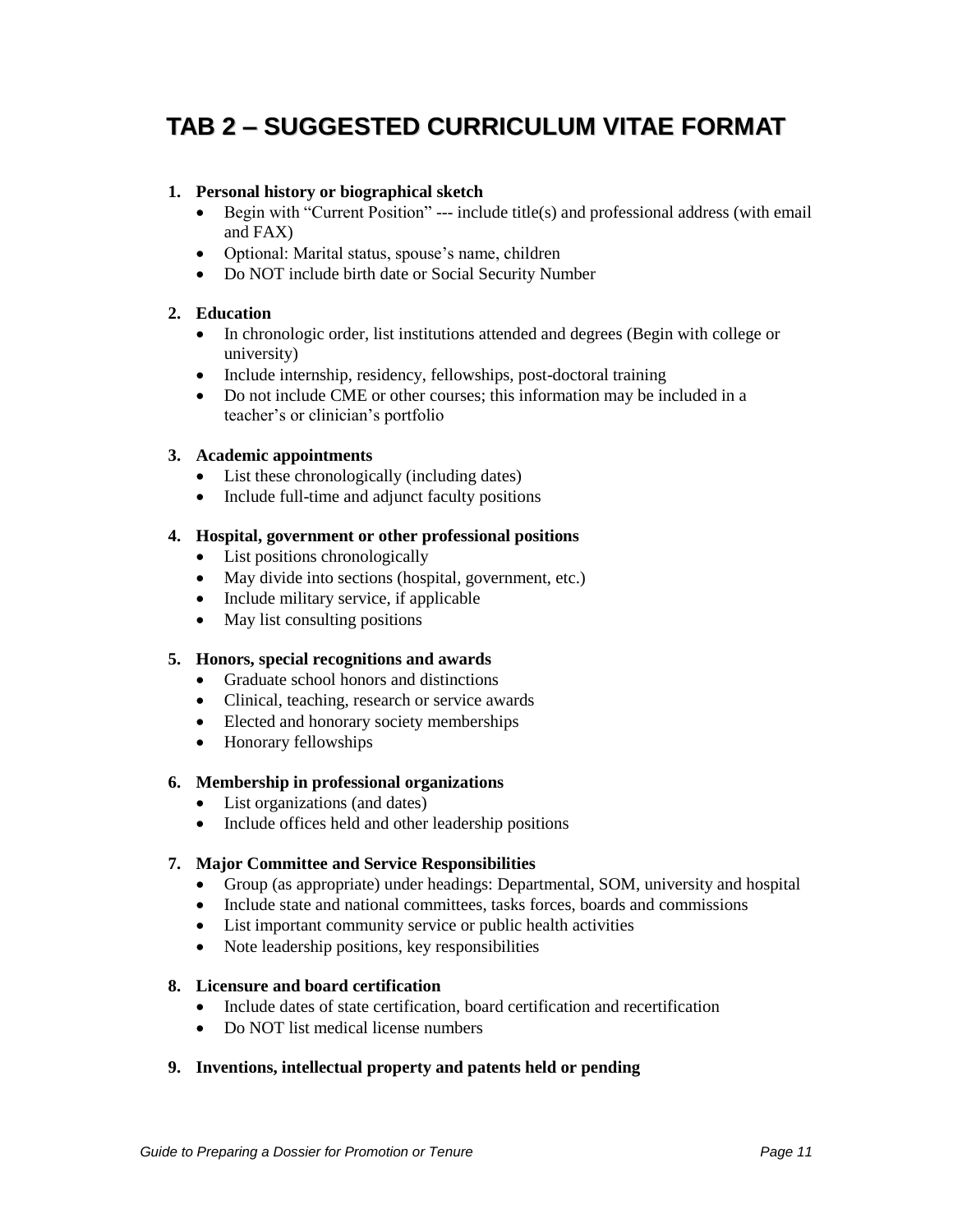# **TAB 2 – SUGGESTED CURRICULUM VITAE FORMAT**

### **1. Personal history or biographical sketch**

- $\bullet$  Begin with "Current Position" --- include title(s) and professional address (with email and FAX)
- Optional: Marital status, spouse's name, children
- Do NOT include birth date or Social Security Number

### **2. Education**

- In chronologic order, list institutions attended and degrees (Begin with college or university)
- Include internship, residency, fellowships, post-doctoral training
- Do not include CME or other courses; this information may be included in a teacher's or clinician's portfolio

#### **3. Academic appointments**

- List these chronologically (including dates)
- Include full-time and adjunct faculty positions

#### **4. Hospital, government or other professional positions**

- List positions chronologically
- May divide into sections (hospital, government, etc.)
- Include military service, if applicable
- May list consulting positions

#### **5. Honors, special recognitions and awards**

- Graduate school honors and distinctions
- Clinical, teaching, research or service awards
- Elected and honorary society memberships
- Honorary fellowships

#### **6. Membership in professional organizations**

- List organizations (and dates)
- Include offices held and other leadership positions

#### **7. Major Committee and Service Responsibilities**

- Group (as appropriate) under headings: Departmental, SOM, university and hospital
- Include state and national committees, tasks forces, boards and commissions
- List important community service or public health activities
- Note leadership positions, key responsibilities

#### **8. Licensure and board certification**

- Include dates of state certification, board certification and recertification
- Do NOT list medical license numbers

### **9. Inventions, intellectual property and patents held or pending**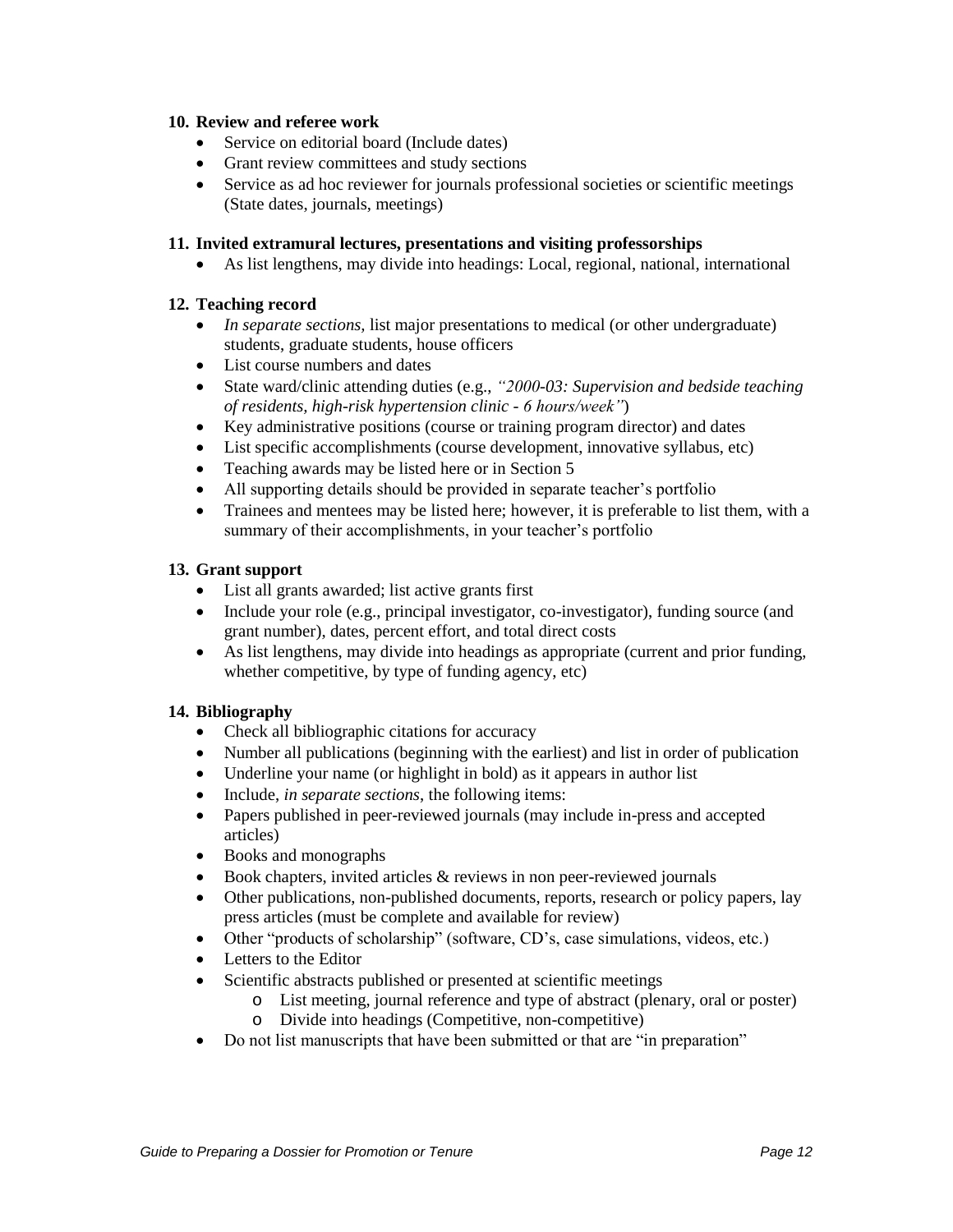### **10. Review and referee work**

- Service on editorial board (Include dates)
- Grant review committees and study sections
- Service as ad hoc reviewer for journals professional societies or scientific meetings (State dates, journals, meetings)

### **11. Invited extramural lectures, presentations and visiting professorships**

As list lengthens, may divide into headings: Local, regional, national, international

### **12. Teaching record**

- *In separate sections,* list major presentations to medical (or other undergraduate) students, graduate students, house officers
- List course numbers and dates
- State ward/clinic attending duties (e.g., *"2000-03: Supervision and bedside teaching of residents, high-risk hypertension clinic - 6 hours/week"*)
- Key administrative positions (course or training program director) and dates
- List specific accomplishments (course development, innovative syllabus, etc)
- Teaching awards may be listed here or in Section 5
- All supporting details should be provided in separate teacher's portfolio
- Trainees and mentees may be listed here; however, it is preferable to list them, with a summary of their accomplishments, in your teacher's portfolio

### **13. Grant support**

- List all grants awarded; list active grants first
- Include your role (e.g., principal investigator, co-investigator), funding source (and grant number), dates, percent effort, and total direct costs
- As list lengthens, may divide into headings as appropriate (current and prior funding, whether competitive, by type of funding agency, etc)

### **14. Bibliography**

- Check all bibliographic citations for accuracy
- Number all publications (beginning with the earliest) and list in order of publication
- Underline your name (or highlight in bold) as it appears in author list
- Include, *in separate sections*, the following items:
- Papers published in peer-reviewed journals (may include in-press and accepted articles)
- Books and monographs
- $\bullet$  Book chapters, invited articles & reviews in non peer-reviewed journals
- Other publications, non-published documents, reports, research or policy papers, lay press articles (must be complete and available for review)
- Other "products of scholarship" (software, CD's, case simulations, videos, etc.)
- Letters to the Editor
- Scientific abstracts published or presented at scientific meetings
	- o List meeting, journal reference and type of abstract (plenary, oral or poster)
	- o Divide into headings (Competitive, non-competitive)
- Do not list manuscripts that have been submitted or that are "in preparation"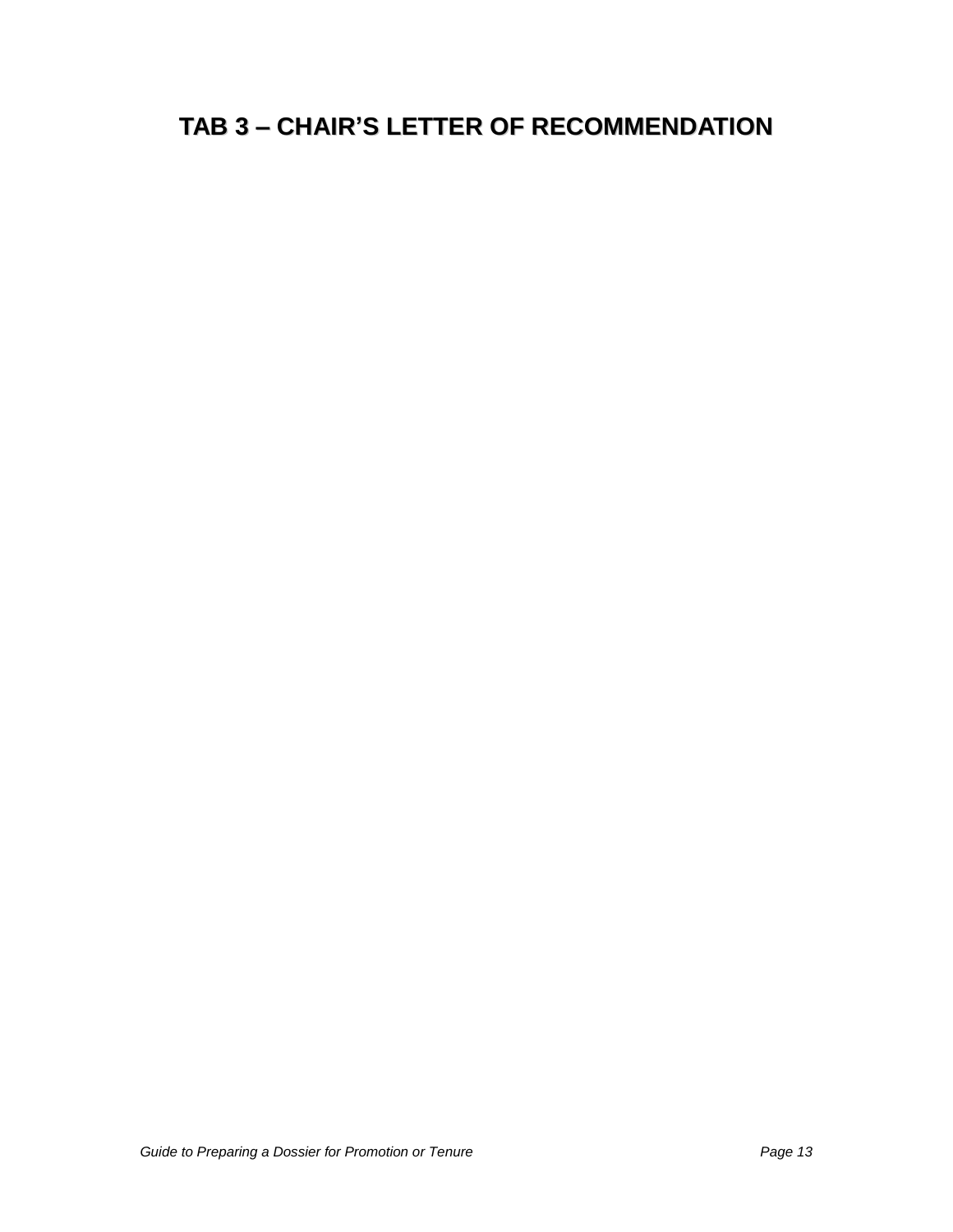# **TAB 3 – CHAIR'S LETTER OF RECOMMENDATION**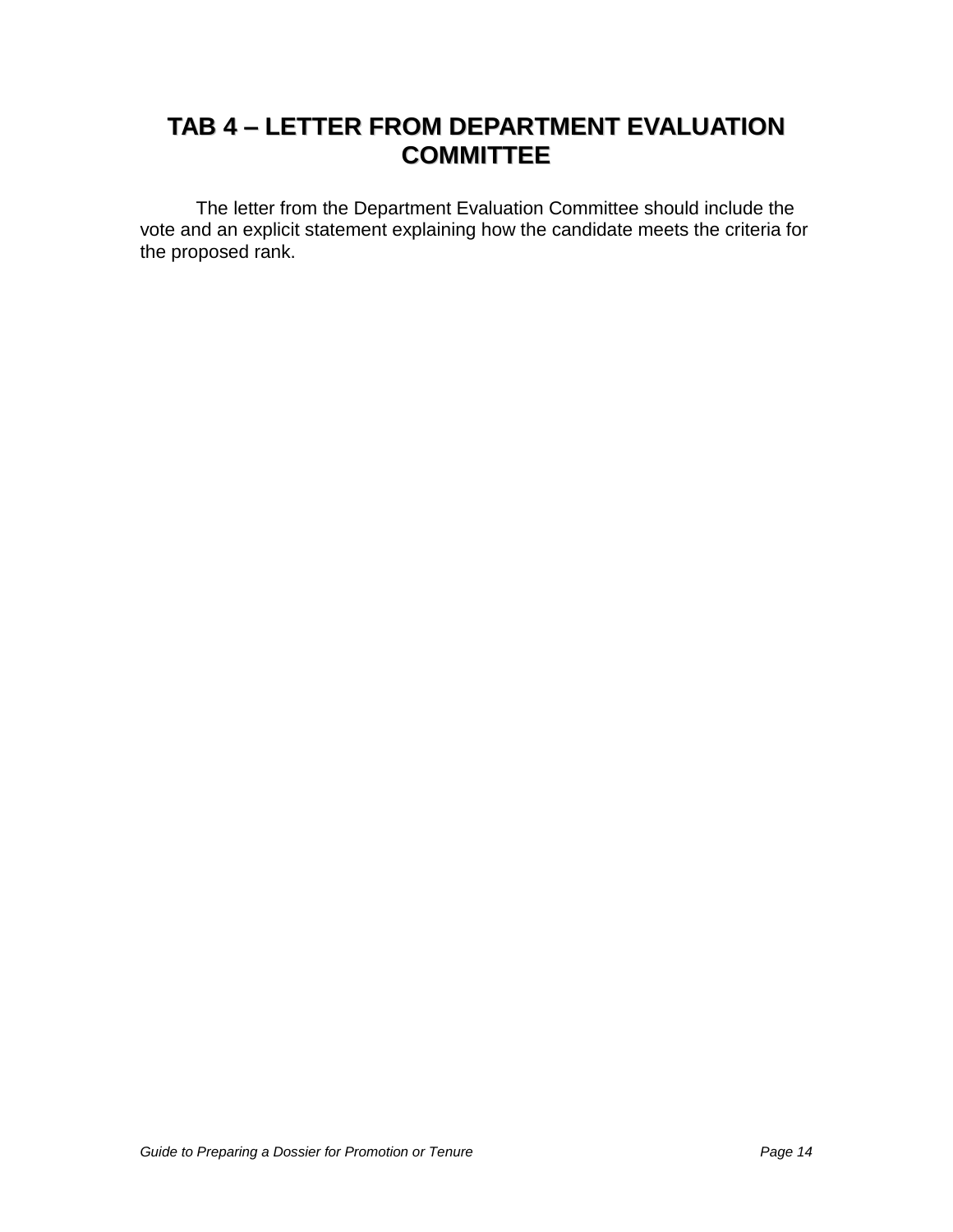# **TAB 4 – LETTER FROM DEPARTMENT EVALUATION COMMITTEE**

The letter from the Department Evaluation Committee should include the vote and an explicit statement explaining how the candidate meets the criteria for the proposed rank.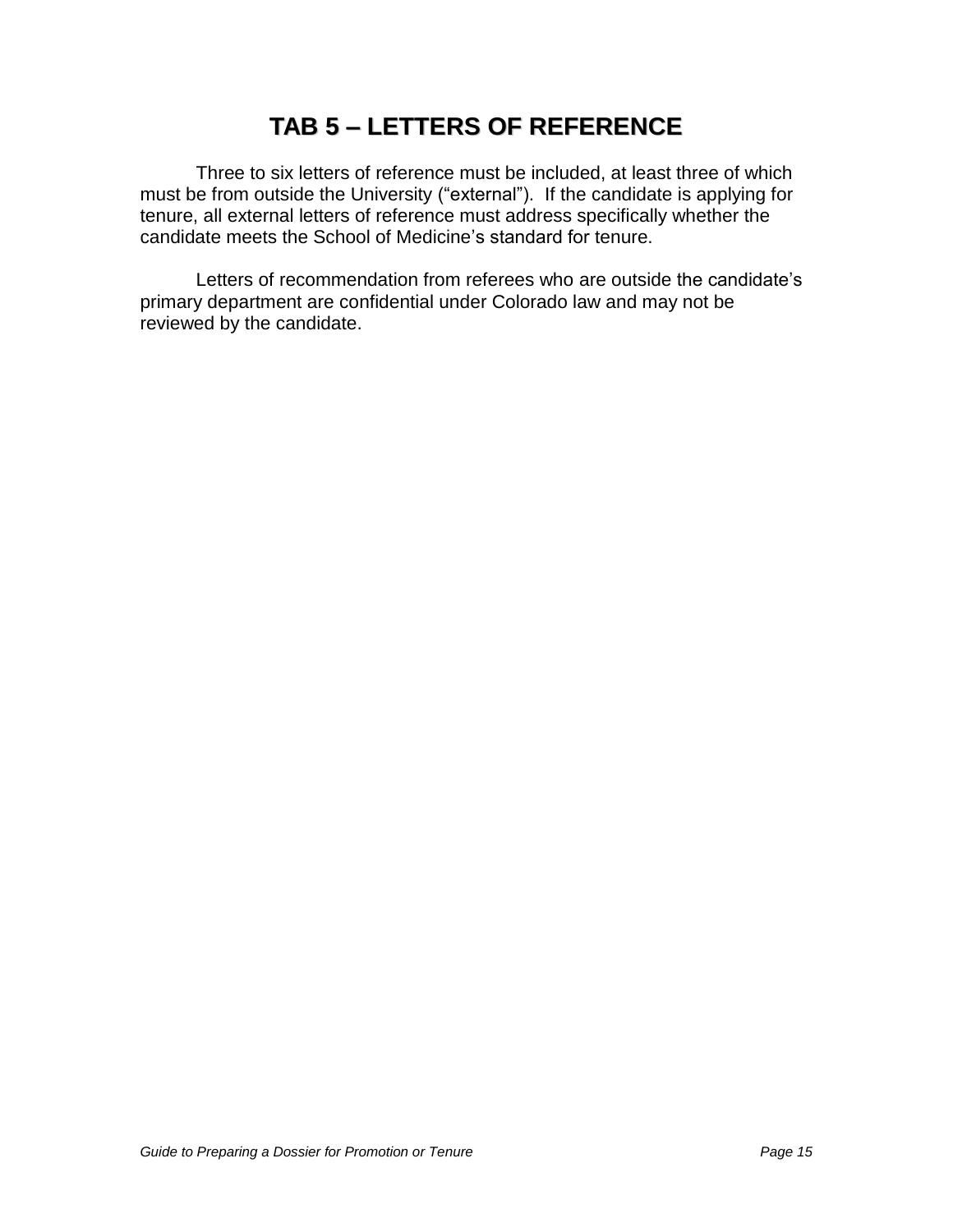# **TAB 5 – LETTERS OF REFERENCE**

Three to six letters of reference must be included, at least three of which must be from outside the University ("external"). If the candidate is applying for tenure, all external letters of reference must address specifically whether the candidate meets the School of Medicine"s standard for tenure.

Letters of recommendation from referees who are outside the candidate's primary department are confidential under Colorado law and may not be reviewed by the candidate.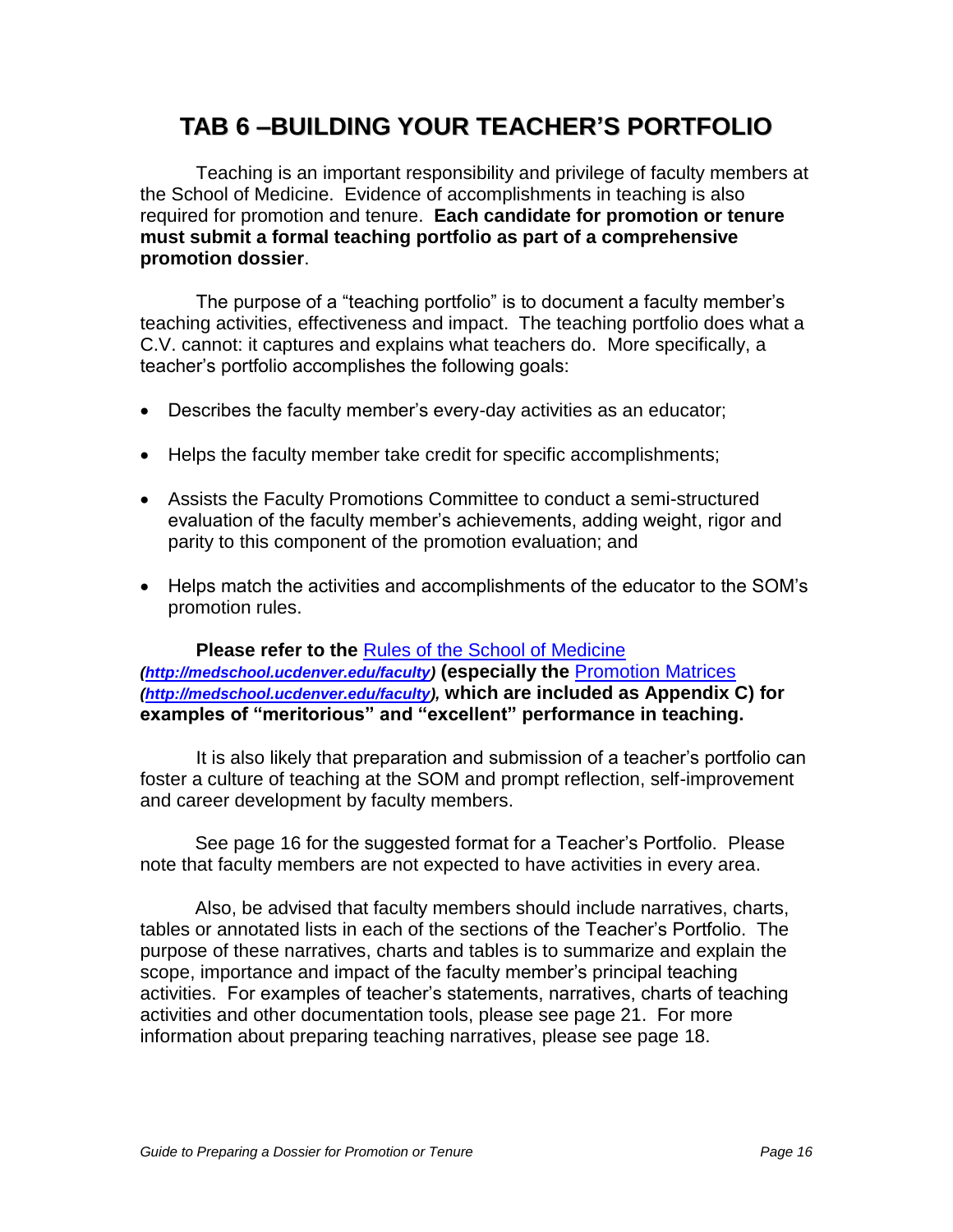# **TAB 6 –BUILDING YOUR TEACHER'S PORTFOLIO**

Teaching is an important responsibility and privilege of faculty members at the School of Medicine. Evidence of accomplishments in teaching is also required for promotion and tenure. **Each candidate for promotion or tenure must submit a formal teaching portfolio as part of a comprehensive promotion dossier**.

The purpose of a "teaching portfolio" is to document a faculty member"s teaching activities, effectiveness and impact. The teaching portfolio does what a C.V. cannot: it captures and explains what teachers do. More specifically, a teacher"s portfolio accomplishes the following goals:

- Describes the faculty member"s every-day activities as an educator;
- Helps the faculty member take credit for specific accomplishments;
- Assists the Faculty Promotions Committee to conduct a semi-structured evaluation of the faculty member"s achievements, adding weight, rigor and parity to this component of the promotion evaluation; and
- Helps match the activities and accomplishments of the educator to the SOM"s promotion rules.

**Please refer to the** [Rules of the School of Medicine](http://www.ucdenver.edu/academics/colleges/medicalschool/facultyAffairs/Documents/Rules2007.pdf) **[\(http://medschool.ucdenver.edu/faculty\)](http://medschool.ucdenver.edu/faculty) (especially the** [Promotion Matrices](http://www.ucdenver.edu/academics/colleges/medicalschool/facultyAffairs/Documents/CriteriaMatrixRev2007.pdf) **[\(http://medschool.ucdenver.edu/faculty\)](http://medschool.ucdenver.edu/faculty), which are included as Appendix C) for examples of "meritorious" and "excellent" performance in teaching.**

It is also likely that preparation and submission of a teacher"s portfolio can foster a culture of teaching at the SOM and prompt reflection, self-improvement and career development by faculty members.

See page 16 for the suggested format for a Teacher"s Portfolio. Please note that faculty members are not expected to have activities in every area.

Also, be advised that faculty members should include narratives, charts, tables or annotated lists in each of the sections of the Teacher"s Portfolio. The purpose of these narratives, charts and tables is to summarize and explain the scope, importance and impact of the faculty member"s principal teaching activities. For examples of teacher"s statements, narratives, charts of teaching activities and other documentation tools, please see page 21. For more information about preparing teaching narratives, please see page 18.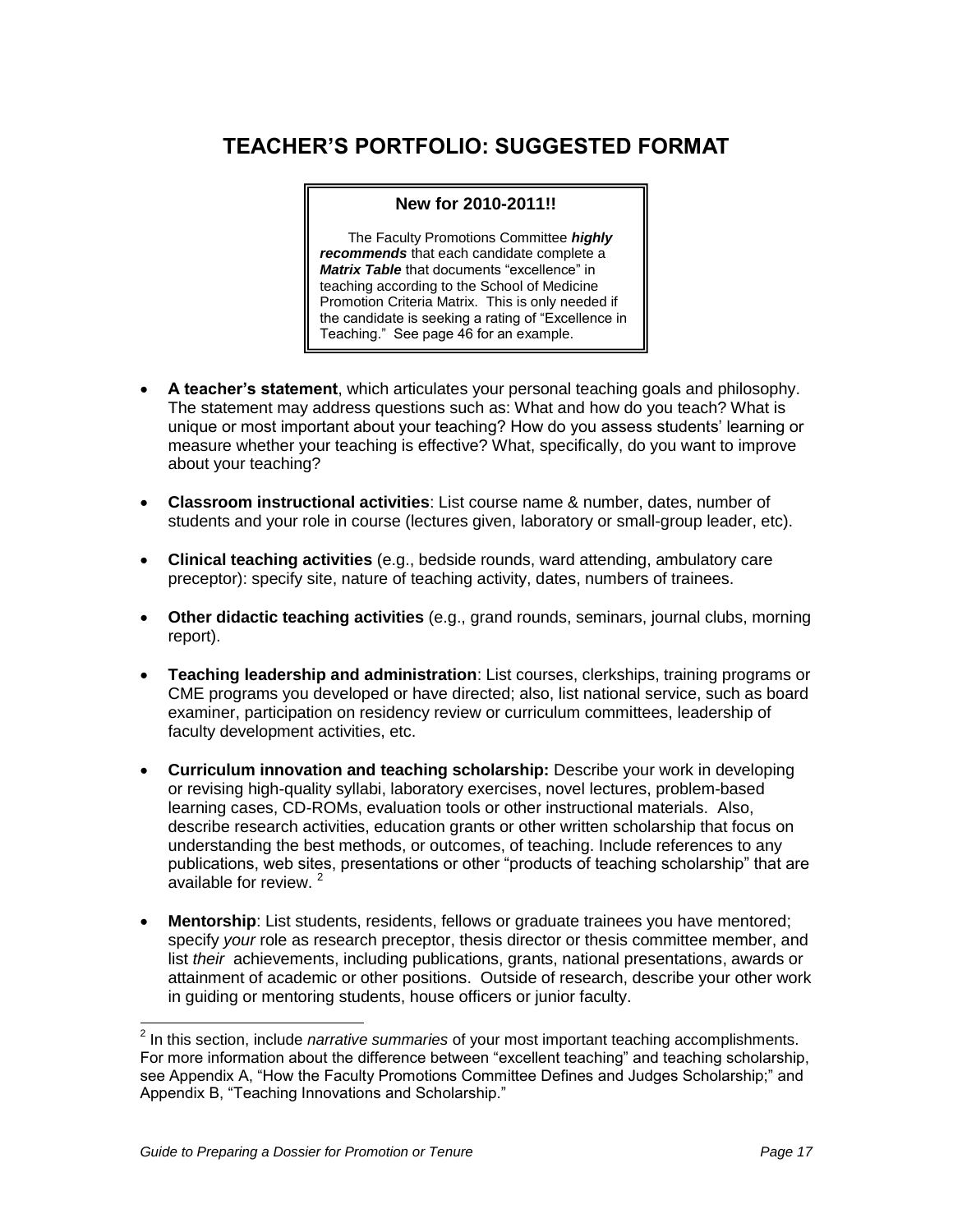# **TEACHER'S PORTFOLIO: SUGGESTED FORMAT**

#### **New for 2010-2011!!**

The Faculty Promotions Committee **highly recommends** that each candidate complete a **Matrix Table** that documents "excellence" in teaching according to the School of Medicine Promotion Criteria Matrix. This is only needed if the candidate is seeking a rating of "Excellence in Teaching." See page 46 for an example.

- **A teacher's statement**, which articulates your personal teaching goals and philosophy. The statement may address questions such as: What and how do you teach? What is unique or most important about your teaching? How do you assess students" learning or measure whether your teaching is effective? What, specifically, do you want to improve about your teaching?
- **Classroom instructional activities**: List course name & number, dates, number of students and your role in course (lectures given, laboratory or small-group leader, etc).
- **Clinical teaching activities** (e.g., bedside rounds, ward attending, ambulatory care preceptor): specify site, nature of teaching activity, dates, numbers of trainees.
- **Other didactic teaching activities** (e.g., grand rounds, seminars, journal clubs, morning report).
- **Teaching leadership and administration**: List courses, clerkships, training programs or CME programs you developed or have directed; also, list national service, such as board examiner, participation on residency review or curriculum committees, leadership of faculty development activities, etc.
- **Curriculum innovation and teaching scholarship:** Describe your work in developing or revising high-quality syllabi, laboratory exercises, novel lectures, problem-based learning cases, CD-ROMs, evaluation tools or other instructional materials. Also, describe research activities, education grants or other written scholarship that focus on understanding the best methods, or outcomes, of teaching. Include references to any publications, web sites, presentations or other "products of teaching scholarship" that are available for review.<sup>2</sup>
- **Mentorship**: List students, residents, fellows or graduate trainees you have mentored; specify your role as research preceptor, thesis director or thesis committee member, and list their achievements, including publications, grants, national presentations, awards or attainment of academic or other positions. Outside of research, describe your other work in guiding or mentoring students, house officers or junior faculty.

<sup>&</sup>lt;u>2</u><br><sup>2</sup> In this section, include *narrative summaries* of your most important teaching accomplishments. For more information about the difference between "excellent teaching" and teaching scholarship, see Appendix A, "How the Faculty Promotions Committee Defines and Judges Scholarship;" and Appendix B, "Teaching Innovations and Scholarship."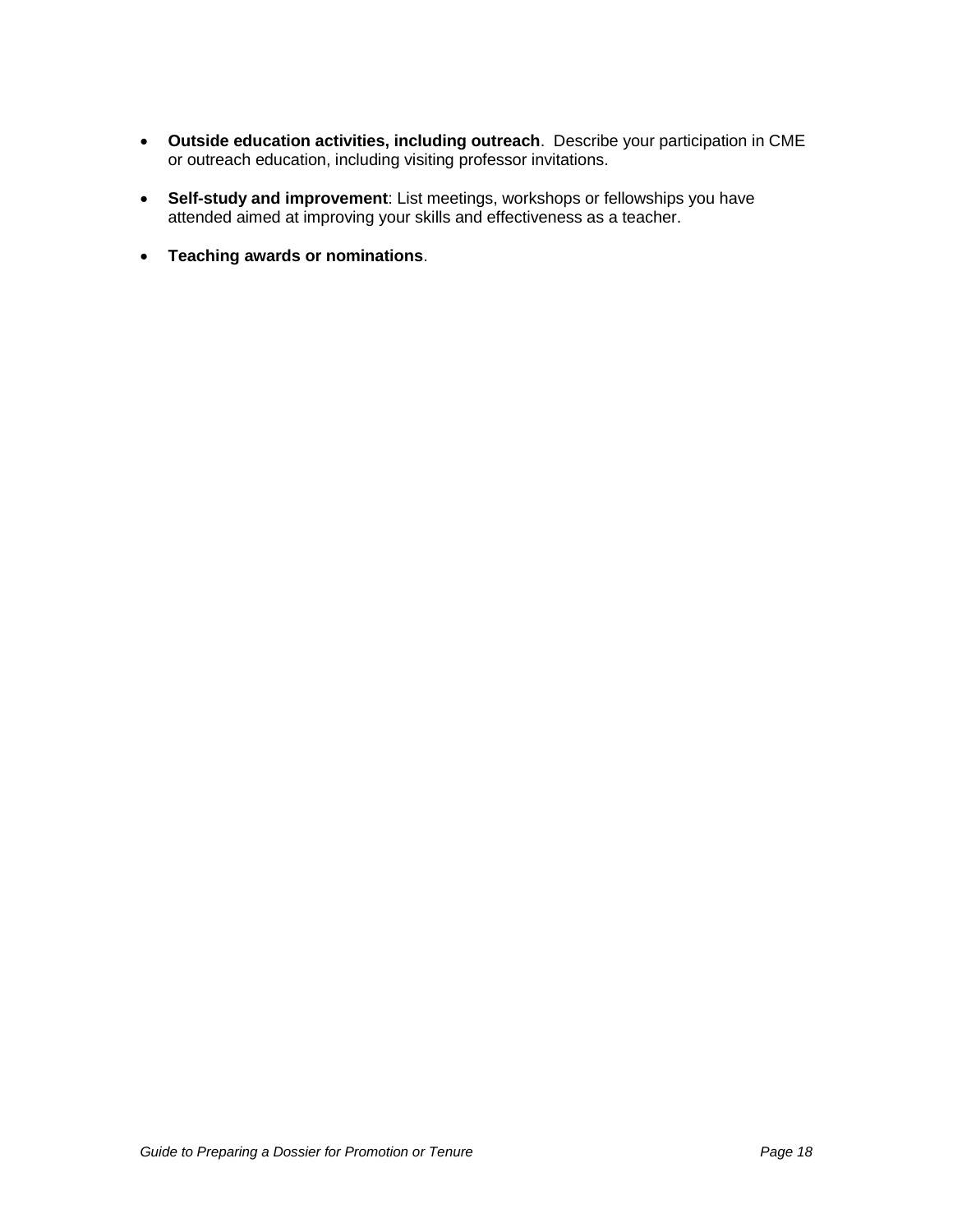- **Outside education activities, including outreach**. Describe your participation in CME or outreach education, including visiting professor invitations.
- **Self-study and improvement**: List meetings, workshops or fellowships you have attended aimed at improving your skills and effectiveness as a teacher.
- **Teaching awards or nominations**.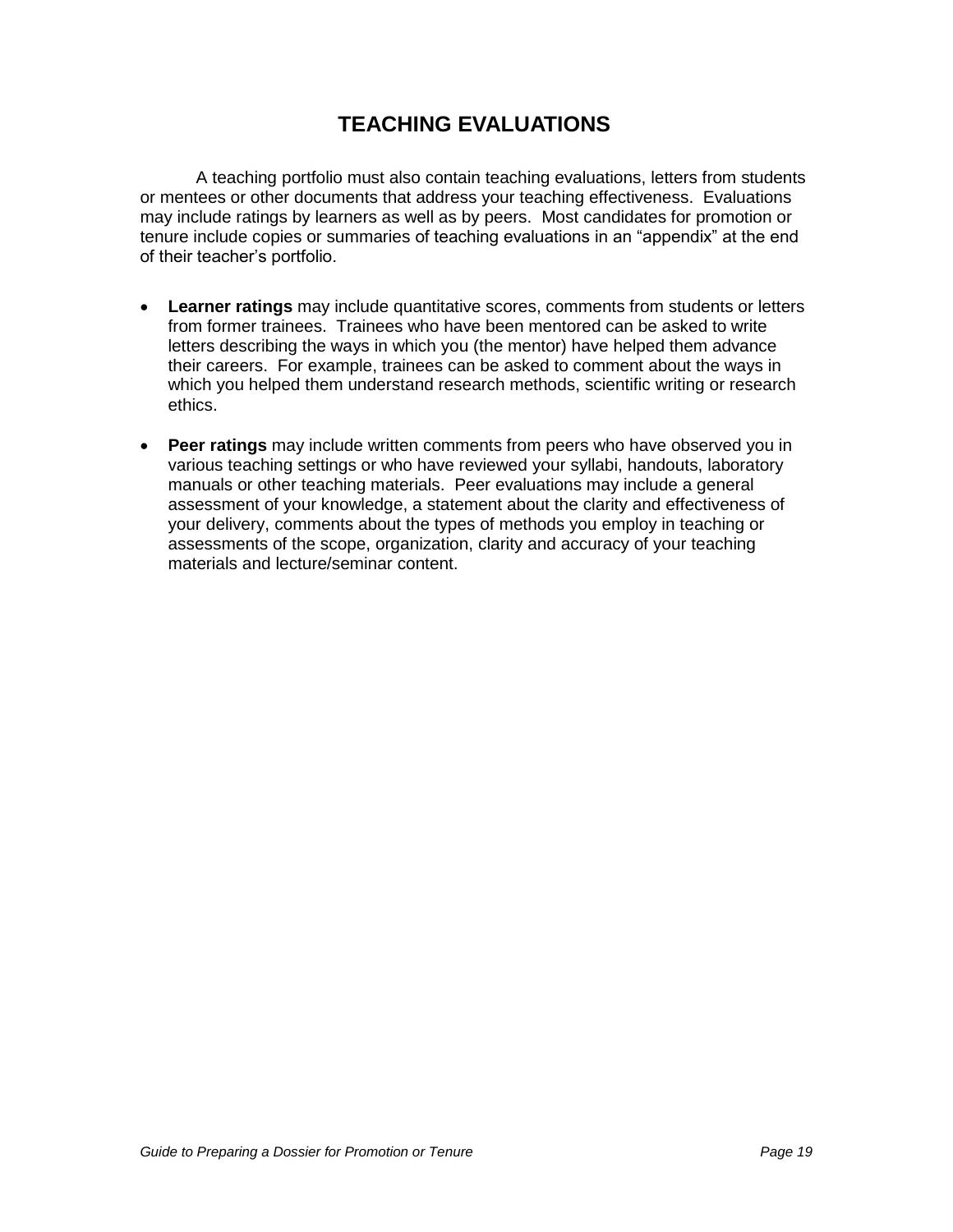# **TEACHING EVALUATIONS**

A teaching portfolio must also contain teaching evaluations, letters from students or mentees or other documents that address your teaching effectiveness. Evaluations may include ratings by learners as well as by peers. Most candidates for promotion or tenure include copies or summaries of teaching evaluations in an "appendix" at the end of their teacher"s portfolio.

- **Learner ratings** may include quantitative scores, comments from students or letters from former trainees. Trainees who have been mentored can be asked to write letters describing the ways in which you (the mentor) have helped them advance their careers. For example, trainees can be asked to comment about the ways in which you helped them understand research methods, scientific writing or research ethics.
- **Peer ratings** may include written comments from peers who have observed you in various teaching settings or who have reviewed your syllabi, handouts, laboratory manuals or other teaching materials. Peer evaluations may include a general assessment of your knowledge, a statement about the clarity and effectiveness of your delivery, comments about the types of methods you employ in teaching or assessments of the scope, organization, clarity and accuracy of your teaching materials and lecture/seminar content.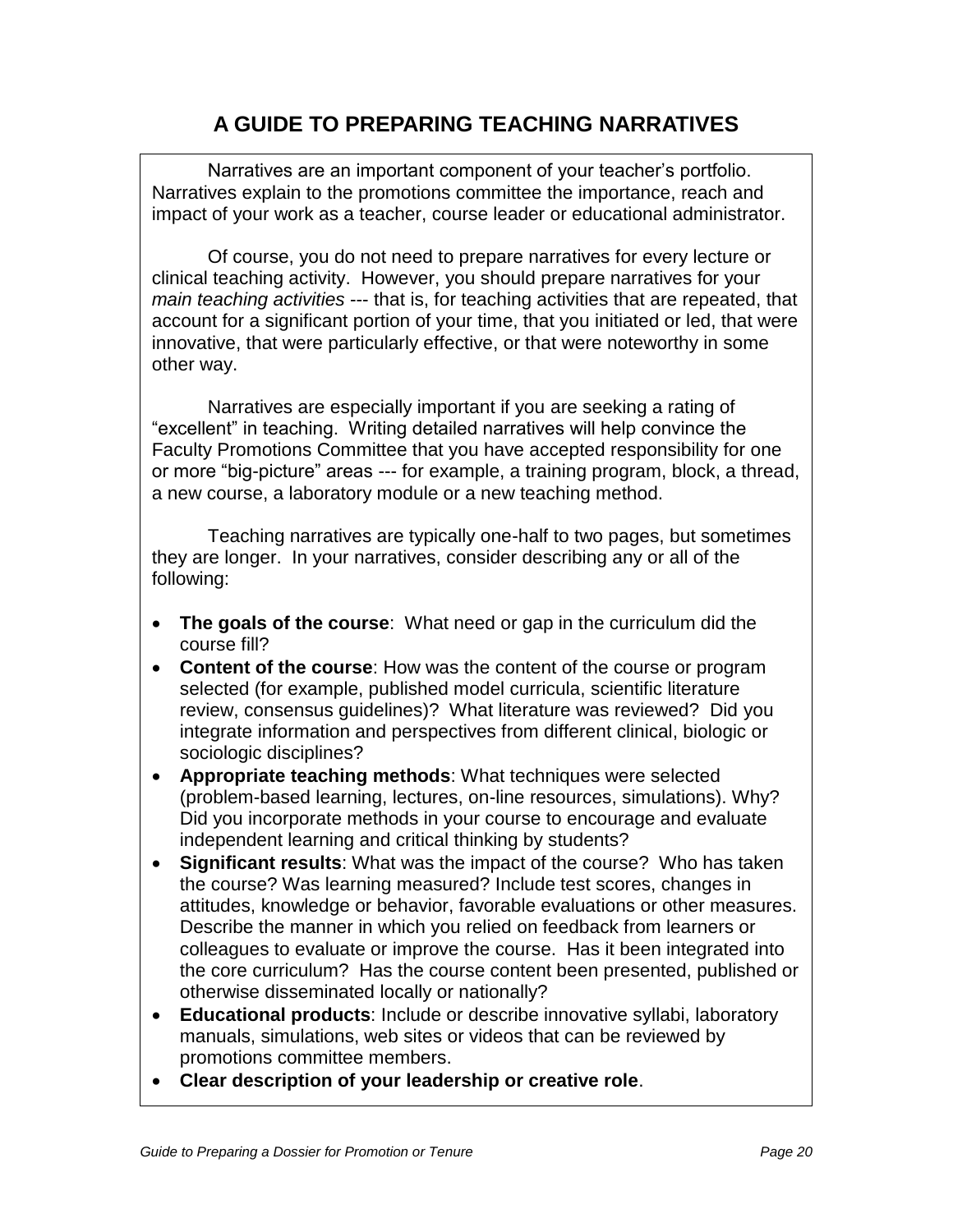## **A GUIDE TO PREPARING TEACHING NARRATIVES**

Narratives are an important component of your teacher"s portfolio. Narratives explain to the promotions committee the importance, reach and impact of your work as a teacher, course leader or educational administrator.

Of course, you do not need to prepare narratives for every lecture or clinical teaching activity. However, you should prepare narratives for your main teaching activities --- that is, for teaching activities that are repeated, that account for a significant portion of your time, that you initiated or led, that were innovative, that were particularly effective, or that were noteworthy in some other way.

Narratives are especially important if you are seeking a rating of "excellent" in teaching. Writing detailed narratives will help convince the Faculty Promotions Committee that you have accepted responsibility for one or more "big-picture" areas --- for example, a training program, block, a thread, a new course, a laboratory module or a new teaching method.

Teaching narratives are typically one-half to two pages, but sometimes they are longer. In your narratives, consider describing any or all of the following:

- **The goals of the course**: What need or gap in the curriculum did the course fill?
- **Content of the course**: How was the content of the course or program selected (for example, published model curricula, scientific literature review, consensus guidelines)? What literature was reviewed? Did you integrate information and perspectives from different clinical, biologic or sociologic disciplines?
- **Appropriate teaching methods**: What techniques were selected (problem-based learning, lectures, on-line resources, simulations). Why? Did you incorporate methods in your course to encourage and evaluate independent learning and critical thinking by students?
- **Significant results**: What was the impact of the course? Who has taken the course? Was learning measured? Include test scores, changes in attitudes, knowledge or behavior, favorable evaluations or other measures. Describe the manner in which you relied on feedback from learners or colleagues to evaluate or improve the course. Has it been integrated into the core curriculum? Has the course content been presented, published or otherwise disseminated locally or nationally?
- **Educational products**: Include or describe innovative syllabi, laboratory manuals, simulations, web sites or videos that can be reviewed by promotions committee members.
- **Clear description of your leadership or creative role**.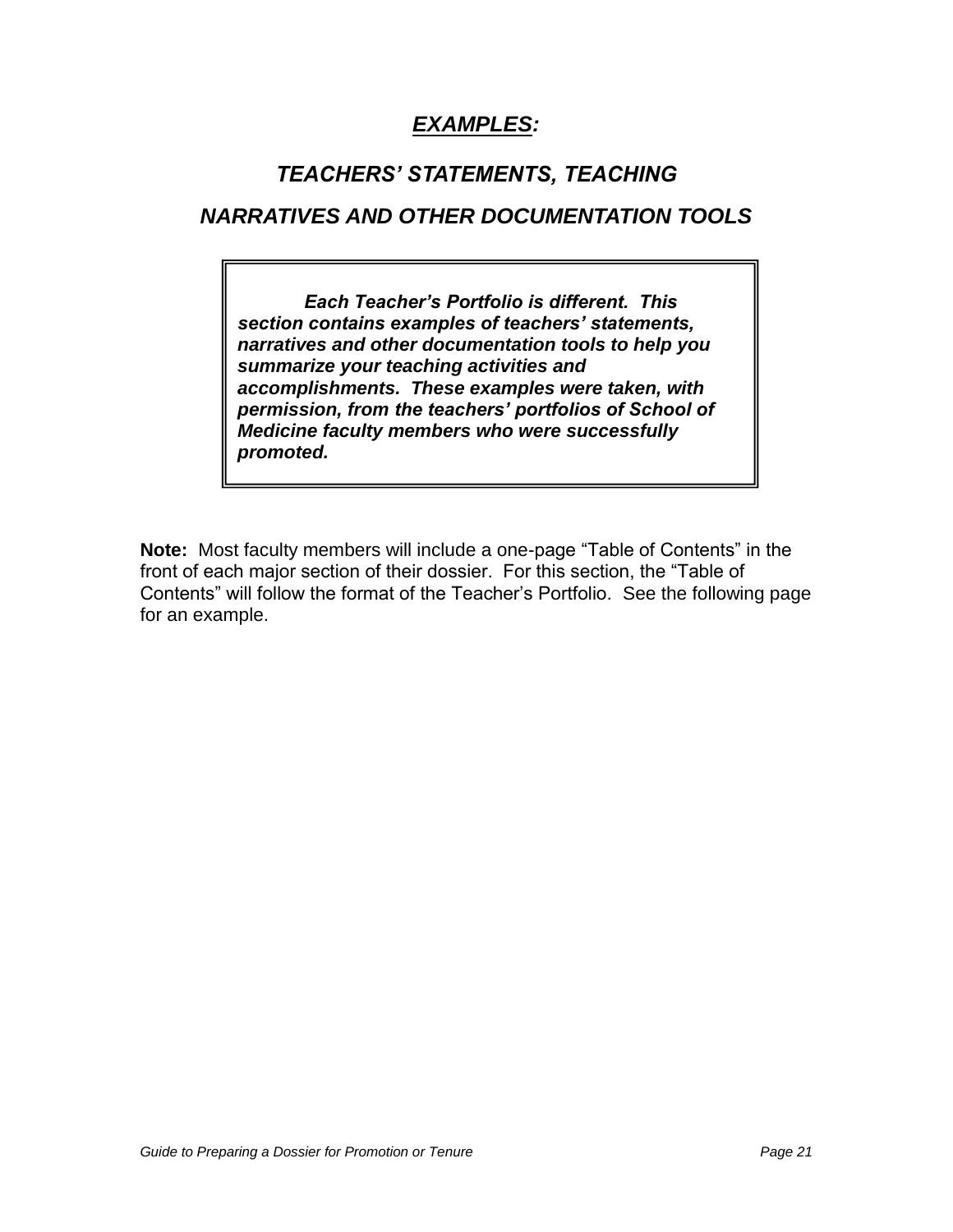# **EXAMPLES:**

## *TEACHERS' STATEMENTS, TEACHING*

## **NARRATIVES AND OTHER DOCUMENTATION TOOLS**

*Each Teacher's Portfolio is different. This section contains examples of teachers' statements,*  **narratives and other documentation tools to help you summarize your teaching activities and accomplishments. These examples were taken, with permission, from** *the teachers' portfolios of School of*  **Medicine faculty members who were successfully promoted.** 

**Note:** Most faculty members will include a one-page "Table of Contents" in the front of each major section of their dossier. For this section, the "Table of Contents" will follow the format of the Teacher"s Portfolio. See the following page for an example.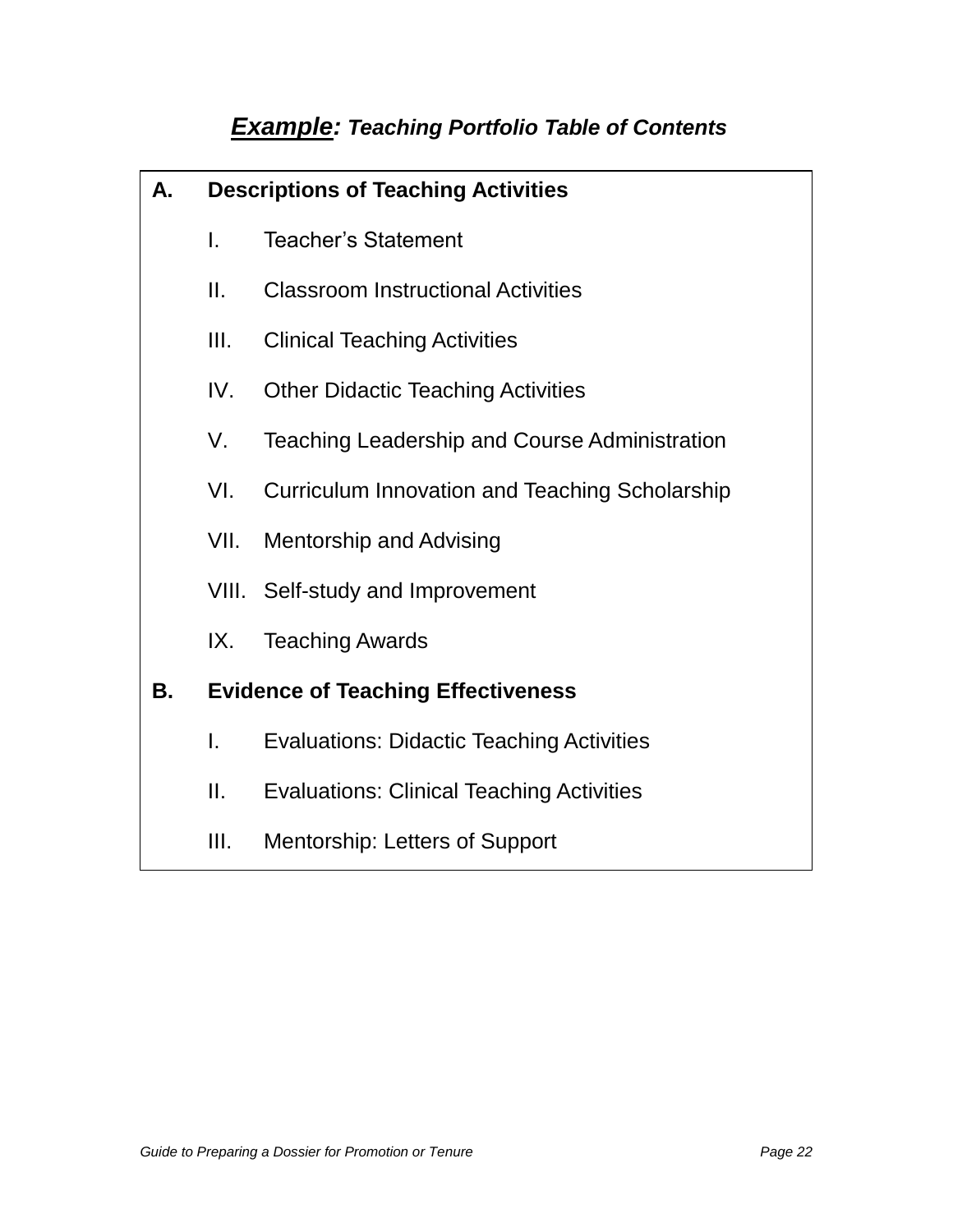# **Example: Teaching Portfolio Table of Contents**

| Α. | <b>Descriptions of Teaching Activities</b> |                                                       |  |
|----|--------------------------------------------|-------------------------------------------------------|--|
|    | I.                                         | <b>Teacher's Statement</b>                            |  |
|    | II.                                        | <b>Classroom Instructional Activities</b>             |  |
|    | III.                                       | <b>Clinical Teaching Activities</b>                   |  |
|    | IV.                                        | <b>Other Didactic Teaching Activities</b>             |  |
|    | V.                                         | <b>Teaching Leadership and Course Administration</b>  |  |
|    | VI.                                        | <b>Curriculum Innovation and Teaching Scholarship</b> |  |
|    | VII.                                       | <b>Mentorship and Advising</b>                        |  |
|    |                                            | VIII. Self-study and Improvement                      |  |
|    | IX.                                        | <b>Teaching Awards</b>                                |  |
| В. |                                            | <b>Evidence of Teaching Effectiveness</b>             |  |
|    | I.                                         | <b>Evaluations: Didactic Teaching Activities</b>      |  |
|    | Ш.                                         | <b>Evaluations: Clinical Teaching Activities</b>      |  |
|    | III.                                       | Mentorship: Letters of Support                        |  |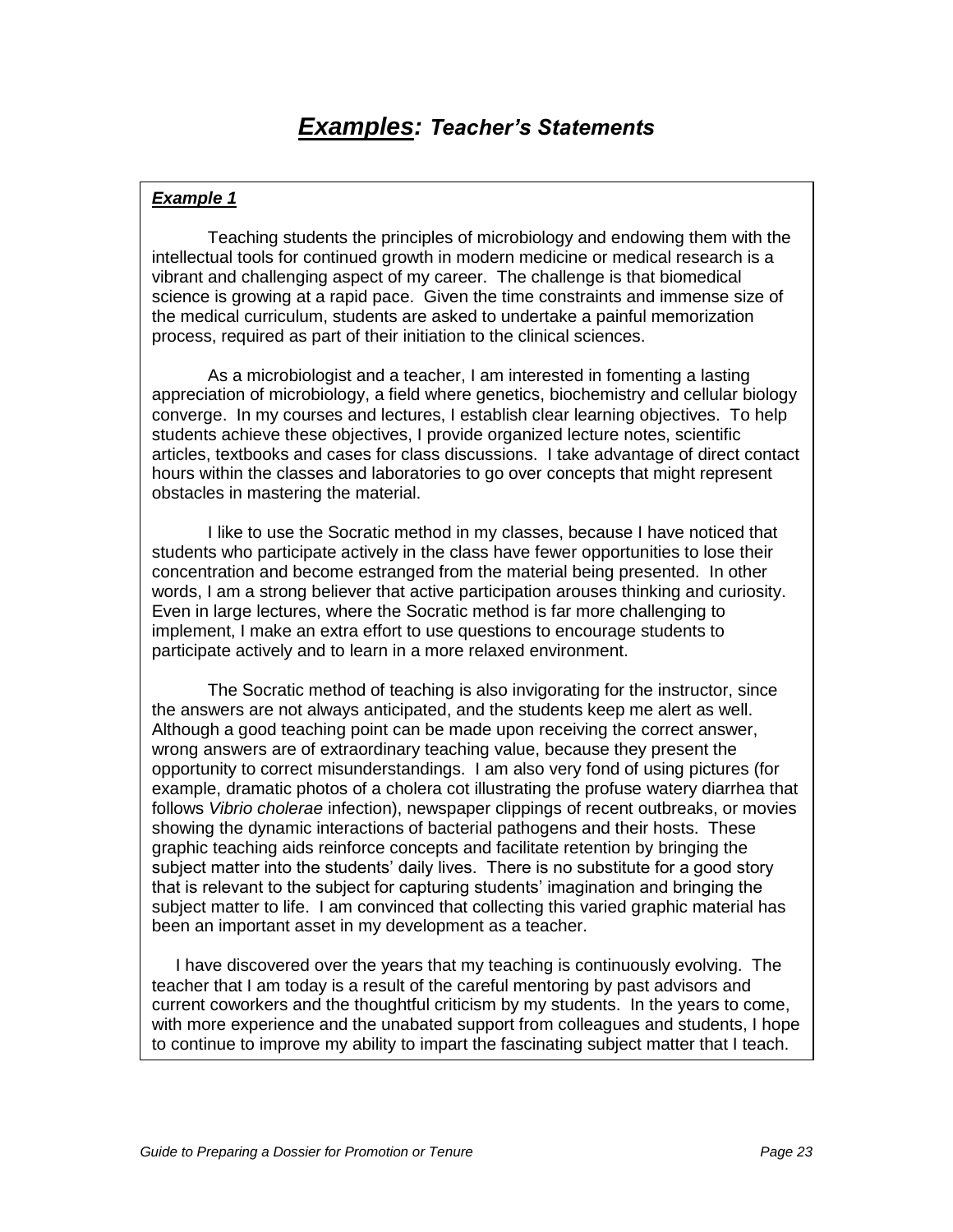Teaching students the principles of microbiology and endowing them with the intellectual tools for continued growth in modern medicine or medical research is a vibrant and challenging aspect of my career. The challenge is that biomedical science is growing at a rapid pace. Given the time constraints and immense size of the medical curriculum, students are asked to undertake a painful memorization process, required as part of their initiation to the clinical sciences.

As a microbiologist and a teacher, I am interested in fomenting a lasting appreciation of microbiology, a field where genetics, biochemistry and cellular biology converge. In my courses and lectures, I establish clear learning objectives. To help students achieve these objectives, I provide organized lecture notes, scientific articles, textbooks and cases for class discussions. I take advantage of direct contact hours within the classes and laboratories to go over concepts that might represent obstacles in mastering the material.

 I like to use the Socratic method in my classes, because I have noticed that students who participate actively in the class have fewer opportunities to lose their concentration and become estranged from the material being presented. In other words, I am a strong believer that active participation arouses thinking and curiosity. Even in large lectures, where the Socratic method is far more challenging to implement, I make an extra effort to use questions to encourage students to participate actively and to learn in a more relaxed environment.

 The Socratic method of teaching is also invigorating for the instructor, since the answers are not always anticipated, and the students keep me alert as well. Although a good teaching point can be made upon receiving the correct answer, wrong answers are of extraordinary teaching value, because they present the opportunity to correct misunderstandings. I am also very fond of using pictures (for example, dramatic photos of a cholera cot illustrating the profuse watery diarrhea that follows Vibrio cholerae infection), newspaper clippings of recent outbreaks, or movies showing the dynamic interactions of bacterial pathogens and their hosts. These graphic teaching aids reinforce concepts and facilitate retention by bringing the subject matter into the students' daily lives. There is no substitute for a good story that is relevant to the subject for capturing students" imagination and bringing the subject matter to life. I am convinced that collecting this varied graphic material has been an important asset in my development as a teacher.

 I have discovered over the years that my teaching is continuously evolving. The teacher that I am today is a result of the careful mentoring by past advisors and current coworkers and the thoughtful criticism by my students. In the years to come, with more experience and the unabated support from colleagues and students, I hope to continue to improve my ability to impart the fascinating subject matter that I teach.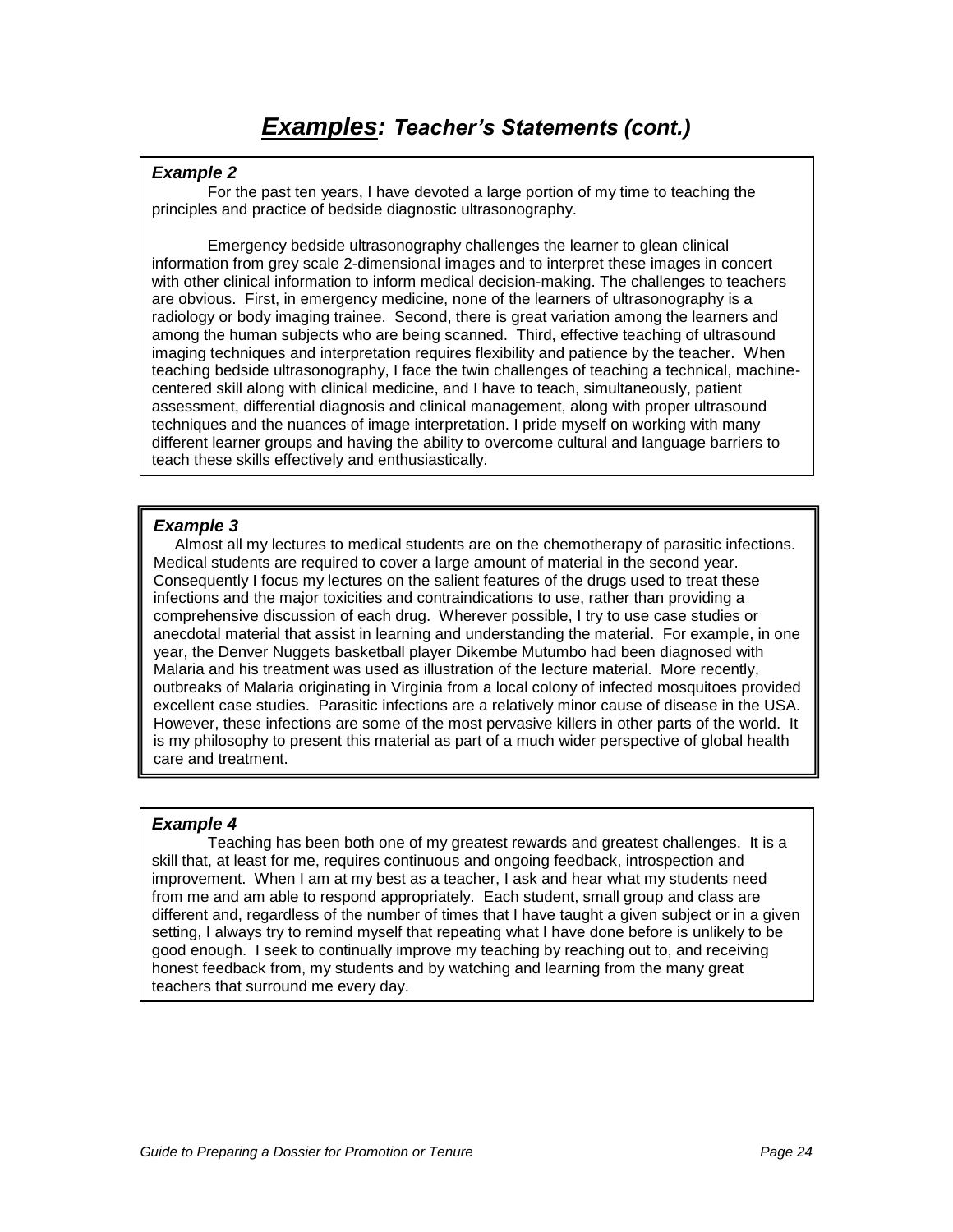For the past ten years, I have devoted a large portion of my time to teaching the principles and practice of bedside diagnostic ultrasonography.

Emergency bedside ultrasonography challenges the learner to glean clinical information from grey scale 2-dimensional images and to interpret these images in concert with other clinical information to inform medical decision-making. The challenges to teachers are obvious. First, in emergency medicine, none of the learners of ultrasonography is a radiology or body imaging trainee. Second, there is great variation among the learners and among the human subjects who are being scanned. Third, effective teaching of ultrasound imaging techniques and interpretation requires flexibility and patience by the teacher. When teaching bedside ultrasonography, I face the twin challenges of teaching a technical, machinecentered skill along with clinical medicine, and I have to teach, simultaneously, patient assessment, differential diagnosis and clinical management, along with proper ultrasound techniques and the nuances of image interpretation. I pride myself on working with many different learner groups and having the ability to overcome cultural and language barriers to teach these skills effectively and enthusiastically.

### **Example 3**

 Almost all my lectures to medical students are on the chemotherapy of parasitic infections. Medical students are required to cover a large amount of material in the second year. Consequently I focus my lectures on the salient features of the drugs used to treat these infections and the major toxicities and contraindications to use, rather than providing a comprehensive discussion of each drug. Wherever possible, I try to use case studies or anecdotal material that assist in learning and understanding the material. For example, in one year, the Denver Nuggets basketball player Dikembe Mutumbo had been diagnosed with Malaria and his treatment was used as illustration of the lecture material. More recently, outbreaks of Malaria originating in Virginia from a local colony of infected mosquitoes provided excellent case studies. Parasitic infections are a relatively minor cause of disease in the USA. However, these infections are some of the most pervasive killers in other parts of the world. It is my philosophy to present this material as part of a much wider perspective of global health care and treatment.

### **Example 4**

Teaching has been both one of my greatest rewards and greatest challenges. It is a skill that, at least for me, requires continuous and ongoing feedback, introspection and improvement. When I am at my best as a teacher, I ask and hear what my students need from me and am able to respond appropriately. Each student, small group and class are different and, regardless of the number of times that I have taught a given subject or in a given setting, I always try to remind myself that repeating what I have done before is unlikely to be good enough. I seek to continually improve my teaching by reaching out to, and receiving honest feedback from, my students and by watching and learning from the many great teachers that surround me every day.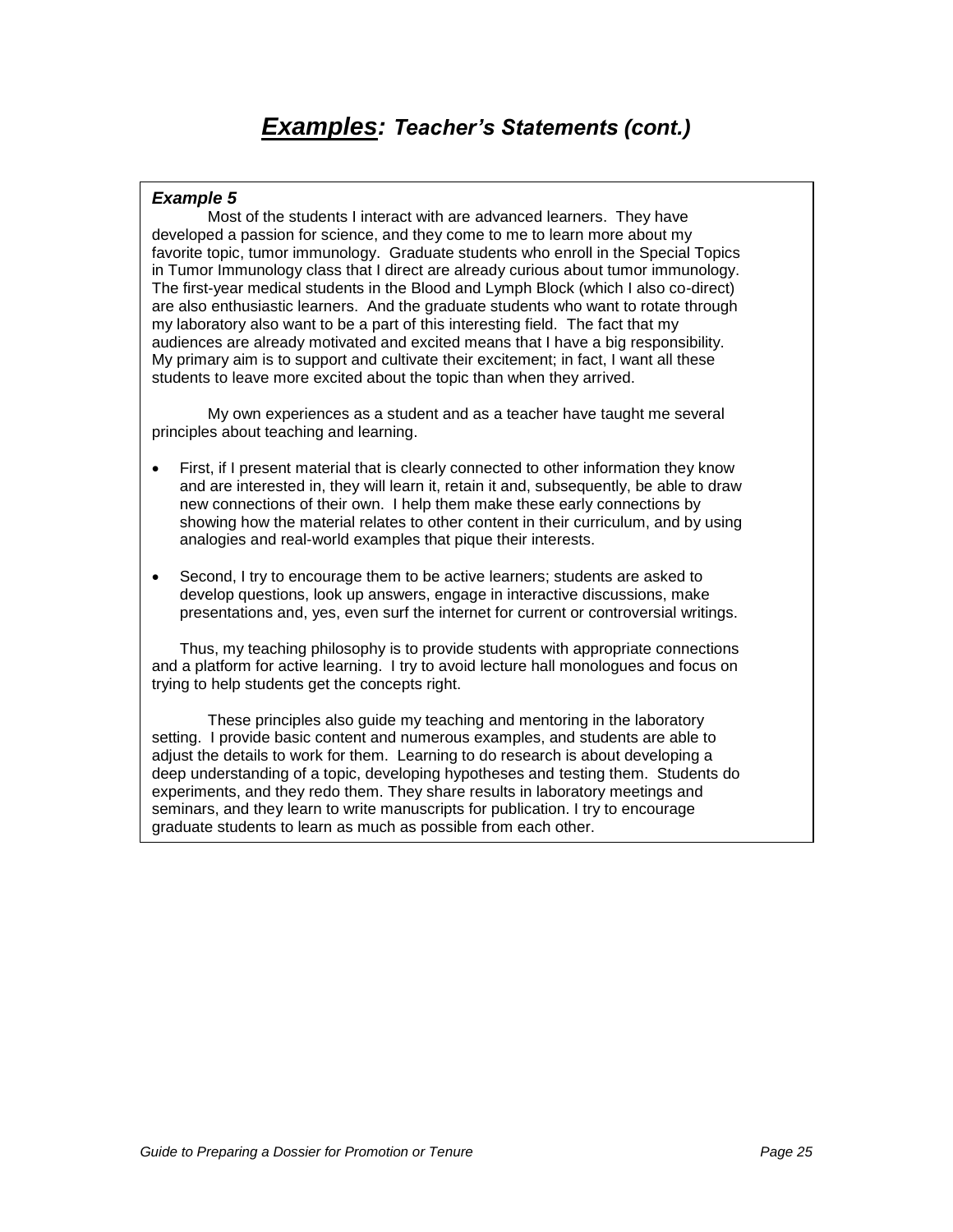Most of the students I interact with are advanced learners. They have developed a passion for science, and they come to me to learn more about my favorite topic, tumor immunology. Graduate students who enroll in the Special Topics in Tumor Immunology class that I direct are already curious about tumor immunology. The first-year medical students in the Blood and Lymph Block (which I also co-direct) are also enthusiastic learners. And the graduate students who want to rotate through my laboratory also want to be a part of this interesting field. The fact that my audiences are already motivated and excited means that I have a big responsibility. My primary aim is to support and cultivate their excitement; in fact, I want all these students to leave more excited about the topic than when they arrived.

My own experiences as a student and as a teacher have taught me several principles about teaching and learning.

- First, if I present material that is clearly connected to other information they know and are interested in, they will learn it, retain it and, subsequently, be able to draw new connections of their own. I help them make these early connections by showing how the material relates to other content in their curriculum, and by using analogies and real-world examples that pique their interests.
- Second, I try to encourage them to be active learners; students are asked to develop questions, look up answers, engage in interactive discussions, make presentations and, yes, even surf the internet for current or controversial writings.

Thus, my teaching philosophy is to provide students with appropriate connections and a platform for active learning. I try to avoid lecture hall monologues and focus on trying to help students get the concepts right.

These principles also guide my teaching and mentoring in the laboratory setting. I provide basic content and numerous examples, and students are able to adjust the details to work for them. Learning to do research is about developing a deep understanding of a topic, developing hypotheses and testing them. Students do experiments, and they redo them. They share results in laboratory meetings and seminars, and they learn to write manuscripts for publication. I try to encourage graduate students to learn as much as possible from each other.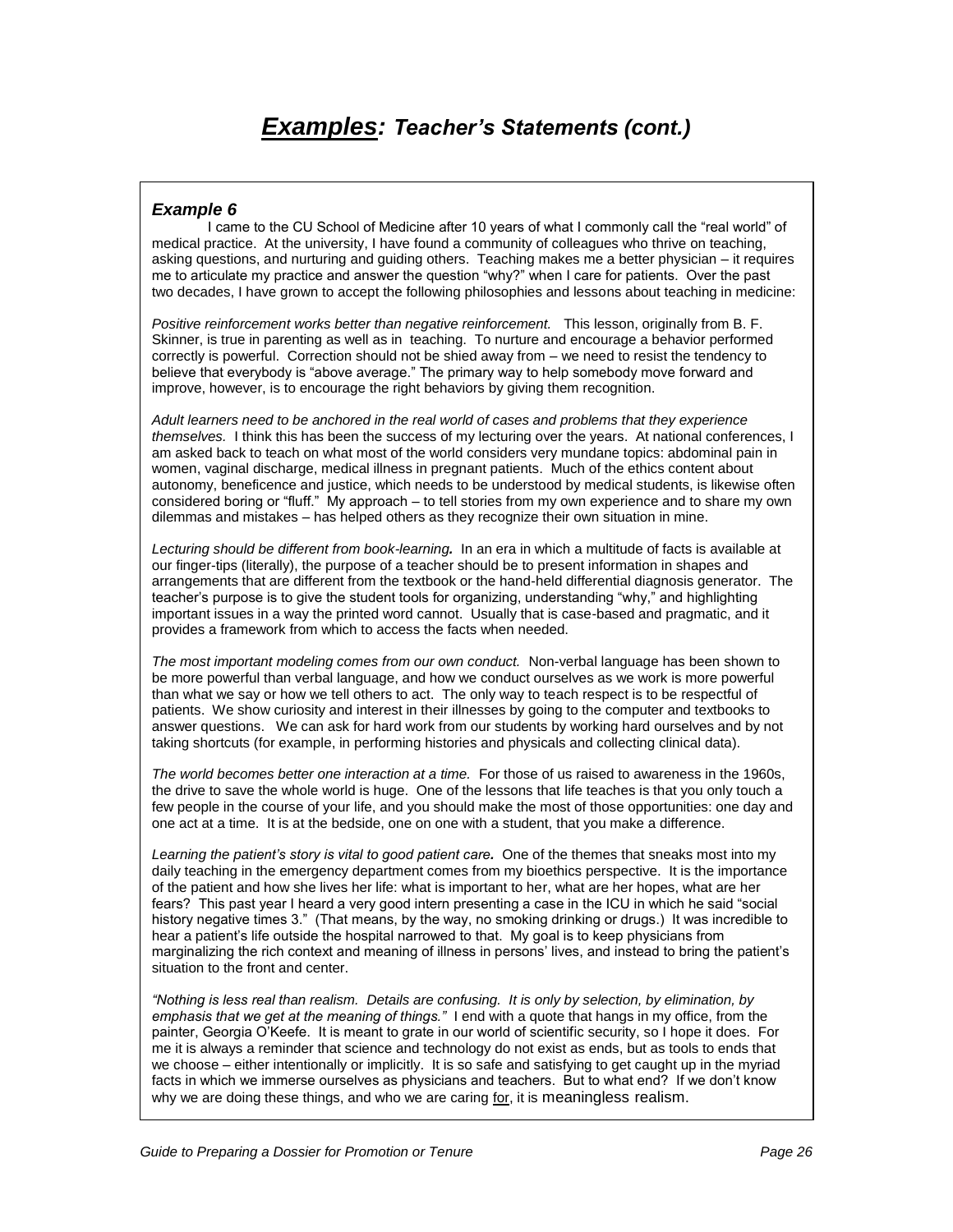I came to the CU School of Medicine after 10 years of what I commonly call the "real world" of medical practice. At the university, I have found a community of colleagues who thrive on teaching, asking questions, and nurturing and guiding others. Teaching makes me a better physician – it requires me to articulate my practice and answer the question "why?" when I care for patients. Over the past two decades, I have grown to accept the following philosophies and lessons about teaching in medicine:

Positive reinforcement works better than negative reinforcement. This lesson, originally from B. F. Skinner, is true in parenting as well as in teaching. To nurture and encourage a behavior performed correctly is powerful. Correction should not be shied away from – we need to resist the tendency to believe that everybody is "above average." The primary way to help somebody move forward and improve, however, is to encourage the right behaviors by giving them recognition.

Adult learners need to be anchored in the real world of cases and problems that they experience themselves. I think this has been the success of my lecturing over the years. At national conferences, I am asked back to teach on what most of the world considers very mundane topics: abdominal pain in women, vaginal discharge, medical illness in pregnant patients. Much of the ethics content about autonomy, beneficence and justice, which needs to be understood by medical students, is likewise often considered boring or "fluff." My approach – to tell stories from my own experience and to share my own dilemmas and mistakes – has helped others as they recognize their own situation in mine.

Lecturing should be different from book-learning**.** In an era in which a multitude of facts is available at our finger-tips (literally), the purpose of a teacher should be to present information in shapes and arrangements that are different from the textbook or the hand-held differential diagnosis generator. The teacher"s purpose is to give the student tools for organizing, understanding "why," and highlighting important issues in a way the printed word cannot. Usually that is case-based and pragmatic, and it provides a framework from which to access the facts when needed.

The most important modeling comes from our own conduct. Non-verbal language has been shown to be more powerful than verbal language, and how we conduct ourselves as we work is more powerful than what we say or how we tell others to act. The only way to teach respect is to be respectful of patients. We show curiosity and interest in their illnesses by going to the computer and textbooks to answer questions. We can ask for hard work from our students by working hard ourselves and by not taking shortcuts (for example, in performing histories and physicals and collecting clinical data).

The world becomes better one interaction at a time. For those of us raised to awareness in the 1960s, the drive to save the whole world is huge. One of the lessons that life teaches is that you only touch a few people in the course of your life, and you should make the most of those opportunities: one day and one act at a time. It is at the bedside, one on one with a student, that you make a difference.

Learning the pat*ient's story is vital to good patient care***.** One of the themes that sneaks most into my daily teaching in the emergency department comes from my bioethics perspective. It is the importance of the patient and how she lives her life: what is important to her, what are her hopes, what are her fears? This past year I heard a very good intern presenting a case in the ICU in which he said "social history negative times 3." (That means, by the way, no smoking drinking or drugs.) It was incredible to hear a patient"s life outside the hospital narrowed to that. My goal is to keep physicians from marginalizing the rich context and meaning of illness in persons" lives, and instead to bring the patient"s situation to the front and center.

*"Nothing is less real t*han realism. Details are confusing. It is only by selection, by elimination, by *emphasis that we get at the meaning of things."* I end with a quote that hangs in my office, from the painter, Georgia O"Keefe. It is meant to grate in our world of scientific security, so I hope it does. For me it is always a reminder that science and technology do not exist as ends, but as tools to ends that we choose – either intentionally or implicitly. It is so safe and satisfying to get caught up in the myriad facts in which we immerse ourselves as physicians and teachers. But to what end? If we don"t know why we are doing these things, and who we are caring for, it is meaningless realism.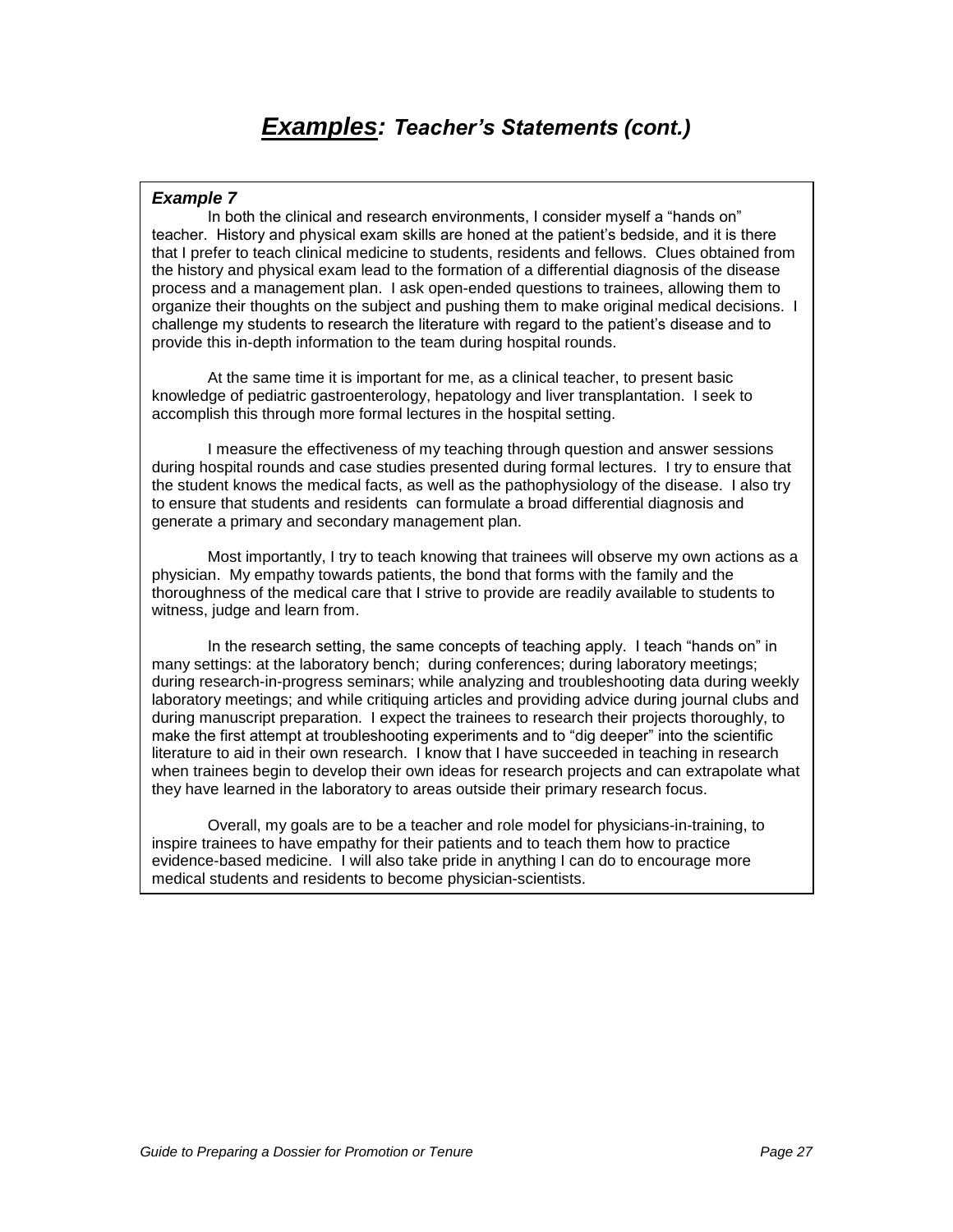# **Examples:** *Teacher's Statements* **(cont.)**

### **Example 7**

 In both the clinical and research environments, I consider myself a "hands on" teacher. History and physical exam skills are honed at the patient"s bedside, and it is there that I prefer to teach clinical medicine to students, residents and fellows. Clues obtained from the history and physical exam lead to the formation of a differential diagnosis of the disease process and a management plan. I ask open-ended questions to trainees, allowing them to organize their thoughts on the subject and pushing them to make original medical decisions. I challenge my students to research the literature with regard to the patient"s disease and to provide this in-depth information to the team during hospital rounds.

At the same time it is important for me, as a clinical teacher, to present basic knowledge of pediatric gastroenterology, hepatology and liver transplantation. I seek to accomplish this through more formal lectures in the hospital setting.

I measure the effectiveness of my teaching through question and answer sessions during hospital rounds and case studies presented during formal lectures. I try to ensure that the student knows the medical facts, as well as the pathophysiology of the disease. I also try to ensure that students and residents can formulate a broad differential diagnosis and generate a primary and secondary management plan.

Most importantly, I try to teach knowing that trainees will observe my own actions as a physician. My empathy towards patients, the bond that forms with the family and the thoroughness of the medical care that I strive to provide are readily available to students to witness, judge and learn from.

 In the research setting, the same concepts of teaching apply. I teach "hands on" in many settings: at the laboratory bench; during conferences; during laboratory meetings; during research-in-progress seminars; while analyzing and troubleshooting data during weekly laboratory meetings; and while critiquing articles and providing advice during journal clubs and during manuscript preparation. I expect the trainees to research their projects thoroughly, to make the first attempt at troubleshooting experiments and to "dig deeper" into the scientific literature to aid in their own research. I know that I have succeeded in teaching in research when trainees begin to develop their own ideas for research projects and can extrapolate what they have learned in the laboratory to areas outside their primary research focus.

Overall, my goals are to be a teacher and role model for physicians-in-training, to inspire trainees to have empathy for their patients and to teach them how to practice evidence-based medicine. I will also take pride in anything I can do to encourage more medical students and residents to become physician-scientists.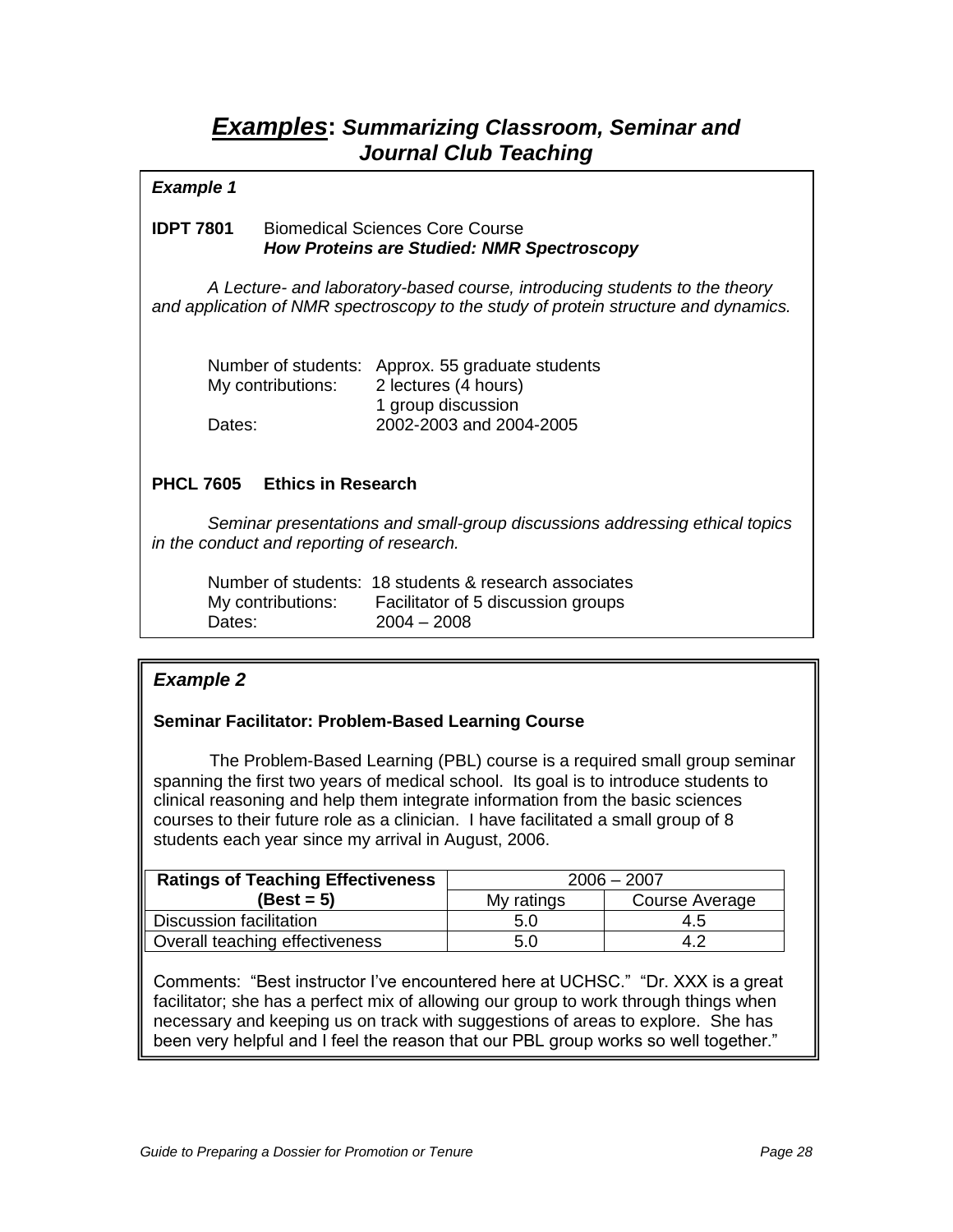## **Examples: Summarizing Classroom, Seminar and Journal Club Teaching**

### **Example 1**

### **IDPT 7801** Biomedical Sciences Core Course **How Proteins are Studied: NMR Spectroscopy**

A Lecture- and laboratory-based course, introducing students to the theory and application of NMR spectroscopy to the study of protein structure and dynamics.

|                   | Number of students: Approx. 55 graduate students |
|-------------------|--------------------------------------------------|
| My contributions: | 2 lectures (4 hours)                             |
|                   | 1 group discussion                               |
| Dates:            | 2002-2003 and 2004-2005                          |

### **PHCL 7605 Ethics in Research**

Seminar presentations and small-group discussions addressing ethical topics in the conduct and reporting of research.

|                   | Number of students: 18 students & research associates |
|-------------------|-------------------------------------------------------|
| My contributions: | Facilitator of 5 discussion groups                    |
| Dates:            | $2004 - 2008$                                         |

## **Example 2**

### **Seminar Facilitator: Problem-Based Learning Course**

The Problem-Based Learning (PBL) course is a required small group seminar spanning the first two years of medical school. Its goal is to introduce students to clinical reasoning and help them integrate information from the basic sciences courses to their future role as a clinician. I have facilitated a small group of 8 students each year since my arrival in August, 2006.

| <b>Ratings of Teaching Effectiveness</b> | $2006 - 2007$ |                |
|------------------------------------------|---------------|----------------|
| $(Best = 5)$                             | My ratings    | Course Average |
| Discussion facilitation                  | 5.0           | 4.5            |
| Overall teaching effectiveness           | 5.0           | 4.2            |

Comments: "Best instructor I"ve encountered here at UCHSC." "Dr. XXX is a great facilitator; she has a perfect mix of allowing our group to work through things when necessary and keeping us on track with suggestions of areas to explore. She has been very helpful and I feel the reason that our PBL group works so well together."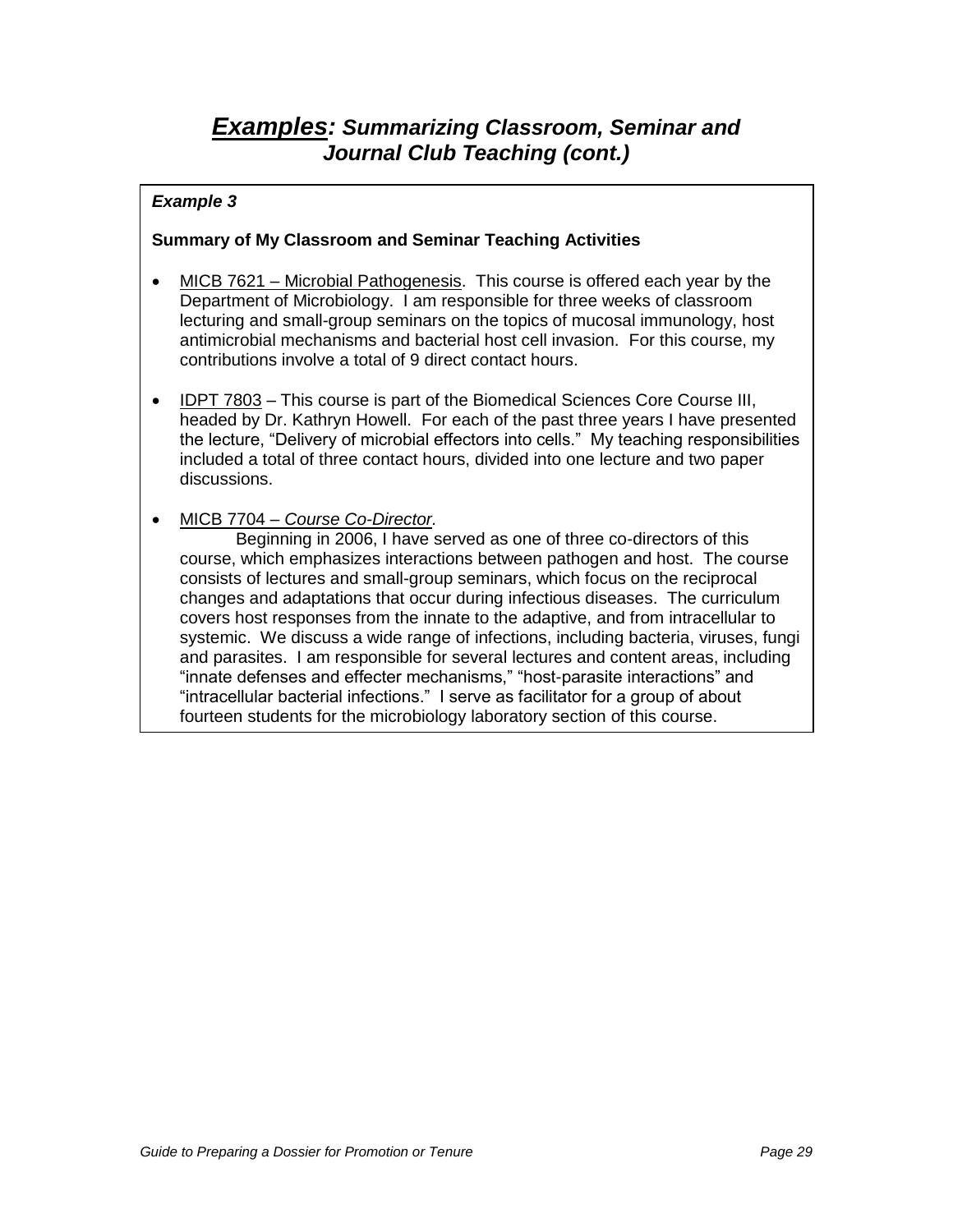# **Examples: Summarizing Classroom, Seminar and Journal Club Teaching (cont.)**

### **Example 3**

### **Summary of My Classroom and Seminar Teaching Activities**

- MICB 7621 Microbial Pathogenesis. This course is offered each year by the Department of Microbiology. I am responsible for three weeks of classroom lecturing and small-group seminars on the topics of mucosal immunology, host antimicrobial mechanisms and bacterial host cell invasion. For this course, my contributions involve a total of 9 direct contact hours.
- IDPT 7803 This course is part of the Biomedical Sciences Core Course III, headed by Dr. Kathryn Howell. For each of the past three years I have presented the lecture, "Delivery of microbial effectors into cells." My teaching responsibilities included a total of three contact hours, divided into one lecture and two paper discussions.
- MICB 7704 Course Co-Director.

Beginning in 2006, I have served as one of three co-directors of this course, which emphasizes interactions between pathogen and host. The course consists of lectures and small-group seminars, which focus on the reciprocal changes and adaptations that occur during infectious diseases. The curriculum covers host responses from the innate to the adaptive, and from intracellular to systemic. We discuss a wide range of infections, including bacteria, viruses, fungi and parasites. I am responsible for several lectures and content areas, including "innate defenses and effecter mechanisms," "host-parasite interactions" and "intracellular bacterial infections." I serve as facilitator for a group of about fourteen students for the microbiology laboratory section of this course.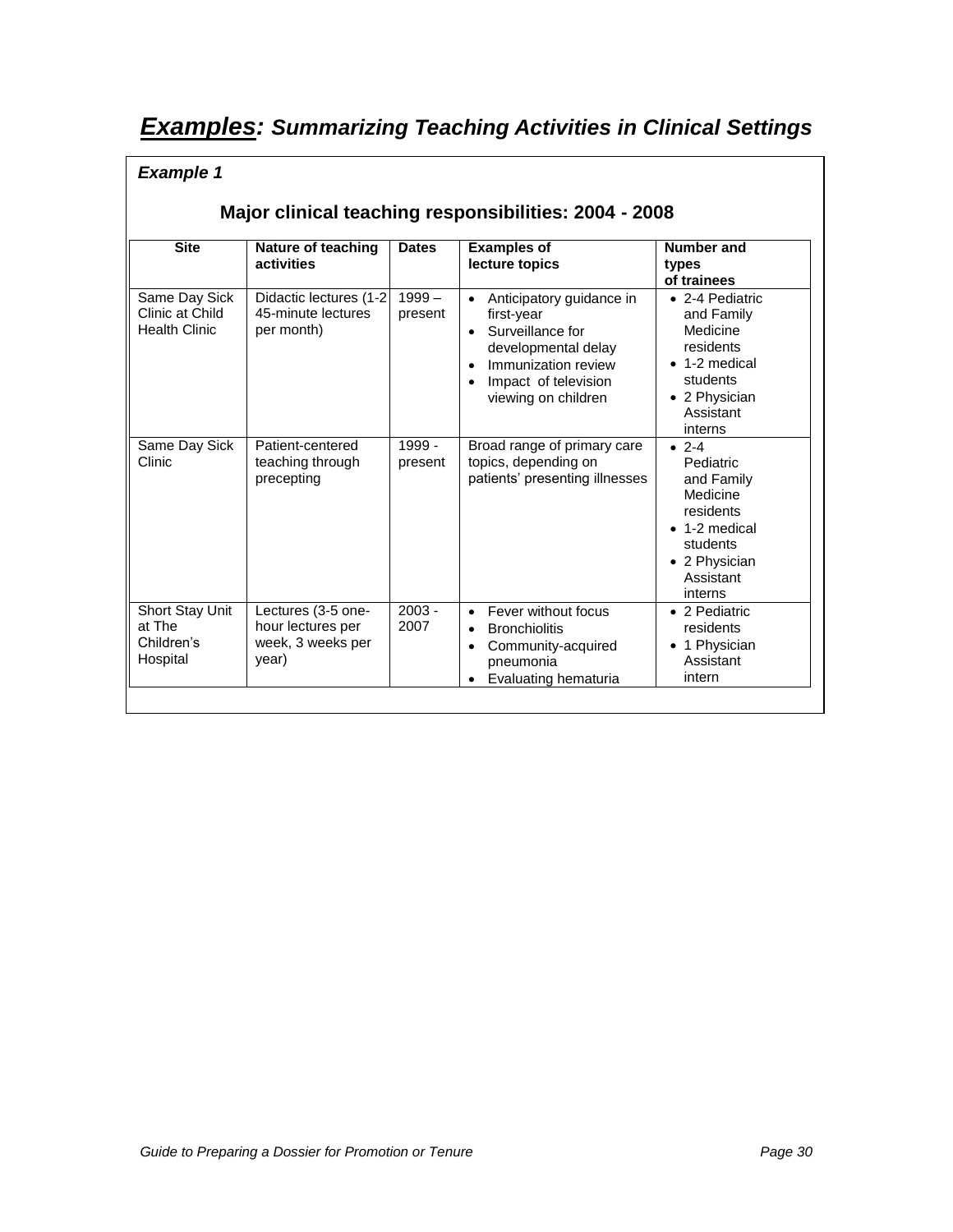# **Examples: Summarizing Teaching Activities in Clinical Settings**

### **Example 1**

## **Major clinical teaching responsibilities: 2004 - 2008**

| <b>Site</b>                                              | Nature of teaching<br>activities                                      | <b>Dates</b>        | <b>Examples of</b><br>lecture topics                                                                                                                                              | Number and<br>types<br>of trainees                                                                                                   |
|----------------------------------------------------------|-----------------------------------------------------------------------|---------------------|-----------------------------------------------------------------------------------------------------------------------------------------------------------------------------------|--------------------------------------------------------------------------------------------------------------------------------------|
| Same Day Sick<br>Clinic at Child<br><b>Health Clinic</b> | Didactic lectures (1-2)<br>45-minute lectures<br>per month)           | $1999 -$<br>present | Anticipatory guidance in<br>$\bullet$<br>first-year<br>Surveillance for<br>$\bullet$<br>developmental delay<br>Immunization review<br>Impact of television<br>viewing on children | • 2-4 Pediatric<br>and Family<br>Medicine<br>residents<br>$\bullet$ 1-2 medical<br>students<br>• 2 Physician<br>Assistant<br>interns |
| Same Day Sick<br>Clinic                                  | Patient-centered<br>teaching through<br>precepting                    | 1999 -<br>present   | Broad range of primary care<br>topics, depending on<br>patients' presenting illnesses                                                                                             | $• 2-4$<br>Pediatric<br>and Family<br>Medicine<br>residents<br>1-2 medical<br>students<br>• 2 Physician<br>Assistant<br>interns      |
| Short Stay Unit<br>at The<br>Children's<br>Hospital      | Lectures (3-5 one-<br>hour lectures per<br>week, 3 weeks per<br>year) | $2003 -$<br>2007    | Fever without focus<br><b>Bronchiolitis</b><br>$\bullet$<br>Community-acquired<br>pneumonia<br>Evaluating hematuria                                                               | • 2 Pediatric<br>residents<br>1 Physician<br>Assistant<br>intern                                                                     |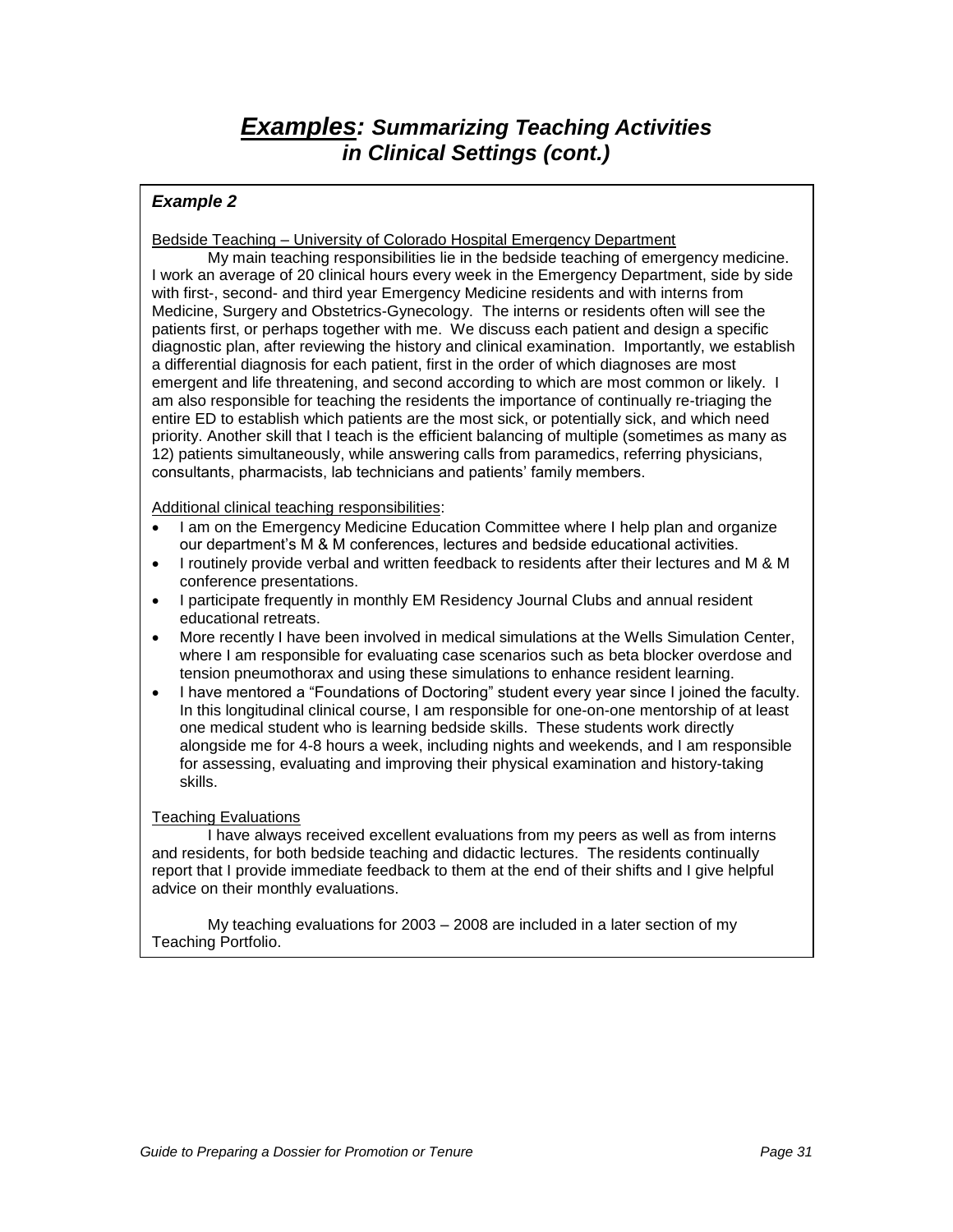# **Examples: Summarizing Teaching Activities in Clinical Settings (cont.)**

### **Example 2**

Bedside Teaching – University of Colorado Hospital Emergency Department

My main teaching responsibilities lie in the bedside teaching of emergency medicine. I work an average of 20 clinical hours every week in the Emergency Department, side by side with first-, second- and third year Emergency Medicine residents and with interns from Medicine, Surgery and Obstetrics-Gynecology. The interns or residents often will see the patients first, or perhaps together with me. We discuss each patient and design a specific diagnostic plan, after reviewing the history and clinical examination. Importantly, we establish a differential diagnosis for each patient, first in the order of which diagnoses are most emergent and life threatening, and second according to which are most common or likely. I am also responsible for teaching the residents the importance of continually re-triaging the entire ED to establish which patients are the most sick, or potentially sick, and which need priority. Another skill that I teach is the efficient balancing of multiple (sometimes as many as 12) patients simultaneously, while answering calls from paramedics, referring physicians, consultants, pharmacists, lab technicians and patients" family members.

Additional clinical teaching responsibilities:

- I am on the Emergency Medicine Education Committee where I help plan and organize our department"s M & M conferences, lectures and bedside educational activities.
- I routinely provide verbal and written feedback to residents after their lectures and M & M conference presentations.
- I participate frequently in monthly EM Residency Journal Clubs and annual resident educational retreats.
- More recently I have been involved in medical simulations at the Wells Simulation Center, where I am responsible for evaluating case scenarios such as beta blocker overdose and tension pneumothorax and using these simulations to enhance resident learning.
- I have mentored a "Foundations of Doctoring" student every year since I joined the faculty. In this longitudinal clinical course, I am responsible for one-on-one mentorship of at least one medical student who is learning bedside skills. These students work directly alongside me for 4-8 hours a week, including nights and weekends, and I am responsible for assessing, evaluating and improving their physical examination and history-taking skills.

#### Teaching Evaluations

I have always received excellent evaluations from my peers as well as from interns and residents, for both bedside teaching and didactic lectures. The residents continually report that I provide immediate feedback to them at the end of their shifts and I give helpful advice on their monthly evaluations.

My teaching evaluations for 2003 – 2008 are included in a later section of my Teaching Portfolio.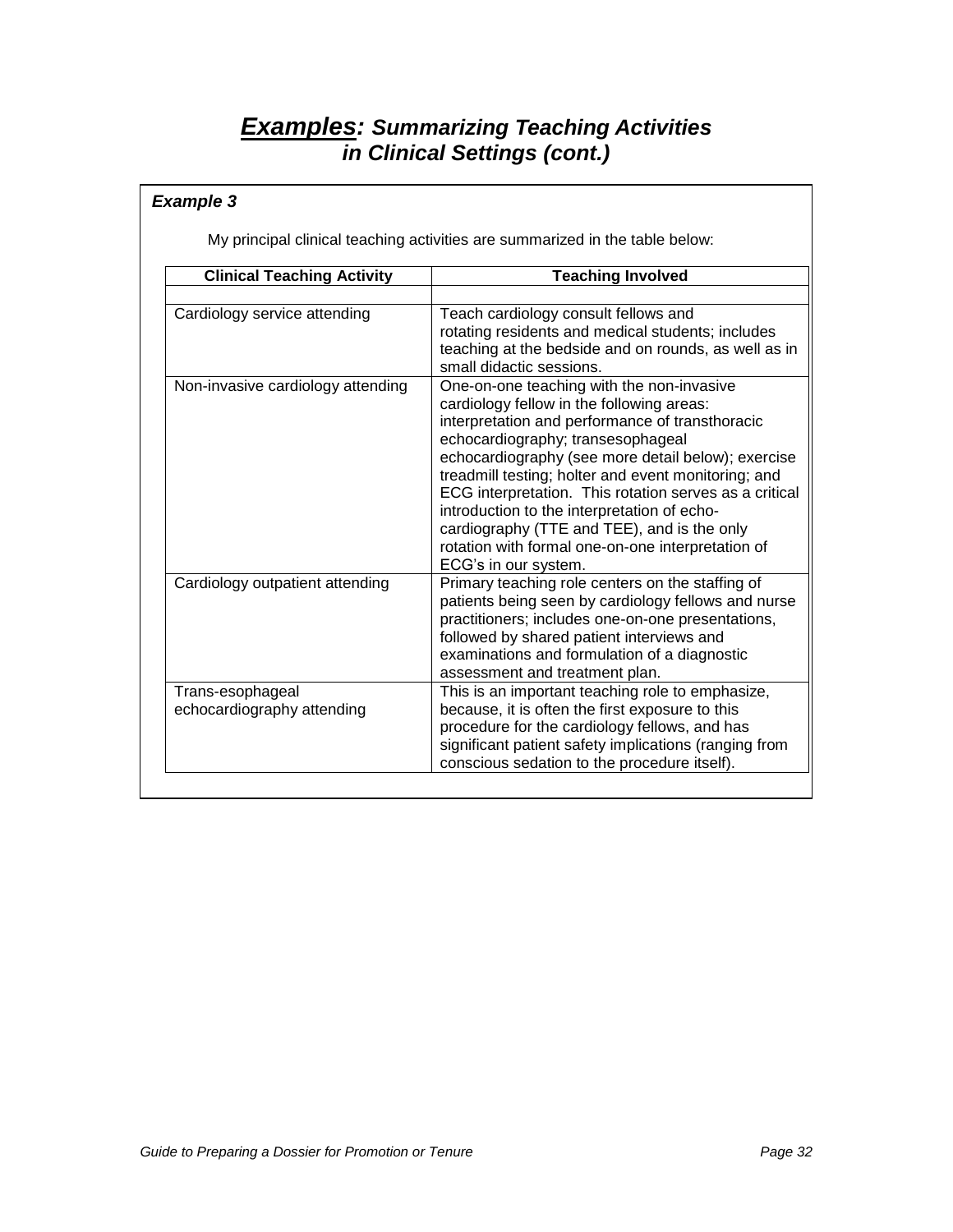# **Examples: Summarizing Teaching Activities in Clinical Settings (cont.)**

## **Example 3**

My principal clinical teaching activities are summarized in the table below:

| <b>Clinical Teaching Activity</b>              | <b>Teaching Involved</b>                                                                                                                                                                                                                                                                                                                                                                                                                                                                                                         |
|------------------------------------------------|----------------------------------------------------------------------------------------------------------------------------------------------------------------------------------------------------------------------------------------------------------------------------------------------------------------------------------------------------------------------------------------------------------------------------------------------------------------------------------------------------------------------------------|
|                                                |                                                                                                                                                                                                                                                                                                                                                                                                                                                                                                                                  |
| Cardiology service attending                   | Teach cardiology consult fellows and<br>rotating residents and medical students; includes<br>teaching at the bedside and on rounds, as well as in<br>small didactic sessions.                                                                                                                                                                                                                                                                                                                                                    |
| Non-invasive cardiology attending              | One-on-one teaching with the non-invasive<br>cardiology fellow in the following areas:<br>interpretation and performance of transthoracic<br>echocardiography; transesophageal<br>echocardiography (see more detail below); exercise<br>treadmill testing; holter and event monitoring; and<br>ECG interpretation. This rotation serves as a critical<br>introduction to the interpretation of echo-<br>cardiography (TTE and TEE), and is the only<br>rotation with formal one-on-one interpretation of<br>ECG's in our system. |
| Cardiology outpatient attending                | Primary teaching role centers on the staffing of<br>patients being seen by cardiology fellows and nurse<br>practitioners; includes one-on-one presentations,<br>followed by shared patient interviews and<br>examinations and formulation of a diagnostic<br>assessment and treatment plan.                                                                                                                                                                                                                                      |
| Trans-esophageal<br>echocardiography attending | This is an important teaching role to emphasize,<br>because, it is often the first exposure to this<br>procedure for the cardiology fellows, and has<br>significant patient safety implications (ranging from<br>conscious sedation to the procedure itself).                                                                                                                                                                                                                                                                    |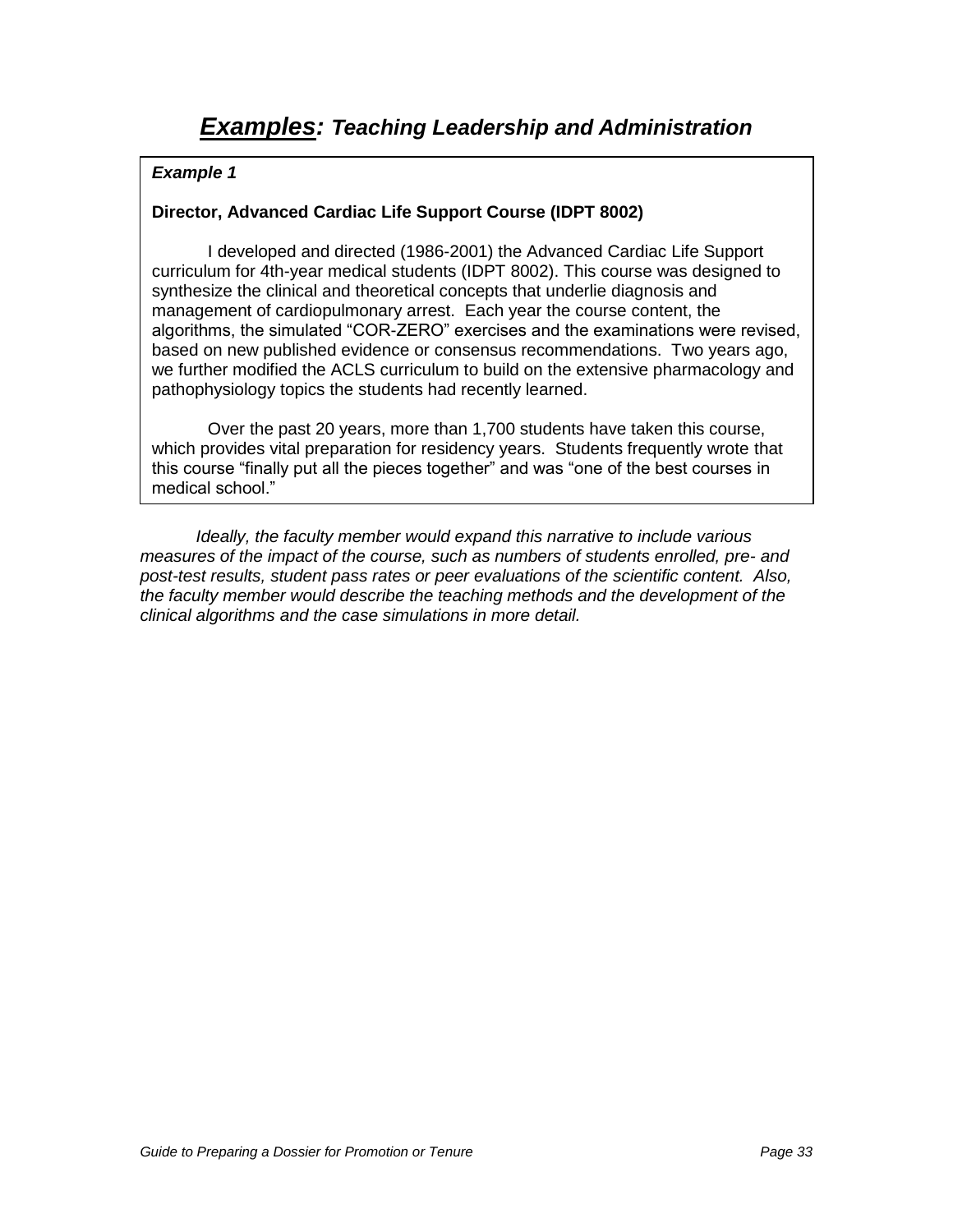## **Director, Advanced Cardiac Life Support Course (IDPT 8002)**

I developed and directed (1986-2001) the Advanced Cardiac Life Support curriculum for 4th-year medical students (IDPT 8002). This course was designed to synthesize the clinical and theoretical concepts that underlie diagnosis and management of cardiopulmonary arrest. Each year the course content, the algorithms, the simulated "COR-ZERO" exercises and the examinations were revised, based on new published evidence or consensus recommendations. Two years ago, we further modified the ACLS curriculum to build on the extensive pharmacology and pathophysiology topics the students had recently learned.

Over the past 20 years, more than 1,700 students have taken this course, which provides vital preparation for residency years. Students frequently wrote that this course "finally put all the pieces together" and was "one of the best courses in medical school."

Ideally, the faculty member would expand this narrative to include various measures of the impact of the course, such as numbers of students enrolled, pre- and post-test results, student pass rates or peer evaluations of the scientific content. Also, the faculty member would describe the teaching methods and the development of the clinical algorithms and the case simulations in more detail.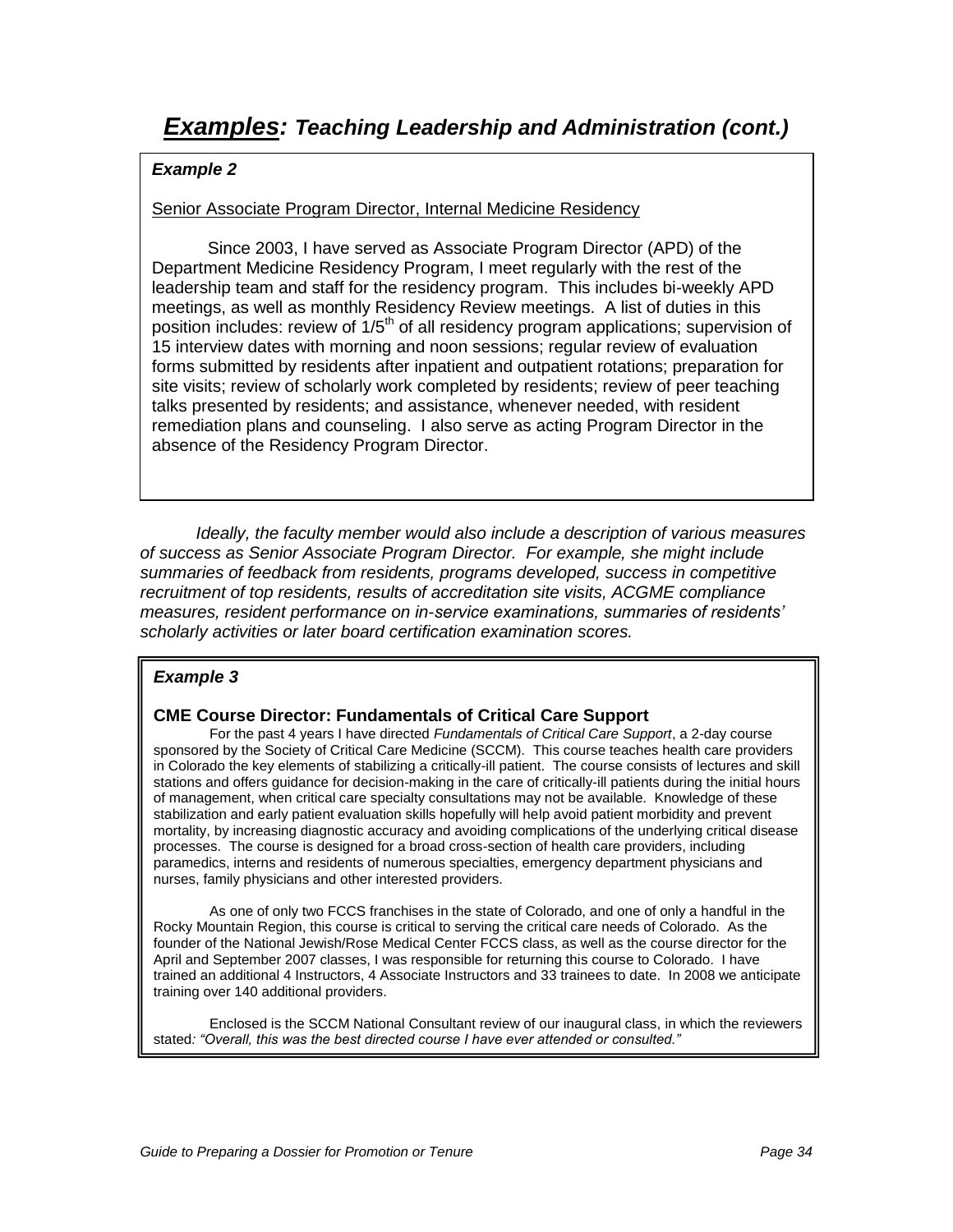### Senior Associate Program Director, Internal Medicine Residency

Since 2003, I have served as Associate Program Director (APD) of the Department Medicine Residency Program, I meet regularly with the rest of the leadership team and staff for the residency program. This includes bi-weekly APD meetings, as well as monthly Residency Review meetings. A list of duties in this position includes: review of  $1/5<sup>th</sup>$  of all residency program applications; supervision of 15 interview dates with morning and noon sessions; regular review of evaluation forms submitted by residents after inpatient and outpatient rotations; preparation for site visits; review of scholarly work completed by residents; review of peer teaching talks presented by residents; and assistance, whenever needed, with resident remediation plans and counseling. I also serve as acting Program Director in the absence of the Residency Program Director.

Ideally, the faculty member would also include a description of various measures of success as Senior Associate Program Director. For example, she might include summaries of feedback from residents, programs developed, success in competitive recruitment of top residents, results of accreditation site visits, ACGME compliance measures, resident performance on in-*service examinations, summaries of residents'*  scholarly activities or later board certification examination scores.

## **Example 3**

### **CME Course Director: Fundamentals of Critical Care Support**

For the past 4 years I have directed Fundamentals of Critical Care Support, a 2-day course sponsored by the Society of Critical Care Medicine (SCCM). This course teaches health care providers in Colorado the key elements of stabilizing a critically-ill patient. The course consists of lectures and skill stations and offers guidance for decision-making in the care of critically-ill patients during the initial hours of management, when critical care specialty consultations may not be available. Knowledge of these stabilization and early patient evaluation skills hopefully will help avoid patient morbidity and prevent mortality, by increasing diagnostic accuracy and avoiding complications of the underlying critical disease processes. The course is designed for a broad cross-section of health care providers, including paramedics, interns and residents of numerous specialties, emergency department physicians and nurses, family physicians and other interested providers.

As one of only two FCCS franchises in the state of Colorado, and one of only a handful in the Rocky Mountain Region, this course is critical to serving the critical care needs of Colorado. As the founder of the National Jewish/Rose Medical Center FCCS class, as well as the course director for the April and September 2007 classes, I was responsible for returning this course to Colorado. I have trained an additional 4 Instructors, 4 Associate Instructors and 33 trainees to date. In 2008 we anticipate training over 140 additional providers.

Enclosed is the SCCM National Consultant review of our inaugural class, in which the reviewers stated*: "Overall, this was the best directed course I have ever attended or consulted."*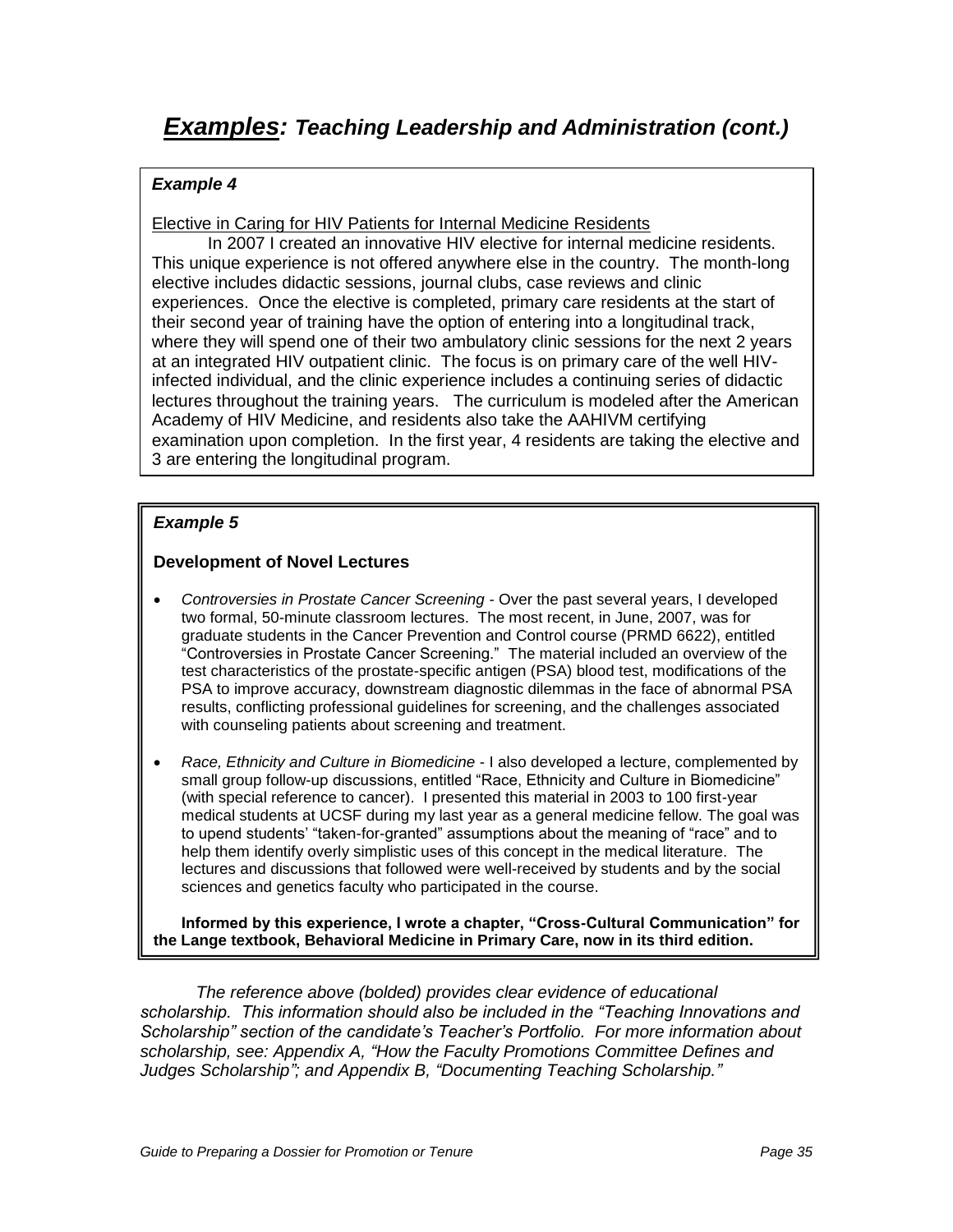Elective in Caring for HIV Patients for Internal Medicine Residents

In 2007 I created an innovative HIV elective for internal medicine residents. This unique experience is not offered anywhere else in the country. The month-long elective includes didactic sessions, journal clubs, case reviews and clinic experiences. Once the elective is completed, primary care residents at the start of their second year of training have the option of entering into a longitudinal track, where they will spend one of their two ambulatory clinic sessions for the next 2 years at an integrated HIV outpatient clinic. The focus is on primary care of the well HIVinfected individual, and the clinic experience includes a continuing series of didactic lectures throughout the training years. The curriculum is modeled after the American Academy of HIV Medicine, and residents also take the AAHIVM certifying examination upon completion. In the first year, 4 residents are taking the elective and 3 are entering the longitudinal program.

## **Example 5**

### **Development of Novel Lectures**

- Controversies in Prostate Cancer Screening Over the past several years, I developed two formal, 50-minute classroom lectures. The most recent, in June, 2007, was for graduate students in the Cancer Prevention and Control course (PRMD 6622), entitled "Controversies in Prostate Cancer Screening." The material included an overview of the test characteristics of the prostate-specific antigen (PSA) blood test, modifications of the PSA to improve accuracy, downstream diagnostic dilemmas in the face of abnormal PSA results, conflicting professional guidelines for screening, and the challenges associated with counseling patients about screening and treatment.
- Race, Ethnicity and Culture in Biomedicine I also developed a lecture, complemented by small group follow-up discussions, entitled "Race, Ethnicity and Culture in Biomedicine" (with special reference to cancer). I presented this material in 2003 to 100 first-year medical students at UCSF during my last year as a general medicine fellow. The goal was to upend students" "taken-for-granted" assumptions about the meaning of "race" and to help them identify overly simplistic uses of this concept in the medical literature. The lectures and discussions that followed were well-received by students and by the social sciences and genetics faculty who participated in the course.

**Informed by this experience, I wrote a chapter, "Cross-Cultural Communication" for the Lange textbook, Behavioral Medicine in Primary Care, now in its third edition.**

The reference above (bolded) provides clear evidence of educational *scholarship. This information should also be included in the "Teaching Innovations and Scholarship" section of the candidate's Teacher's Portfoli*o. For more information about scholarship, see: Appendix A*, "*How the Faculty Promotions Committee Defines and Judges Scholarship*"*; and Appendix B, *"*Documenting Teaching Scholarship.*"*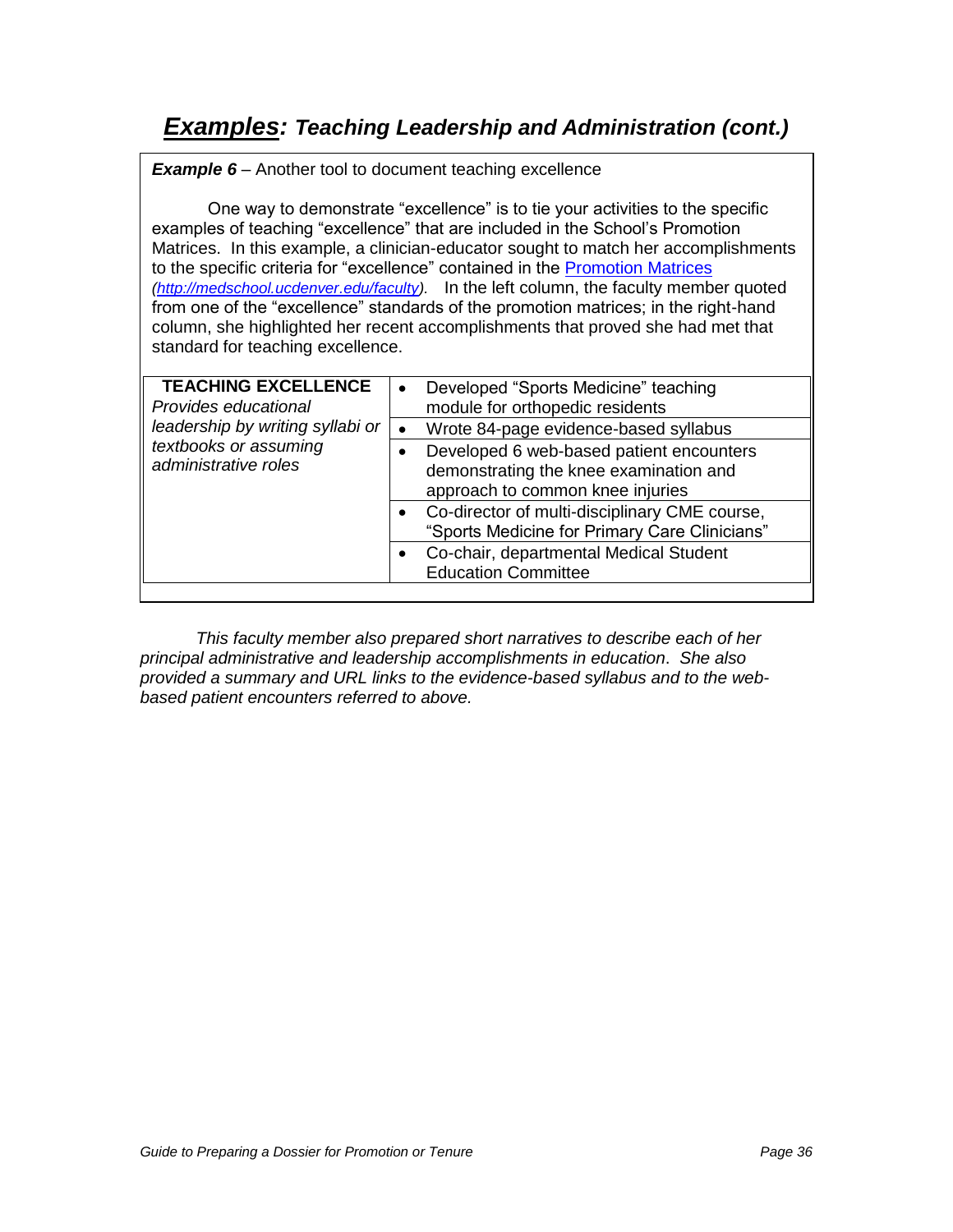# **Examples: Teaching Leadership and Administration (cont.)**

**Example 6** – Another tool to document teaching excellence

One way to demonstrate "excellence" is to tie your activities to the specific examples of teaching "excellence" that are included in the School"s Promotion Matrices. In this example, a clinician-educator sought to match her accomplishments to the specific criteria for "excellence" contained in the [Promotion Matrices](file://HSC-SOMDRKIVE/facaffairs/Dossier%20Guide/Promotion%20Matrices) [\(http://medschool.ucdenver.edu/faculty\)](http://medschool.ucdenver.edu/faculty). In the left column, the faculty member quoted from one of the "excellence" standards of the promotion matrices; in the right-hand column, she highlighted her recent accomplishments that proved she had met that standard for teaching excellence.

| <b>TEACHING EXCELLENCE</b><br>Provides educational<br>leadership by writing syllabi or<br>textbooks or assuming<br>administrative roles | Developed "Sports Medicine" teaching<br>module for orthopedic residents<br>Wrote 84-page evidence-based syllabus<br>Developed 6 web-based patient encounters<br>demonstrating the knee examination and<br>approach to common knee injuries<br>• Co-director of multi-disciplinary CME course,<br>"Sports Medicine for Primary Care Clinicians" |
|-----------------------------------------------------------------------------------------------------------------------------------------|------------------------------------------------------------------------------------------------------------------------------------------------------------------------------------------------------------------------------------------------------------------------------------------------------------------------------------------------|
|                                                                                                                                         | Co-chair, departmental Medical Student<br><b>Education Committee</b>                                                                                                                                                                                                                                                                           |

This faculty member also prepared short narratives to describe each of her principal administrative and leadership accomplishments in education. She also provided a summary and URL links to the evidence-based syllabus and to the webbased patient encounters referred to above.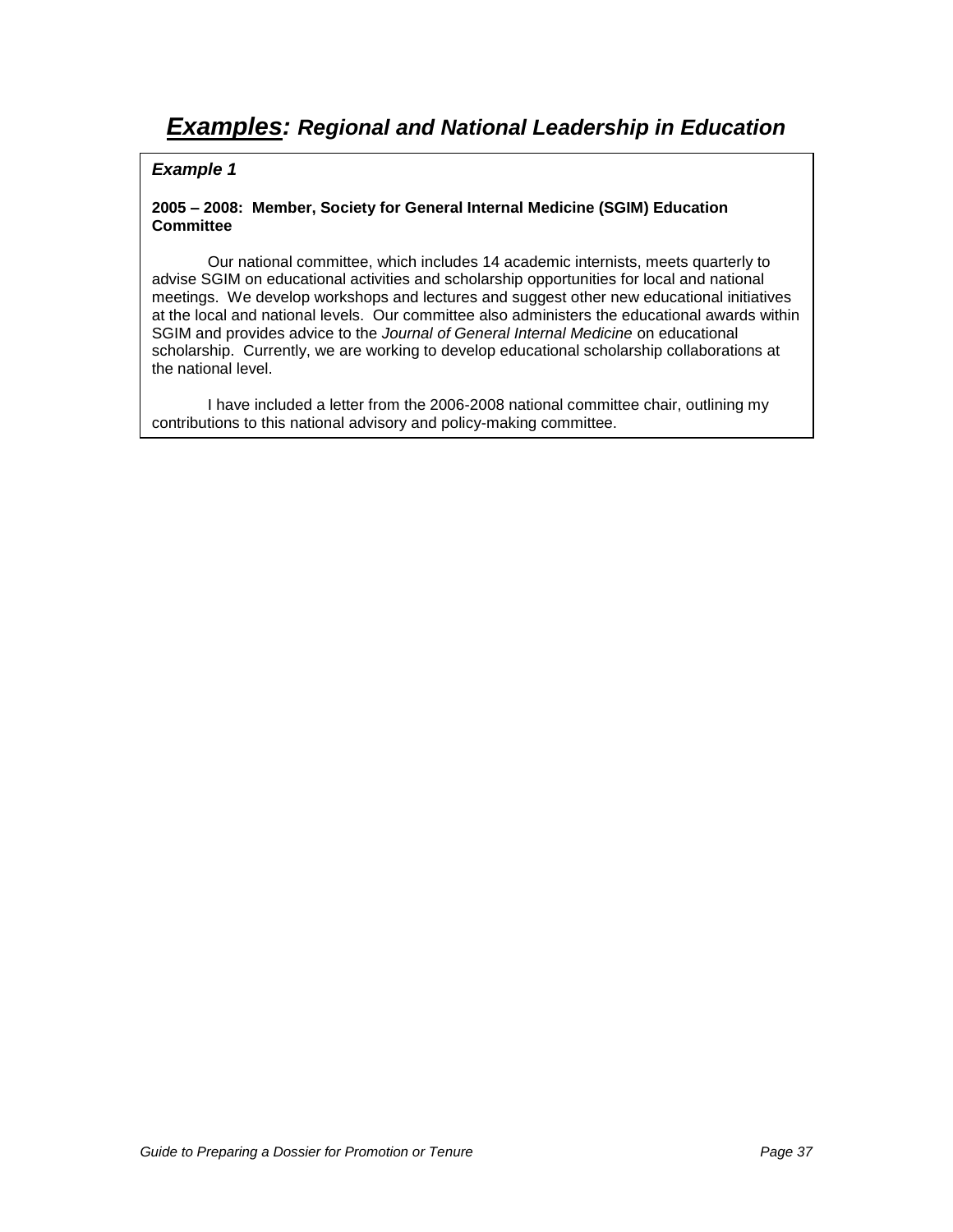#### **2005 – 2008: Member, Society for General Internal Medicine (SGIM) Education Committee**

Our national committee, which includes 14 academic internists, meets quarterly to advise SGIM on educational activities and scholarship opportunities for local and national meetings. We develop workshops and lectures and suggest other new educational initiatives at the local and national levels. Our committee also administers the educational awards within SGIM and provides advice to the Journal of General Internal Medicine on educational scholarship. Currently, we are working to develop educational scholarship collaborations at the national level.

I have included a letter from the 2006-2008 national committee chair, outlining my contributions to this national advisory and policy-making committee.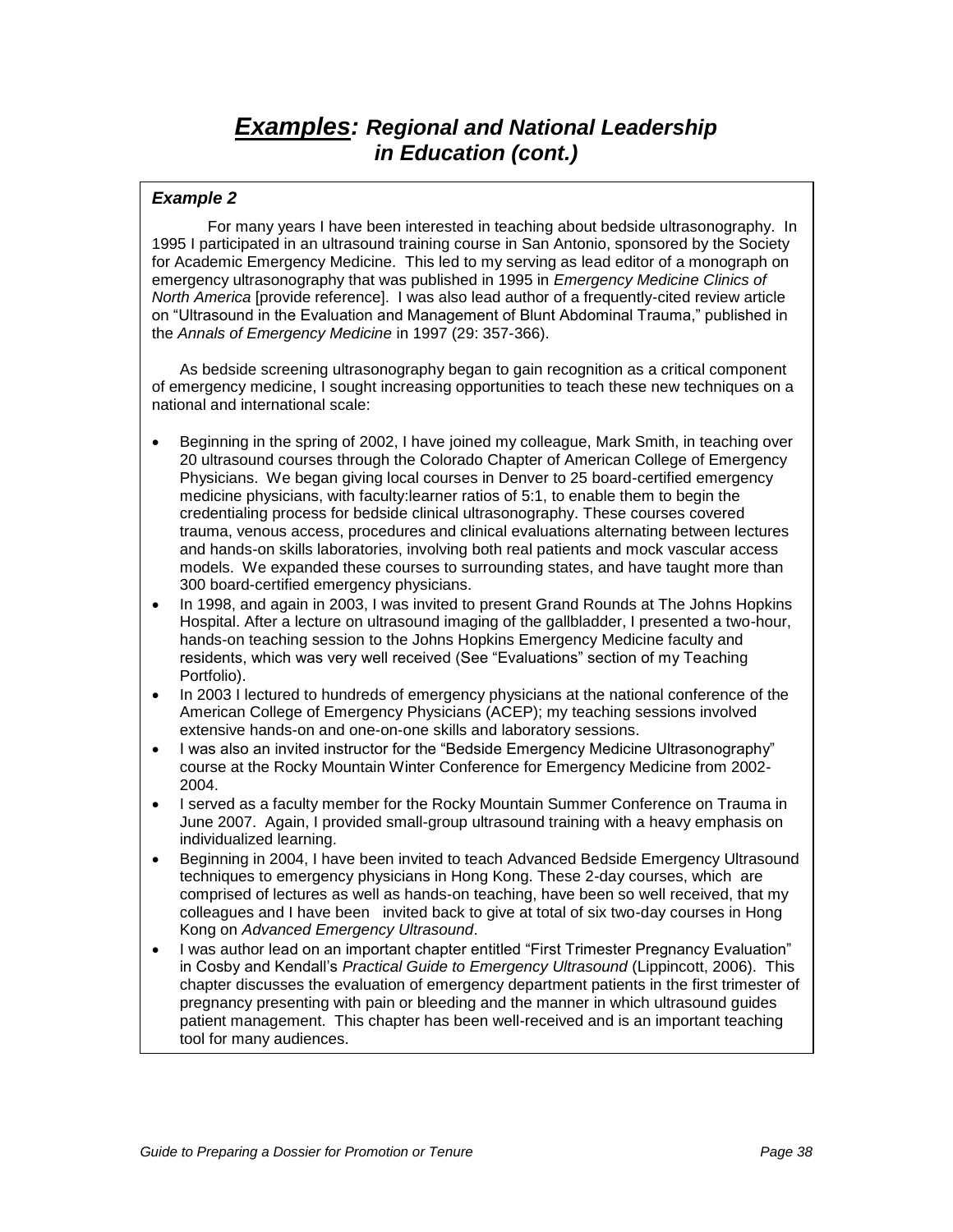# **Examples: Regional and National Leadership in Education (cont.)**

#### **Example 2**

For many years I have been interested in teaching about bedside ultrasonography. In 1995 I participated in an ultrasound training course in San Antonio, sponsored by the Society for Academic Emergency Medicine. This led to my serving as lead editor of a monograph on emergency ultrasonography that was published in 1995 in Emergency Medicine Clinics of North America [provide reference]. I was also lead author of a frequently-cited review article on "Ultrasound in the Evaluation and Management of Blunt Abdominal Trauma," published in the Annals of Emergency Medicine in 1997 (29: 357-366).

As bedside screening ultrasonography began to gain recognition as a critical component of emergency medicine, I sought increasing opportunities to teach these new techniques on a national and international scale:

- Beginning in the spring of 2002, I have joined my colleague, Mark Smith, in teaching over 20 ultrasound courses through the Colorado Chapter of American College of Emergency Physicians. We began giving local courses in Denver to 25 board-certified emergency medicine physicians, with faculty:learner ratios of 5:1, to enable them to begin the credentialing process for bedside clinical ultrasonography. These courses covered trauma, venous access, procedures and clinical evaluations alternating between lectures and hands-on skills laboratories, involving both real patients and mock vascular access models. We expanded these courses to surrounding states, and have taught more than 300 board-certified emergency physicians.
- In 1998, and again in 2003, I was invited to present Grand Rounds at The Johns Hopkins Hospital. After a lecture on ultrasound imaging of the gallbladder, I presented a two-hour, hands-on teaching session to the Johns Hopkins Emergency Medicine faculty and residents, which was very well received (See "Evaluations" section of my Teaching Portfolio).
- In 2003 I lectured to hundreds of emergency physicians at the national conference of the American College of Emergency Physicians (ACEP); my teaching sessions involved extensive hands-on and one-on-one skills and laboratory sessions.
- I was also an invited instructor for the "Bedside Emergency Medicine Ultrasonography" course at the Rocky Mountain Winter Conference for Emergency Medicine from 2002- 2004.
- I served as a faculty member for the Rocky Mountain Summer Conference on Trauma in June 2007. Again, I provided small-group ultrasound training with a heavy emphasis on individualized learning.
- Beginning in 2004, I have been invited to teach Advanced Bedside Emergency Ultrasound techniques to emergency physicians in Hong Kong. These 2-day courses, which are comprised of lectures as well as hands-on teaching, have been so well received, that my colleagues and I have been invited back to give at total of six two-day courses in Hong Kong on Advanced Emergency Ultrasound.
- I was author lead on an important chapter entitled "First Trimester Pregnancy Evaluation" in Cosby and Kendall's Practical Guide to Emergency Ultrasound (Lippincott, 2006). This chapter discusses the evaluation of emergency department patients in the first trimester of pregnancy presenting with pain or bleeding and the manner in which ultrasound guides patient management. This chapter has been well-received and is an important teaching tool for many audiences.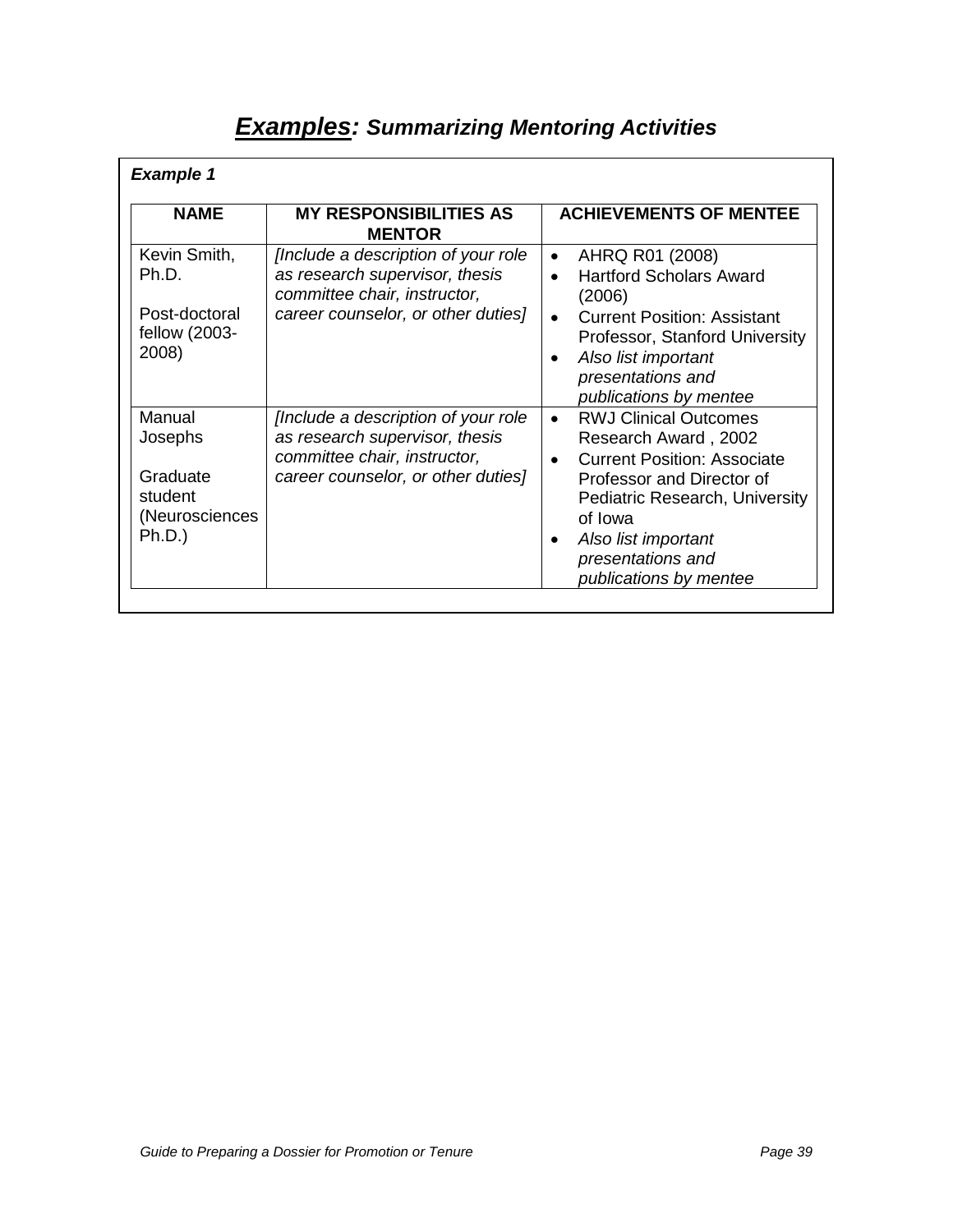| <b>Examples: Summarizing Mentoring Activities</b> |  |
|---------------------------------------------------|--|
|---------------------------------------------------|--|

| <b>Example 1</b>                                |                                                                                                        |                                                                                                                                                         |
|-------------------------------------------------|--------------------------------------------------------------------------------------------------------|---------------------------------------------------------------------------------------------------------------------------------------------------------|
| <b>NAME</b>                                     | <b>MY RESPONSIBILITIES AS</b><br><b>MENTOR</b>                                                         | <b>ACHIEVEMENTS OF MENTEE</b>                                                                                                                           |
| Kevin Smith,<br>Ph.D.                           | [Include a description of your role]<br>as research supervisor, thesis<br>committee chair, instructor, | AHRQ R01 (2008)<br>$\bullet$<br><b>Hartford Scholars Award</b><br>$\bullet$<br>(2006)                                                                   |
| Post-doctoral<br>fellow (2003-<br>2008)         | career counselor, or other duties]                                                                     | <b>Current Position: Assistant</b><br>$\bullet$<br>Professor, Stanford University<br>Also list important<br>presentations and<br>publications by mentee |
| Manual<br>Josephs                               | [Include a description of your role]<br>as research supervisor, thesis<br>committee chair, instructor, | <b>RWJ Clinical Outcomes</b><br>$\bullet$<br>Research Award, 2002<br><b>Current Position: Associate</b><br>$\bullet$                                    |
| Graduate<br>student<br>(Neurosciences<br>Ph.D.) | career counselor, or other duties]                                                                     | Professor and Director of<br>Pediatric Research, University<br>of Iowa<br>Also list important<br>presentations and<br>publications by mentee            |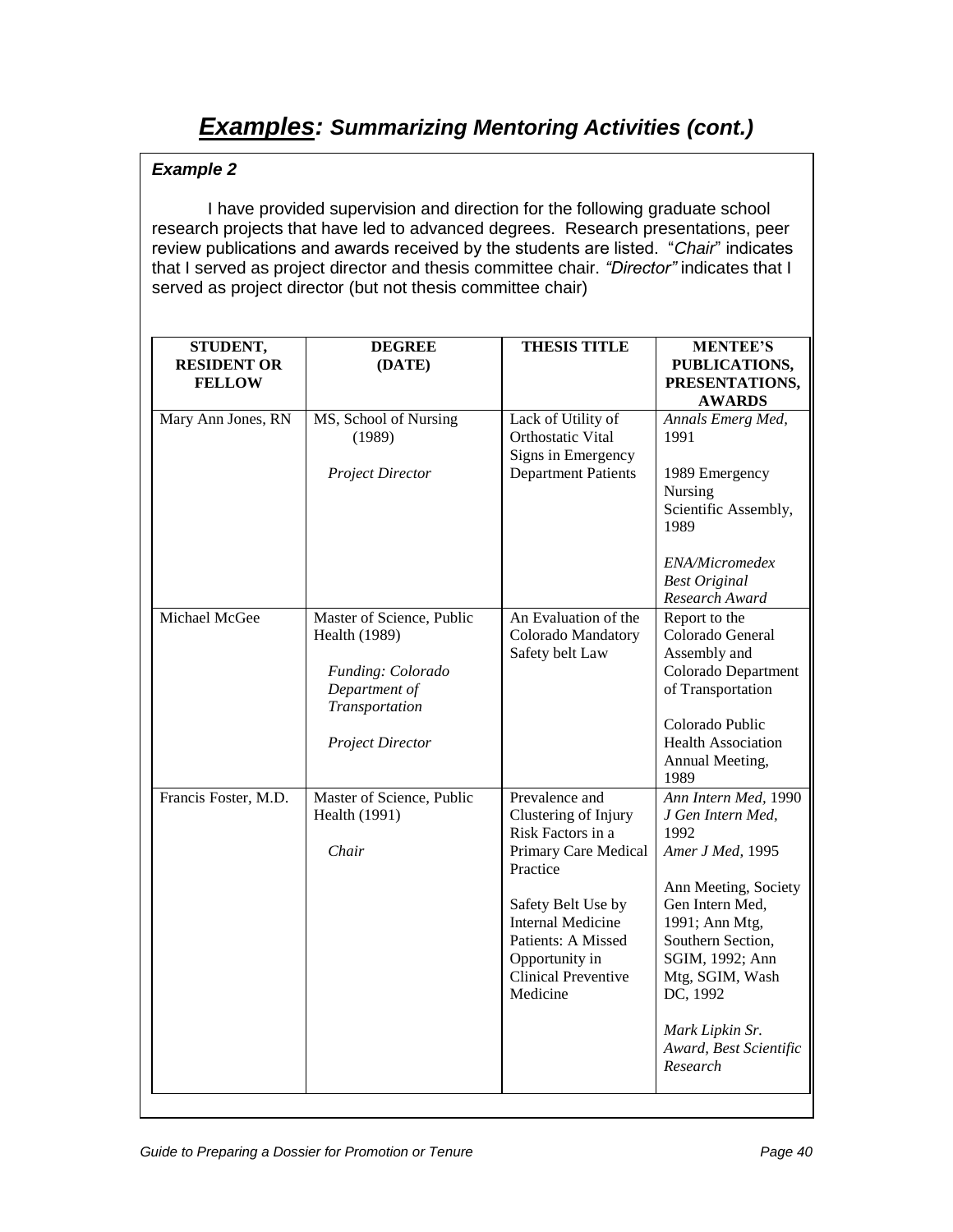# **Examples: Summarizing Mentoring Activities (cont.)**

# **Example 2**

I have provided supervision and direction for the following graduate school research projects that have led to advanced degrees. Research presentations, peer review publications and awards received by the students are listed. "Chair" indicates that I served as project director and thesis committee chair. *"Director"* indicates that I served as project director (but not thesis committee chair)

| STUDENT,<br><b>RESIDENT OR</b><br><b>FELLOW</b> | <b>DEGREE</b><br>(DATE)                                                                                                              | <b>THESIS TITLE</b>                                                                                                                                                                                                                 | <b>MENTEE'S</b><br>PUBLICATIONS,<br>PRESENTATIONS,<br><b>AWARDS</b>                                                                                                                                                                                                |
|-------------------------------------------------|--------------------------------------------------------------------------------------------------------------------------------------|-------------------------------------------------------------------------------------------------------------------------------------------------------------------------------------------------------------------------------------|--------------------------------------------------------------------------------------------------------------------------------------------------------------------------------------------------------------------------------------------------------------------|
| Mary Ann Jones, RN                              | MS, School of Nursing<br>(1989)<br><b>Project Director</b>                                                                           | Lack of Utility of<br>Orthostatic Vital<br>Signs in Emergency<br><b>Department Patients</b>                                                                                                                                         | Annals Emerg Med,<br>1991<br>1989 Emergency<br>Nursing<br>Scientific Assembly,<br>1989<br>ENA/Micromedex<br><b>Best Original</b><br>Research Award                                                                                                                 |
| Michael McGee                                   | Master of Science, Public<br><b>Health</b> (1989)<br>Funding: Colorado<br>Department of<br>Transportation<br><b>Project Director</b> | An Evaluation of the<br>Colorado Mandatory<br>Safety belt Law                                                                                                                                                                       | Report to the<br>Colorado General<br>Assembly and<br>Colorado Department<br>of Transportation<br>Colorado Public<br><b>Health Association</b><br>Annual Meeting,<br>1989                                                                                           |
| Francis Foster, M.D.                            | Master of Science, Public<br>Health (1991)<br>Chair                                                                                  | Prevalence and<br>Clustering of Injury<br>Risk Factors in a<br>Primary Care Medical<br>Practice<br>Safety Belt Use by<br><b>Internal Medicine</b><br>Patients: A Missed<br>Opportunity in<br><b>Clinical Preventive</b><br>Medicine | Ann Intern Med, 1990<br>J Gen Intern Med,<br>1992<br>Amer J Med, 1995<br>Ann Meeting, Society<br>Gen Intern Med,<br>1991; Ann Mtg,<br>Southern Section,<br>SGIM, 1992; Ann<br>Mtg, SGIM, Wash<br>DC, 1992<br>Mark Lipkin Sr.<br>Award, Best Scientific<br>Research |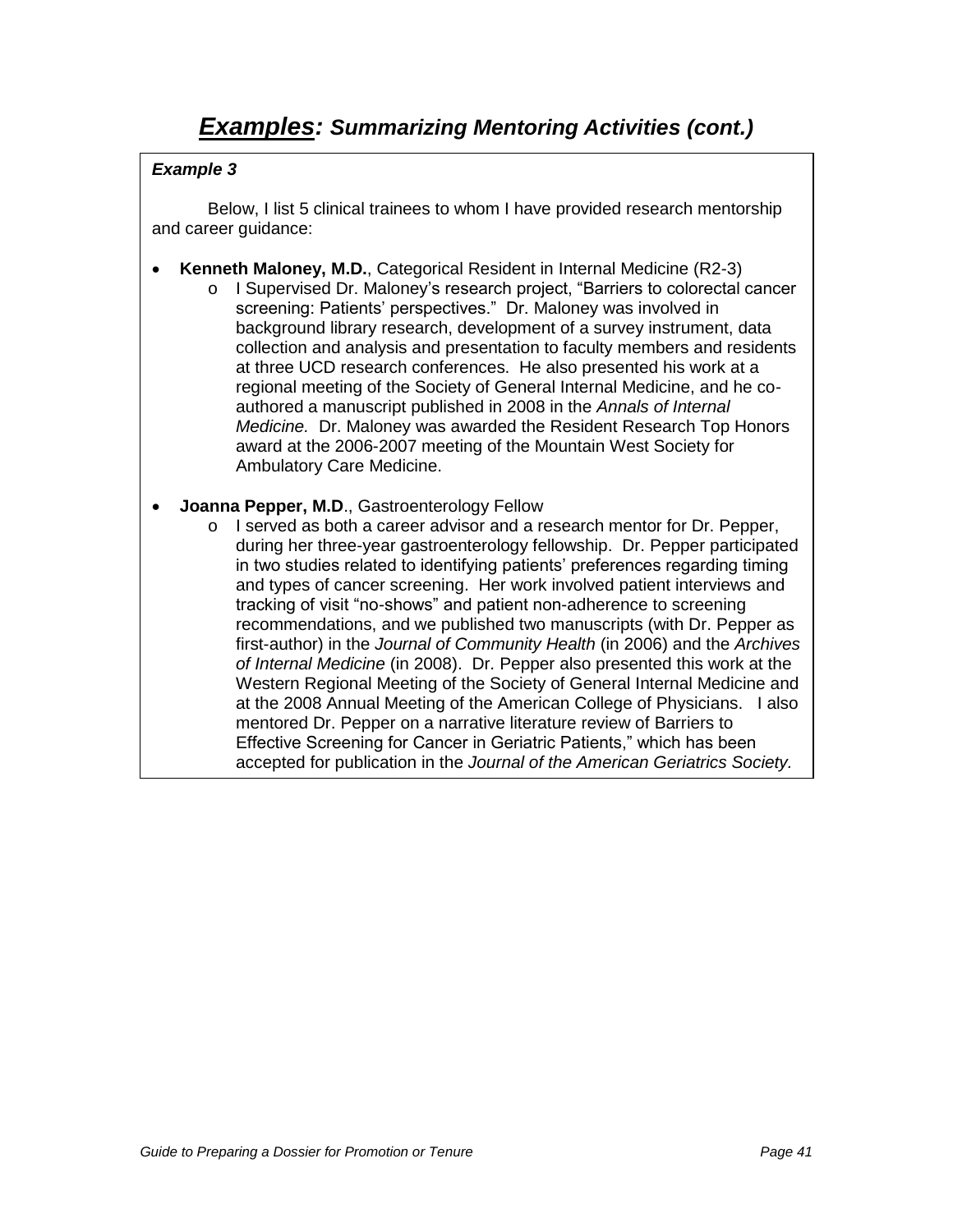Below, I list 5 clinical trainees to whom I have provided research mentorship and career guidance:

- **Kenneth Maloney, M.D.**, Categorical Resident in Internal Medicine (R2-3)
	- o I Supervised Dr. Maloney"s research project, "Barriers to colorectal cancer screening: Patients' perspectives." Dr. Maloney was involved in background library research, development of a survey instrument, data collection and analysis and presentation to faculty members and residents at three UCD research conferences. He also presented his work at a regional meeting of the Society of General Internal Medicine, and he coauthored a manuscript published in 2008 in the Annals of Internal Medicine. Dr. Maloney was awarded the Resident Research Top Honors award at the 2006-2007 meeting of the Mountain West Society for Ambulatory Care Medicine.
- **Joanna Pepper, M.D**., Gastroenterology Fellow
	- o I served as both a career advisor and a research mentor for Dr. Pepper, during her three-year gastroenterology fellowship. Dr. Pepper participated in two studies related to identifying patients' preferences regarding timing and types of cancer screening. Her work involved patient interviews and tracking of visit "no-shows" and patient non-adherence to screening recommendations, and we published two manuscripts (with Dr. Pepper as first-author) in the Journal of Community Health (in 2006) and the Archives of Internal Medicine (in 2008). Dr. Pepper also presented this work at the Western Regional Meeting of the Society of General Internal Medicine and at the 2008 Annual Meeting of the American College of Physicians. I also mentored Dr. Pepper on a narrative literature review of Barriers to Effective Screening for Cancer in Geriatric Patients," which has been accepted for publication in the Journal of the American Geriatrics Society.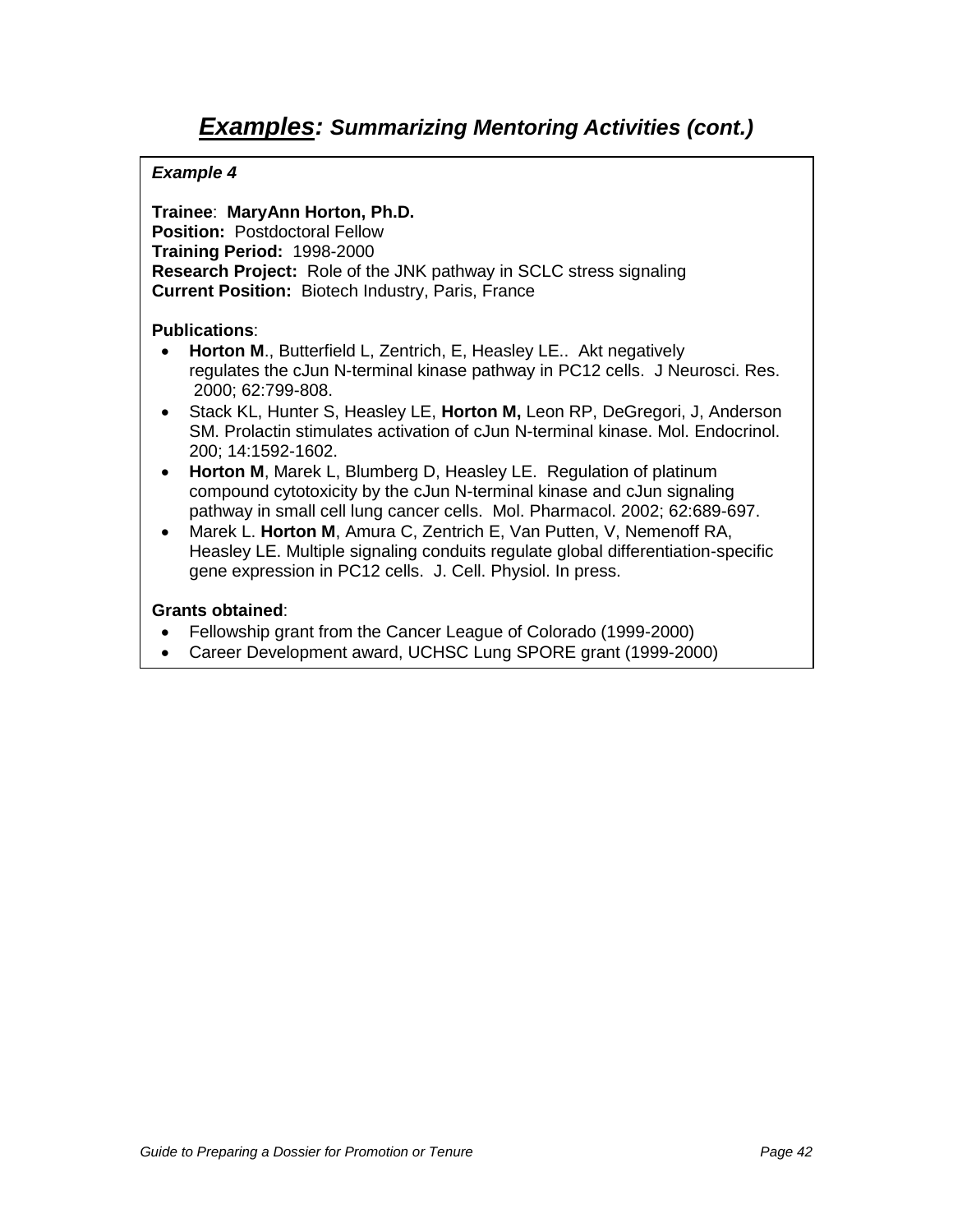**Trainee**: **MaryAnn Horton, Ph.D. Position:** Postdoctoral Fellow **Training Period:** 1998-2000 **Research Project:** Role of the JNK pathway in SCLC stress signaling **Current Position:** Biotech Industry, Paris, France

### **Publications**:

- **Horton M**., Butterfield L, Zentrich, E, Heasley LE.. Akt negatively regulates the cJun N-terminal kinase pathway in PC12 cells. J Neurosci. Res. 2000; 62:799-808.
- Stack KL, Hunter S, Heasley LE, **Horton M,** Leon RP, DeGregori, J, Anderson SM. Prolactin stimulates activation of cJun N-terminal kinase. Mol. Endocrinol. 200; 14:1592-1602.
- **Horton M**, Marek L, Blumberg D, Heasley LE. Regulation of platinum compound cytotoxicity by the cJun N-terminal kinase and cJun signaling pathway in small cell lung cancer cells. Mol. Pharmacol. 2002; 62:689-697.
- Marek L. **Horton M**, Amura C, Zentrich E, Van Putten, V, Nemenoff RA, Heasley LE. Multiple signaling conduits regulate global differentiation-specific gene expression in PC12 cells. J. Cell. Physiol. In press.

### **Grants obtained**:

- Fellowship grant from the Cancer League of Colorado (1999-2000)
- Career Development award, UCHSC Lung SPORE grant (1999-2000)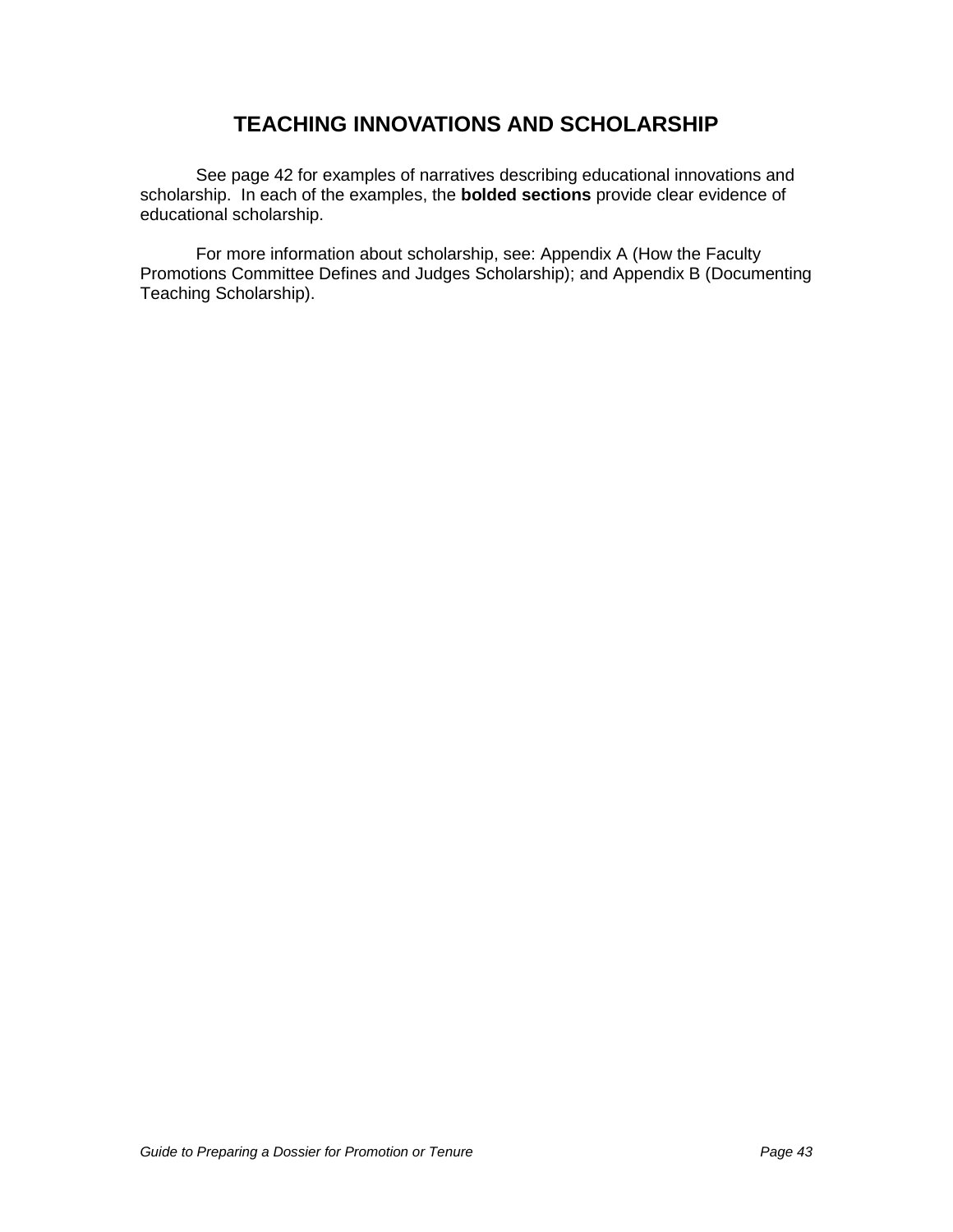# **TEACHING INNOVATIONS AND SCHOLARSHIP**

See page 42 for examples of narratives describing educational innovations and scholarship. In each of the examples, the **bolded sections** provide clear evidence of educational scholarship.

For more information about scholarship, see: Appendix A (How the Faculty Promotions Committee Defines and Judges Scholarship); and Appendix B (Documenting Teaching Scholarship).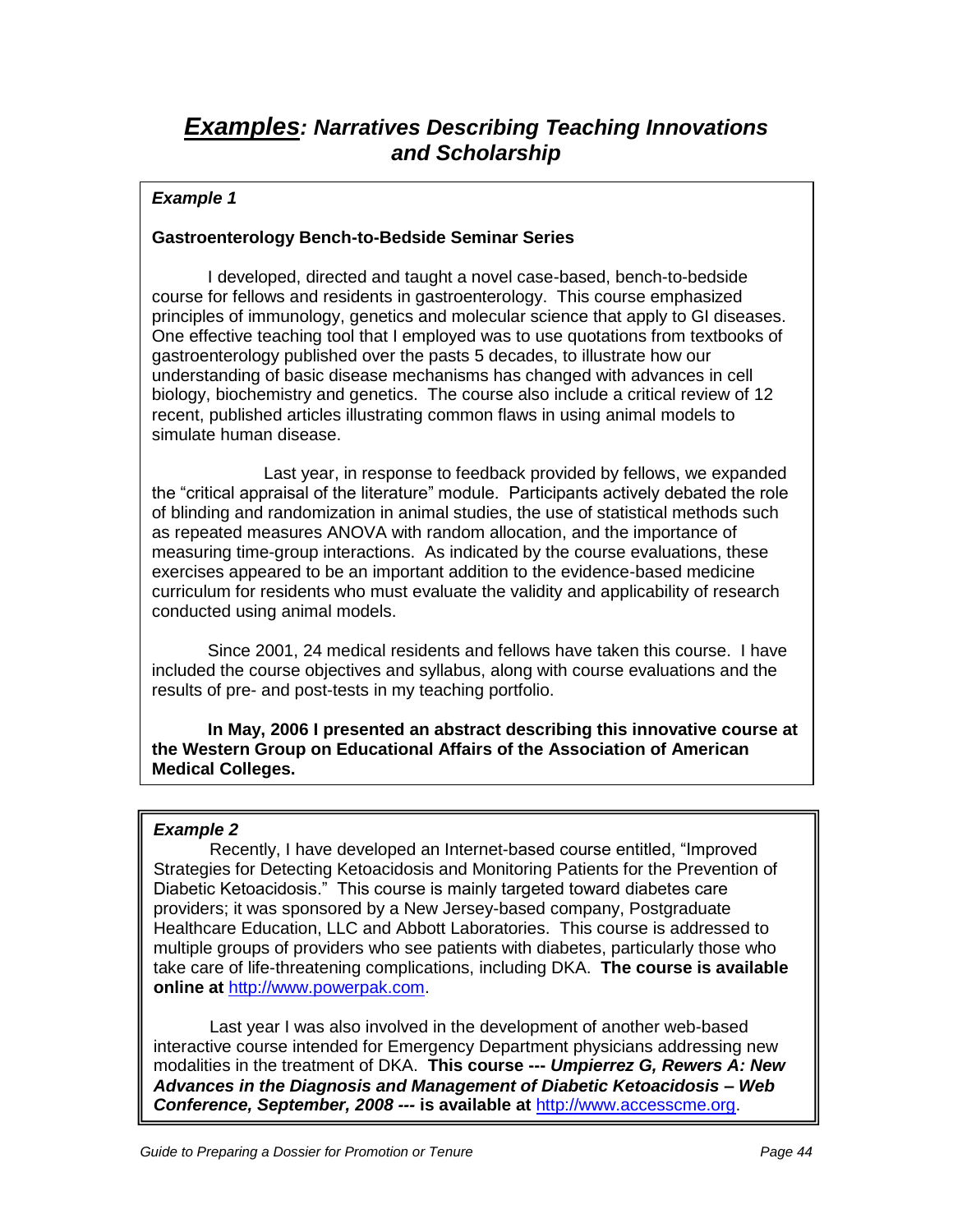# **Examples: Narratives Describing Teaching Innovations and Scholarship**

### **Example 1**

### **Gastroenterology Bench-to-Bedside Seminar Series**

I developed, directed and taught a novel case-based, bench-to-bedside course for fellows and residents in gastroenterology. This course emphasized principles of immunology, genetics and molecular science that apply to GI diseases. One effective teaching tool that I employed was to use quotations from textbooks of gastroenterology published over the pasts 5 decades, to illustrate how our understanding of basic disease mechanisms has changed with advances in cell biology, biochemistry and genetics. The course also include a critical review of 12 recent, published articles illustrating common flaws in using animal models to simulate human disease.

Last year, in response to feedback provided by fellows, we expanded the "critical appraisal of the literature" module. Participants actively debated the role of blinding and randomization in animal studies, the use of statistical methods such as repeated measures ANOVA with random allocation, and the importance of measuring time-group interactions. As indicated by the course evaluations, these exercises appeared to be an important addition to the evidence-based medicine curriculum for residents who must evaluate the validity and applicability of research conducted using animal models.

Since 2001, 24 medical residents and fellows have taken this course. I have included the course objectives and syllabus, along with course evaluations and the results of pre- and post-tests in my teaching portfolio.

**In May, 2006 I presented an abstract describing this innovative course at the Western Group on Educational Affairs of the Association of American Medical Colleges.** 

### **Example 2**

Recently, I have developed an Internet-based course entitled, "Improved Strategies for Detecting Ketoacidosis and Monitoring Patients for the Prevention of Diabetic Ketoacidosis." This course is mainly targeted toward diabetes care providers; it was sponsored by a New Jersey-based company, Postgraduate Healthcare Education, LLC and Abbott Laboratories. This course is addressed to multiple groups of providers who see patients with diabetes, particularly those who take care of life-threatening complications, including DKA. **The course is available online at** [http://www.powerpak.com.](http://www.powerpak.com/)

Last year I was also involved in the development of another web-based interactive course intended for Emergency Department physicians addressing new modalities in the treatment of DKA. **This course --- Umpierrez G, Rewers A: New Advances in the Diagnosis and Management of Diabetic Ketoacidosis** *–* **Web Conference, September, 2008 --- is available at** [http://www.accesscme.org.](http://www.accesscme.org/)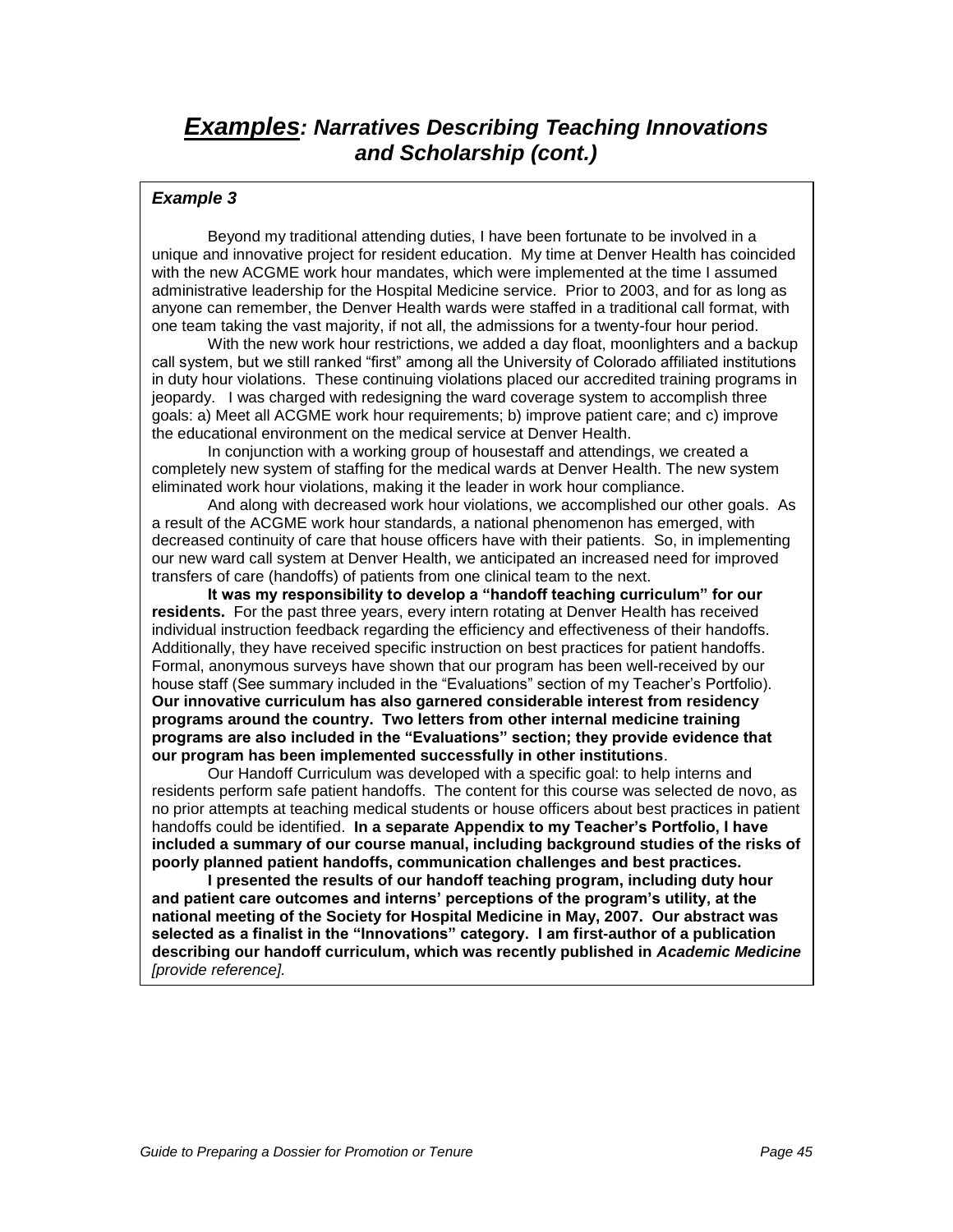# **Examples: Narratives Describing Teaching Innovations and Scholarship (cont.)**

#### **Example 3**

Beyond my traditional attending duties, I have been fortunate to be involved in a unique and innovative project for resident education. My time at Denver Health has coincided with the new ACGME work hour mandates, which were implemented at the time I assumed administrative leadership for the Hospital Medicine service. Prior to 2003, and for as long as anyone can remember, the Denver Health wards were staffed in a traditional call format, with one team taking the vast majority, if not all, the admissions for a twenty-four hour period.

With the new work hour restrictions, we added a day float, moonlighters and a backup call system, but we still ranked "first" among all the University of Colorado affiliated institutions in duty hour violations. These continuing violations placed our accredited training programs in jeopardy. I was charged with redesigning the ward coverage system to accomplish three goals: a) Meet all ACGME work hour requirements; b) improve patient care; and c) improve the educational environment on the medical service at Denver Health.

In conjunction with a working group of housestaff and attendings, we created a completely new system of staffing for the medical wards at Denver Health. The new system eliminated work hour violations, making it the leader in work hour compliance.

And along with decreased work hour violations, we accomplished our other goals. As a result of the ACGME work hour standards, a national phenomenon has emerged, with decreased continuity of care that house officers have with their patients. So, in implementing our new ward call system at Denver Health, we anticipated an increased need for improved transfers of care (handoffs) of patients from one clinical team to the next.

**It was my responsibility to develop a "handoff teaching curriculum" for our residents.** For the past three years, every intern rotating at Denver Health has received individual instruction feedback regarding the efficiency and effectiveness of their handoffs. Additionally, they have received specific instruction on best practices for patient handoffs. Formal, anonymous surveys have shown that our program has been well-received by our house staff (See summary included in the "Evaluations" section of my Teacher"s Portfolio). **Our innovative curriculum has also garnered considerable interest from residency programs around the country. Two letters from other internal medicine training programs are also included in the "Evaluations" section; they provide evidence that our program has been implemented successfully in other institutions**.

Our Handoff Curriculum was developed with a specific goal: to help interns and residents perform safe patient handoffs. The content for this course was selected de novo, as no prior attempts at teaching medical students or house officers about best practices in patient handoffs could be identified. **In a separate Appendix to my Teacher's Portfolio, I have included a summary of our course manual, including background studies of the risks of poorly planned patient handoffs, communication challenges and best practices.**

**I presented the results of our handoff teaching program, including duty hour and patient care outcomes and interns' perceptions of the program's utility, at the national meeting of the Society for Hospital Medicine in May, 2007. Our abstract was selected as a finalist in the "Innovations" category. I am first-author of a publication describing our handoff curriculum, which was recently published in Academic Medicine**  [provide reference].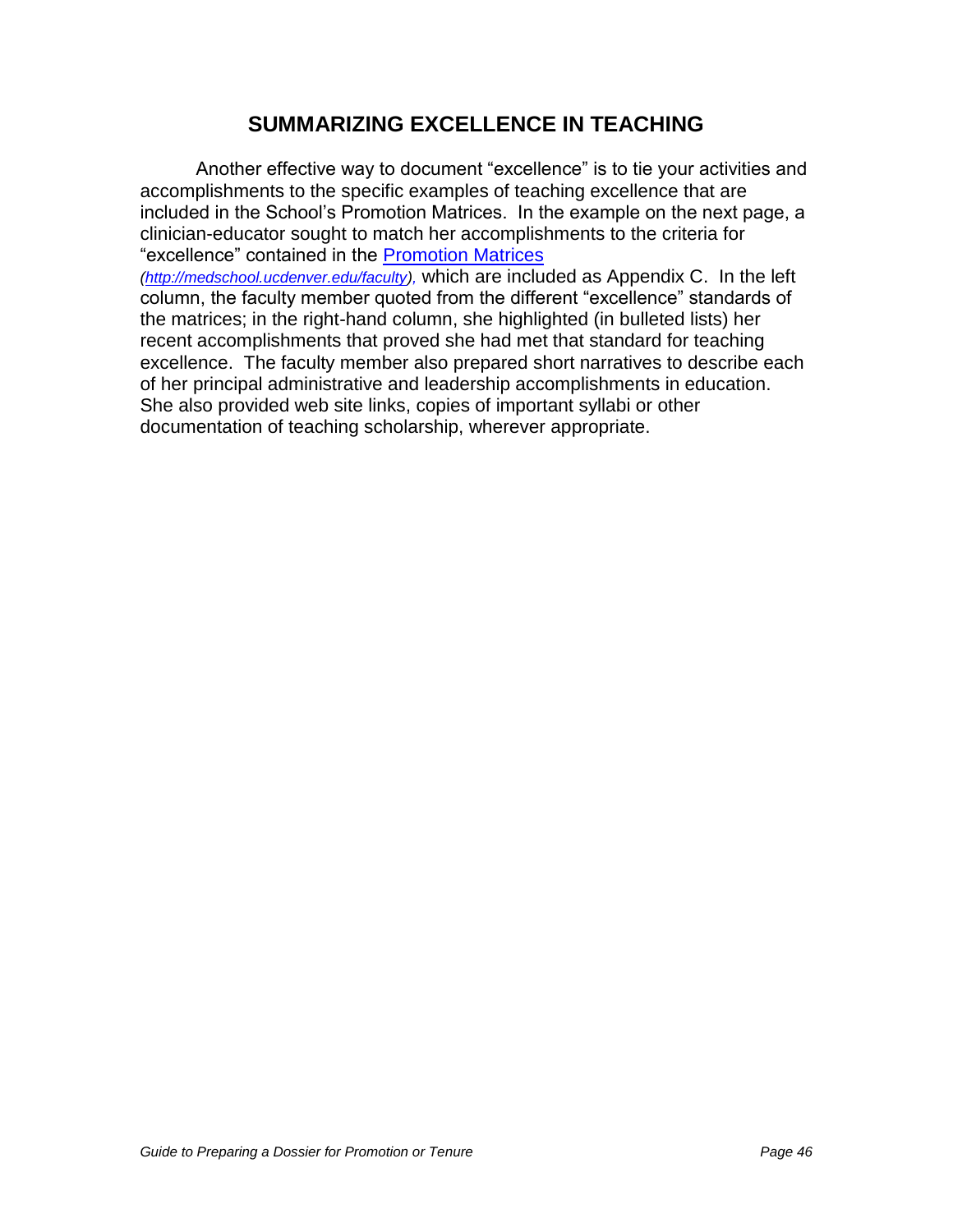# **SUMMARIZING EXCELLENCE IN TEACHING**

Another effective way to document "excellence" is to tie your activities and accomplishments to the specific examples of teaching excellence that are included in the School"s Promotion Matrices. In the example on the next page, a clinician-educator sought to match her accomplishments to the criteria for "excellence" contained in the [Promotion Matrices](http://www.ucdenver.edu/academics/colleges/medicalschool/facultyAffairs/Documents/CriteriaMatrixRev2007.pdf)

[\(http://medschool.ucdenver.edu/faculty\)](http://medschool.ucdenver.edu/faculty), which are included as Appendix C. In the left column, the faculty member quoted from the different "excellence" standards of the matrices; in the right-hand column, she highlighted (in bulleted lists) her recent accomplishments that proved she had met that standard for teaching excellence. The faculty member also prepared short narratives to describe each of her principal administrative and leadership accomplishments in education. She also provided web site links, copies of important syllabi or other documentation of teaching scholarship, wherever appropriate.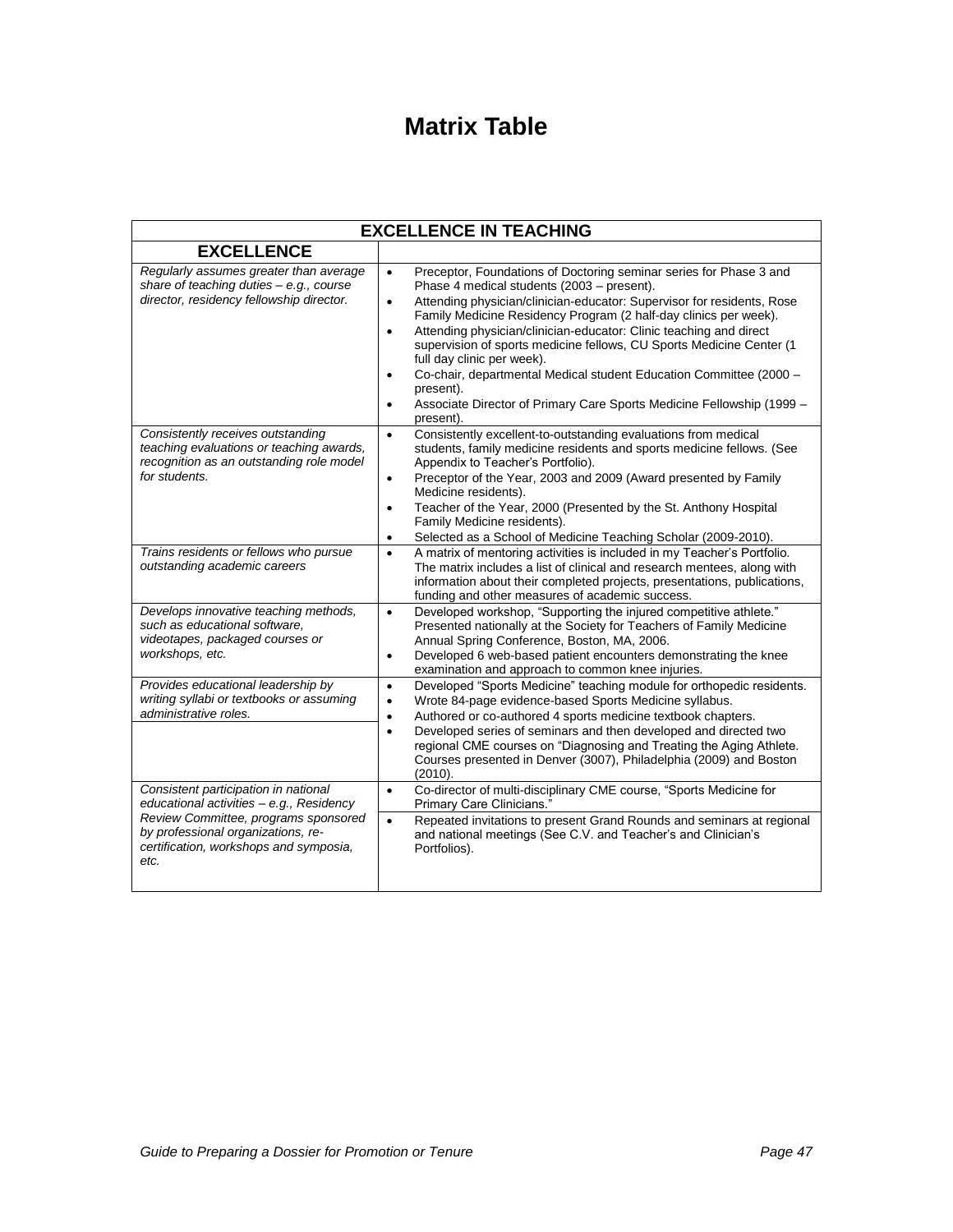# **Matrix Table**

| <b>EXCELLENCE IN TEACHING</b>                                                                                                                                                                                    |                                                                                                                                                                                                                                                                                                                                                                                                                                                                                                                                                                                                                                                                                      |  |  |
|------------------------------------------------------------------------------------------------------------------------------------------------------------------------------------------------------------------|--------------------------------------------------------------------------------------------------------------------------------------------------------------------------------------------------------------------------------------------------------------------------------------------------------------------------------------------------------------------------------------------------------------------------------------------------------------------------------------------------------------------------------------------------------------------------------------------------------------------------------------------------------------------------------------|--|--|
| <b>EXCELLENCE</b>                                                                                                                                                                                                |                                                                                                                                                                                                                                                                                                                                                                                                                                                                                                                                                                                                                                                                                      |  |  |
| Regularly assumes greater than average<br>share of teaching duties - e.g., course<br>director, residency fellowship director.                                                                                    | $\bullet$<br>Preceptor, Foundations of Doctoring seminar series for Phase 3 and<br>Phase 4 medical students (2003 - present).<br>Attending physician/clinician-educator: Supervisor for residents, Rose<br>$\bullet$<br>Family Medicine Residency Program (2 half-day clinics per week).<br>Attending physician/clinician-educator: Clinic teaching and direct<br>$\bullet$<br>supervision of sports medicine fellows, CU Sports Medicine Center (1<br>full day clinic per week).<br>Co-chair, departmental Medical student Education Committee (2000 -<br>$\bullet$<br>present).<br>Associate Director of Primary Care Sports Medicine Fellowship (1999 -<br>$\bullet$<br>present). |  |  |
| Consistently receives outstanding<br>teaching evaluations or teaching awards,<br>recognition as an outstanding role model<br>for students.                                                                       | Consistently excellent-to-outstanding evaluations from medical<br>$\bullet$<br>students, family medicine residents and sports medicine fellows. (See<br>Appendix to Teacher's Portfolio).<br>Preceptor of the Year, 2003 and 2009 (Award presented by Family<br>$\bullet$<br>Medicine residents).<br>Teacher of the Year, 2000 (Presented by the St. Anthony Hospital<br>$\bullet$<br>Family Medicine residents).<br>Selected as a School of Medicine Teaching Scholar (2009-2010).<br>$\bullet$                                                                                                                                                                                     |  |  |
| Trains residents or fellows who pursue<br>outstanding academic careers                                                                                                                                           | A matrix of mentoring activities is included in my Teacher's Portfolio.<br>$\bullet$<br>The matrix includes a list of clinical and research mentees, along with<br>information about their completed projects, presentations, publications,<br>funding and other measures of academic success.                                                                                                                                                                                                                                                                                                                                                                                       |  |  |
| Develops innovative teaching methods,<br>such as educational software.<br>videotapes, packaged courses or<br>workshops, etc.                                                                                     | Developed workshop, "Supporting the injured competitive athlete."<br>$\bullet$<br>Presented nationally at the Society for Teachers of Family Medicine<br>Annual Spring Conference, Boston, MA, 2006.<br>Developed 6 web-based patient encounters demonstrating the knee<br>$\bullet$<br>examination and approach to common knee injuries.                                                                                                                                                                                                                                                                                                                                            |  |  |
| Provides educational leadership by<br>writing syllabi or textbooks or assuming<br>administrative roles.                                                                                                          | Developed "Sports Medicine" teaching module for orthopedic residents.<br>$\bullet$<br>Wrote 84-page evidence-based Sports Medicine syllabus.<br>$\bullet$<br>Authored or co-authored 4 sports medicine textbook chapters.<br>$\bullet$<br>Developed series of seminars and then developed and directed two<br>$\bullet$<br>regional CME courses on "Diagnosing and Treating the Aging Athlete.<br>Courses presented in Denver (3007), Philadelphia (2009) and Boston<br>(2010).                                                                                                                                                                                                      |  |  |
| Consistent participation in national<br>educational activities - e.g., Residency<br>Review Committee, programs sponsored<br>by professional organizations, re-<br>certification, workshops and symposia,<br>etc. | Co-director of multi-disciplinary CME course, "Sports Medicine for<br>$\bullet$<br>Primary Care Clinicians."<br>Repeated invitations to present Grand Rounds and seminars at regional<br>$\bullet$<br>and national meetings (See C.V. and Teacher's and Clinician's<br>Portfolios).                                                                                                                                                                                                                                                                                                                                                                                                  |  |  |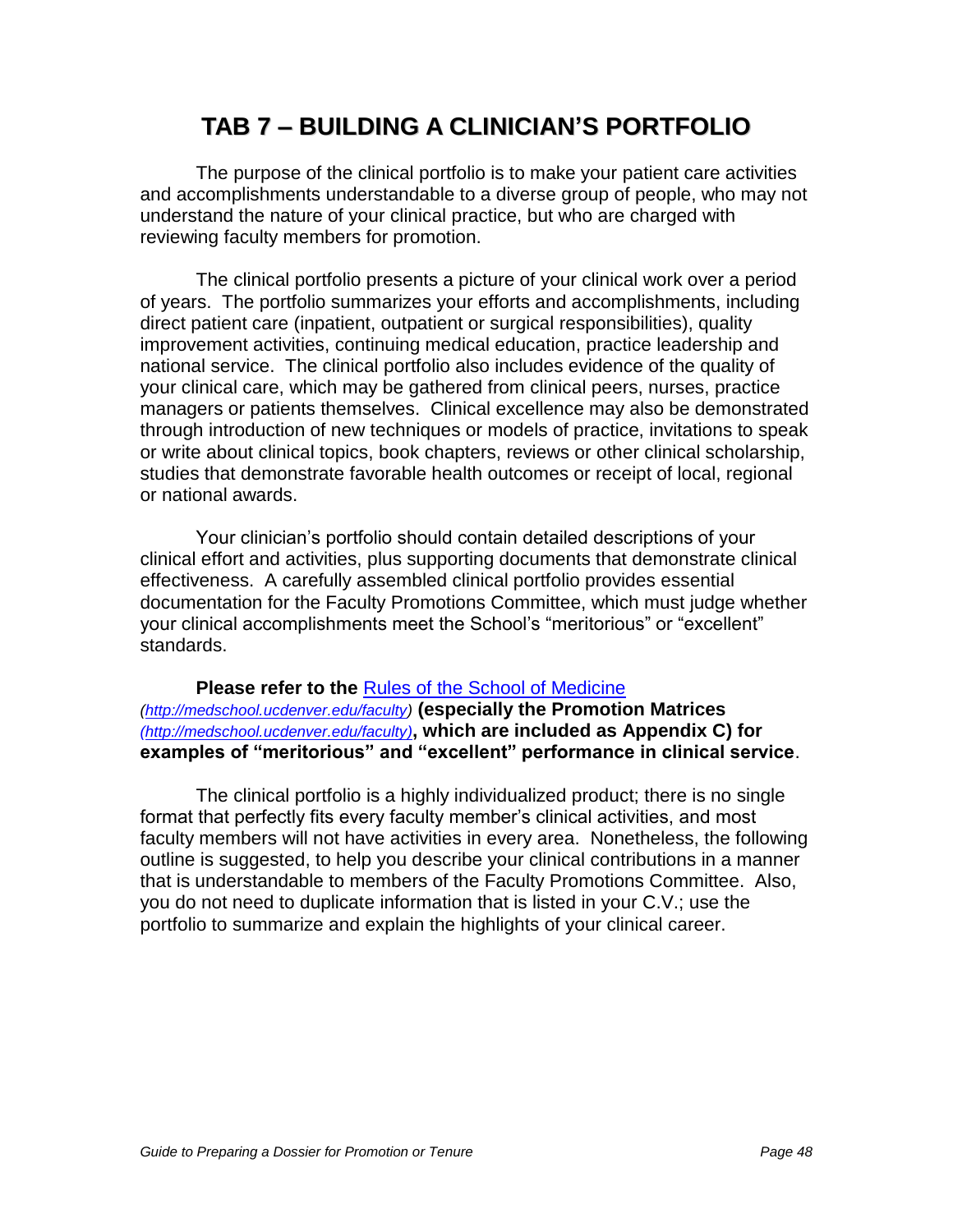# **TAB 7 – BUILDING A CLINICIAN'S PORTFOLIO**

The purpose of the clinical portfolio is to make your patient care activities and accomplishments understandable to a diverse group of people, who may not understand the nature of your clinical practice, but who are charged with reviewing faculty members for promotion.

The clinical portfolio presents a picture of your clinical work over a period of years. The portfolio summarizes your efforts and accomplishments, including direct patient care (inpatient, outpatient or surgical responsibilities), quality improvement activities, continuing medical education, practice leadership and national service. The clinical portfolio also includes evidence of the quality of your clinical care, which may be gathered from clinical peers, nurses, practice managers or patients themselves. Clinical excellence may also be demonstrated through introduction of new techniques or models of practice, invitations to speak or write about clinical topics, book chapters, reviews or other clinical scholarship, studies that demonstrate favorable health outcomes or receipt of local, regional or national awards.

Your clinician"s portfolio should contain detailed descriptions of your clinical effort and activities, plus supporting documents that demonstrate clinical effectiveness. A carefully assembled clinical portfolio provides essential documentation for the Faculty Promotions Committee, which must judge whether your clinical accomplishments meet the School"s "meritorious" or "excellent" standards.

### **Please refer to the** [Rules of the School of Medicine](http://www.ucdenver.edu/academics/colleges/medicalschool/facultyAffairs/Documents/Rules2007.pdf)

[\(http://medschool.ucdenver.edu/faculty\)](http://medschool.ucdenver.edu/faculty) **(especially the Promotion Matrices** [\(http://medschool.ucdenver.edu/faculty\)](http://medschool.ucdenver.edu/faculty)**, which are included as Appendix C) for examples of "meritorious" and "excellent" performance in clinical service**.

The clinical portfolio is a highly individualized product; there is no single format that perfectly fits every faculty member"s clinical activities, and most faculty members will not have activities in every area. Nonetheless, the following outline is suggested, to help you describe your clinical contributions in a manner that is understandable to members of the Faculty Promotions Committee. Also, you do not need to duplicate information that is listed in your C.V.; use the portfolio to summarize and explain the highlights of your clinical career.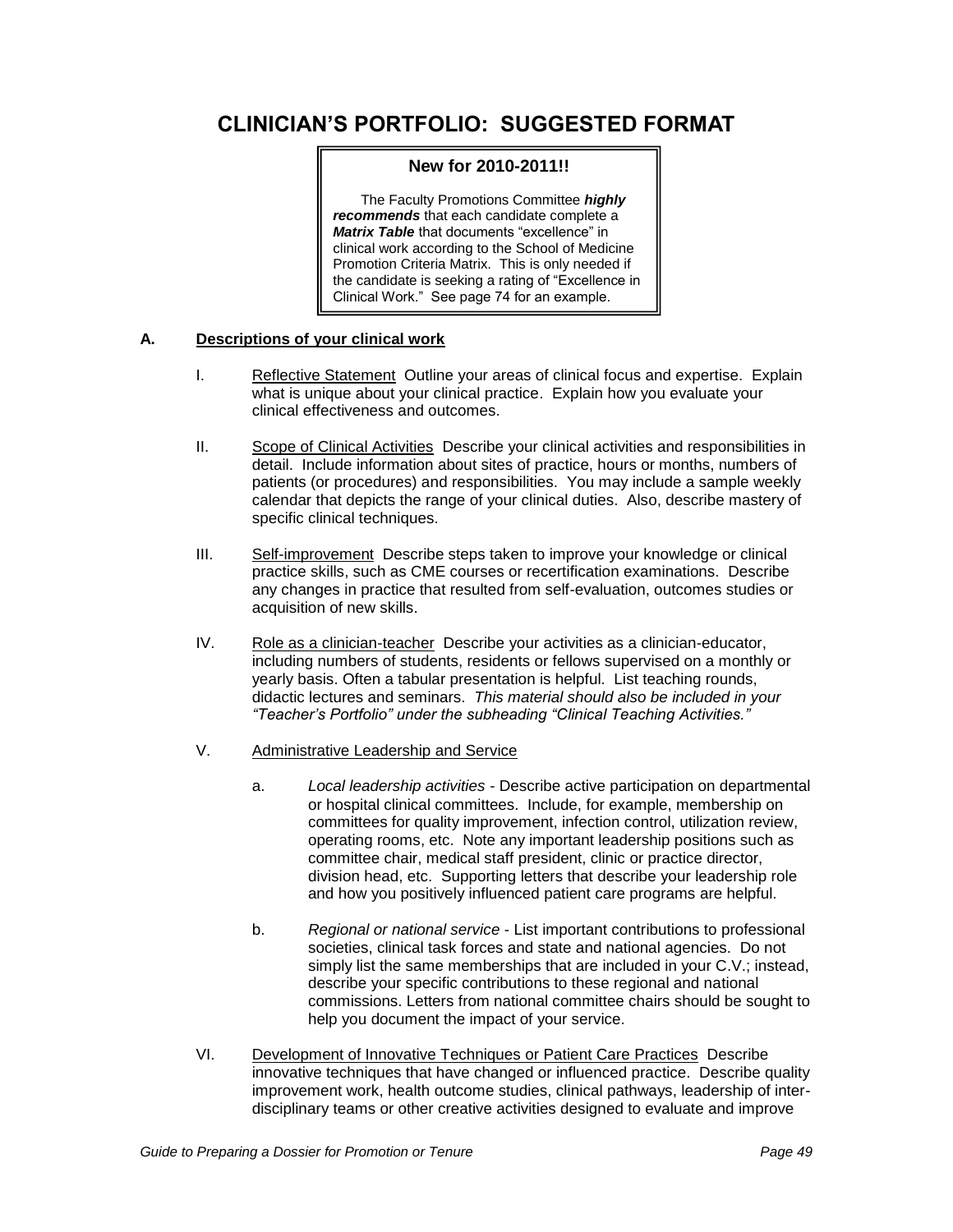# **CLINICIAN'S PORTFOLIO: SUGGESTED FORMAT**

#### **New for 2010-2011!!**

The Faculty Promotions Committee **highly recommends** that each candidate complete a **Matrix Table** that documents "excellence" in clinical work according to the School of Medicine Promotion Criteria Matrix. This is only needed if the candidate is seeking a rating of "Excellence in Clinical Work." See page 74 for an example.

#### **A. Descriptions of your clinical work**

- I. Reflective Statement Outline your areas of clinical focus and expertise. Explain what is unique about your clinical practice. Explain how you evaluate your clinical effectiveness and outcomes.
- II. Scope of Clinical Activities Describe your clinical activities and responsibilities in detail. Include information about sites of practice, hours or months, numbers of patients (or procedures) and responsibilities. You may include a sample weekly calendar that depicts the range of your clinical duties. Also, describe mastery of specific clinical techniques.
- III. Self-improvement Describe steps taken to improve your knowledge or clinical practice skills, such as CME courses or recertification examinations. Describe any changes in practice that resulted from self-evaluation, outcomes studies or acquisition of new skills.
- IV. Role as a clinician-teacher Describe your activities as a clinician-educator, including numbers of students, residents or fellows supervised on a monthly or yearly basis. Often a tabular presentation is helpful. List teaching rounds, didactic lectures and seminars. This material should also be included in your *"Teacher's Portfolio" under the subheading "Clinical Teaching Activities."*
- V. Administrative Leadership and Service
	- a. Local leadership activities Describe active participation on departmental or hospital clinical committees. Include, for example, membership on committees for quality improvement, infection control, utilization review, operating rooms, etc. Note any important leadership positions such as committee chair, medical staff president, clinic or practice director, division head, etc. Supporting letters that describe your leadership role and how you positively influenced patient care programs are helpful.
	- b. Regional or national service List important contributions to professional societies, clinical task forces and state and national agencies. Do not simply list the same memberships that are included in your C.V.; instead, describe your specific contributions to these regional and national commissions. Letters from national committee chairs should be sought to help you document the impact of your service.
- VI. Development of Innovative Techniques or Patient Care Practices Describe innovative techniques that have changed or influenced practice. Describe quality improvement work, health outcome studies, clinical pathways, leadership of interdisciplinary teams or other creative activities designed to evaluate and improve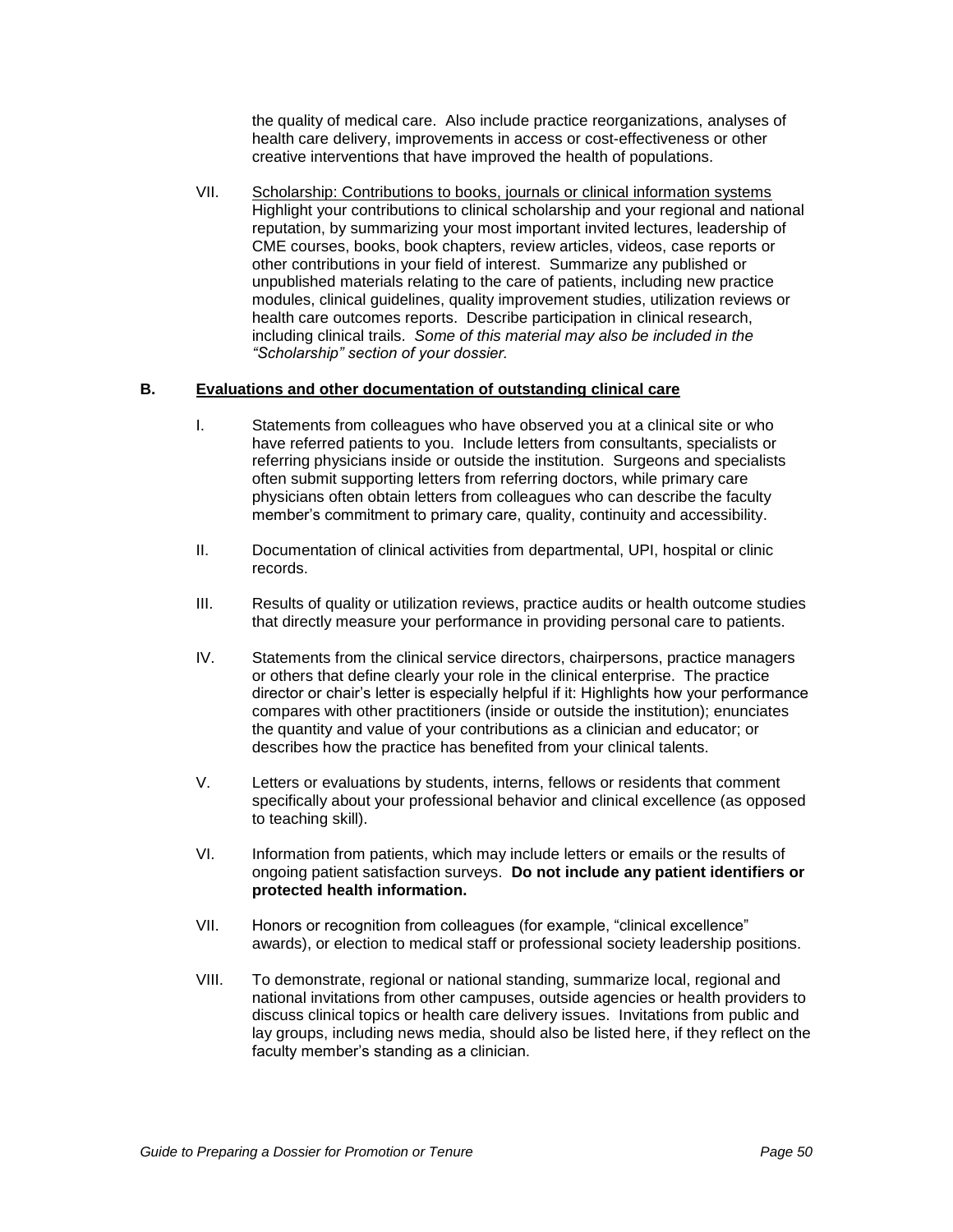the quality of medical care. Also include practice reorganizations, analyses of health care delivery, improvements in access or cost-effectiveness or other creative interventions that have improved the health of populations.

VII. Scholarship: Contributions to books, journals or clinical information systems Highlight your contributions to clinical scholarship and your regional and national reputation, by summarizing your most important invited lectures, leadership of CME courses, books, book chapters, review articles, videos, case reports or other contributions in your field of interest. Summarize any published or unpublished materials relating to the care of patients, including new practice modules, clinical guidelines, quality improvement studies, utilization reviews or health care outcomes reports. Describe participation in clinical research, including clinical trails. Some of this material may also be included in the *"Scholarship" section of your dossier.*

#### **B. Evaluations and other documentation of outstanding clinical care**

- I. Statements from colleagues who have observed you at a clinical site or who have referred patients to you. Include letters from consultants, specialists or referring physicians inside or outside the institution. Surgeons and specialists often submit supporting letters from referring doctors, while primary care physicians often obtain letters from colleagues who can describe the faculty member"s commitment to primary care, quality, continuity and accessibility.
- II. Documentation of clinical activities from departmental, UPI, hospital or clinic records.
- III. Results of quality or utilization reviews, practice audits or health outcome studies that directly measure your performance in providing personal care to patients.
- IV. Statements from the clinical service directors, chairpersons, practice managers or others that define clearly your role in the clinical enterprise. The practice director or chair"s letter is especially helpful if it: Highlights how your performance compares with other practitioners (inside or outside the institution); enunciates the quantity and value of your contributions as a clinician and educator; or describes how the practice has benefited from your clinical talents.
- V. Letters or evaluations by students, interns, fellows or residents that comment specifically about your professional behavior and clinical excellence (as opposed to teaching skill).
- VI. Information from patients, which may include letters or emails or the results of ongoing patient satisfaction surveys. **Do not include any patient identifiers or protected health information.**
- VII. Honors or recognition from colleagues (for example, "clinical excellence" awards), or election to medical staff or professional society leadership positions.
- VIII. To demonstrate, regional or national standing, summarize local, regional and national invitations from other campuses, outside agencies or health providers to discuss clinical topics or health care delivery issues. Invitations from public and lay groups, including news media, should also be listed here, if they reflect on the faculty member's standing as a clinician.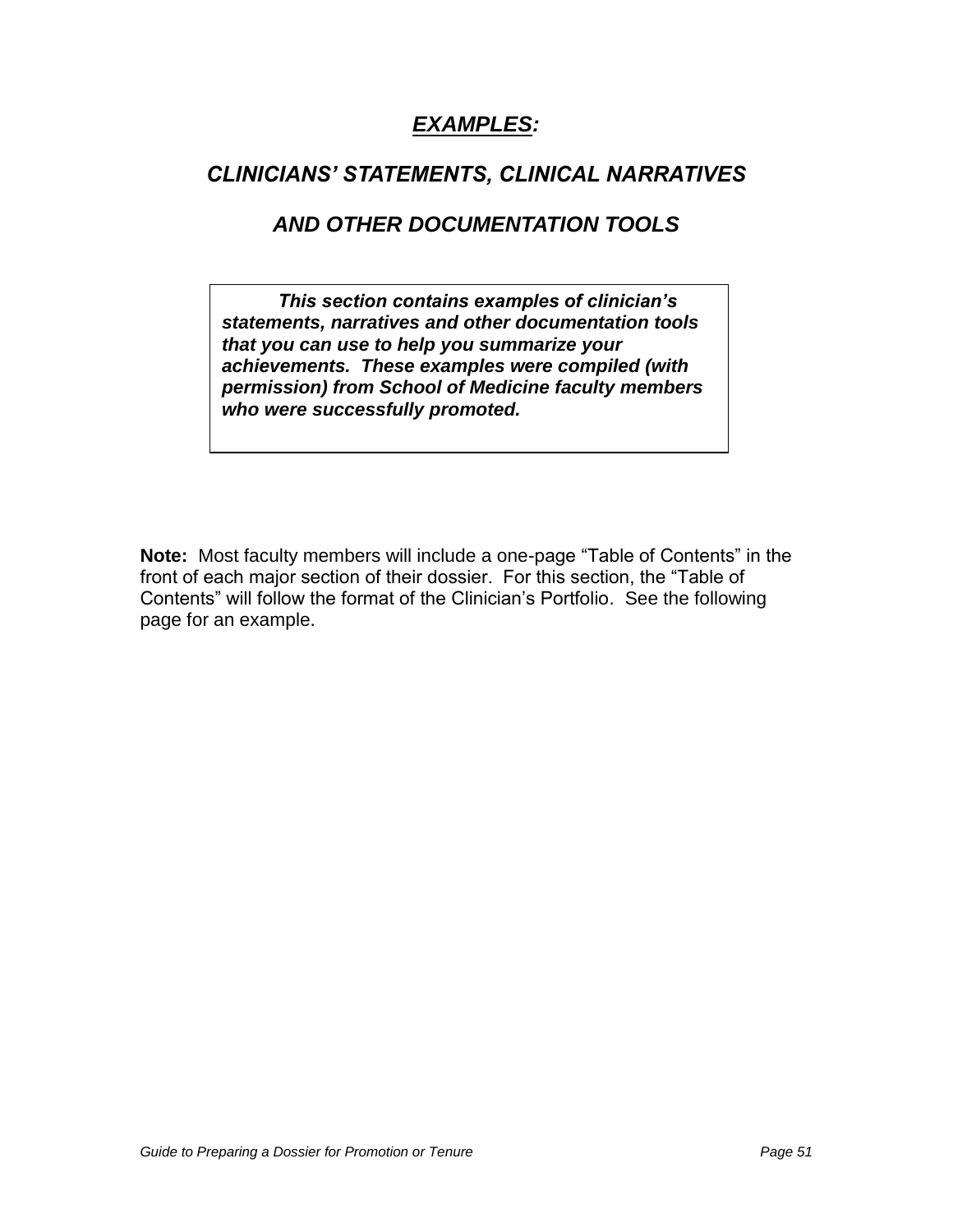# **EXAMPLES:**

# *CLINICIANS' STATEMENTS, CLINICAL NARRATIVES*

# **AND OTHER DOCUMENTATION TOOLS**

*This section contains examples of clinician's*  **statements, narratives and other documentation tools that you can use to help you summarize your achievements. These examples were compiled (with permission) from School of Medicine faculty members who were successfully promoted.** 

**Note:** Most faculty members will include a one-page "Table of Contents" in the front of each major section of their dossier. For this section, the "Table of Contents" will follow the format of the Clinician"s Portfolio. See the following page for an example.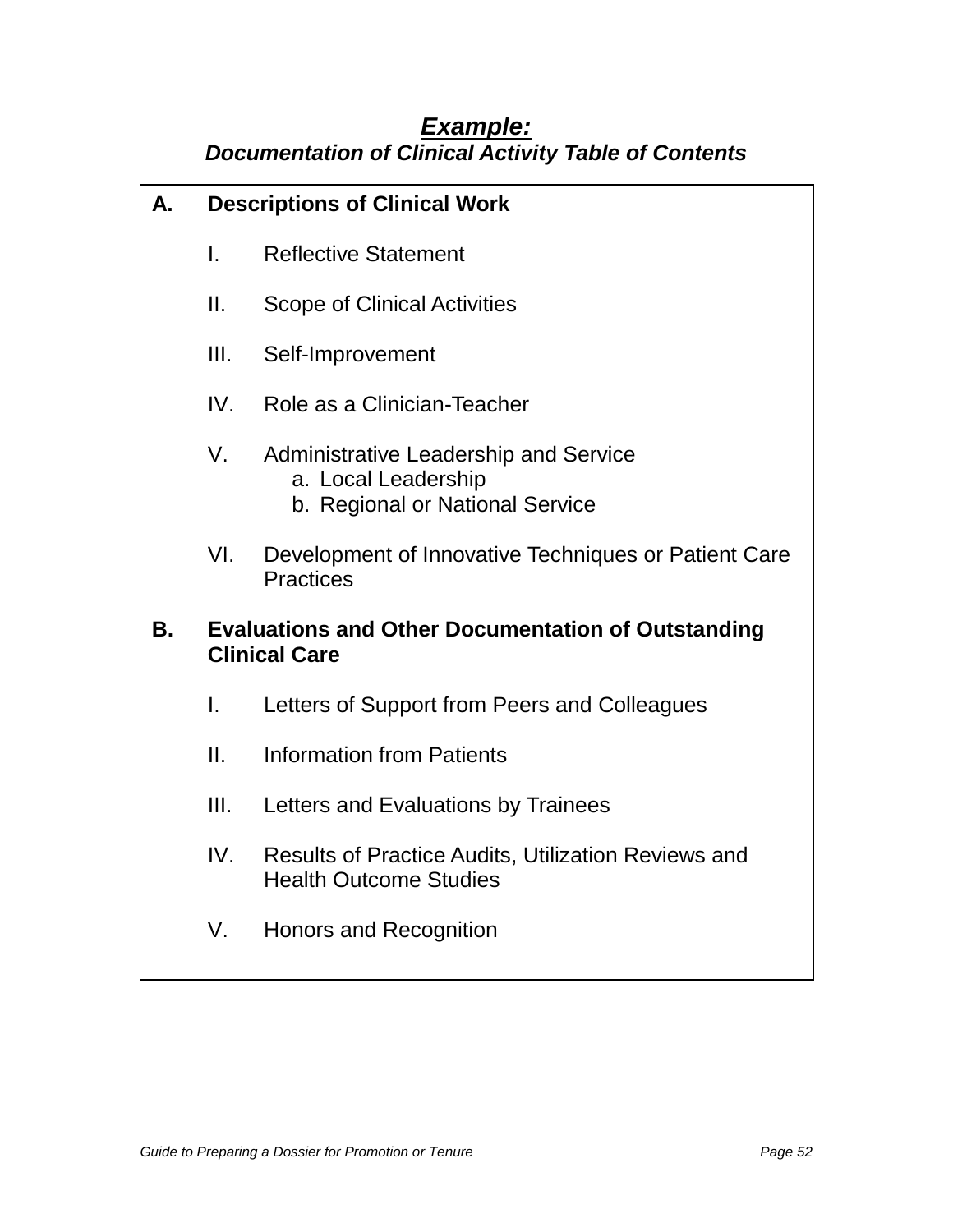# **Example: Documentation of Clinical Activity Table of Contents**

| А.                                 |              | <b>Descriptions of Clinical Work</b>                                                                   |  |  |
|------------------------------------|--------------|--------------------------------------------------------------------------------------------------------|--|--|
|                                    | $\mathbf{L}$ | <b>Reflective Statement</b>                                                                            |  |  |
|                                    | Ш.           | <b>Scope of Clinical Activities</b>                                                                    |  |  |
|                                    | III.         | Self-Improvement                                                                                       |  |  |
| Role as a Clinician-Teacher<br>IV. |              |                                                                                                        |  |  |
|                                    | V.           | <b>Administrative Leadership and Service</b><br>a. Local Leadership<br>b. Regional or National Service |  |  |
|                                    | VI.          | Development of Innovative Techniques or Patient Care<br><b>Practices</b>                               |  |  |
| В.                                 |              | <b>Evaluations and Other Documentation of Outstanding</b><br><b>Clinical Care</b>                      |  |  |
|                                    | I.           | Letters of Support from Peers and Colleagues                                                           |  |  |
|                                    | П.           | <b>Information from Patients</b>                                                                       |  |  |
|                                    | III.         | Letters and Evaluations by Trainees                                                                    |  |  |
|                                    | IV.          | <b>Results of Practice Audits, Utilization Reviews and</b><br><b>Health Outcome Studies</b>            |  |  |
|                                    | V.           | Honors and Recognition                                                                                 |  |  |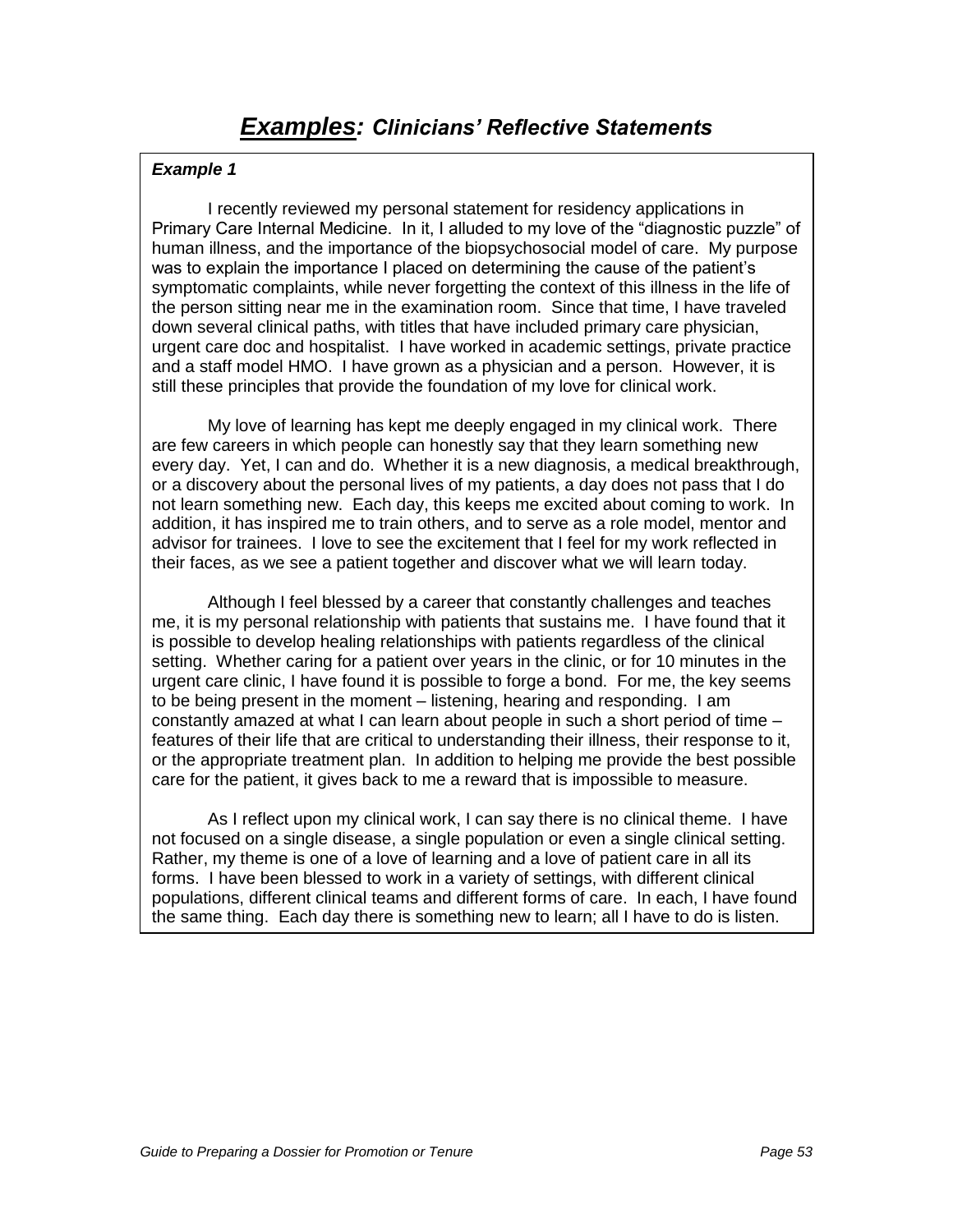I recently reviewed my personal statement for residency applications in Primary Care Internal Medicine. In it, I alluded to my love of the "diagnostic puzzle" of human illness, and the importance of the biopsychosocial model of care. My purpose was to explain the importance I placed on determining the cause of the patient"s symptomatic complaints, while never forgetting the context of this illness in the life of the person sitting near me in the examination room. Since that time, I have traveled down several clinical paths, with titles that have included primary care physician, urgent care doc and hospitalist. I have worked in academic settings, private practice and a staff model HMO. I have grown as a physician and a person. However, it is still these principles that provide the foundation of my love for clinical work.

My love of learning has kept me deeply engaged in my clinical work. There are few careers in which people can honestly say that they learn something new every day. Yet, I can and do. Whether it is a new diagnosis, a medical breakthrough, or a discovery about the personal lives of my patients, a day does not pass that I do not learn something new. Each day, this keeps me excited about coming to work. In addition, it has inspired me to train others, and to serve as a role model, mentor and advisor for trainees. I love to see the excitement that I feel for my work reflected in their faces, as we see a patient together and discover what we will learn today.

Although I feel blessed by a career that constantly challenges and teaches me, it is my personal relationship with patients that sustains me. I have found that it is possible to develop healing relationships with patients regardless of the clinical setting. Whether caring for a patient over years in the clinic, or for 10 minutes in the urgent care clinic, I have found it is possible to forge a bond. For me, the key seems to be being present in the moment – listening, hearing and responding. I am constantly amazed at what I can learn about people in such a short period of time – features of their life that are critical to understanding their illness, their response to it, or the appropriate treatment plan. In addition to helping me provide the best possible care for the patient, it gives back to me a reward that is impossible to measure.

As I reflect upon my clinical work, I can say there is no clinical theme. I have not focused on a single disease, a single population or even a single clinical setting. Rather, my theme is one of a love of learning and a love of patient care in all its forms. I have been blessed to work in a variety of settings, with different clinical populations, different clinical teams and different forms of care. In each, I have found the same thing. Each day there is something new to learn; all I have to do is listen.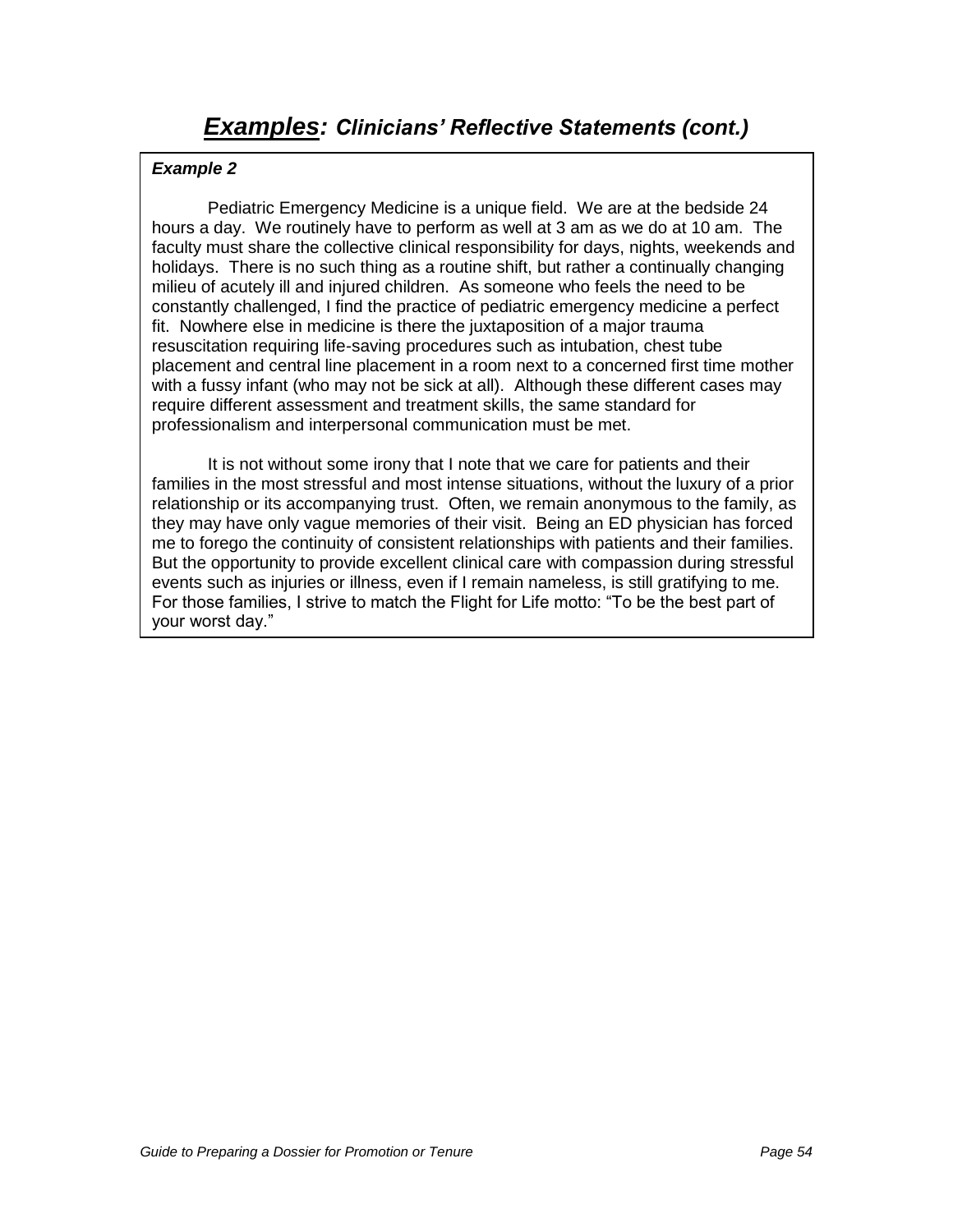Pediatric Emergency Medicine is a unique field. We are at the bedside 24 hours a day. We routinely have to perform as well at 3 am as we do at 10 am. The faculty must share the collective clinical responsibility for days, nights, weekends and holidays. There is no such thing as a routine shift, but rather a continually changing milieu of acutely ill and injured children. As someone who feels the need to be constantly challenged, I find the practice of pediatric emergency medicine a perfect fit. Nowhere else in medicine is there the juxtaposition of a major trauma resuscitation requiring life-saving procedures such as intubation, chest tube placement and central line placement in a room next to a concerned first time mother with a fussy infant (who may not be sick at all). Although these different cases may require different assessment and treatment skills, the same standard for professionalism and interpersonal communication must be met.

It is not without some irony that I note that we care for patients and their families in the most stressful and most intense situations, without the luxury of a prior relationship or its accompanying trust. Often, we remain anonymous to the family, as they may have only vague memories of their visit. Being an ED physician has forced me to forego the continuity of consistent relationships with patients and their families. But the opportunity to provide excellent clinical care with compassion during stressful events such as injuries or illness, even if I remain nameless, is still gratifying to me. For those families, I strive to match the Flight for Life motto: "To be the best part of your worst day."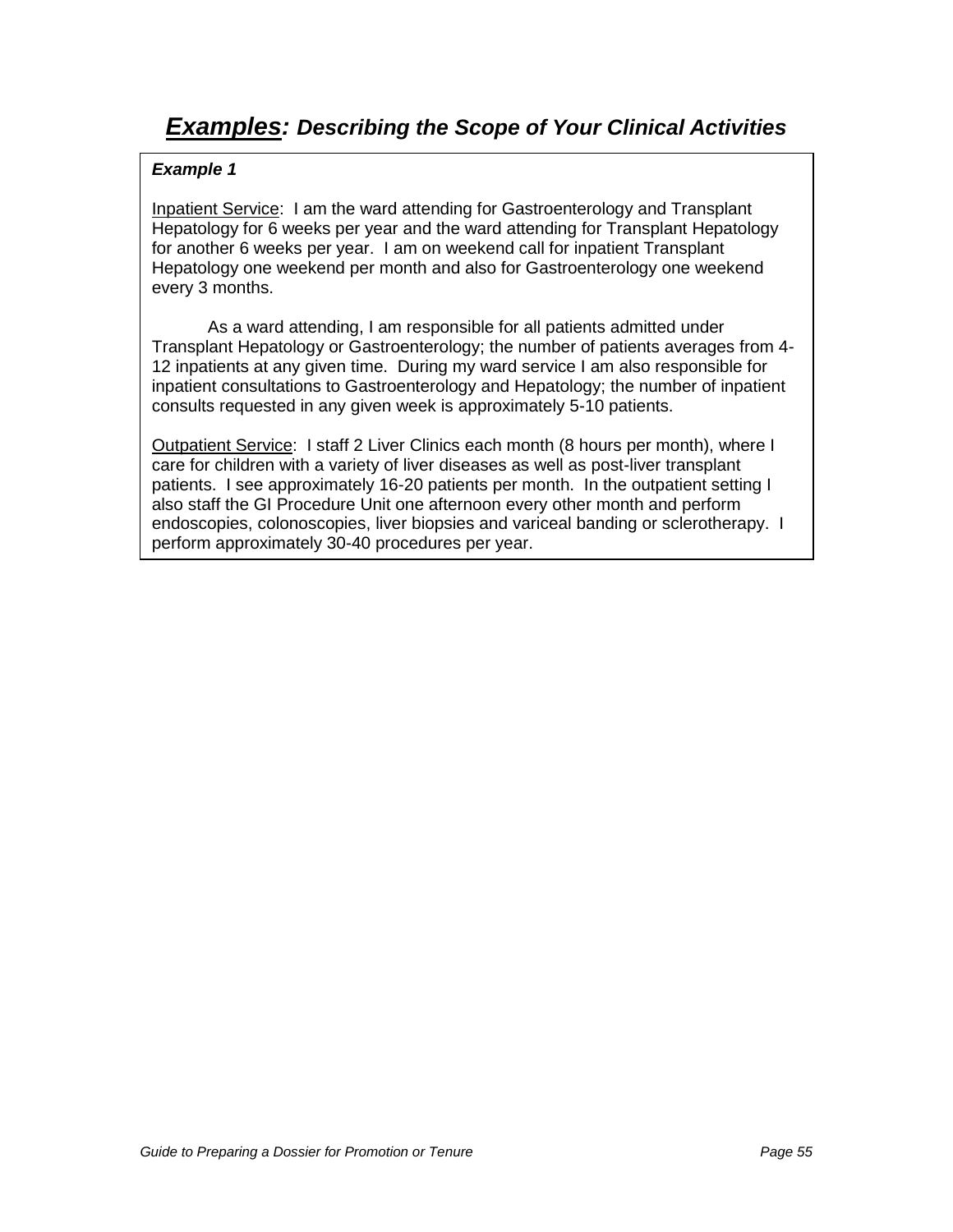Inpatient Service: I am the ward attending for Gastroenterology and Transplant Hepatology for 6 weeks per year and the ward attending for Transplant Hepatology for another 6 weeks per year. I am on weekend call for inpatient Transplant Hepatology one weekend per month and also for Gastroenterology one weekend every 3 months.

As a ward attending, I am responsible for all patients admitted under Transplant Hepatology or Gastroenterology; the number of patients averages from 4- 12 inpatients at any given time. During my ward service I am also responsible for inpatient consultations to Gastroenterology and Hepatology; the number of inpatient consults requested in any given week is approximately 5-10 patients.

Outpatient Service: I staff 2 Liver Clinics each month (8 hours per month), where I care for children with a variety of liver diseases as well as post-liver transplant patients. I see approximately 16-20 patients per month. In the outpatient setting I also staff the GI Procedure Unit one afternoon every other month and perform endoscopies, colonoscopies, liver biopsies and variceal banding or sclerotherapy. I perform approximately 30-40 procedures per year.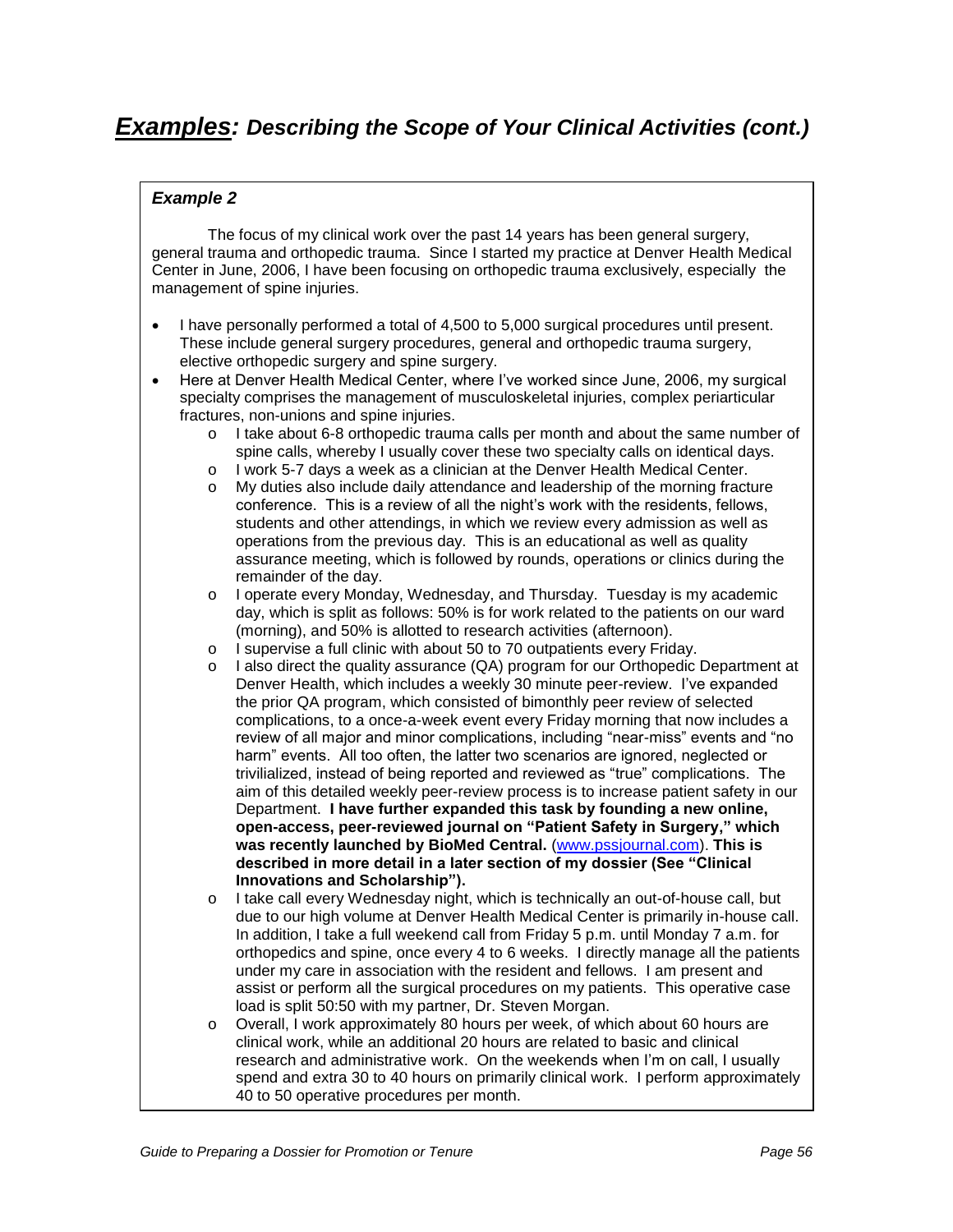# **Examples: Describing the Scope of Your Clinical Activities (cont.)**

### **Example 2**

The focus of my clinical work over the past 14 years has been general surgery, general trauma and orthopedic trauma. Since I started my practice at Denver Health Medical Center in June, 2006, I have been focusing on orthopedic trauma exclusively, especially the management of spine injuries.

- I have personally performed a total of 4,500 to 5,000 surgical procedures until present. These include general surgery procedures, general and orthopedic trauma surgery, elective orthopedic surgery and spine surgery.
- Here at Denver Health Medical Center, where I"ve worked since June, 2006, my surgical specialty comprises the management of musculoskeletal injuries, complex periarticular fractures, non-unions and spine injuries.
	- o I take about 6-8 orthopedic trauma calls per month and about the same number of spine calls, whereby I usually cover these two specialty calls on identical days.
	- o I work 5-7 days a week as a clinician at the Denver Health Medical Center.
	- o My duties also include daily attendance and leadership of the morning fracture conference. This is a review of all the night"s work with the residents, fellows, students and other attendings, in which we review every admission as well as operations from the previous day. This is an educational as well as quality assurance meeting, which is followed by rounds, operations or clinics during the remainder of the day.
	- o I operate every Monday, Wednesday, and Thursday. Tuesday is my academic day, which is split as follows: 50% is for work related to the patients on our ward (morning), and 50% is allotted to research activities (afternoon).
	- o I supervise a full clinic with about 50 to 70 outpatients every Friday.
	- I also direct the quality assurance (QA) program for our Orthopedic Department at Denver Health, which includes a weekly 30 minute peer-review. I"ve expanded the prior QA program, which consisted of bimonthly peer review of selected complications, to a once-a-week event every Friday morning that now includes a review of all major and minor complications, including "near-miss" events and "no harm" events. All too often, the latter two scenarios are ignored, neglected or trivilialized, instead of being reported and reviewed as "true" complications. The aim of this detailed weekly peer-review process is to increase patient safety in our Department. **I have further expanded this task by founding a new online, open-access, peer-reviewed journal on "Patient Safety in Surgery," which was recently launched by BioMed Central.** [\(www.pssjournal.com\)](http://www.pssjournal.com/). **This is described in more detail in a later section of my dossier (See "Clinical Innovations and Scholarship").**
	- o I take call every Wednesday night, which is technically an out-of-house call, but due to our high volume at Denver Health Medical Center is primarily in-house call. In addition, I take a full weekend call from Friday 5 p.m. until Monday 7 a.m. for orthopedics and spine, once every 4 to 6 weeks. I directly manage all the patients under my care in association with the resident and fellows. I am present and assist or perform all the surgical procedures on my patients. This operative case load is split 50:50 with my partner, Dr. Steven Morgan.
	- o Overall, I work approximately 80 hours per week, of which about 60 hours are clinical work, while an additional 20 hours are related to basic and clinical research and administrative work. On the weekends when I"m on call, I usually spend and extra 30 to 40 hours on primarily clinical work. I perform approximately 40 to 50 operative procedures per month.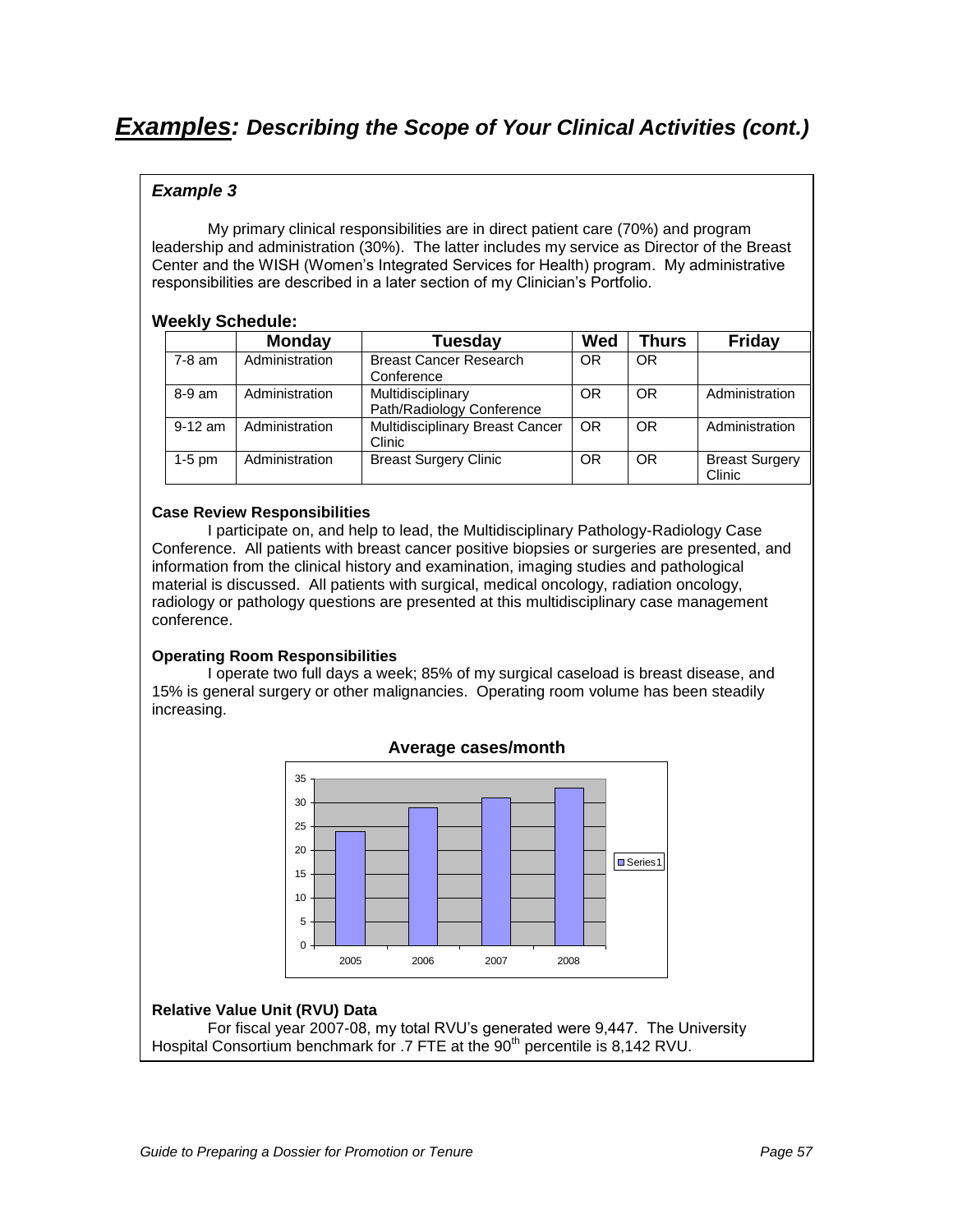# **Examples: Describing the Scope of Your Clinical Activities (cont.)**

### **Example 3**

My primary clinical responsibilities are in direct patient care (70%) and program leadership and administration (30%). The latter includes my service as Director of the Breast Center and the WISH (Women"s Integrated Services for Health) program. My administrative responsibilities are described in a later section of my Clinician"s Portfolio.

### **Weekly Schedule:**

|           | <b>Monday</b>  | Tuesday                                        | <b>Wed</b> | Thurs     | <b>Friday</b>                   |
|-----------|----------------|------------------------------------------------|------------|-----------|---------------------------------|
| $7-8$ am  | Administration | <b>Breast Cancer Research</b><br>Conference    | <b>OR</b>  | <b>OR</b> |                                 |
| $8-9$ am  | Administration | Multidisciplinary<br>Path/Radiology Conference | OR         | <b>OR</b> | Administration                  |
| $9-12$ am | Administration | Multidisciplinary Breast Cancer<br>Clinic      | <b>OR</b>  | <b>OR</b> | Administration                  |
| $1-5$ pm  | Administration | <b>Breast Surgery Clinic</b>                   | <b>OR</b>  | <b>OR</b> | <b>Breast Surgery</b><br>Clinic |

#### **Case Review Responsibilities**

I participate on, and help to lead, the Multidisciplinary Pathology-Radiology Case Conference. All patients with breast cancer positive biopsies or surgeries are presented, and information from the clinical history and examination, imaging studies and pathological material is discussed. All patients with surgical, medical oncology, radiation oncology, radiology or pathology questions are presented at this multidisciplinary case management conference.

#### **Operating Room Responsibilities**

I operate two full days a week; 85% of my surgical caseload is breast disease, and 15% is general surgery or other malignancies. Operating room volume has been steadily increasing.



### **Relative Value Unit (RVU) Data**

For fiscal year 2007-08, my total RVU"s generated were 9,447. The University Hospital Consortium benchmark for .7 FTE at the 90<sup>th</sup> percentile is 8,142 RVU.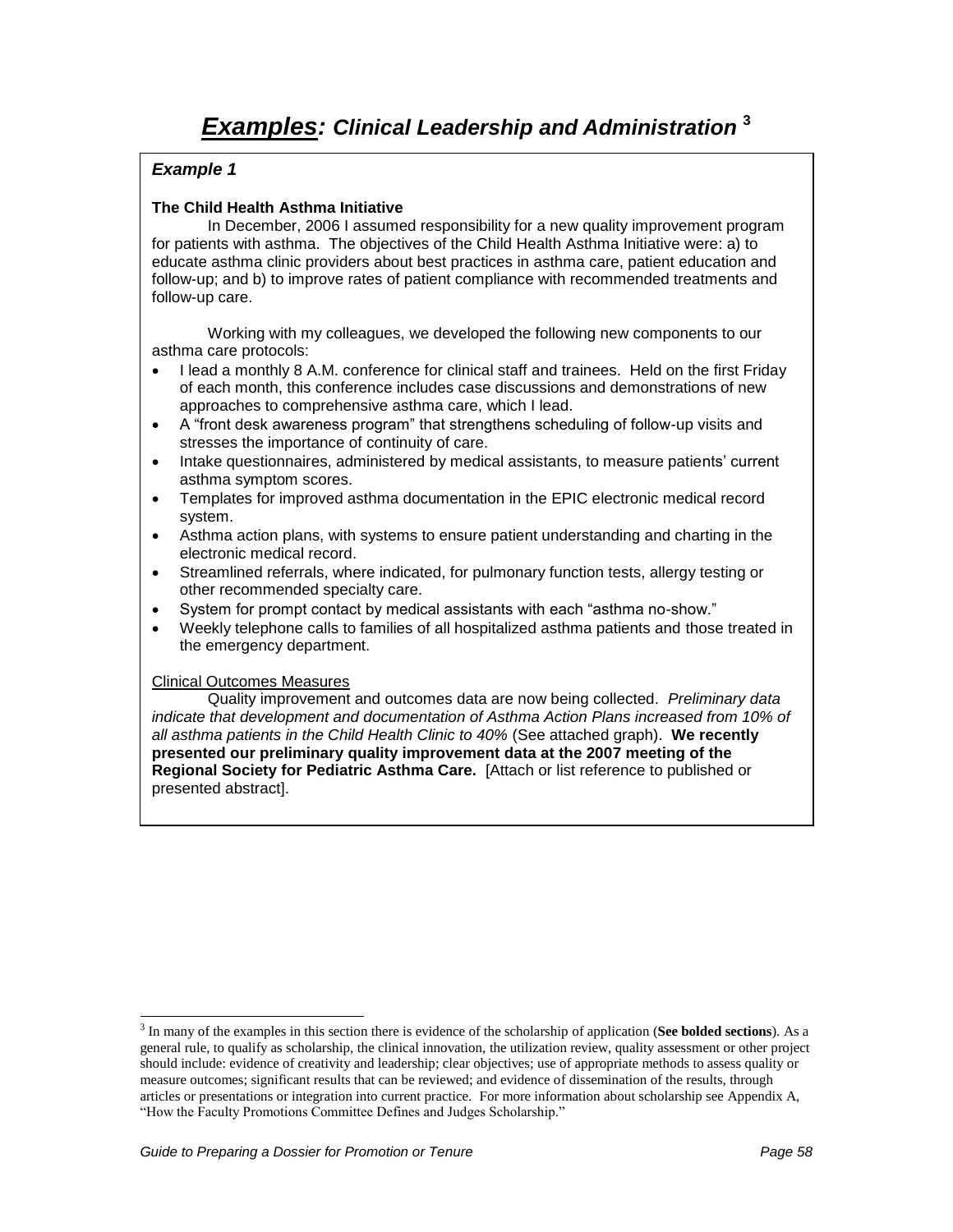### **The Child Health Asthma Initiative**

In December, 2006 I assumed responsibility for a new quality improvement program for patients with asthma. The objectives of the Child Health Asthma Initiative were: a) to educate asthma clinic providers about best practices in asthma care, patient education and follow-up; and b) to improve rates of patient compliance with recommended treatments and follow-up care.

Working with my colleagues, we developed the following new components to our asthma care protocols:

- I lead a monthly 8 A.M. conference for clinical staff and trainees. Held on the first Friday of each month, this conference includes case discussions and demonstrations of new approaches to comprehensive asthma care, which I lead.
- A "front desk awareness program" that strengthens scheduling of follow-up visits and stresses the importance of continuity of care.
- Intake questionnaires, administered by medical assistants, to measure patients" current asthma symptom scores.
- Templates for improved asthma documentation in the EPIC electronic medical record system.
- Asthma action plans, with systems to ensure patient understanding and charting in the electronic medical record.
- Streamlined referrals, where indicated, for pulmonary function tests, allergy testing or other recommended specialty care.
- System for prompt contact by medical assistants with each "asthma no-show."
- Weekly telephone calls to families of all hospitalized asthma patients and those treated in the emergency department.

#### Clinical Outcomes Measures

Quality improvement and outcomes data are now being collected. Preliminary data indicate that development and documentation of Asthma Action Plans increased from 10% of all asthma patients in the Child Health Clinic to 40% (See attached graph). **We recently presented our preliminary quality improvement data at the 2007 meeting of the Regional Society for Pediatric Asthma Care.** [Attach or list reference to published or presented abstract].

 $\overline{a}$ 3 In many of the examples in this section there is evidence of the scholarship of application (**See bolded sections**). As a general rule, to qualify as scholarship, the clinical innovation, the utilization review, quality assessment or other project should include: evidence of creativity and leadership; clear objectives; use of appropriate methods to assess quality or measure outcomes; significant results that can be reviewed; and evidence of dissemination of the results, through articles or presentations or integration into current practice. For more information about scholarship see Appendix A, "How the Faculty Promotions Committee Defines and Judges Scholarship."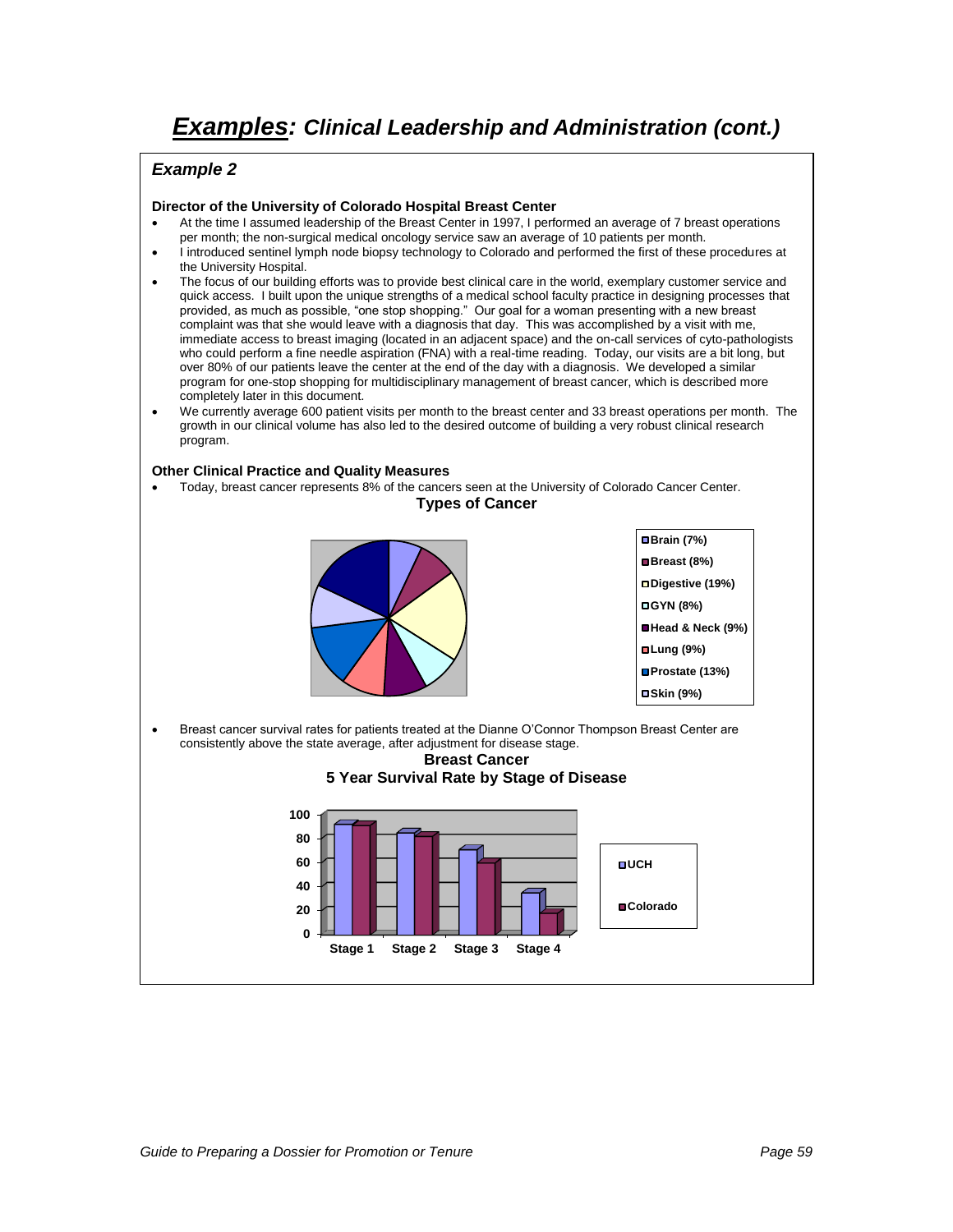### **Example 2**

#### **Director of the University of Colorado Hospital Breast Center**

- At the time I assumed leadership of the Breast Center in 1997, I performed an average of 7 breast operations per month; the non-surgical medical oncology service saw an average of 10 patients per month.
- I introduced sentinel lymph node biopsy technology to Colorado and performed the first of these procedures at the University Hospital.
- The focus of our building efforts was to provide best clinical care in the world, exemplary customer service and quick access. I built upon the unique strengths of a medical school faculty practice in designing processes that provided, as much as possible, "one stop shopping." Our goal for a woman presenting with a new breast complaint was that she would leave with a diagnosis that day. This was accomplished by a visit with me, immediate access to breast imaging (located in an adjacent space) and the on-call services of cyto-pathologists who could perform a fine needle aspiration (FNA) with a real-time reading. Today, our visits are a bit long, but over 80% of our patients leave the center at the end of the day with a diagnosis. We developed a similar program for one-stop shopping for multidisciplinary management of breast cancer, which is described more completely later in this document.
- We currently average 600 patient visits per month to the breast center and 33 breast operations per month. The growth in our clinical volume has also led to the desired outcome of building a very robust clinical research program.

#### **Other Clinical Practice and Quality Measures**

 Today, breast cancer represents 8% of the cancers seen at the University of Colorado Cancer Center. **Types of Cancer**



 Breast cancer survival rates for patients treated at the Dianne O"Connor Thompson Breast Center are consistently above the state average, after adjustment for disease stage.

**Breast Cancer**

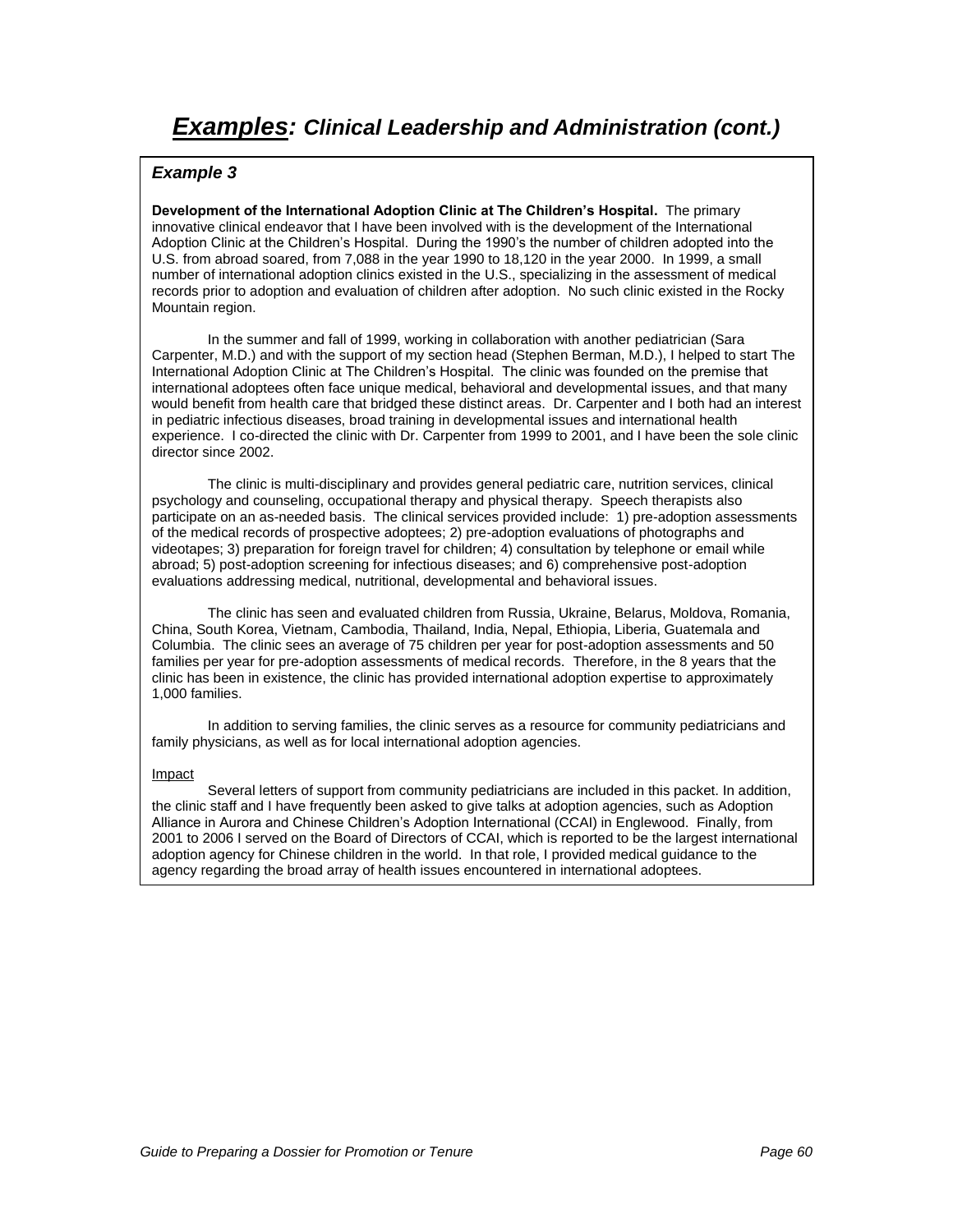**Development of the International Adoption Clinic at The Children's Hospital.** The primary innovative clinical endeavor that I have been involved with is the development of the International Adoption Clinic at the Children"s Hospital. During the 1990"s the number of children adopted into the U.S. from abroad soared, from 7,088 in the year 1990 to 18,120 in the year 2000. In 1999, a small number of international adoption clinics existed in the U.S., specializing in the assessment of medical records prior to adoption and evaluation of children after adoption. No such clinic existed in the Rocky Mountain region.

In the summer and fall of 1999, working in collaboration with another pediatrician (Sara Carpenter, M.D.) and with the support of my section head (Stephen Berman, M.D.), I helped to start The International Adoption Clinic at The Children"s Hospital. The clinic was founded on the premise that international adoptees often face unique medical, behavioral and developmental issues, and that many would benefit from health care that bridged these distinct areas. Dr. Carpenter and I both had an interest in pediatric infectious diseases, broad training in developmental issues and international health experience. I co-directed the clinic with Dr. Carpenter from 1999 to 2001, and I have been the sole clinic director since 2002.

The clinic is multi-disciplinary and provides general pediatric care, nutrition services, clinical psychology and counseling, occupational therapy and physical therapy. Speech therapists also participate on an as-needed basis. The clinical services provided include: 1) pre-adoption assessments of the medical records of prospective adoptees; 2) pre-adoption evaluations of photographs and videotapes; 3) preparation for foreign travel for children; 4) consultation by telephone or email while abroad; 5) post-adoption screening for infectious diseases; and 6) comprehensive post-adoption evaluations addressing medical, nutritional, developmental and behavioral issues.

The clinic has seen and evaluated children from Russia, Ukraine, Belarus, Moldova, Romania, China, South Korea, Vietnam, Cambodia, Thailand, India, Nepal, Ethiopia, Liberia, Guatemala and Columbia. The clinic sees an average of 75 children per year for post-adoption assessments and 50 families per year for pre-adoption assessments of medical records. Therefore, in the 8 years that the clinic has been in existence, the clinic has provided international adoption expertise to approximately 1,000 families.

In addition to serving families, the clinic serves as a resource for community pediatricians and family physicians, as well as for local international adoption agencies.

#### Impact

Several letters of support from community pediatricians are included in this packet. In addition, the clinic staff and I have frequently been asked to give talks at adoption agencies, such as Adoption Alliance in Aurora and Chinese Children"s Adoption International (CCAI) in Englewood. Finally, from 2001 to 2006 I served on the Board of Directors of CCAI, which is reported to be the largest international adoption agency for Chinese children in the world. In that role, I provided medical guidance to the agency regarding the broad array of health issues encountered in international adoptees.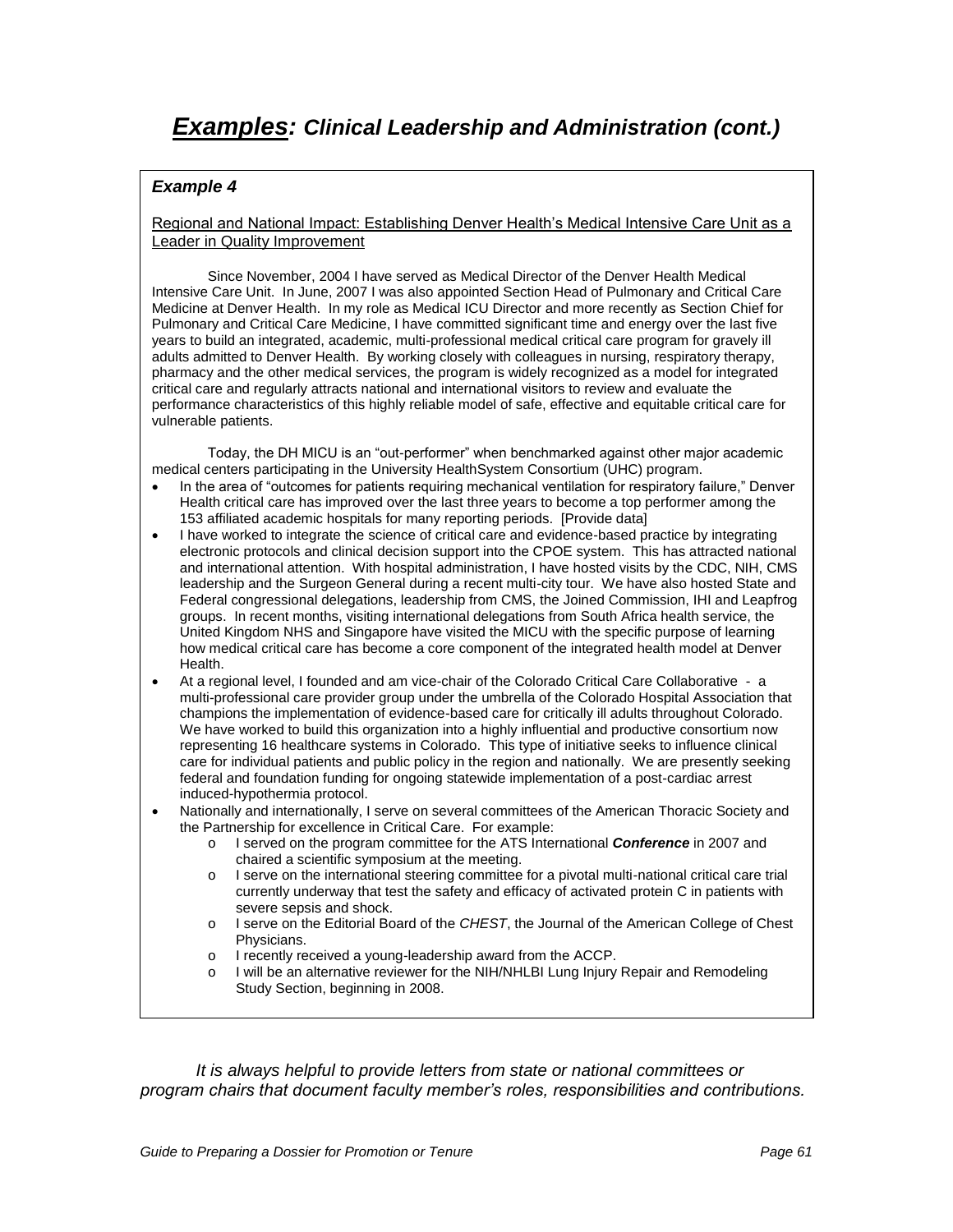Regional and National Impact: Establishing Denver Health"s Medical Intensive Care Unit as a Leader in Quality Improvement

Since November, 2004 I have served as Medical Director of the Denver Health Medical Intensive Care Unit. In June, 2007 I was also appointed Section Head of Pulmonary and Critical Care Medicine at Denver Health. In my role as Medical ICU Director and more recently as Section Chief for Pulmonary and Critical Care Medicine, I have committed significant time and energy over the last five years to build an integrated, academic, multi-professional medical critical care program for gravely ill adults admitted to Denver Health. By working closely with colleagues in nursing, respiratory therapy, pharmacy and the other medical services, the program is widely recognized as a model for integrated critical care and regularly attracts national and international visitors to review and evaluate the performance characteristics of this highly reliable model of safe, effective and equitable critical care for vulnerable patients.

Today, the DH MICU is an "out-performer" when benchmarked against other major academic medical centers participating in the University HealthSystem Consortium (UHC) program.

- In the area of "outcomes for patients requiring mechanical ventilation for respiratory failure," Denver Health critical care has improved over the last three years to become a top performer among the 153 affiliated academic hospitals for many reporting periods. [Provide data]
- I have worked to integrate the science of critical care and evidence-based practice by integrating electronic protocols and clinical decision support into the CPOE system. This has attracted national and international attention. With hospital administration, I have hosted visits by the CDC, NIH, CMS leadership and the Surgeon General during a recent multi-city tour. We have also hosted State and Federal congressional delegations, leadership from CMS, the Joined Commission, IHI and Leapfrog groups. In recent months, visiting international delegations from South Africa health service, the United Kingdom NHS and Singapore have visited the MICU with the specific purpose of learning how medical critical care has become a core component of the integrated health model at Denver Health.
- At a regional level, I founded and am vice-chair of the Colorado Critical Care Collaborative a multi-professional care provider group under the umbrella of the Colorado Hospital Association that champions the implementation of evidence-based care for critically ill adults throughout Colorado. We have worked to build this organization into a highly influential and productive consortium now representing 16 healthcare systems in Colorado. This type of initiative seeks to influence clinical care for individual patients and public policy in the region and nationally. We are presently seeking federal and foundation funding for ongoing statewide implementation of a post-cardiac arrest induced-hypothermia protocol.
- Nationally and internationally, I serve on several committees of the American Thoracic Society and the Partnership for excellence in Critical Care. For example:
	- o I served on the program committee for the ATS International **Conference** in 2007 and chaired a scientific symposium at the meeting.
	- o I serve on the international steering committee for a pivotal multi-national critical care trial currently underway that test the safety and efficacy of activated protein C in patients with severe sepsis and shock.
	- $\circ$  I serve on the Editorial Board of the CHEST, the Journal of the American College of Chest Physicians.
	- o I recently received a young-leadership award from the ACCP.
	- I will be an alternative reviewer for the NIH/NHLBI Lung Injury Repair and Remodeling Study Section, beginning in 2008.

It is always helpful to provide letters from state or national committees or *program chairs that document faculty member's roles, responsibilities and contributions.*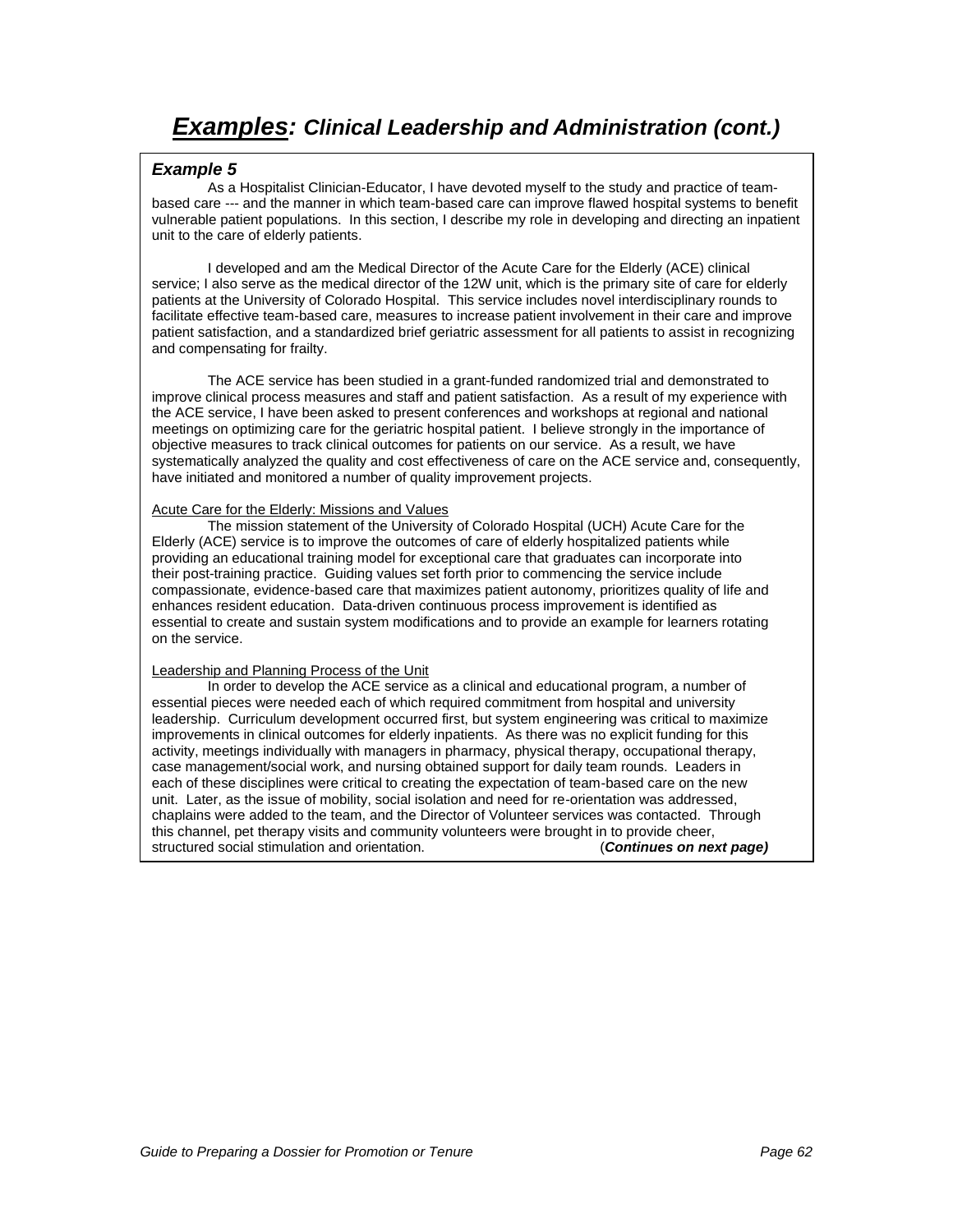#### **Example 5**

As a Hospitalist Clinician-Educator, I have devoted myself to the study and practice of teambased care --- and the manner in which team-based care can improve flawed hospital systems to benefit vulnerable patient populations. In this section, I describe my role in developing and directing an inpatient unit to the care of elderly patients.

I developed and am the Medical Director of the Acute Care for the Elderly (ACE) clinical service; I also serve as the medical director of the 12W unit, which is the primary site of care for elderly patients at the University of Colorado Hospital. This service includes novel interdisciplinary rounds to facilitate effective team-based care, measures to increase patient involvement in their care and improve patient satisfaction, and a standardized brief geriatric assessment for all patients to assist in recognizing and compensating for frailty.

The ACE service has been studied in a grant-funded randomized trial and demonstrated to improve clinical process measures and staff and patient satisfaction. As a result of my experience with the ACE service, I have been asked to present conferences and workshops at regional and national meetings on optimizing care for the geriatric hospital patient. I believe strongly in the importance of objective measures to track clinical outcomes for patients on our service. As a result, we have systematically analyzed the quality and cost effectiveness of care on the ACE service and, consequently, have initiated and monitored a number of quality improvement projects.

#### Acute Care for the Elderly: Missions and Values

The mission statement of the University of Colorado Hospital (UCH) Acute Care for the Elderly (ACE) service is to improve the outcomes of care of elderly hospitalized patients while providing an educational training model for exceptional care that graduates can incorporate into their post-training practice. Guiding values set forth prior to commencing the service include compassionate, evidence-based care that maximizes patient autonomy, prioritizes quality of life and enhances resident education. Data-driven continuous process improvement is identified as essential to create and sustain system modifications and to provide an example for learners rotating on the service.

#### Leadership and Planning Process of the Unit

In order to develop the ACE service as a clinical and educational program, a number of essential pieces were needed each of which required commitment from hospital and university leadership. Curriculum development occurred first, but system engineering was critical to maximize improvements in clinical outcomes for elderly inpatients. As there was no explicit funding for this activity, meetings individually with managers in pharmacy, physical therapy, occupational therapy, case management/social work, and nursing obtained support for daily team rounds. Leaders in each of these disciplines were critical to creating the expectation of team-based care on the new unit. Later, as the issue of mobility, social isolation and need for re-orientation was addressed, chaplains were added to the team, and the Director of Volunteer services was contacted. Through this channel, pet therapy visits and community volunteers were brought in to provide cheer,<br>structured social stimulation and orientation. (Continues on next page) structured social stimulation and orientation.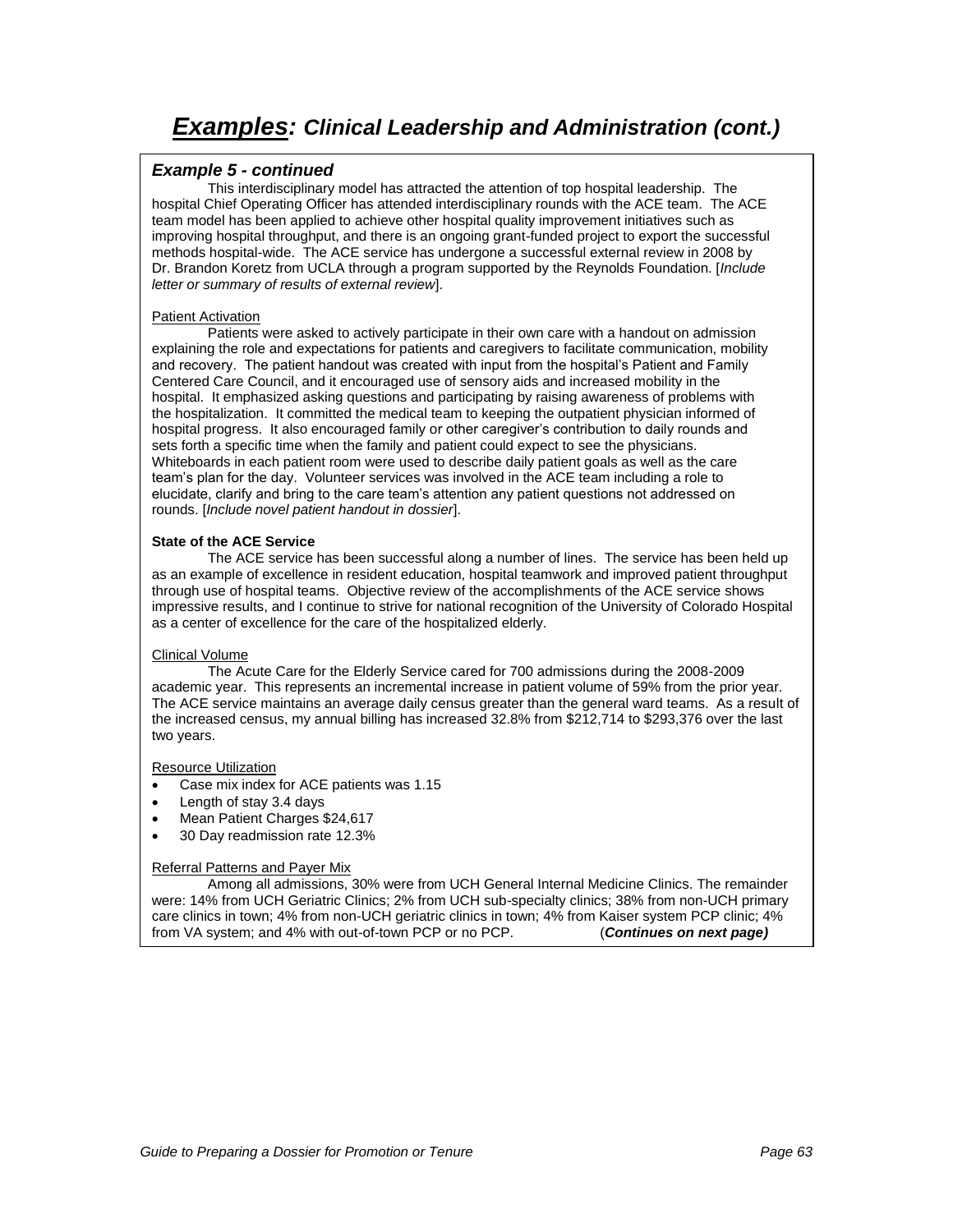#### **Example 5 - continued**

This interdisciplinary model has attracted the attention of top hospital leadership. The hospital Chief Operating Officer has attended interdisciplinary rounds with the ACE team. The ACE team model has been applied to achieve other hospital quality improvement initiatives such as improving hospital throughput, and there is an ongoing grant-funded project to export the successful methods hospital-wide. The ACE service has undergone a successful external review in 2008 by Dr. Brandon Koretz from UCLA through a program supported by the Reynolds Foundation. [Include letter or summary of results of external review].

#### Patient Activation

Patients were asked to actively participate in their own care with a handout on admission explaining the role and expectations for patients and caregivers to facilitate communication, mobility and recovery. The patient handout was created with input from the hospital"s Patient and Family Centered Care Council, and it encouraged use of sensory aids and increased mobility in the hospital. It emphasized asking questions and participating by raising awareness of problems with the hospitalization. It committed the medical team to keeping the outpatient physician informed of hospital progress. It also encouraged family or other caregiver"s contribution to daily rounds and sets forth a specific time when the family and patient could expect to see the physicians. Whiteboards in each patient room were used to describe daily patient goals as well as the care team"s plan for the day. Volunteer services was involved in the ACE team including a role to elucidate, clarify and bring to the care team"s attention any patient questions not addressed on rounds. [Include novel patient handout in dossier].

#### **State of the ACE Service**

The ACE service has been successful along a number of lines. The service has been held up as an example of excellence in resident education, hospital teamwork and improved patient throughput through use of hospital teams. Objective review of the accomplishments of the ACE service shows impressive results, and I continue to strive for national recognition of the University of Colorado Hospital as a center of excellence for the care of the hospitalized elderly.

#### Clinical Volume

The Acute Care for the Elderly Service cared for 700 admissions during the 2008-2009 academic year. This represents an incremental increase in patient volume of 59% from the prior year. The ACE service maintains an average daily census greater than the general ward teams. As a result of the increased census, my annual billing has increased 32.8% from \$212,714 to \$293,376 over the last two years.

#### Resource Utilization

- Case mix index for ACE patients was 1.15
- Length of stay 3.4 days
- Mean Patient Charges \$24,617
- 30 Day readmission rate 12.3%

#### Referral Patterns and Payer Mix

Among all admissions, 30% were from UCH General Internal Medicine Clinics. The remainder were: 14% from UCH Geriatric Clinics; 2% from UCH sub-specialty clinics; 38% from non-UCH primary care clinics in town; 4% from non-UCH geriatric clinics in town; 4% from Kaiser system PCP clinic; 4% from VA system; and 4% with out-of-town PCP or no PCP. (**Continues on next page)**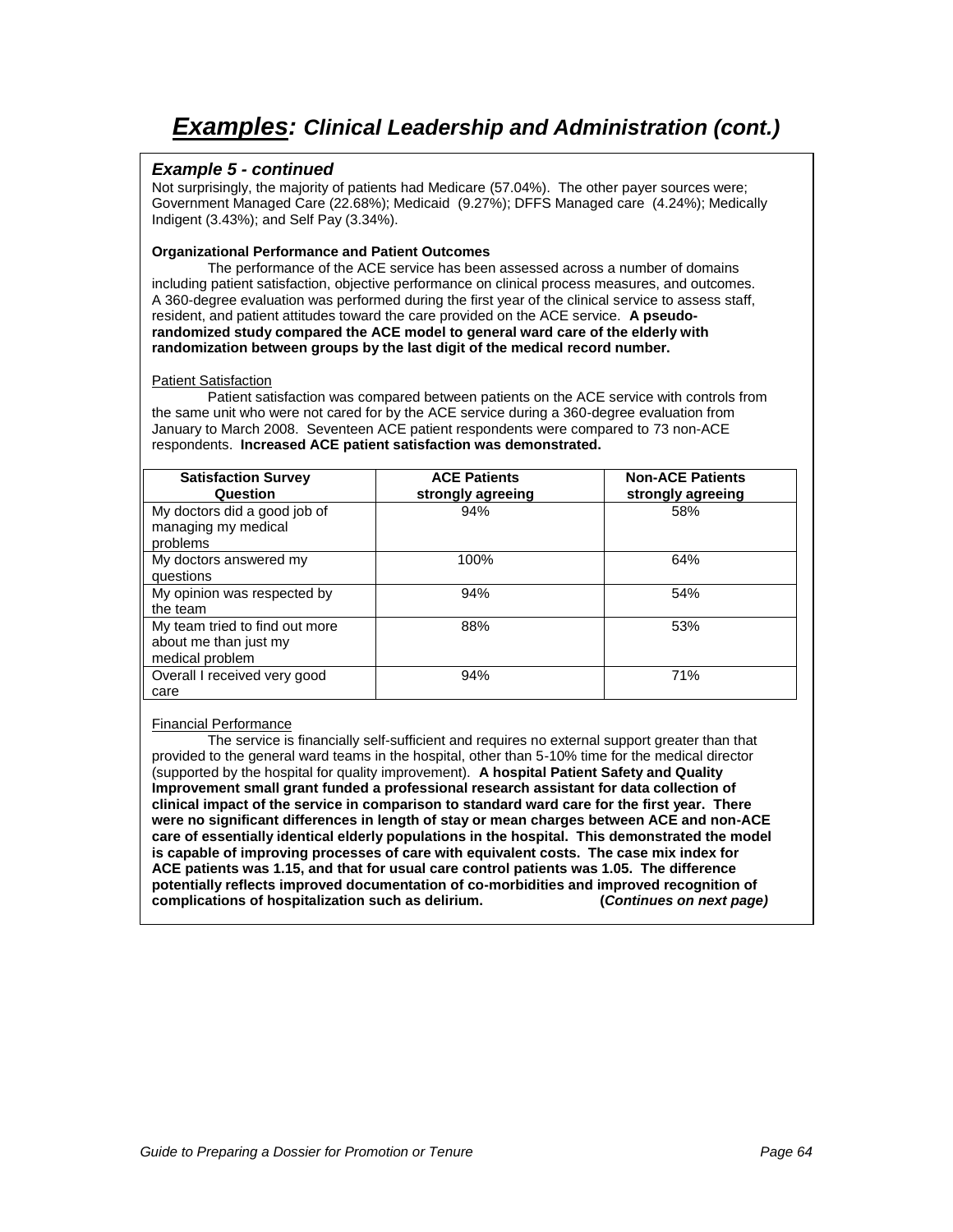#### **Example 5 - continued**

Not surprisingly, the majority of patients had Medicare (57.04%). The other payer sources were; Government Managed Care (22.68%); Medicaid (9.27%); DFFS Managed care (4.24%); Medically Indigent (3.43%); and Self Pay (3.34%).

#### **Organizational Performance and Patient Outcomes**

The performance of the ACE service has been assessed across a number of domains including patient satisfaction, objective performance on clinical process measures, and outcomes. A 360-degree evaluation was performed during the first year of the clinical service to assess staff, resident, and patient attitudes toward the care provided on the ACE service. **A pseudorandomized study compared the ACE model to general ward care of the elderly with randomization between groups by the last digit of the medical record number.**

#### Patient Satisfaction

Patient satisfaction was compared between patients on the ACE service with controls from the same unit who were not cared for by the ACE service during a 360-degree evaluation from January to March 2008. Seventeen ACE patient respondents were compared to 73 non-ACE respondents. **Increased ACE patient satisfaction was demonstrated.**

| <b>Satisfaction Survey</b><br>Question                                     | <b>ACE Patients</b><br>strongly agreeing | <b>Non-ACE Patients</b><br>strongly agreeing |
|----------------------------------------------------------------------------|------------------------------------------|----------------------------------------------|
| My doctors did a good job of<br>managing my medical<br>problems            | 94%                                      | 58%                                          |
| My doctors answered my<br>questions                                        | 100%                                     | 64%                                          |
| My opinion was respected by<br>the team                                    | 94%                                      | 54%                                          |
| My team tried to find out more<br>about me than just my<br>medical problem | 88%                                      | 53%                                          |
| Overall I received very good<br>care                                       | 94%                                      | 71%                                          |

#### Financial Performance

The service is financially self-sufficient and requires no external support greater than that provided to the general ward teams in the hospital, other than 5-10% time for the medical director (supported by the hospital for quality improvement). **A hospital Patient Safety and Quality Improvement small grant funded a professional research assistant for data collection of clinical impact of the service in comparison to standard ward care for the first year. There were no significant differences in length of stay or mean charges between ACE and non-ACE care of essentially identical elderly populations in the hospital. This demonstrated the model is capable of improving processes of care with equivalent costs. The case mix index for ACE patients was 1.15, and that for usual care control patients was 1.05. The difference potentially reflects improved documentation of co-morbidities and improved recognition of complications of hospitalization such as delirium. (Continues on next page)**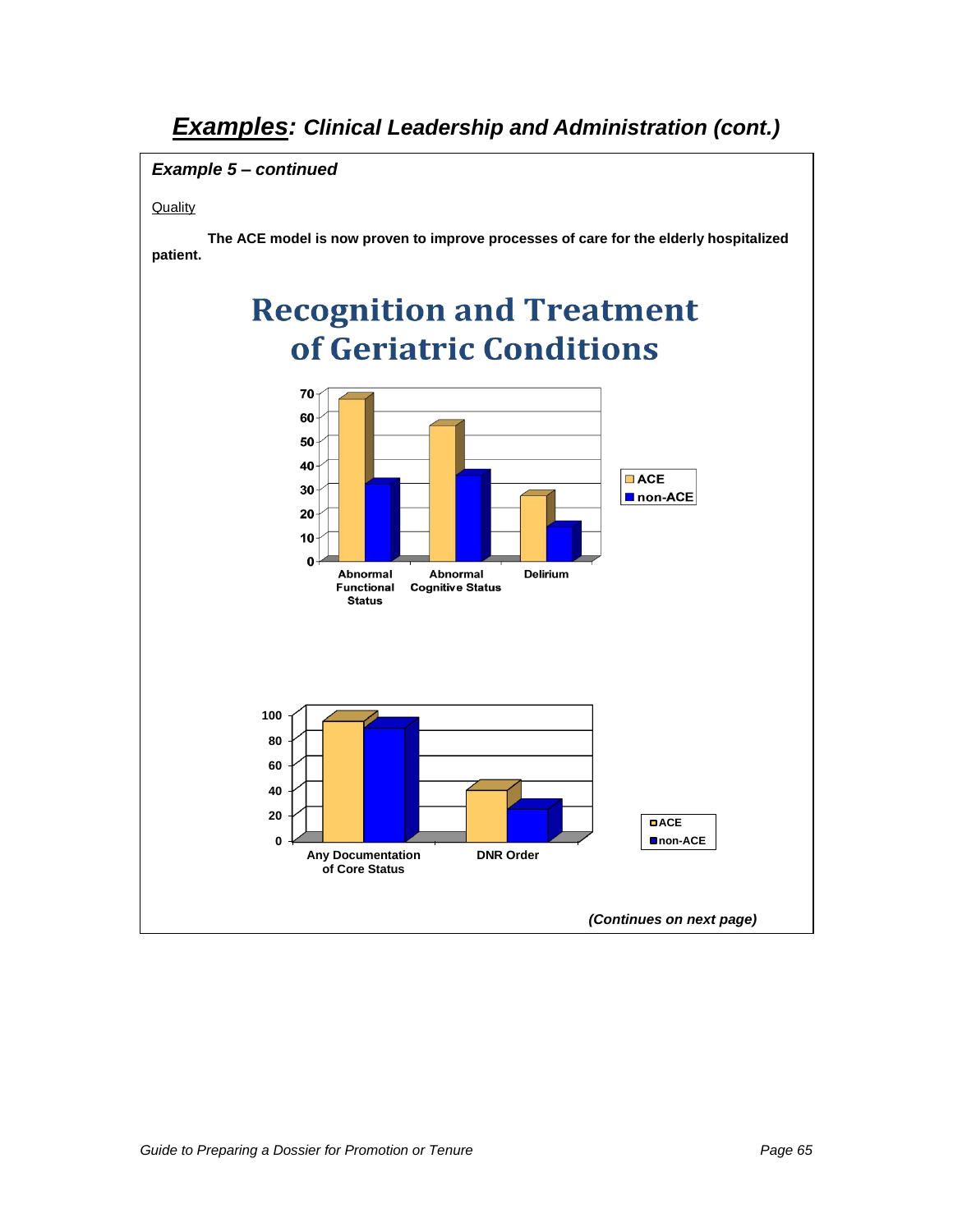### **Example 5** *–* **continued**

#### **Quality**

**The ACE model is now proven to improve processes of care for the elderly hospitalized patient.**

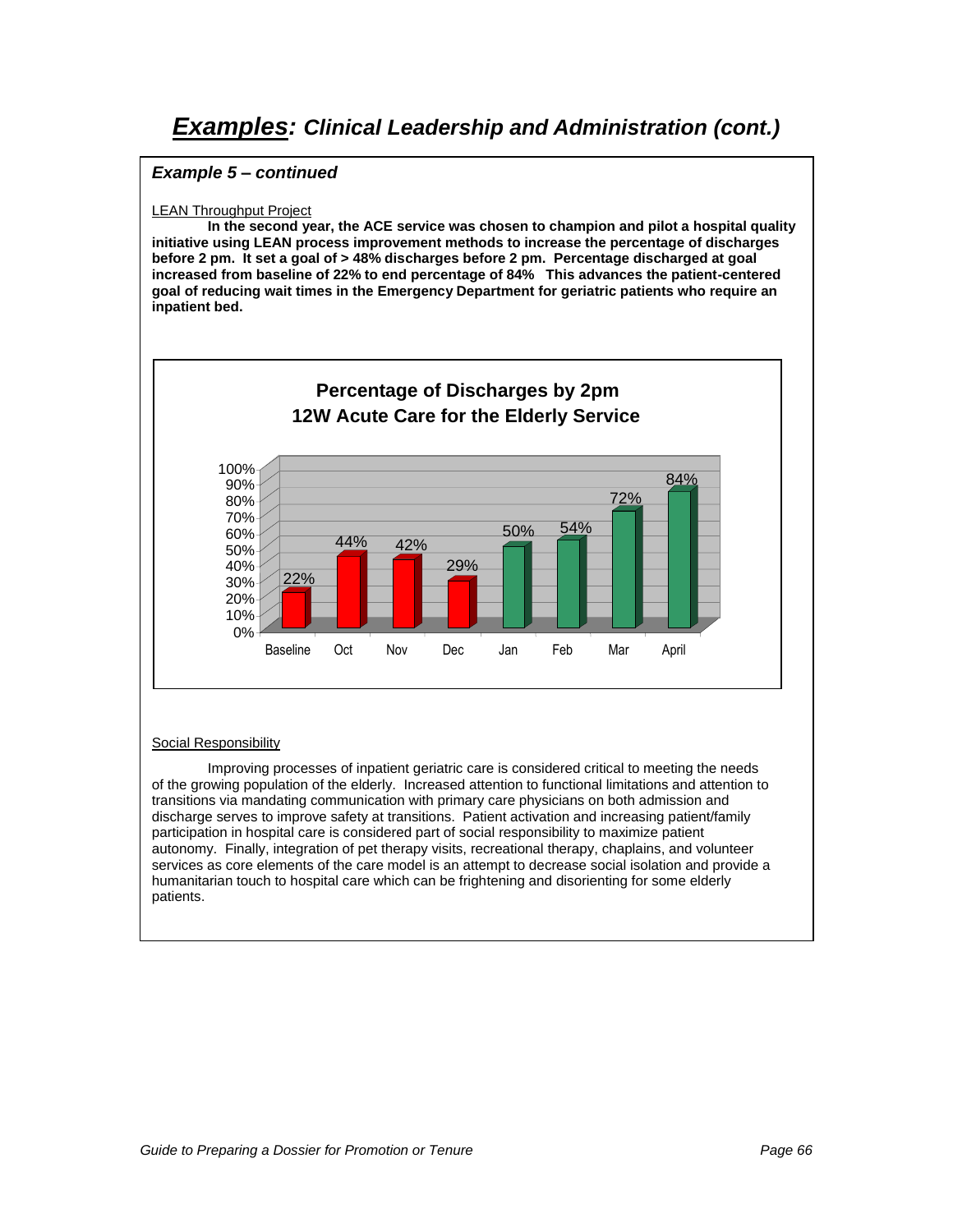#### **Example 5** *–* **continued**

#### LEAN Throughput Project

**In the second year, the ACE service was chosen to champion and pilot a hospital quality initiative using LEAN process improvement methods to increase the percentage of discharges before 2 pm. It set a goal of > 48% discharges before 2 pm. Percentage discharged at goal increased from baseline of 22% to end percentage of 84% This advances the patient-centered goal of reducing wait times in the Emergency Department for geriatric patients who require an inpatient bed.**



#### Social Responsibility

Improving processes of inpatient geriatric care is considered critical to meeting the needs of the growing population of the elderly. Increased attention to functional limitations and attention to transitions via mandating communication with primary care physicians on both admission and discharge serves to improve safety at transitions. Patient activation and increasing patient/family participation in hospital care is considered part of social responsibility to maximize patient autonomy. Finally, integration of pet therapy visits, recreational therapy, chaplains, and volunteer services as core elements of the care model is an attempt to decrease social isolation and provide a humanitarian touch to hospital care which can be frightening and disorienting for some elderly patients.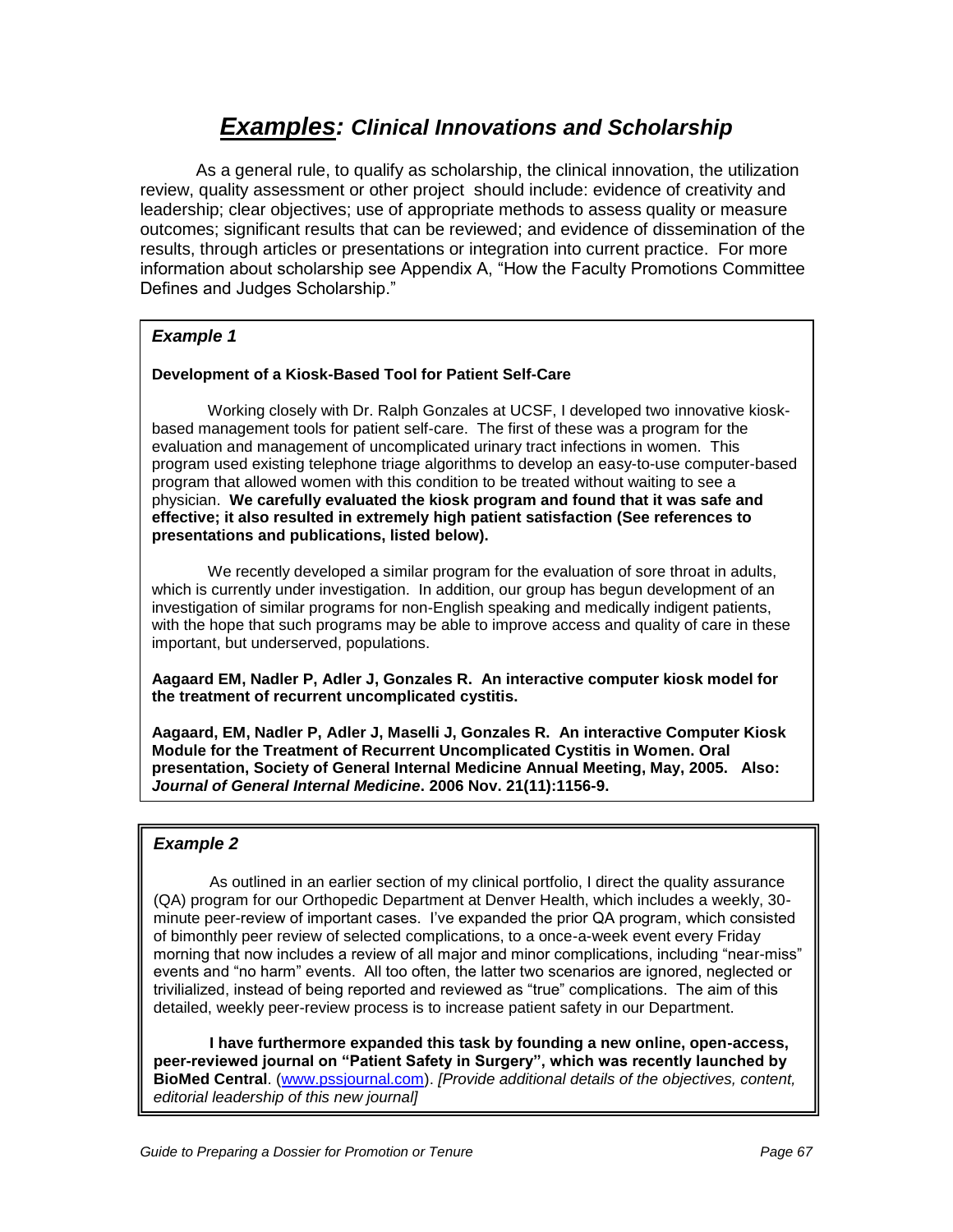# **Examples: Clinical Innovations and Scholarship**

As a general rule, to qualify as scholarship, the clinical innovation, the utilization review, quality assessment or other project should include: evidence of creativity and leadership; clear objectives; use of appropriate methods to assess quality or measure outcomes; significant results that can be reviewed; and evidence of dissemination of the results, through articles or presentations or integration into current practice. For more information about scholarship see Appendix A, "How the Faculty Promotions Committee Defines and Judges Scholarship."

### **Example 1**

#### **Development of a Kiosk-Based Tool for Patient Self-Care**

Working closely with Dr. Ralph Gonzales at UCSF, I developed two innovative kioskbased management tools for patient self-care. The first of these was a program for the evaluation and management of uncomplicated urinary tract infections in women. This program used existing telephone triage algorithms to develop an easy-to-use computer-based program that allowed women with this condition to be treated without waiting to see a physician. **We carefully evaluated the kiosk program and found that it was safe and effective; it also resulted in extremely high patient satisfaction (See references to presentations and publications, listed below).** 

We recently developed a similar program for the evaluation of sore throat in adults, which is currently under investigation. In addition, our group has begun development of an investigation of similar programs for non-English speaking and medically indigent patients, with the hope that such programs may be able to improve access and quality of care in these important, but underserved, populations.

**Aagaard EM, Nadler P, Adler J, Gonzales R. An interactive computer kiosk model for the treatment of recurrent uncomplicated cystitis.** 

**Aagaard, EM, Nadler P, Adler J, Maselli J, Gonzales R. An interactive Computer Kiosk Module for the Treatment of Recurrent Uncomplicated Cystitis in Women. Oral presentation, Society of General Internal Medicine Annual Meeting, May, 2005. Also: Journal of General Internal Medicine. 2006 Nov. 21(11):1156-9.**

#### **Example 2**

As outlined in an earlier section of my clinical portfolio, I direct the quality assurance (QA) program for our Orthopedic Department at Denver Health, which includes a weekly, 30 minute peer-review of important cases. I"ve expanded the prior QA program, which consisted of bimonthly peer review of selected complications, to a once-a-week event every Friday morning that now includes a review of all major and minor complications, including "near-miss" events and "no harm" events. All too often, the latter two scenarios are ignored, neglected or trivilialized, instead of being reported and reviewed as "true" complications. The aim of this detailed, weekly peer-review process is to increase patient safety in our Department.

**I have furthermore expanded this task by founding a new online, open-access, peer-reviewed journal on "Patient Safety in Surgery", which was recently launched by BioMed Central**. [\(www.pssjournal.com\)](http://www.pssjournal.com/). [Provide additional details of the objectives, content, editorial leadership of this new journal]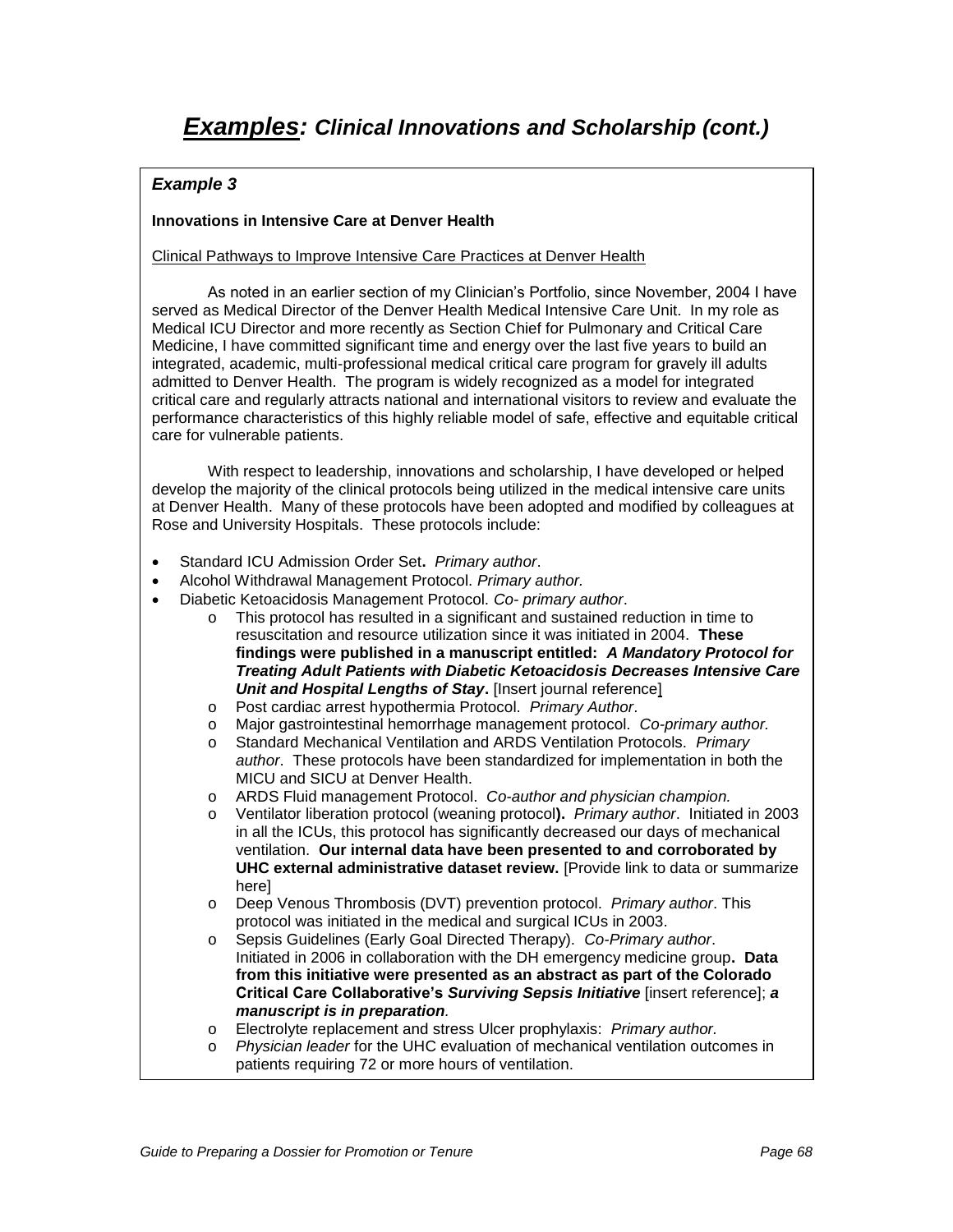#### **Innovations in Intensive Care at Denver Health**

#### Clinical Pathways to Improve Intensive Care Practices at Denver Health

As noted in an earlier section of my Clinician"s Portfolio, since November, 2004 I have served as Medical Director of the Denver Health Medical Intensive Care Unit. In my role as Medical ICU Director and more recently as Section Chief for Pulmonary and Critical Care Medicine, I have committed significant time and energy over the last five years to build an integrated, academic, multi-professional medical critical care program for gravely ill adults admitted to Denver Health. The program is widely recognized as a model for integrated critical care and regularly attracts national and international visitors to review and evaluate the performance characteristics of this highly reliable model of safe, effective and equitable critical care for vulnerable patients.

With respect to leadership, innovations and scholarship, I have developed or helped develop the majority of the clinical protocols being utilized in the medical intensive care units at Denver Health. Many of these protocols have been adopted and modified by colleagues at Rose and University Hospitals. These protocols include:

- Standard ICU Admission Order Set**.** Primary author.
- Alcohol Withdrawal Management Protocol. Primary author.
- Diabetic Ketoacidosis Management Protocol. Co- primary author.
	- o This protocol has resulted in a significant and sustained reduction in time to resuscitation and resource utilization since it was initiated in 2004. **These findings were published in a manuscript entitled: A Mandatory Protocol for Treating Adult Patients with Diabetic Ketoacidosis Decreases Intensive Care Unit and Hospital Lengths of Stay.** [Insert journal reference]
	- o Post cardiac arrest hypothermia Protocol. Primary Author.
	- o Major gastrointestinal hemorrhage management protocol. Co-primary author.
	- Standard Mechanical Ventilation and ARDS Ventilation Protocols. Primary author. These protocols have been standardized for implementation in both the MICU and SICU at Denver Health.
	- o ARDS Fluid management Protocol. Co-author and physician champion.
	- o Ventilator liberation protocol (weaning protocol**).** Primary author. Initiated in 2003 in all the ICUs, this protocol has significantly decreased our days of mechanical ventilation. **Our internal data have been presented to and corroborated by UHC external administrative dataset review.** [Provide link to data or summarize here]
	- o Deep Venous Thrombosis (DVT) prevention protocol. Primary author. This protocol was initiated in the medical and surgical ICUs in 2003.
	- o Sepsis Guidelines (Early Goal Directed Therapy). Co-Primary author. Initiated in 2006 in collaboration with the DH emergency medicine group**. Data from this initiative were presented as an abstract as part of the Colorado Critical Care Collaborative's Surviving Sepsis Initiative** [insert reference]; **a manuscript is in preparation**.
	- o Electrolyte replacement and stress Ulcer prophylaxis: Primary author.
	- $\circ$  Physician leader for the UHC evaluation of mechanical ventilation outcomes in patients requiring 72 or more hours of ventilation.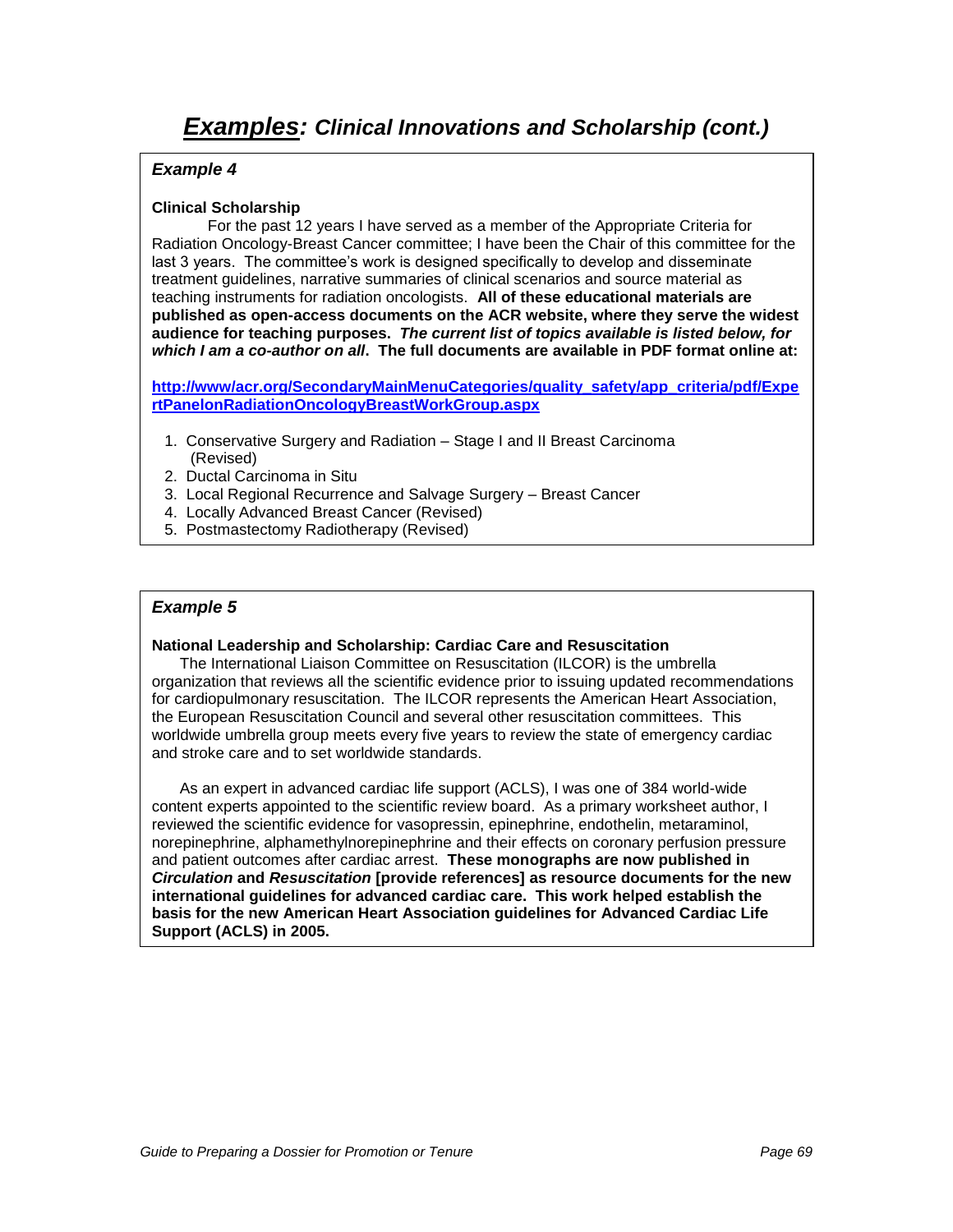#### **Clinical Scholarship**

For the past 12 years I have served as a member of the Appropriate Criteria for Radiation Oncology-Breast Cancer committee; I have been the Chair of this committee for the last 3 years. The committee's work is designed specifically to develop and disseminate treatment guidelines, narrative summaries of clinical scenarios and source material as teaching instruments for radiation oncologists. **All of these educational materials are published as open-access documents on the ACR website, where they serve the widest audience for teaching purposes. The current list of topics available is listed below, for which I am a co-author on all. The full documents are available in PDF format online at:** 

**[http://www/acr.org/SecondaryMainMenuCategories/quality\\_safety/app\\_criteria/pdf/Expe](http://www/acr.org/SecondaryMainMenuCategories/quality_safety/app_criteria/pdf/ExpertPanelonRadiationOncologyBreastWorkGroup.aspx) [rtPanelonRadiationOncologyBreastWorkGroup.aspx](http://www/acr.org/SecondaryMainMenuCategories/quality_safety/app_criteria/pdf/ExpertPanelonRadiationOncologyBreastWorkGroup.aspx)**

- 1. Conservative Surgery and Radiation Stage I and II Breast Carcinoma (Revised)
- 2. Ductal Carcinoma in Situ
- 3. Local Regional Recurrence and Salvage Surgery Breast Cancer
- 4. Locally Advanced Breast Cancer (Revised)
- 5. Postmastectomy Radiotherapy (Revised)

#### **Example 5**

#### **National Leadership and Scholarship: Cardiac Care and Resuscitation**

The International Liaison Committee on Resuscitation (ILCOR) is the umbrella organization that reviews all the scientific evidence prior to issuing updated recommendations for cardiopulmonary resuscitation. The ILCOR represents the American Heart Association, the European Resuscitation Council and several other resuscitation committees. This worldwide umbrella group meets every five years to review the state of emergency cardiac and stroke care and to set worldwide standards.

As an expert in advanced cardiac life support (ACLS), I was one of 384 world-wide content experts appointed to the scientific review board. As a primary worksheet author, I reviewed the scientific evidence for vasopressin, epinephrine, endothelin, metaraminol, norepinephrine, alphamethylnorepinephrine and their effects on coronary perfusion pressure and patient outcomes after cardiac arrest. **These monographs are now published in Circulation and Resuscitation [provide references] as resource documents for the new international guidelines for advanced cardiac care. This work helped establish the basis for the new American Heart Association guidelines for Advanced Cardiac Life Support (ACLS) in 2005.**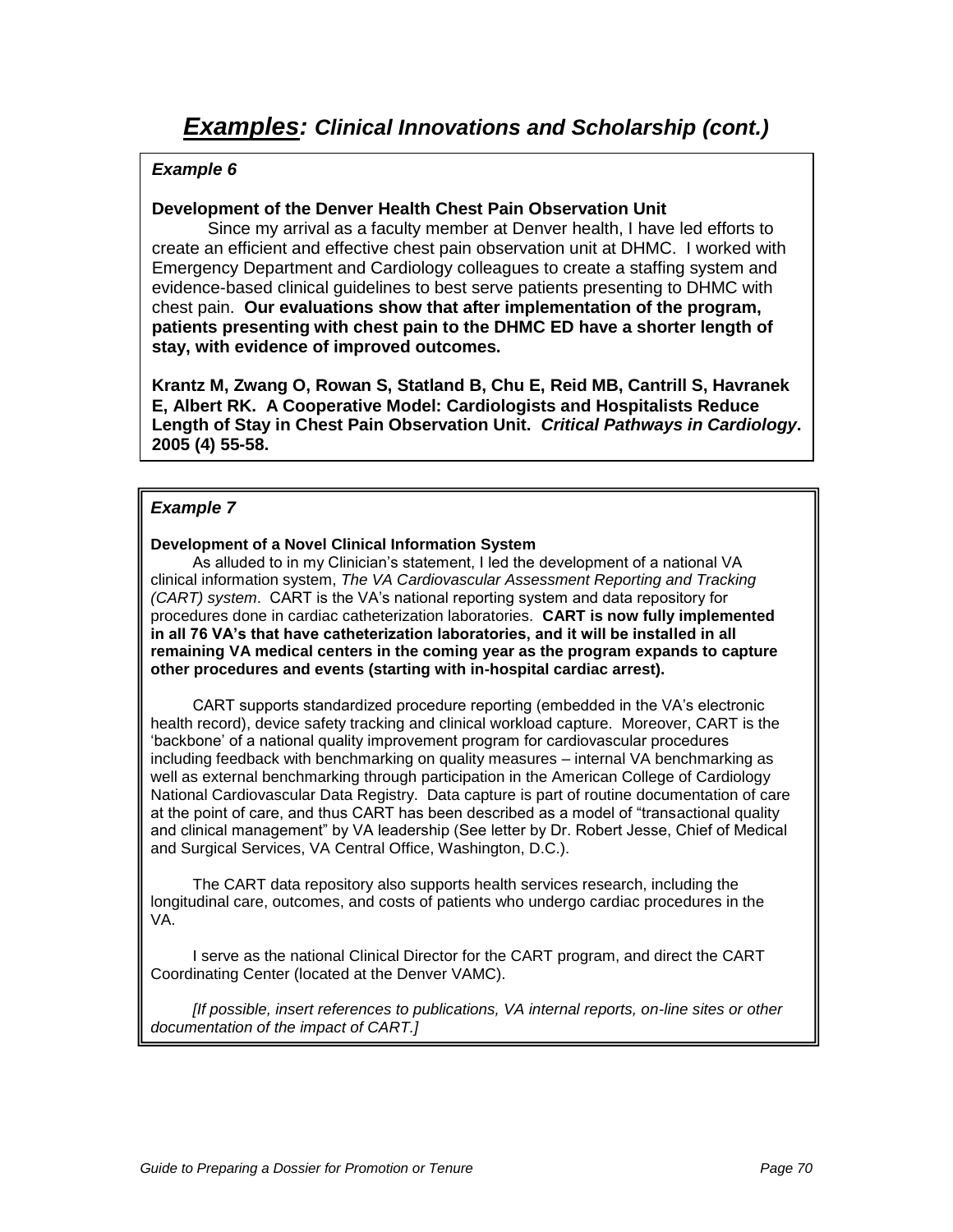### **Development of the Denver Health Chest Pain Observation Unit**

Since my arrival as a faculty member at Denver health, I have led efforts to create an efficient and effective chest pain observation unit at DHMC. I worked with Emergency Department and Cardiology colleagues to create a staffing system and evidence-based clinical guidelines to best serve patients presenting to DHMC with chest pain. **Our evaluations show that after implementation of the program, patients presenting with chest pain to the DHMC ED have a shorter length of stay, with evidence of improved outcomes.** 

**Krantz M, Zwang O, Rowan S, Statland B, Chu E, Reid MB, Cantrill S, Havranek E, Albert RK. A Cooperative Model: Cardiologists and Hospitalists Reduce Length of Stay in Chest Pain Observation Unit. Critical Pathways in Cardiology. 2005 (4) 55-58.**

### **Example 7**

#### **Development of a Novel Clinical Information System**

As alluded to in my Clinician"s statement, I led the development of a national VA clinical information system, The VA Cardiovascular Assessment Reporting and Tracking (CART) system. CART is the VA"s national reporting system and data repository for procedures done in cardiac catheterization laboratories. **CART is now fully implemented in all 76 VA's that have catheterization laboratories, and it will be installed in all remaining VA medical centers in the coming year as the program expands to capture other procedures and events (starting with in-hospital cardiac arrest).**

CART supports standardized procedure reporting (embedded in the VA"s electronic health record), device safety tracking and clinical workload capture. Moreover, CART is the "backbone" of a national quality improvement program for cardiovascular procedures including feedback with benchmarking on quality measures – internal VA benchmarking as well as external benchmarking through participation in the American College of Cardiology National Cardiovascular Data Registry. Data capture is part of routine documentation of care at the point of care, and thus CART has been described as a model of "transactional quality and clinical management" by VA leadership (See letter by Dr. Robert Jesse, Chief of Medical and Surgical Services, VA Central Office, Washington, D.C.).

The CART data repository also supports health services research, including the longitudinal care, outcomes, and costs of patients who undergo cardiac procedures in the VA.

I serve as the national Clinical Director for the CART program, and direct the CART Coordinating Center (located at the Denver VAMC).

[If possible, insert references to publications, VA internal reports, on-line sites or other documentation of the impact of CART.]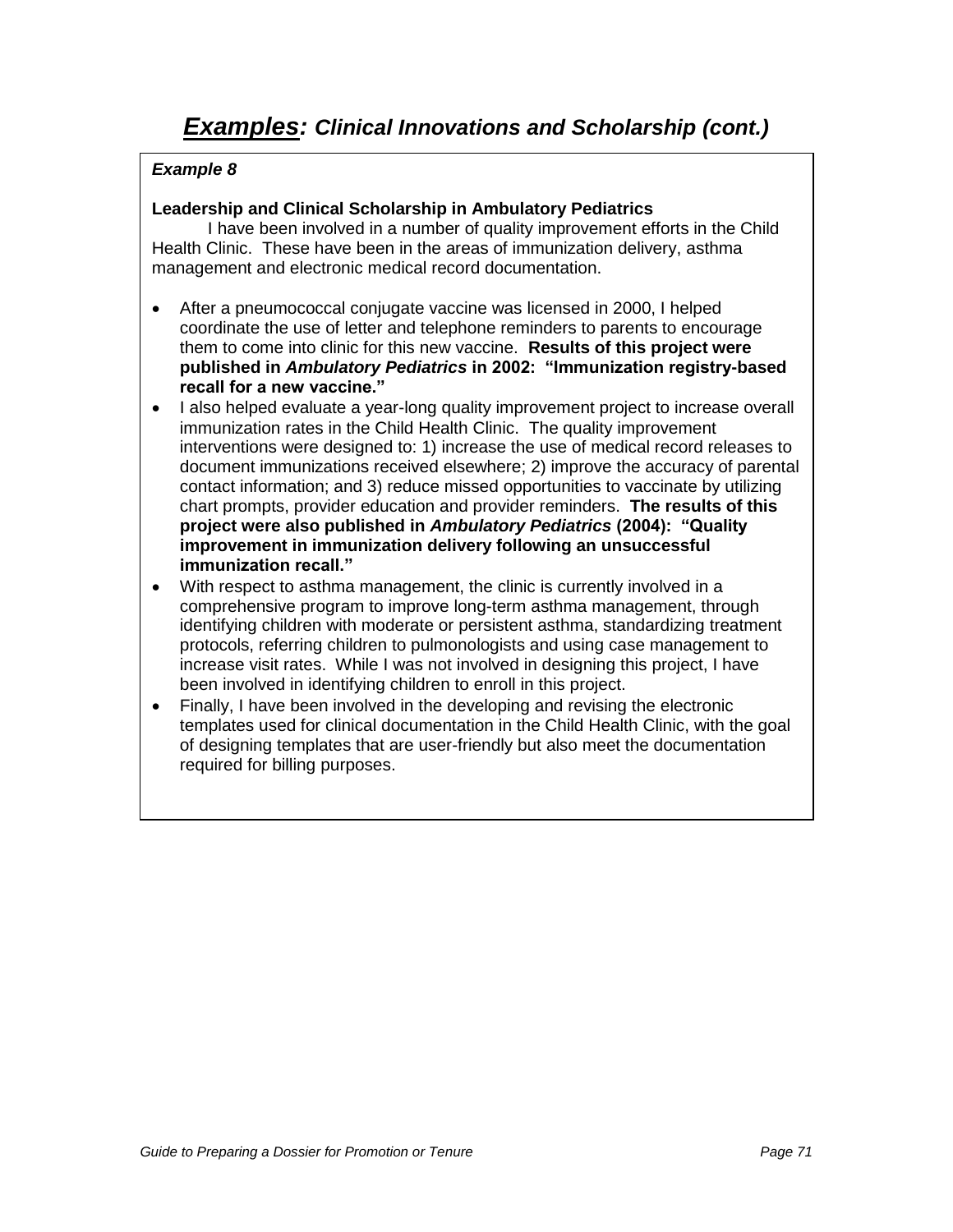### **Leadership and Clinical Scholarship in Ambulatory Pediatrics**

I have been involved in a number of quality improvement efforts in the Child Health Clinic. These have been in the areas of immunization delivery, asthma management and electronic medical record documentation.

- After a pneumococcal conjugate vaccine was licensed in 2000, I helped coordinate the use of letter and telephone reminders to parents to encourage them to come into clinic for this new vaccine. **Results of this project were published in Ambulatory Pediatrics in 2002: "Immunization registry-based recall for a new vaccine."**
- I also helped evaluate a year-long quality improvement project to increase overall immunization rates in the Child Health Clinic. The quality improvement interventions were designed to: 1) increase the use of medical record releases to document immunizations received elsewhere; 2) improve the accuracy of parental contact information; and 3) reduce missed opportunities to vaccinate by utilizing chart prompts, provider education and provider reminders. **The results of this project were also published in Ambulatory Pediatrics (2004): "Quality improvement in immunization delivery following an unsuccessful immunization recall."**
- With respect to asthma management, the clinic is currently involved in a comprehensive program to improve long-term asthma management, through identifying children with moderate or persistent asthma, standardizing treatment protocols, referring children to pulmonologists and using case management to increase visit rates. While I was not involved in designing this project, I have been involved in identifying children to enroll in this project.
- Finally, I have been involved in the developing and revising the electronic templates used for clinical documentation in the Child Health Clinic, with the goal of designing templates that are user-friendly but also meet the documentation required for billing purposes.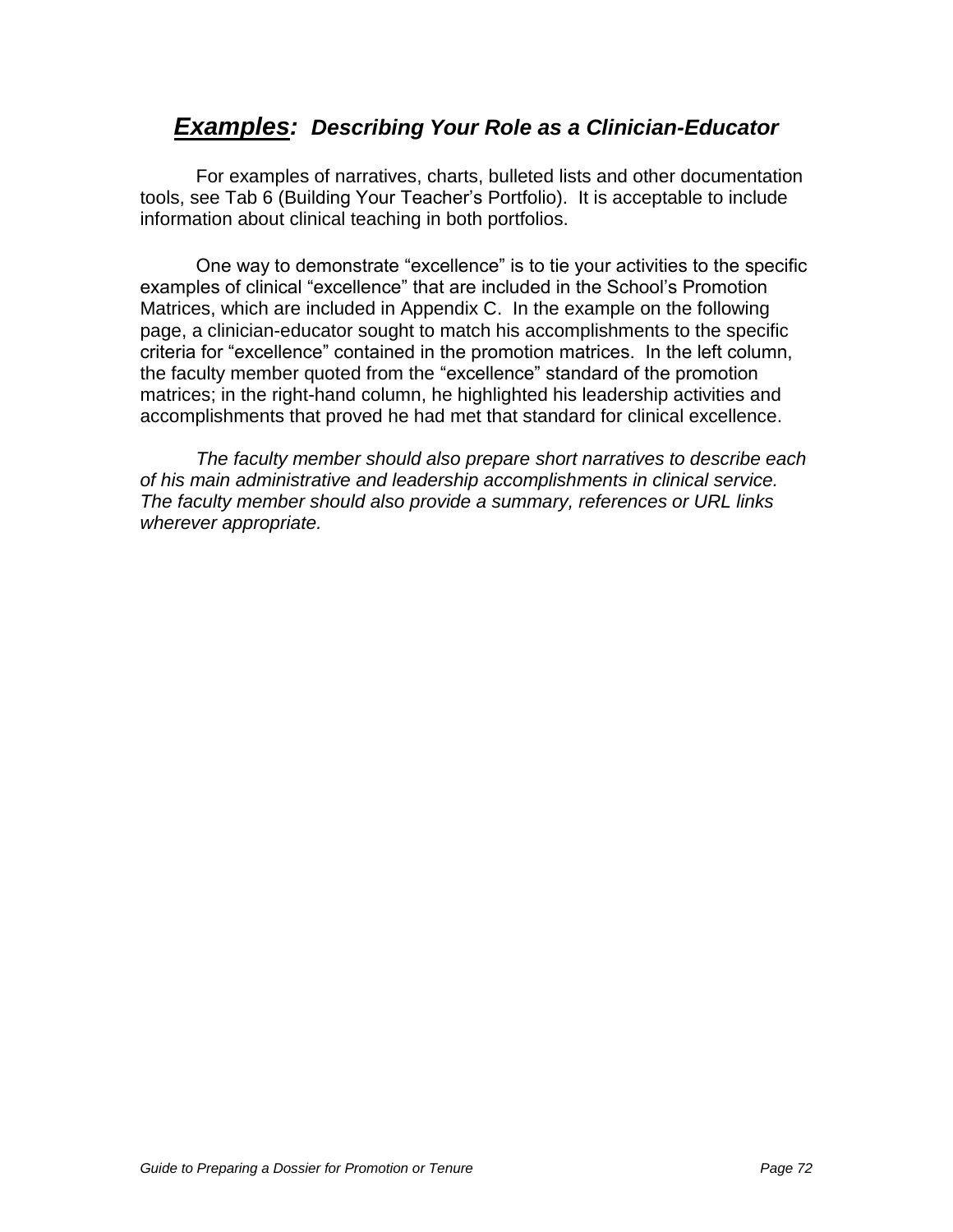# **Examples: Describing Your Role as a Clinician-Educator**

For examples of narratives, charts, bulleted lists and other documentation tools, see Tab 6 (Building Your Teacher"s Portfolio). It is acceptable to include information about clinical teaching in both portfolios.

One way to demonstrate "excellence" is to tie your activities to the specific examples of clinical "excellence" that are included in the School"s Promotion Matrices, which are included in Appendix C. In the example on the following page, a clinician-educator sought to match his accomplishments to the specific criteria for "excellence" contained in the promotion matrices. In the left column, the faculty member quoted from the "excellence" standard of the promotion matrices; in the right-hand column, he highlighted his leadership activities and accomplishments that proved he had met that standard for clinical excellence.

The faculty member should also prepare short narratives to describe each of his main administrative and leadership accomplishments in clinical service. The faculty member should also provide a summary, references or URL links wherever appropriate.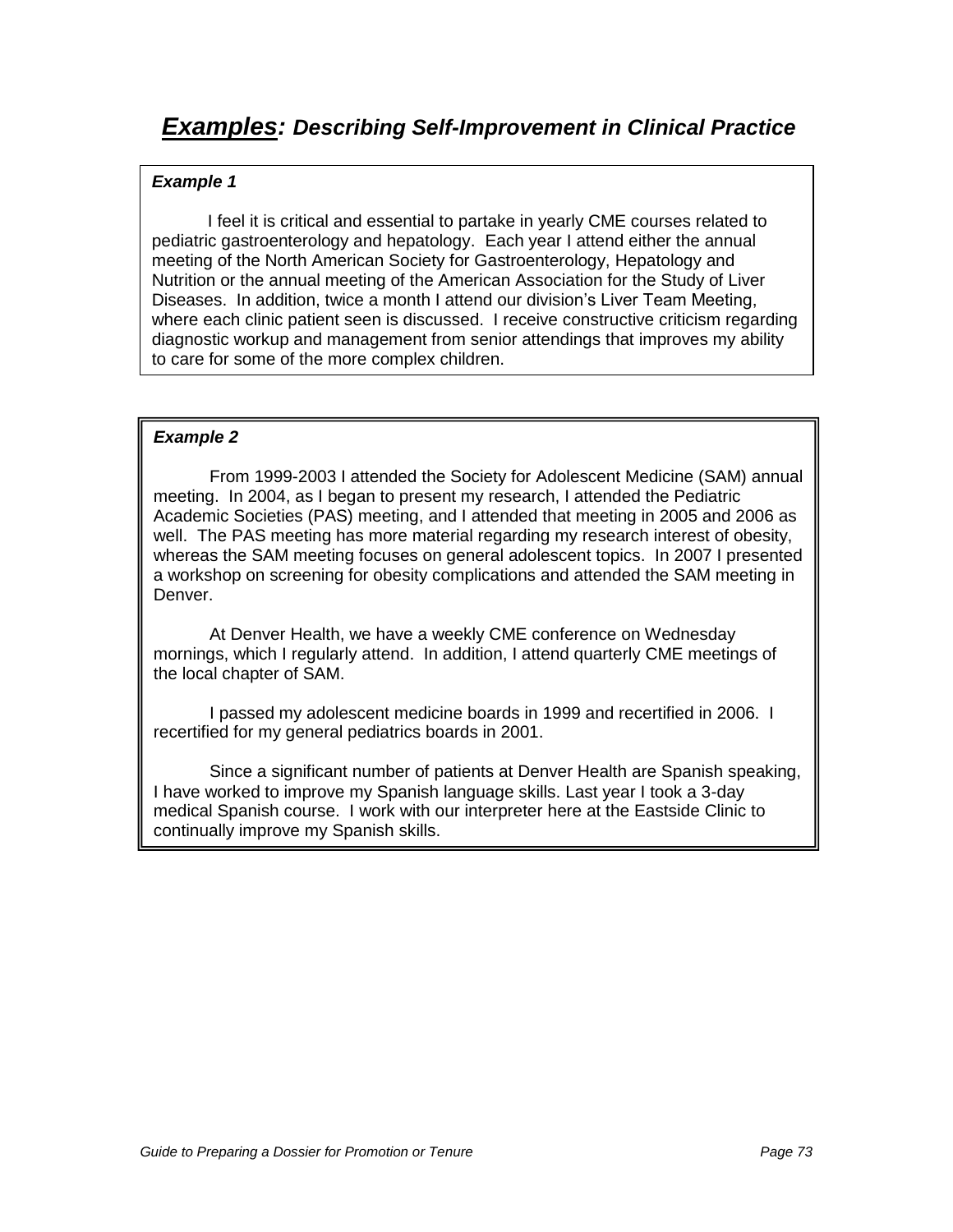## **Example 1**

I feel it is critical and essential to partake in yearly CME courses related to pediatric gastroenterology and hepatology. Each year I attend either the annual meeting of the North American Society for Gastroenterology, Hepatology and Nutrition or the annual meeting of the American Association for the Study of Liver Diseases. In addition, twice a month I attend our division"s Liver Team Meeting, where each clinic patient seen is discussed. I receive constructive criticism regarding diagnostic workup and management from senior attendings that improves my ability to care for some of the more complex children.

## **Example 2**

From 1999-2003 I attended the Society for Adolescent Medicine (SAM) annual meeting. In 2004, as I began to present my research, I attended the Pediatric Academic Societies (PAS) meeting, and I attended that meeting in 2005 and 2006 as well. The PAS meeting has more material regarding my research interest of obesity, whereas the SAM meeting focuses on general adolescent topics. In 2007 I presented a workshop on screening for obesity complications and attended the SAM meeting in Denver.

At Denver Health, we have a weekly CME conference on Wednesday mornings, which I regularly attend. In addition, I attend quarterly CME meetings of the local chapter of SAM.

I passed my adolescent medicine boards in 1999 and recertified in 2006. I recertified for my general pediatrics boards in 2001.

Since a significant number of patients at Denver Health are Spanish speaking, I have worked to improve my Spanish language skills. Last year I took a 3-day medical Spanish course. I work with our interpreter here at the Eastside Clinic to continually improve my Spanish skills.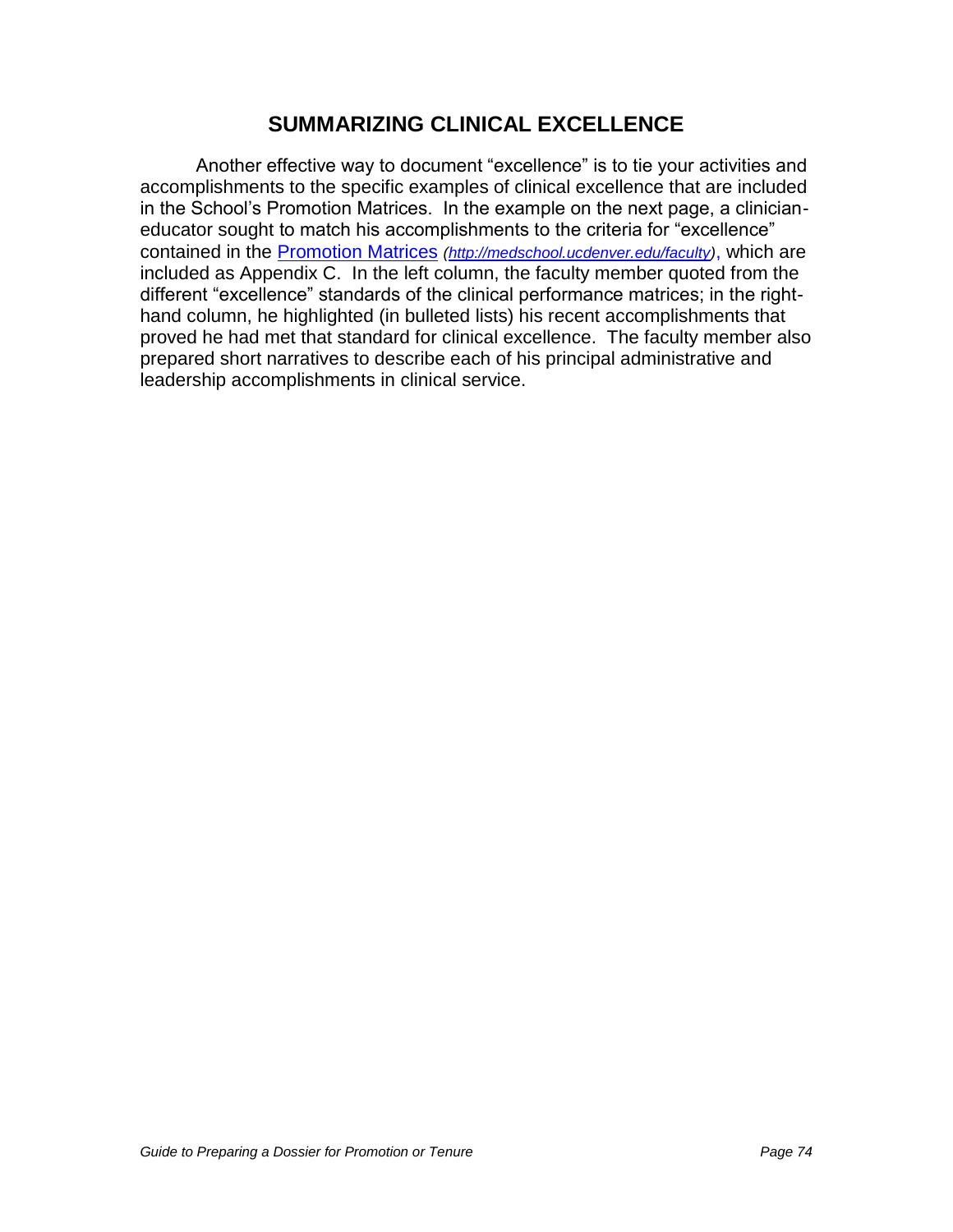## **SUMMARIZING CLINICAL EXCELLENCE**

Another effective way to document "excellence" is to tie your activities and accomplishments to the specific examples of clinical excellence that are included in the School"s Promotion Matrices. In the example on the next page, a clinicianeducator sought to match his accomplishments to the criteria for "excellence" contained in the [Promotion Matrices](http://www.ucdenver.edu/academics/colleges/medicalschool/facultyAffairs/Documents/CriteriaMatrixRev2007.pdf) [\(http://medschool.ucdenver.edu/faculty\)](http://medschool.ucdenver.edu/faculty), which are included as Appendix C. In the left column, the faculty member quoted from the different "excellence" standards of the clinical performance matrices; in the righthand column, he highlighted (in bulleted lists) his recent accomplishments that proved he had met that standard for clinical excellence. The faculty member also prepared short narratives to describe each of his principal administrative and leadership accomplishments in clinical service.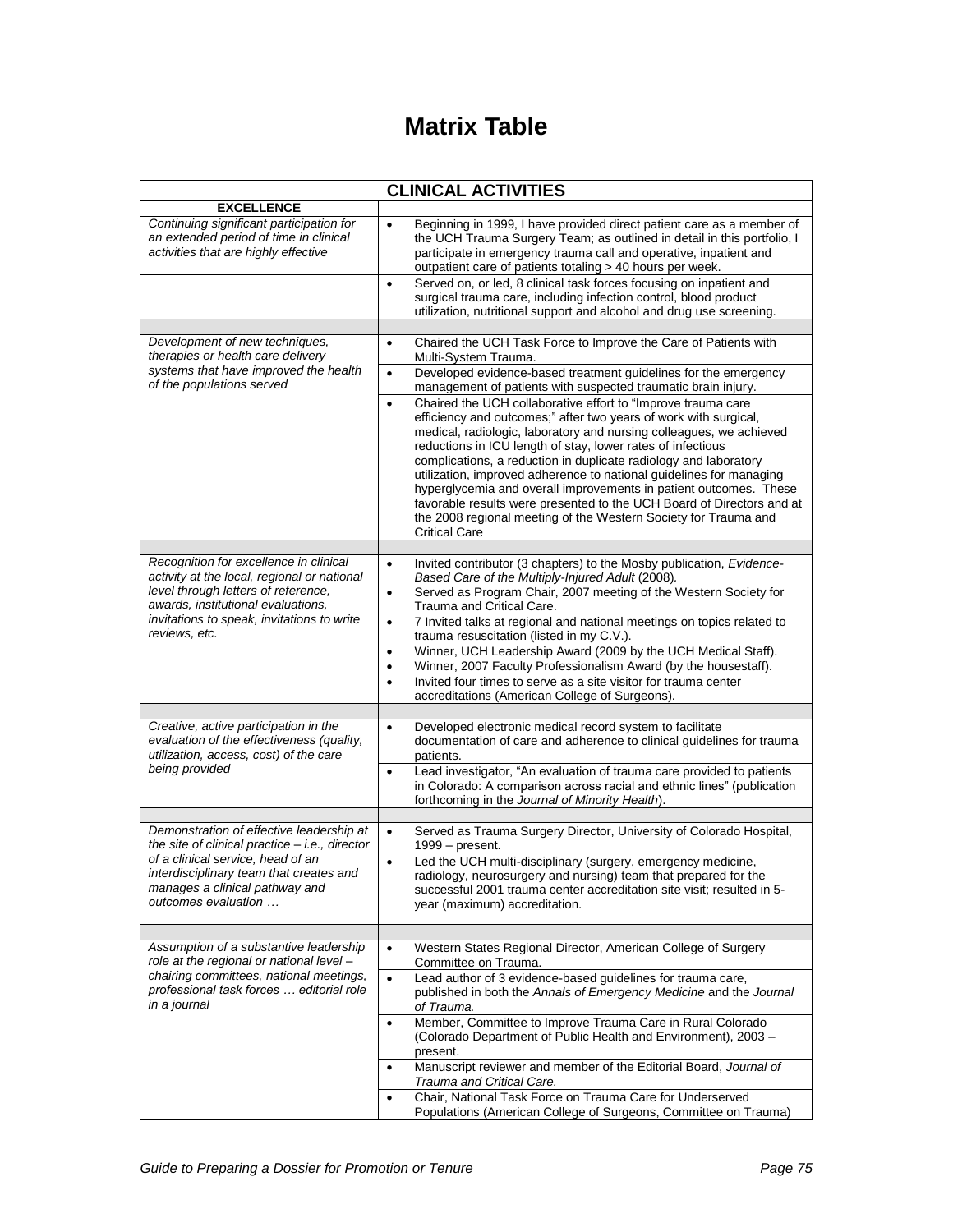# **Matrix Table**

| <b>CLINICAL ACTIVITIES</b>                                                                                                                                                                                                            |                                                                                                                                                                                                                                                                                                                                                                                                                                                                                                                                                                                                         |  |  |
|---------------------------------------------------------------------------------------------------------------------------------------------------------------------------------------------------------------------------------------|---------------------------------------------------------------------------------------------------------------------------------------------------------------------------------------------------------------------------------------------------------------------------------------------------------------------------------------------------------------------------------------------------------------------------------------------------------------------------------------------------------------------------------------------------------------------------------------------------------|--|--|
| <b>EXCELLENCE</b>                                                                                                                                                                                                                     |                                                                                                                                                                                                                                                                                                                                                                                                                                                                                                                                                                                                         |  |  |
| Continuing significant participation for<br>an extended period of time in clinical<br>activities that are highly effective                                                                                                            | Beginning in 1999, I have provided direct patient care as a member of<br>$\bullet$<br>the UCH Trauma Surgery Team; as outlined in detail in this portfolio, I<br>participate in emergency trauma call and operative, inpatient and<br>outpatient care of patients totaling > 40 hours per week.                                                                                                                                                                                                                                                                                                         |  |  |
|                                                                                                                                                                                                                                       | Served on, or led, 8 clinical task forces focusing on inpatient and<br>$\bullet$<br>surgical trauma care, including infection control, blood product<br>utilization, nutritional support and alcohol and drug use screening.                                                                                                                                                                                                                                                                                                                                                                            |  |  |
|                                                                                                                                                                                                                                       |                                                                                                                                                                                                                                                                                                                                                                                                                                                                                                                                                                                                         |  |  |
| Development of new techniques,<br>therapies or health care delivery<br>systems that have improved the health<br>of the populations served                                                                                             | Chaired the UCH Task Force to Improve the Care of Patients with<br>$\bullet$<br>Multi-System Trauma.<br>Developed evidence-based treatment guidelines for the emergency<br>$\bullet$<br>management of patients with suspected traumatic brain injury.<br>Chaired the UCH collaborative effort to "Improve trauma care                                                                                                                                                                                                                                                                                   |  |  |
|                                                                                                                                                                                                                                       | $\bullet$<br>efficiency and outcomes;" after two years of work with surgical,<br>medical, radiologic, laboratory and nursing colleagues, we achieved<br>reductions in ICU length of stay, lower rates of infectious<br>complications, a reduction in duplicate radiology and laboratory<br>utilization, improved adherence to national guidelines for managing<br>hyperglycemia and overall improvements in patient outcomes. These<br>favorable results were presented to the UCH Board of Directors and at<br>the 2008 regional meeting of the Western Society for Trauma and<br><b>Critical Care</b> |  |  |
| Recognition for excellence in clinical                                                                                                                                                                                                | Invited contributor (3 chapters) to the Mosby publication, Evidence-<br>$\bullet$                                                                                                                                                                                                                                                                                                                                                                                                                                                                                                                       |  |  |
| activity at the local, regional or national<br>level through letters of reference,<br>awards, institutional evaluations,<br>invitations to speak, invitations to write<br>reviews, etc.                                               | Based Care of the Multiply-Injured Adult (2008).<br>Served as Program Chair, 2007 meeting of the Western Society for<br>$\bullet$<br>Trauma and Critical Care.<br>7 Invited talks at regional and national meetings on topics related to<br>$\bullet$                                                                                                                                                                                                                                                                                                                                                   |  |  |
|                                                                                                                                                                                                                                       | trauma resuscitation (listed in my C.V.).<br>Winner, UCH Leadership Award (2009 by the UCH Medical Staff).<br>$\bullet$<br>Winner, 2007 Faculty Professionalism Award (by the housestaff).<br>٠<br>Invited four times to serve as a site visitor for trauma center<br>$\bullet$<br>accreditations (American College of Surgeons).                                                                                                                                                                                                                                                                       |  |  |
|                                                                                                                                                                                                                                       |                                                                                                                                                                                                                                                                                                                                                                                                                                                                                                                                                                                                         |  |  |
| Creative, active participation in the<br>evaluation of the effectiveness (quality,<br>utilization, access, cost) of the care<br>being provided                                                                                        | Developed electronic medical record system to facilitate<br>$\bullet$<br>documentation of care and adherence to clinical guidelines for trauma<br>patients.                                                                                                                                                                                                                                                                                                                                                                                                                                             |  |  |
|                                                                                                                                                                                                                                       | Lead investigator, "An evaluation of trauma care provided to patients<br>$\bullet$<br>in Colorado: A comparison across racial and ethnic lines" (publication<br>forthcoming in the Journal of Minority Health).                                                                                                                                                                                                                                                                                                                                                                                         |  |  |
| Demonstration of effective leadership at<br>the site of clinical practice $-$ i.e., director<br>of a clinical service, head of an<br>interdisciplinary team that creates and<br>manages a clinical pathway and<br>outcomes evaluation | Served as Trauma Surgery Director, University of Colorado Hospital,<br>$\bullet$<br>$1999 - present$ .                                                                                                                                                                                                                                                                                                                                                                                                                                                                                                  |  |  |
|                                                                                                                                                                                                                                       | Led the UCH multi-disciplinary (surgery, emergency medicine,<br>$\bullet$<br>radiology, neurosurgery and nursing) team that prepared for the<br>successful 2001 trauma center accreditation site visit; resulted in 5-<br>year (maximum) accreditation.                                                                                                                                                                                                                                                                                                                                                 |  |  |
| Assumption of a substantive leadership                                                                                                                                                                                                | Western States Regional Director, American College of Surgery<br>$\bullet$                                                                                                                                                                                                                                                                                                                                                                                                                                                                                                                              |  |  |
| role at the regional or national level -<br>chairing committees, national meetings,<br>professional task forces  editorial role<br>in a journal                                                                                       | Committee on Trauma.                                                                                                                                                                                                                                                                                                                                                                                                                                                                                                                                                                                    |  |  |
|                                                                                                                                                                                                                                       | Lead author of 3 evidence-based guidelines for trauma care,<br>$\bullet$<br>published in both the Annals of Emergency Medicine and the Journal<br>of Trauma.                                                                                                                                                                                                                                                                                                                                                                                                                                            |  |  |
|                                                                                                                                                                                                                                       | Member, Committee to Improve Trauma Care in Rural Colorado<br>$\bullet$<br>(Colorado Department of Public Health and Environment), 2003 -<br>present.                                                                                                                                                                                                                                                                                                                                                                                                                                                   |  |  |
|                                                                                                                                                                                                                                       | Manuscript reviewer and member of the Editorial Board, Journal of<br>Trauma and Critical Care.                                                                                                                                                                                                                                                                                                                                                                                                                                                                                                          |  |  |
|                                                                                                                                                                                                                                       | Chair, National Task Force on Trauma Care for Underserved<br>Populations (American College of Surgeons, Committee on Trauma)                                                                                                                                                                                                                                                                                                                                                                                                                                                                            |  |  |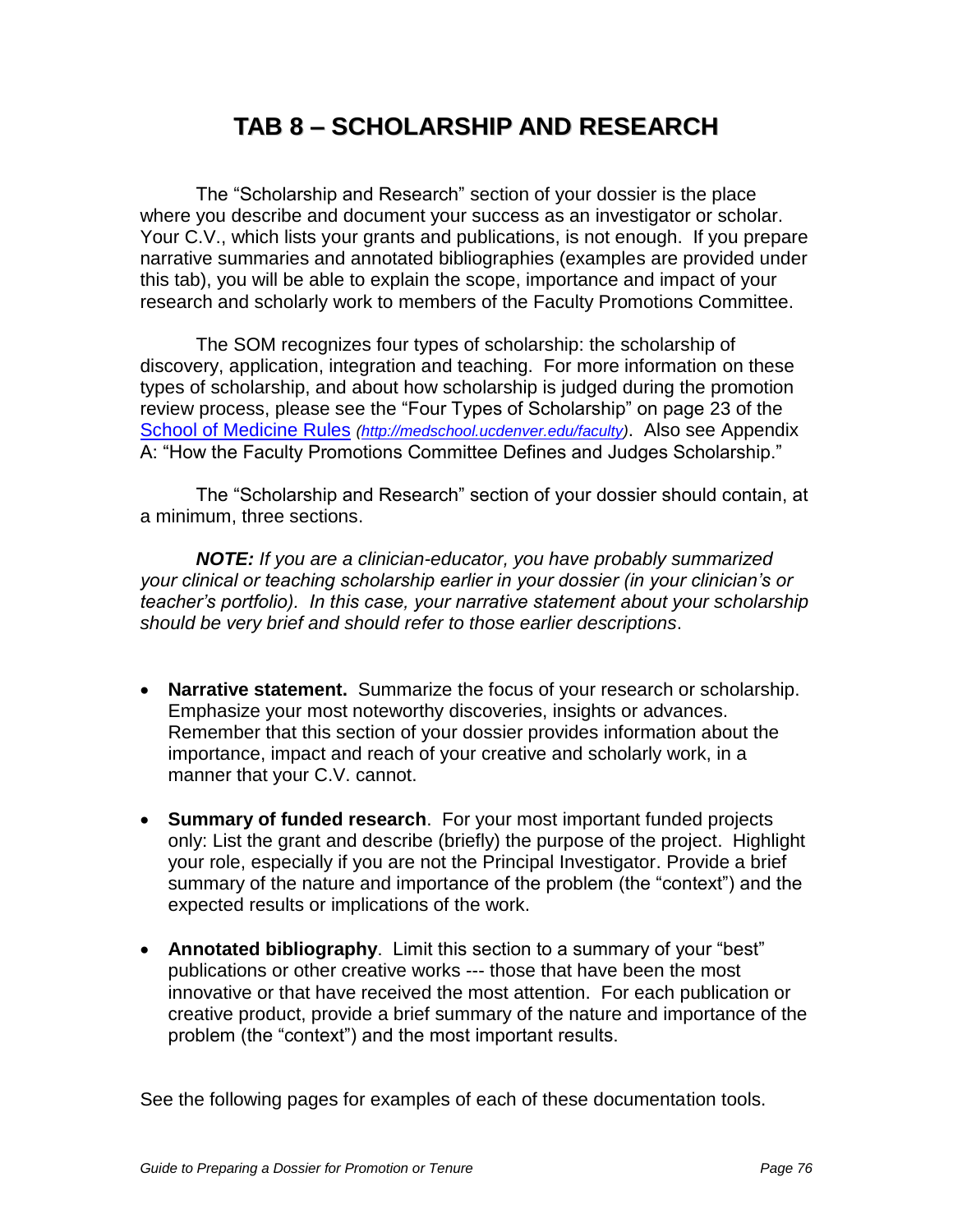# **TAB 8 – SCHOLARSHIP AND RESEARCH**

The "Scholarship and Research" section of your dossier is the place where you describe and document your success as an investigator or scholar. Your C.V., which lists your grants and publications, is not enough. If you prepare narrative summaries and annotated bibliographies (examples are provided under this tab), you will be able to explain the scope, importance and impact of your research and scholarly work to members of the Faculty Promotions Committee.

The SOM recognizes four types of scholarship: the scholarship of discovery, application, integration and teaching. For more information on these types of scholarship, and about how scholarship is judged during the promotion review process, please see the "Four Types of Scholarship" on page 23 of the [School of Medicine Rules](http://www.ucdenver.edu/academics/colleges/medicalschool/facultyAffairs/Documents/Rules2007.pdf) [\(http://medschool.ucdenver.edu/faculty\)](http://medschool.ucdenver.edu/faculty). Also see Appendix A: "How the Faculty Promotions Committee Defines and Judges Scholarship."

The "Scholarship and Research" section of your dossier should contain, at a minimum, three sections.

**NOTE:** If you are a clinician-educator, you have probably summarized *your clinical or teaching scholarship earlier in your dossier (in your clinician's or teacher's portfolio). In this case, your narrative statement* about your scholarship should be very brief and should refer to those earlier descriptions.

- **Narrative statement.** Summarize the focus of your research or scholarship. Emphasize your most noteworthy discoveries, insights or advances. Remember that this section of your dossier provides information about the importance, impact and reach of your creative and scholarly work, in a manner that your C.V. cannot.
- **Summary of funded research**. For your most important funded projects only: List the grant and describe (briefly) the purpose of the project. Highlight your role, especially if you are not the Principal Investigator. Provide a brief summary of the nature and importance of the problem (the "context") and the expected results or implications of the work.
- **Annotated bibliography**. Limit this section to a summary of your "best" publications or other creative works --- those that have been the most innovative or that have received the most attention. For each publication or creative product, provide a brief summary of the nature and importance of the problem (the "context") and the most important results.

See the following pages for examples of each of these documentation tools.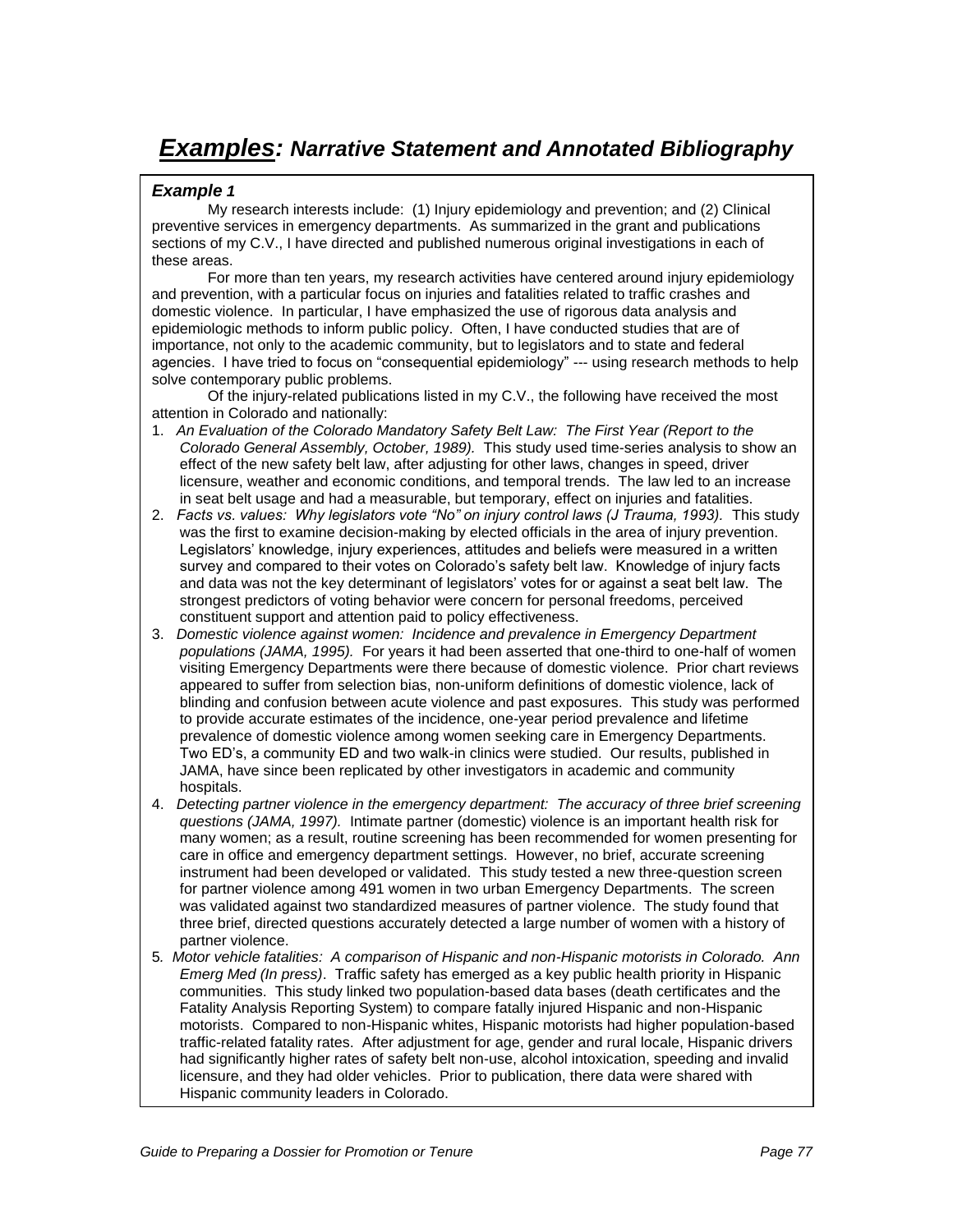# **Examples: Narrative Statement and Annotated Bibliography**

### **Example 1**

My research interests include: (1) Injury epidemiology and prevention; and (2) Clinical preventive services in emergency departments. As summarized in the grant and publications sections of my C.V., I have directed and published numerous original investigations in each of these areas.

For more than ten years, my research activities have centered around injury epidemiology and prevention, with a particular focus on injuries and fatalities related to traffic crashes and domestic violence. In particular, I have emphasized the use of rigorous data analysis and epidemiologic methods to inform public policy. Often, I have conducted studies that are of importance, not only to the academic community, but to legislators and to state and federal agencies. I have tried to focus on "consequential epidemiology" --- using research methods to help solve contemporary public problems.

Of the injury-related publications listed in my C.V., the following have received the most attention in Colorado and nationally:

- 1. An Evaluation of the Colorado Mandatory Safety Belt Law: The First Year (Report to the Colorado General Assembly, October, 1989). This study used time-series analysis to show an effect of the new safety belt law, after adjusting for other laws, changes in speed, driver licensure, weather and economic conditions, and temporal trends. The law led to an increase in seat belt usage and had a measurable, but temporary, effect on injuries and fatalities.
- 2. *Facts vs. values: Why legislators vote "No" on injury control laws (J Trauma, 1993).* This study was the first to examine decision-making by elected officials in the area of injury prevention. Legislators' knowledge, injury experiences, attitudes and beliefs were measured in a written survey and compared to their votes on Colorado"s safety belt law. Knowledge of injury facts and data was not the key determinant of legislators" votes for or against a seat belt law. The strongest predictors of voting behavior were concern for personal freedoms, perceived constituent support and attention paid to policy effectiveness.
- 3. Domestic violence against women: Incidence and prevalence in Emergency Department populations (JAMA, 1995). For years it had been asserted that one-third to one-half of women visiting Emergency Departments were there because of domestic violence. Prior chart reviews appeared to suffer from selection bias, non-uniform definitions of domestic violence, lack of blinding and confusion between acute violence and past exposures. This study was performed to provide accurate estimates of the incidence, one-year period prevalence and lifetime prevalence of domestic violence among women seeking care in Emergency Departments. Two ED"s, a community ED and two walk-in clinics were studied. Our results, published in JAMA, have since been replicated by other investigators in academic and community hospitals.
- 4. Detecting partner violence in the emergency department: The accuracy of three brief screening questions (JAMA, 1997). Intimate partner (domestic) violence is an important health risk for many women; as a result, routine screening has been recommended for women presenting for care in office and emergency department settings. However, no brief, accurate screening instrument had been developed or validated. This study tested a new three-question screen for partner violence among 491 women in two urban Emergency Departments. The screen was validated against two standardized measures of partner violence. The study found that three brief, directed questions accurately detected a large number of women with a history of partner violence.
- 5. Motor vehicle fatalities: A comparison of Hispanic and non-Hispanic motorists in Colorado. Ann Emerg Med (In press). Traffic safety has emerged as a key public health priority in Hispanic communities. This study linked two population-based data bases (death certificates and the Fatality Analysis Reporting System) to compare fatally injured Hispanic and non-Hispanic motorists. Compared to non-Hispanic whites, Hispanic motorists had higher population-based traffic-related fatality rates. After adjustment for age, gender and rural locale, Hispanic drivers had significantly higher rates of safety belt non-use, alcohol intoxication, speeding and invalid licensure, and they had older vehicles. Prior to publication, there data were shared with Hispanic community leaders in Colorado.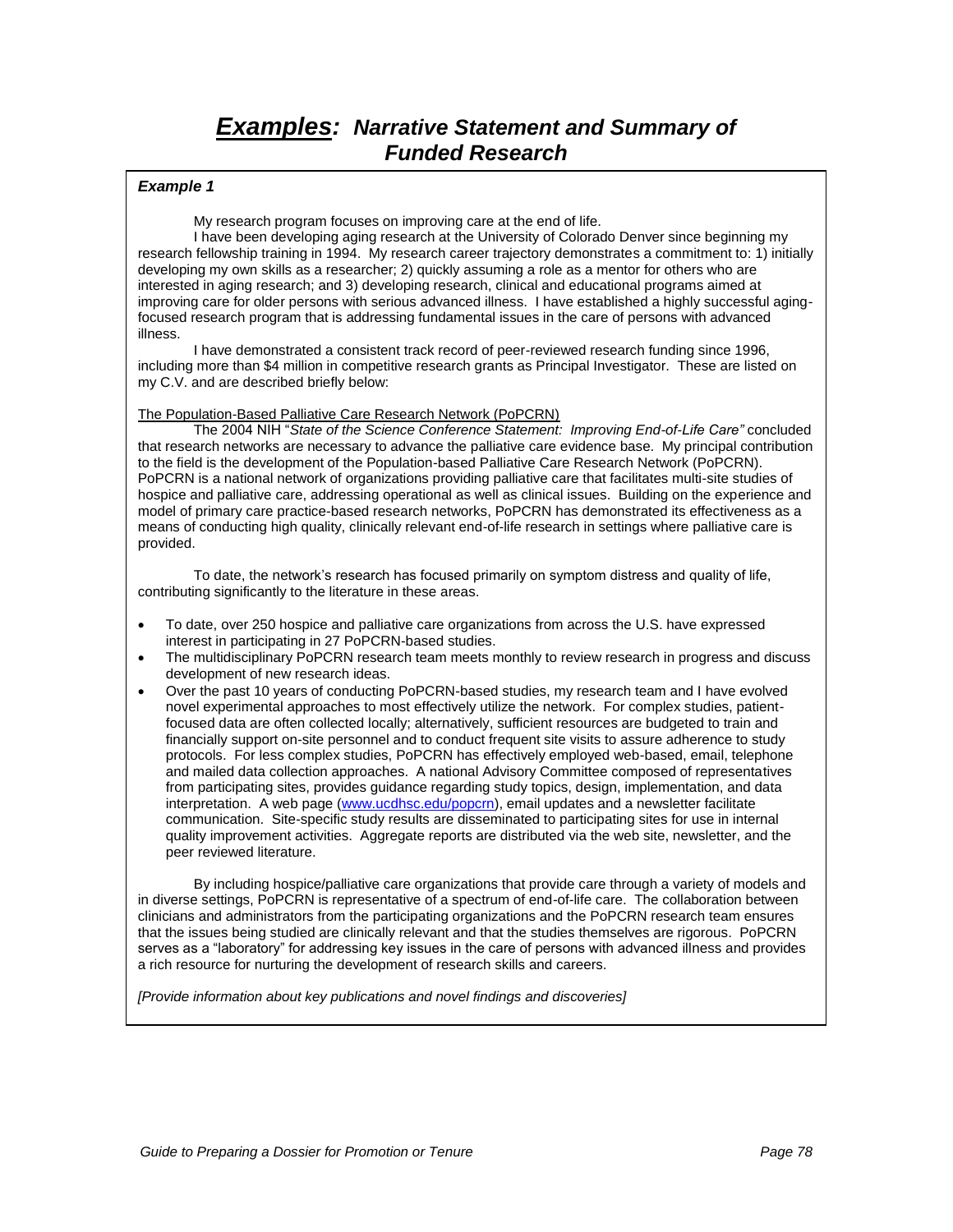## **Examples: Narrative Statement and Summary of Funded Research**

#### **Example 1**

My research program focuses on improving care at the end of life.

I have been developing aging research at the University of Colorado Denver since beginning my research fellowship training in 1994. My research career trajectory demonstrates a commitment to: 1) initially developing my own skills as a researcher; 2) quickly assuming a role as a mentor for others who are interested in aging research; and 3) developing research, clinical and educational programs aimed at improving care for older persons with serious advanced illness. I have established a highly successful agingfocused research program that is addressing fundamental issues in the care of persons with advanced illness.

I have demonstrated a consistent track record of peer-reviewed research funding since 1996, including more than \$4 million in competitive research grants as Principal Investigator. These are listed on my C.V. and are described briefly below:

#### The Population-Based Palliative Care Research Network (PoPCRN)

The 2004 NIH "State of the Science Conference Statement: Improving End-of-*Life Care"* concluded that research networks are necessary to advance the palliative care evidence base. My principal contribution to the field is the development of the Population-based Palliative Care Research Network (PoPCRN). PoPCRN is a national network of organizations providing palliative care that facilitates multi-site studies of hospice and palliative care, addressing operational as well as clinical issues. Building on the experience and model of primary care practice-based research networks, PoPCRN has demonstrated its effectiveness as a means of conducting high quality, clinically relevant end-of-life research in settings where palliative care is provided.

To date, the network"s research has focused primarily on symptom distress and quality of life, contributing significantly to the literature in these areas.

- To date, over 250 hospice and palliative care organizations from across the U.S. have expressed interest in participating in 27 PoPCRN-based studies.
- The multidisciplinary PoPCRN research team meets monthly to review research in progress and discuss development of new research ideas.
- Over the past 10 years of conducting PoPCRN-based studies, my research team and I have evolved novel experimental approaches to most effectively utilize the network. For complex studies, patientfocused data are often collected locally; alternatively, sufficient resources are budgeted to train and financially support on-site personnel and to conduct frequent site visits to assure adherence to study protocols. For less complex studies, PoPCRN has effectively employed web-based, email, telephone and mailed data collection approaches. A national Advisory Committee composed of representatives from participating sites, provides guidance regarding study topics, design, implementation, and data interpretation. A web page [\(www.ucdhsc.edu/popcrn\)](http://www.ucdhsc.edu/popcrn), email updates and a newsletter facilitate communication. Site-specific study results are disseminated to participating sites for use in internal quality improvement activities. Aggregate reports are distributed via the web site, newsletter, and the peer reviewed literature.

By including hospice/palliative care organizations that provide care through a variety of models and in diverse settings, PoPCRN is representative of a spectrum of end-of-life care. The collaboration between clinicians and administrators from the participating organizations and the PoPCRN research team ensures that the issues being studied are clinically relevant and that the studies themselves are rigorous. PoPCRN serves as a "laboratory" for addressing key issues in the care of persons with advanced illness and provides a rich resource for nurturing the development of research skills and careers.

[Provide information about key publications and novel findings and discoveries]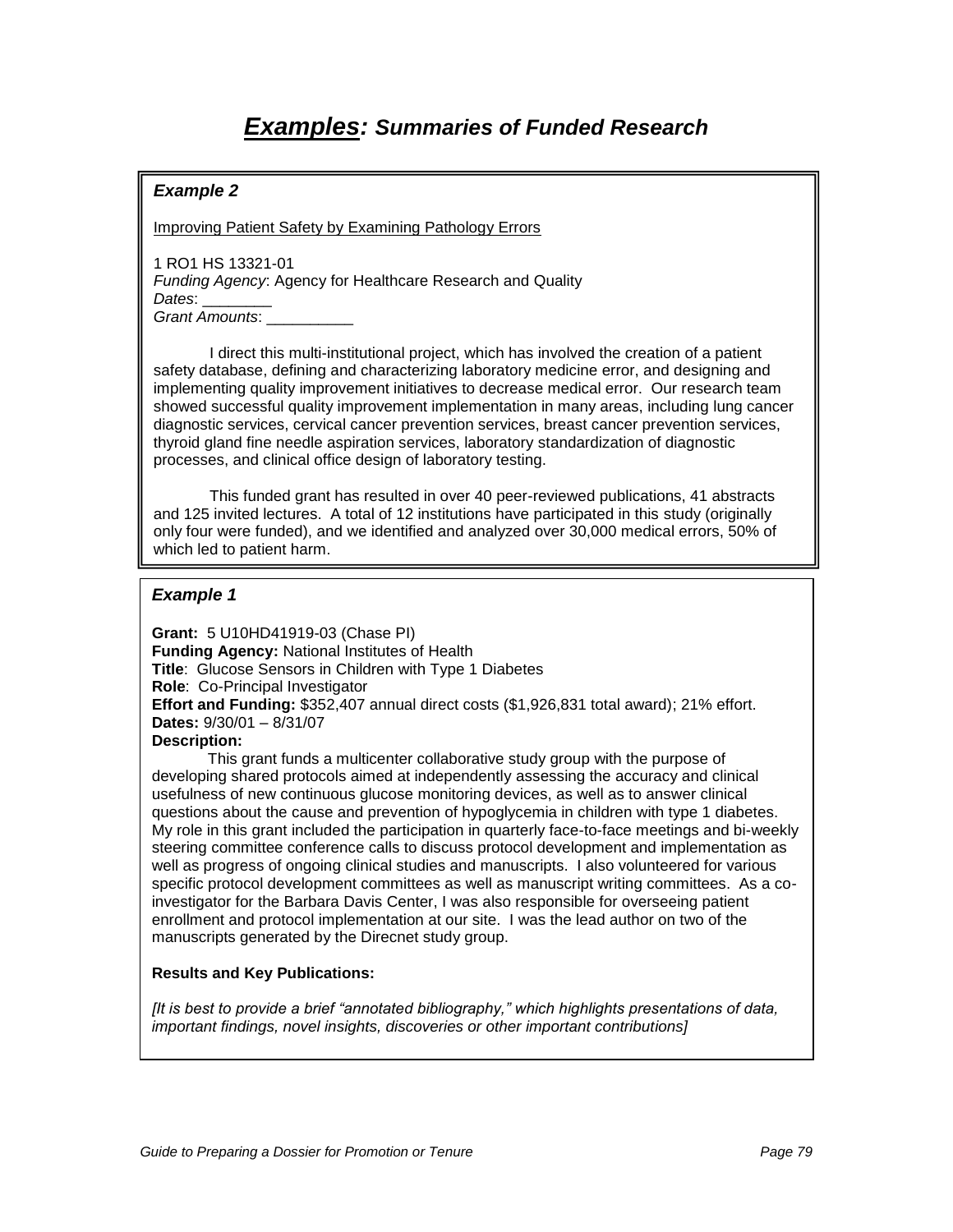# **Examples: Summaries of Funded Research**

## **Example 2**

Improving Patient Safety by Examining Pathology Errors

1 RO1 HS 13321-01 Funding Agency: Agency for Healthcare Research and Quality Dates: Grant Amounts:

I direct this multi-institutional project, which has involved the creation of a patient safety database, defining and characterizing laboratory medicine error, and designing and implementing quality improvement initiatives to decrease medical error. Our research team showed successful quality improvement implementation in many areas, including lung cancer diagnostic services, cervical cancer prevention services, breast cancer prevention services, thyroid gland fine needle aspiration services, laboratory standardization of diagnostic processes, and clinical office design of laboratory testing.

This funded grant has resulted in over 40 peer-reviewed publications, 41 abstracts and 125 invited lectures. A total of 12 institutions have participated in this study (originally only four were funded), and we identified and analyzed over 30,000 medical errors, 50% of which led to patient harm.

### **Example 1**

**Grant:** 5 U10HD41919-03 (Chase PI) **Funding Agency:** National Institutes of Health **Title**: Glucose Sensors in Children with Type 1 Diabetes **Role**: Co-Principal Investigator **Effort and Funding:** \$352,407 annual direct costs (\$1,926,831 total award); 21% effort. **Dates:** 9/30/01 – 8/31/07 **Description:**

This grant funds a multicenter collaborative study group with the purpose of developing shared protocols aimed at independently assessing the accuracy and clinical usefulness of new continuous glucose monitoring devices, as well as to answer clinical questions about the cause and prevention of hypoglycemia in children with type 1 diabetes. My role in this grant included the participation in quarterly face-to-face meetings and bi-weekly steering committee conference calls to discuss protocol development and implementation as well as progress of ongoing clinical studies and manuscripts. I also volunteered for various specific protocol development committees as well as manuscript writing committees. As a coinvestigator for the Barbara Davis Center, I was also responsible for overseeing patient enrollment and protocol implementation at our site. I was the lead author on two of the manuscripts generated by the Direcnet study group.

### **Results and Key Publications:**

*[It is best to provide a brief "annotated bibliography," which highlights presentations of data,*  important findings, novel insights, discoveries or other important contributions]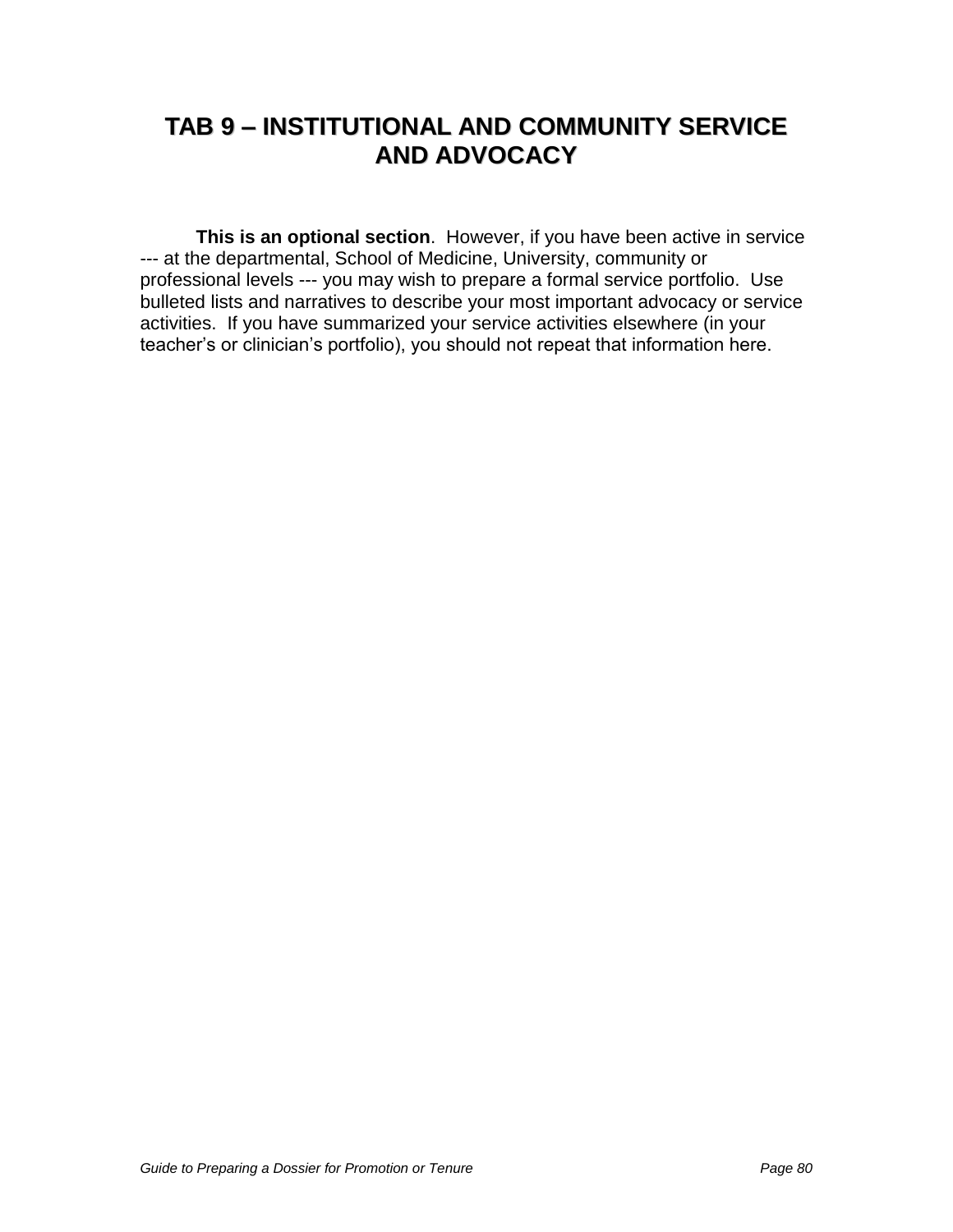# **TAB 9 – INSTITUTIONAL AND COMMUNITY SERVICE AND ADVOCACY**

**This is an optional section**. However, if you have been active in service --- at the departmental, School of Medicine, University, community or professional levels --- you may wish to prepare a formal service portfolio. Use bulleted lists and narratives to describe your most important advocacy or service activities. If you have summarized your service activities elsewhere (in your teacher"s or clinician"s portfolio), you should not repeat that information here.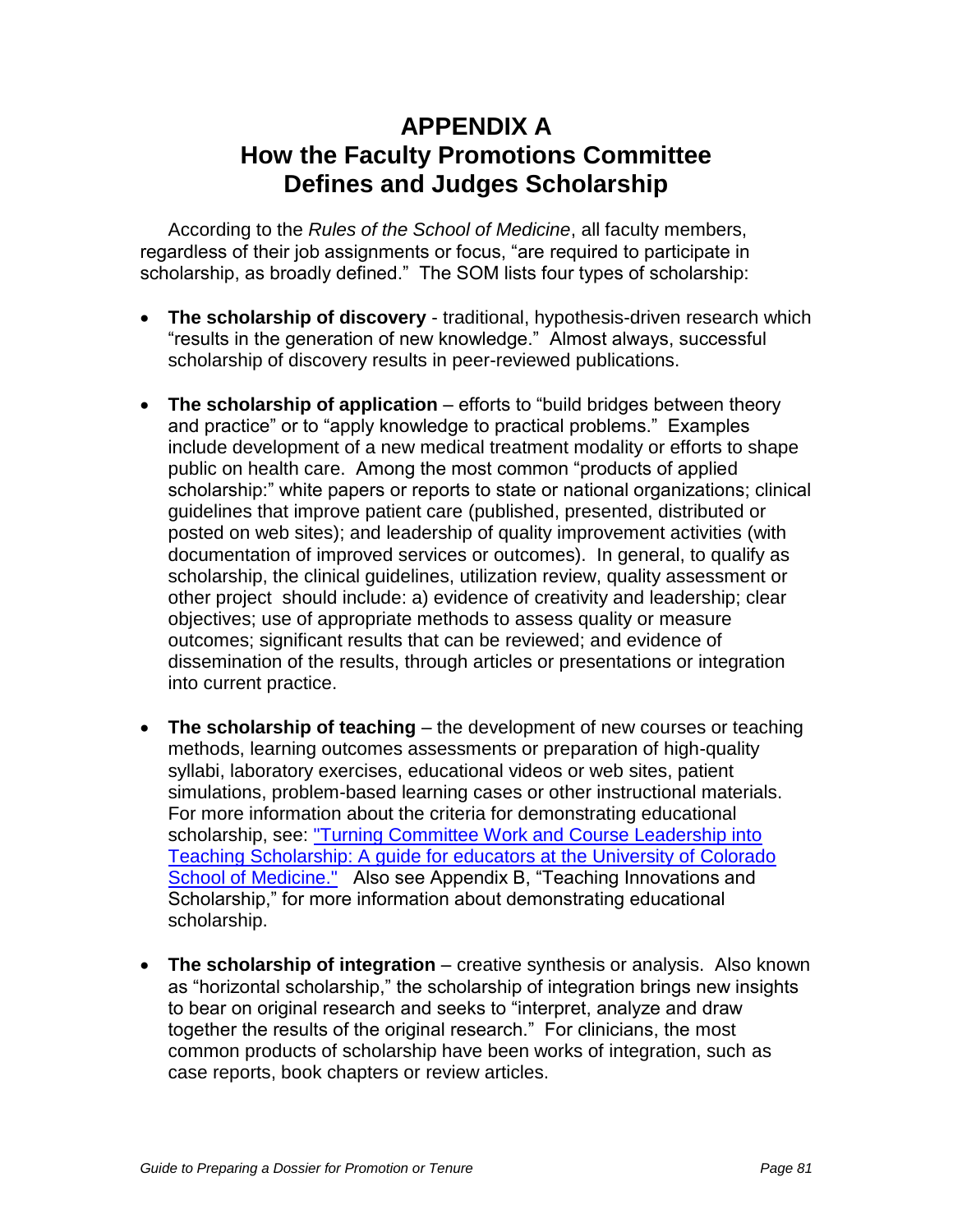# **APPENDIX A How the Faculty Promotions Committee Defines and Judges Scholarship**

According to the Rules of the School of Medicine, all faculty members, regardless of their job assignments or focus, "are required to participate in scholarship, as broadly defined." The SOM lists four types of scholarship:

- **The scholarship of discovery** traditional, hypothesis-driven research which "results in the generation of new knowledge." Almost always, successful scholarship of discovery results in peer-reviewed publications.
- **The scholarship of application** efforts to "build bridges between theory and practice" or to "apply knowledge to practical problems." Examples include development of a new medical treatment modality or efforts to shape public on health care. Among the most common "products of applied scholarship:" white papers or reports to state or national organizations; clinical guidelines that improve patient care (published, presented, distributed or posted on web sites); and leadership of quality improvement activities (with documentation of improved services or outcomes). In general, to qualify as scholarship, the clinical guidelines, utilization review, quality assessment or other project should include: a) evidence of creativity and leadership; clear objectives; use of appropriate methods to assess quality or measure outcomes; significant results that can be reviewed; and evidence of dissemination of the results, through articles or presentations or integration into current practice.
- **The scholarship of teaching** the development of new courses or teaching methods, learning outcomes assessments or preparation of high-quality syllabi, laboratory exercises, educational videos or web sites, patient simulations, problem-based learning cases or other instructional materials. For more information about the criteria for demonstrating educational scholarship, see: ["Turning Committee Work and Course Leadership into](http://www.ucdenver.edu/academics/colleges/medicalschool/facultyAffairs/Documents/EducationScholarshipMemo.pdf)  [Teaching Scholarship: A guide for educators at the University of Colorado](http://www.ucdenver.edu/academics/colleges/medicalschool/facultyAffairs/Documents/EducationScholarshipMemo.pdf)  [School of Medicine."](http://www.ucdenver.edu/academics/colleges/medicalschool/facultyAffairs/Documents/EducationScholarshipMemo.pdf) Also see Appendix B, "Teaching Innovations and Scholarship," for more information about demonstrating educational scholarship.
- **The scholarship of integration** creative synthesis or analysis. Also known as "horizontal scholarship," the scholarship of integration brings new insights to bear on original research and seeks to "interpret, analyze and draw together the results of the original research." For clinicians, the most common products of scholarship have been works of integration, such as case reports, book chapters or review articles.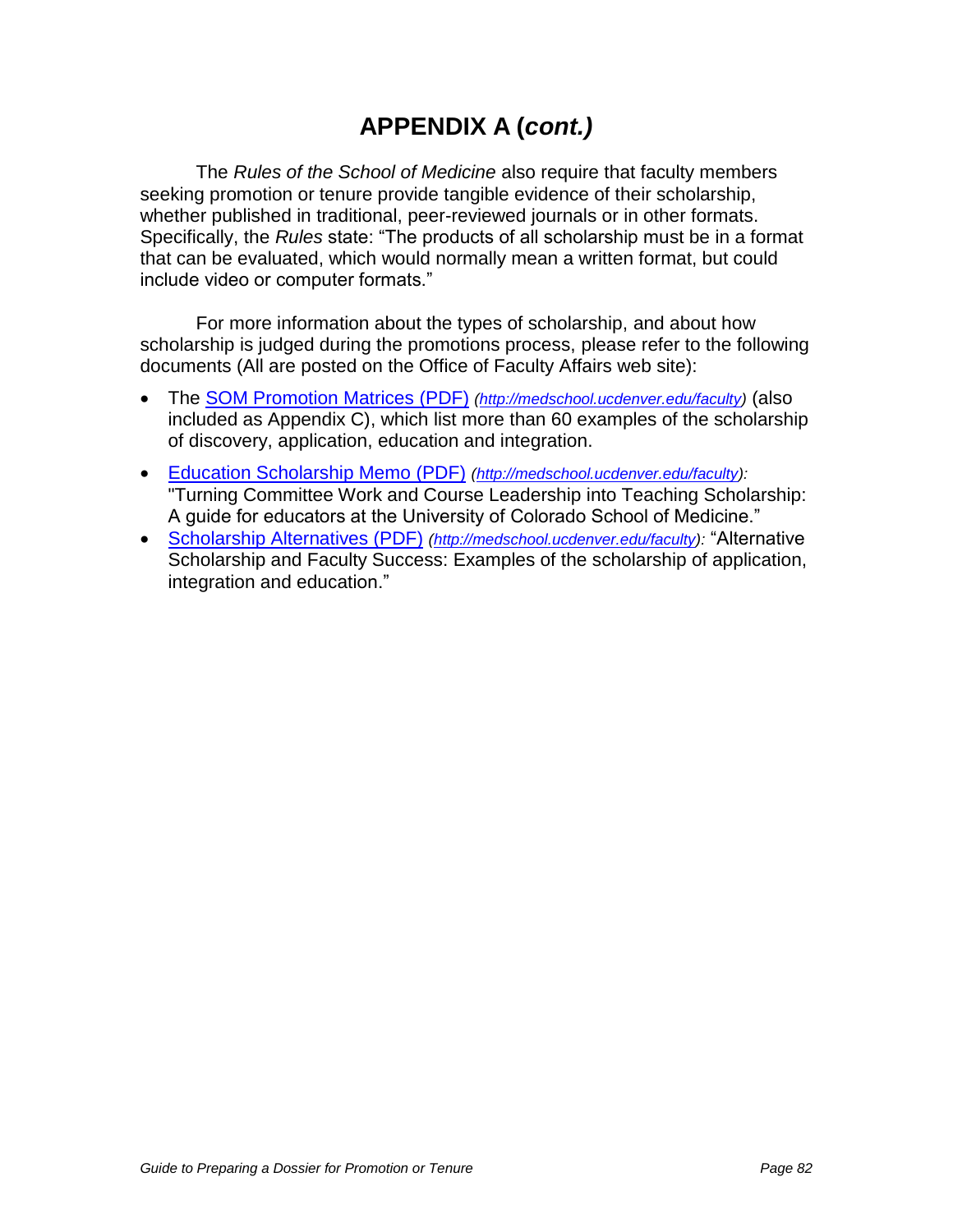# **APPENDIX A (cont.)**

The Rules of the School of Medicine also require that faculty members seeking promotion or tenure provide tangible evidence of their scholarship, whether published in traditional, peer-reviewed journals or in other formats. Specifically, the Rules state: "The products of all scholarship must be in a format that can be evaluated, which would normally mean a written format, but could include video or computer formats."

For more information about the types of scholarship, and about how scholarship is judged during the promotions process, please refer to the following documents (All are posted on the Office of Faculty Affairs web site):

- The **SOM Promotion Matrices (PDF)** [\(http://medschool.ucdenver.edu/faculty\)](http://medschool.ucdenver.edu/faculty) (also included as Appendix C), which list more than 60 examples of the scholarship of discovery, application, education and integration.
- [Education Scholarship Memo \(PDF\)](http://www.ucdenver.edu/academics/colleges/medicalschool/facultyAffairs/Documents/EducationScholarshipMemo.pdf) [\(http://medschool.ucdenver.edu/faculty\)](http://medschool.ucdenver.edu/faculty): "Turning Committee Work and Course Leadership into Teaching Scholarship: A guide for educators at the University of Colorado School of Medicine."
- [Scholarship Alternatives \(PDF\)](http://www.ucdenver.edu/academics/colleges/medicalschool/facultyAffairs/Documents/ScholarshipAlternatives.pdf) [\(http://medschool.ucdenver.edu/faculty\)](http://medschool.ucdenver.edu/faculty): "Alternative Scholarship and Faculty Success: Examples of the scholarship of application, integration and education."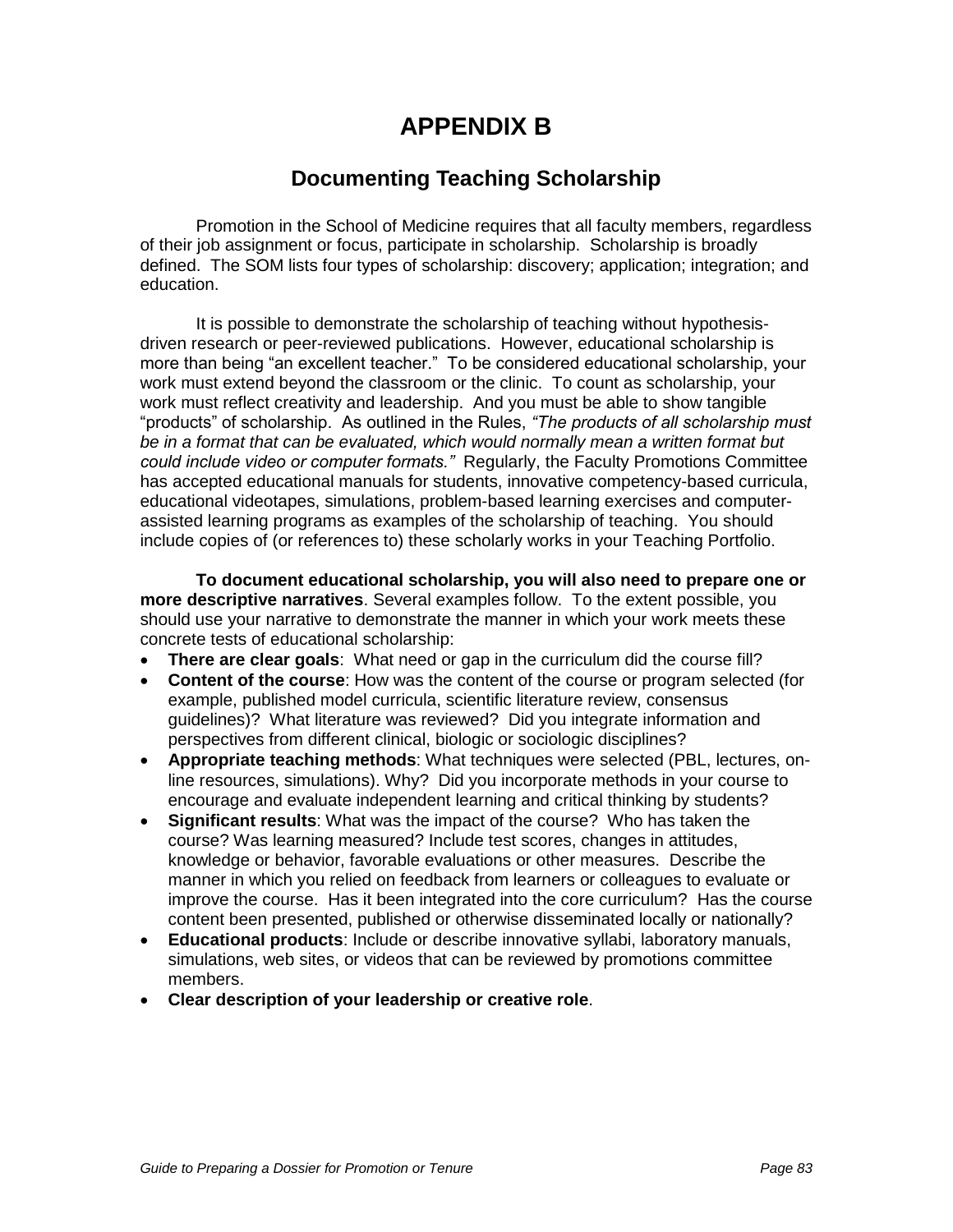# **APPENDIX B**

## **Documenting Teaching Scholarship**

Promotion in the School of Medicine requires that all faculty members, regardless of their job assignment or focus, participate in scholarship. Scholarship is broadly defined. The SOM lists four types of scholarship: discovery; application; integration; and education.

It is possible to demonstrate the scholarship of teaching without hypothesisdriven research or peer-reviewed publications. However, educational scholarship is more than being "an excellent teacher." To be considered educational scholarship, your work must extend beyond the classroom or the clinic. To count as scholarship, your work must reflect creativity and leadership. And you must be able to show tangible "products" of scholarship. As outlined in the Rules, *"The products of all scholarship must*  be in a format that can be evaluated, which would normally mean a written format but *could include video or computer formats."* Regularly, the Faculty Promotions Committee has accepted educational manuals for students, innovative competency-based curricula, educational videotapes, simulations, problem-based learning exercises and computerassisted learning programs as examples of the scholarship of teaching. You should include copies of (or references to) these scholarly works in your Teaching Portfolio.

**To document educational scholarship, you will also need to prepare one or more descriptive narratives**. Several examples follow. To the extent possible, you should use your narrative to demonstrate the manner in which your work meets these concrete tests of educational scholarship:

- **There are clear goals**: What need or gap in the curriculum did the course fill?
- **Content of the course**: How was the content of the course or program selected (for example, published model curricula, scientific literature review, consensus guidelines)? What literature was reviewed? Did you integrate information and perspectives from different clinical, biologic or sociologic disciplines?
- **Appropriate teaching methods**: What techniques were selected (PBL, lectures, online resources, simulations). Why? Did you incorporate methods in your course to encourage and evaluate independent learning and critical thinking by students?
- **Significant results**: What was the impact of the course? Who has taken the course? Was learning measured? Include test scores, changes in attitudes, knowledge or behavior, favorable evaluations or other measures. Describe the manner in which you relied on feedback from learners or colleagues to evaluate or improve the course. Has it been integrated into the core curriculum? Has the course content been presented, published or otherwise disseminated locally or nationally?
- **Educational products**: Include or describe innovative syllabi, laboratory manuals, simulations, web sites, or videos that can be reviewed by promotions committee members.
- **Clear description of your leadership or creative role**.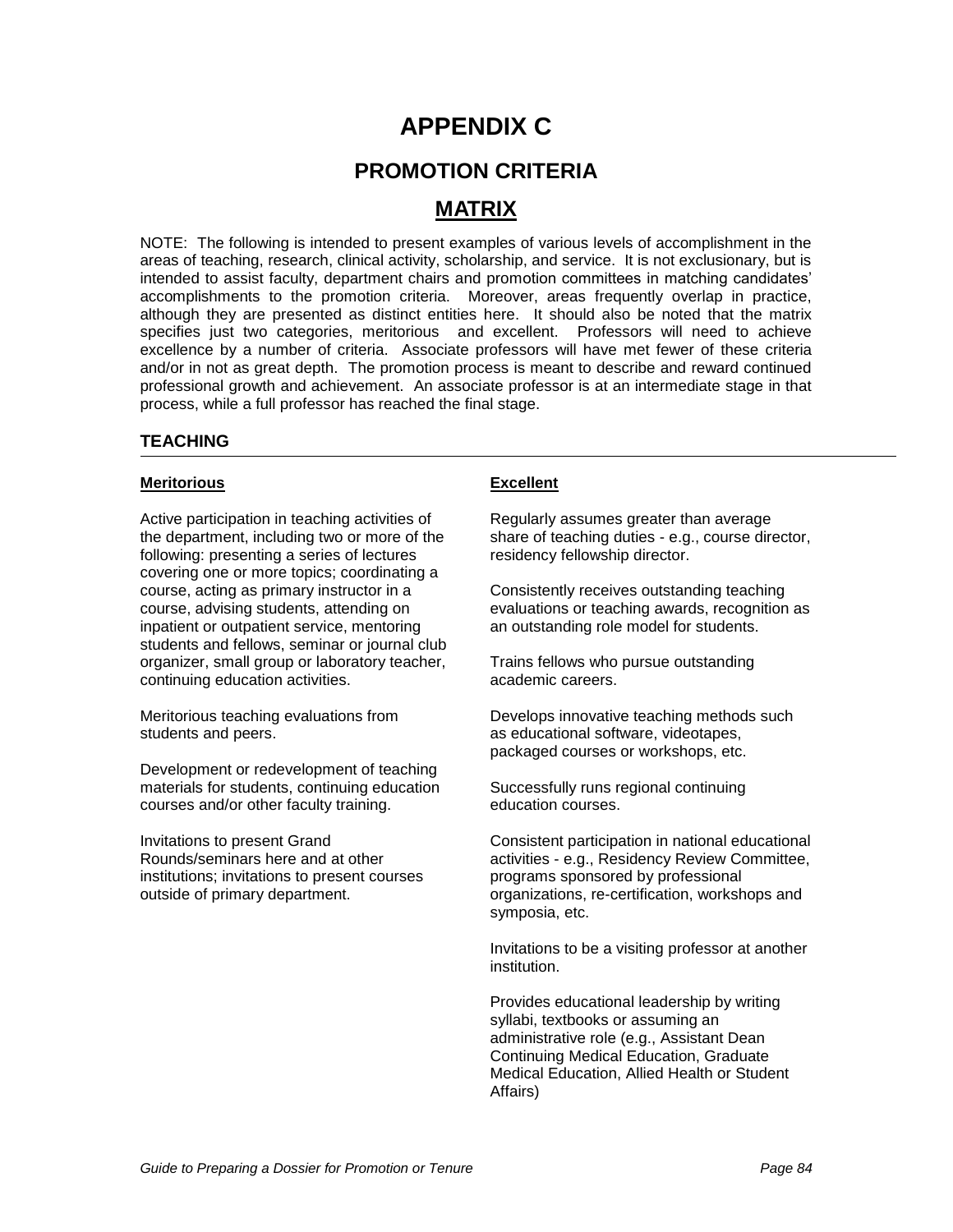## **APPENDIX C**

## **PROMOTION CRITERIA**

## **MATRIX**

NOTE: The following is intended to present examples of various levels of accomplishment in the areas of teaching, research, clinical activity, scholarship, and service. It is not exclusionary, but is intended to assist faculty, department chairs and promotion committees in matching candidates" accomplishments to the promotion criteria. Moreover, areas frequently overlap in practice, although they are presented as distinct entities here. It should also be noted that the matrix specifies just two categories, meritorious and excellent. Professors will need to achieve excellence by a number of criteria. Associate professors will have met fewer of these criteria and/or in not as great depth. The promotion process is meant to describe and reward continued professional growth and achievement. An associate professor is at an intermediate stage in that process, while a full professor has reached the final stage.

### **TEACHING**

### **Meritorious**

Active participation in teaching activities of the department, including two or more of the following: presenting a series of lectures covering one or more topics; coordinating a course, acting as primary instructor in a course, advising students, attending on inpatient or outpatient service, mentoring students and fellows, seminar or journal club organizer, small group or laboratory teacher, continuing education activities.

Meritorious teaching evaluations from students and peers.

Development or redevelopment of teaching materials for students, continuing education courses and/or other faculty training.

Invitations to present Grand Rounds/seminars here and at other institutions; invitations to present courses outside of primary department.

### **Excellent**

Regularly assumes greater than average share of teaching duties - e.g., course director, residency fellowship director.

Consistently receives outstanding teaching evaluations or teaching awards, recognition as an outstanding role model for students.

Trains fellows who pursue outstanding academic careers.

Develops innovative teaching methods such as educational software, videotapes, packaged courses or workshops, etc.

Successfully runs regional continuing education courses.

Consistent participation in national educational activities - e.g., Residency Review Committee, programs sponsored by professional organizations, re-certification, workshops and symposia, etc.

Invitations to be a visiting professor at another institution.

Provides educational leadership by writing syllabi, textbooks or assuming an administrative role (e.g., Assistant Dean Continuing Medical Education, Graduate Medical Education, Allied Health or Student Affairs)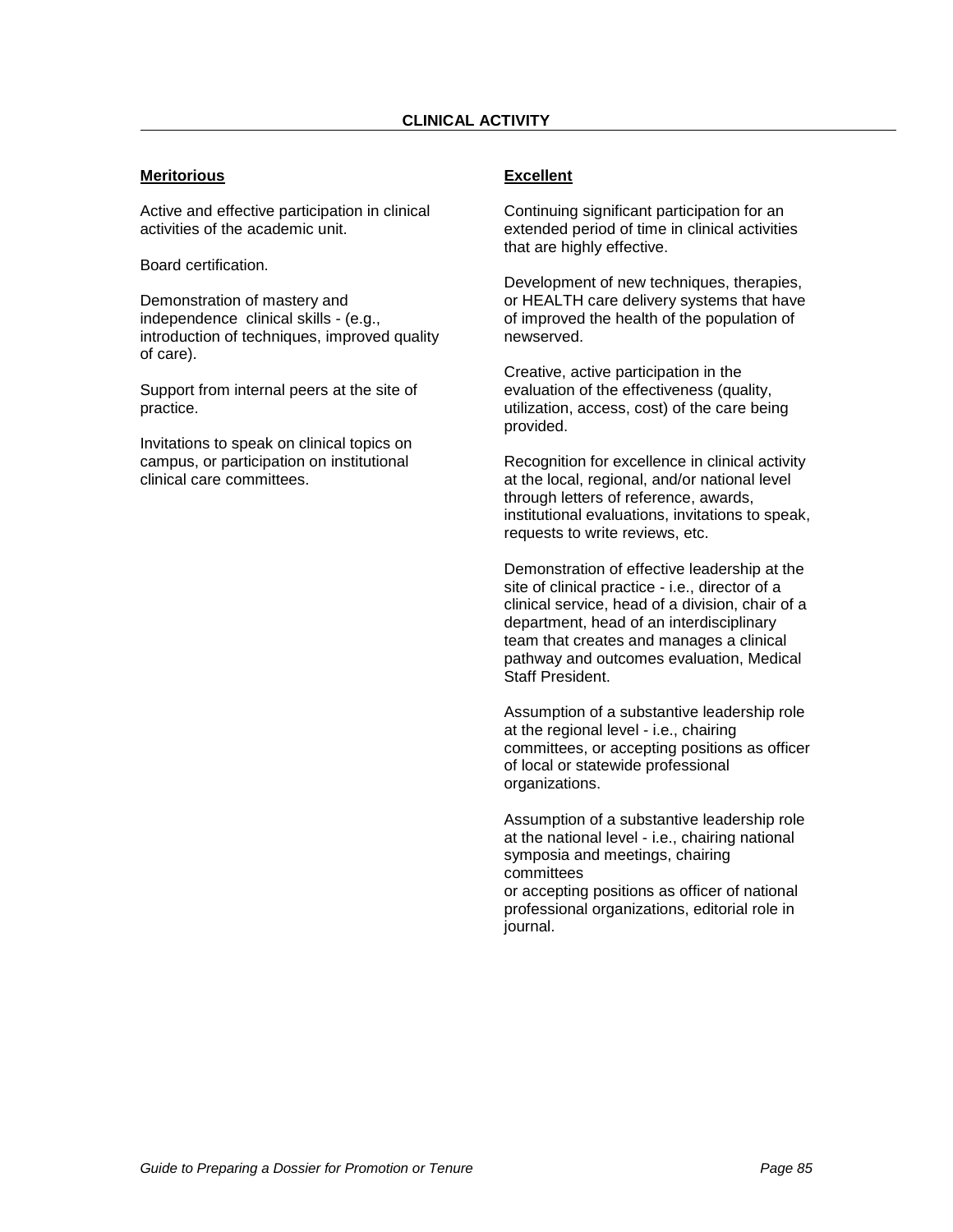### **Meritorious**

Active and effective participation in clinical activities of the academic unit.

Board certification.

Demonstration of mastery and independence clinical skills - (e.g., introduction of techniques, improved quality of care).

Support from internal peers at the site of practice.

Invitations to speak on clinical topics on campus, or participation on institutional clinical care committees.

### **Excellent**

Continuing significant participation for an extended period of time in clinical activities that are highly effective.

Development of new techniques, therapies, or HEALTH care delivery systems that have of improved the health of the population of newserved.

Creative, active participation in the evaluation of the effectiveness (quality, utilization, access, cost) of the care being provided.

Recognition for excellence in clinical activity at the local, regional, and/or national level through letters of reference, awards, institutional evaluations, invitations to speak, requests to write reviews, etc.

Demonstration of effective leadership at the site of clinical practice - i.e., director of a clinical service, head of a division, chair of a department, head of an interdisciplinary team that creates and manages a clinical pathway and outcomes evaluation, Medical Staff President.

Assumption of a substantive leadership role at the regional level - i.e., chairing committees, or accepting positions as officer of local or statewide professional organizations.

Assumption of a substantive leadership role at the national level - i.e., chairing national symposia and meetings, chairing committees or accepting positions as officer of national professional organizations, editorial role in journal.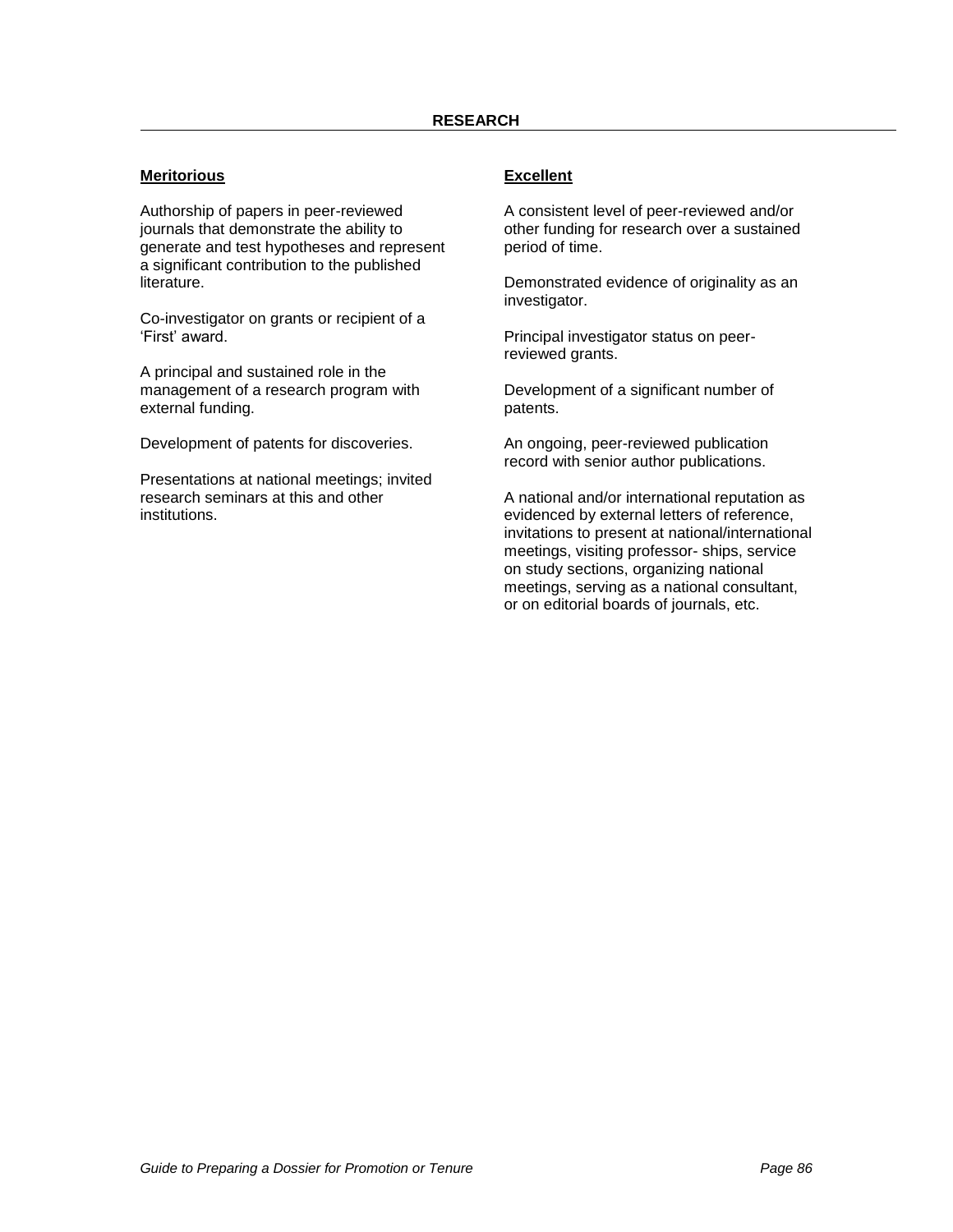### **Meritorious**

Authorship of papers in peer-reviewed journals that demonstrate the ability to generate and test hypotheses and represent a significant contribution to the published literature.

Co-investigator on grants or recipient of a 'First' award.

A principal and sustained role in the management of a research program with external funding.

Development of patents for discoveries.

Presentations at national meetings; invited research seminars at this and other institutions.

### **Excellent**

A consistent level of peer-reviewed and/or other funding for research over a sustained period of time.

Demonstrated evidence of originality as an investigator.

Principal investigator status on peerreviewed grants.

Development of a significant number of patents.

An ongoing, peer-reviewed publication record with senior author publications.

A national and/or international reputation as evidenced by external letters of reference, invitations to present at national/international meetings, visiting professor- ships, service on study sections, organizing national meetings, serving as a national consultant, or on editorial boards of journals, etc.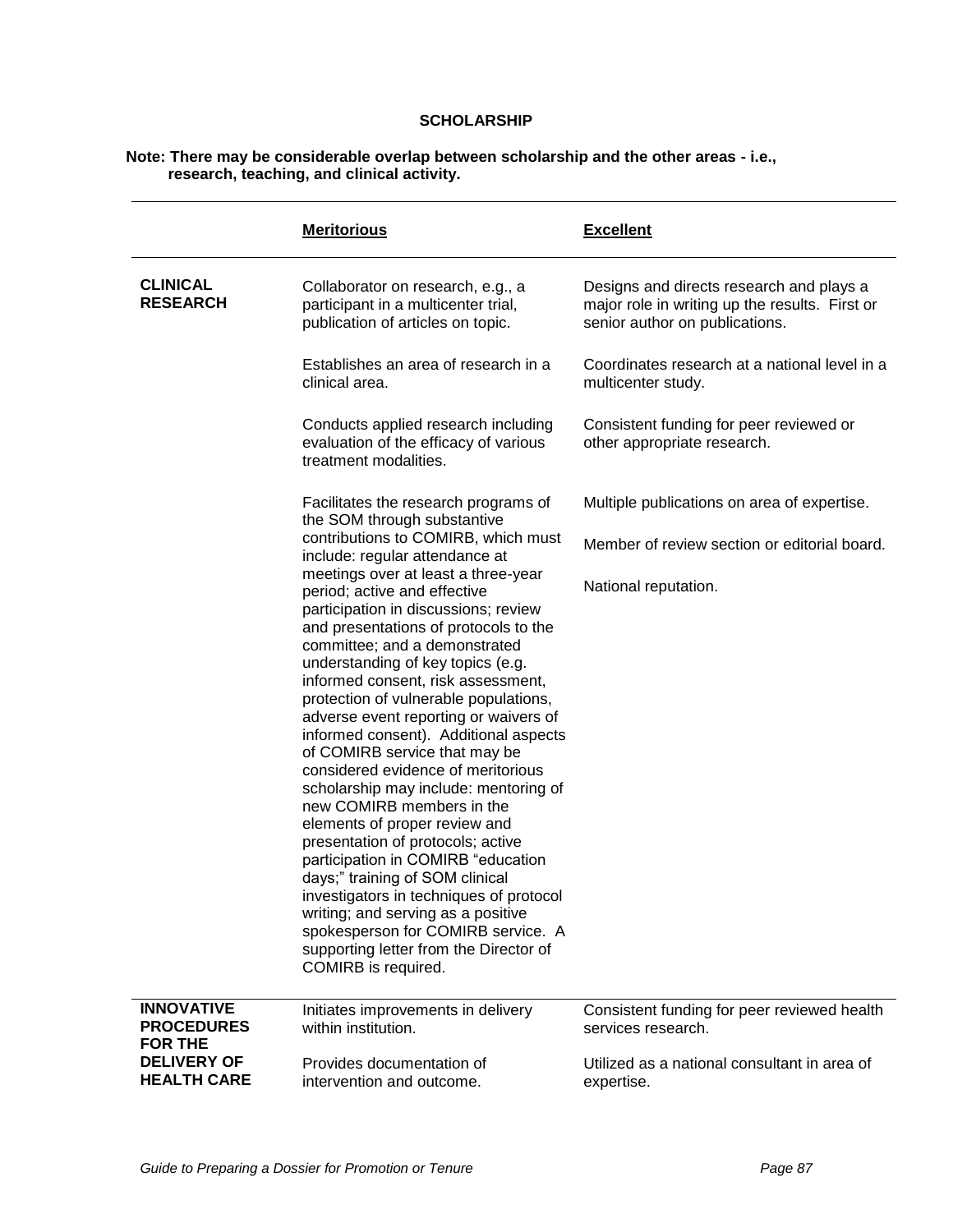### **SCHOLARSHIP**

#### **Note: There may be considerable overlap between scholarship and the other areas - i.e., research, teaching, and clinical activity.**

|                                                          | <b>Meritorious</b>                                                                                                                                                                                                                                                                                                                                                                                                                                                                                                                                                                                                                                                                                                                                                                                                                                                              | <b>Excellent</b>                                                                                                             |
|----------------------------------------------------------|---------------------------------------------------------------------------------------------------------------------------------------------------------------------------------------------------------------------------------------------------------------------------------------------------------------------------------------------------------------------------------------------------------------------------------------------------------------------------------------------------------------------------------------------------------------------------------------------------------------------------------------------------------------------------------------------------------------------------------------------------------------------------------------------------------------------------------------------------------------------------------|------------------------------------------------------------------------------------------------------------------------------|
| <b>CLINICAL</b><br><b>RESEARCH</b>                       | Collaborator on research, e.g., a<br>participant in a multicenter trial,<br>publication of articles on topic.                                                                                                                                                                                                                                                                                                                                                                                                                                                                                                                                                                                                                                                                                                                                                                   | Designs and directs research and plays a<br>major role in writing up the results. First or<br>senior author on publications. |
|                                                          | Establishes an area of research in a<br>clinical area.                                                                                                                                                                                                                                                                                                                                                                                                                                                                                                                                                                                                                                                                                                                                                                                                                          | Coordinates research at a national level in a<br>multicenter study.                                                          |
|                                                          | Conducts applied research including<br>evaluation of the efficacy of various<br>treatment modalities.                                                                                                                                                                                                                                                                                                                                                                                                                                                                                                                                                                                                                                                                                                                                                                           | Consistent funding for peer reviewed or<br>other appropriate research.                                                       |
|                                                          | Facilitates the research programs of<br>the SOM through substantive                                                                                                                                                                                                                                                                                                                                                                                                                                                                                                                                                                                                                                                                                                                                                                                                             | Multiple publications on area of expertise.                                                                                  |
|                                                          | contributions to COMIRB, which must<br>include: regular attendance at                                                                                                                                                                                                                                                                                                                                                                                                                                                                                                                                                                                                                                                                                                                                                                                                           | Member of review section or editorial board.                                                                                 |
|                                                          | meetings over at least a three-year<br>period; active and effective<br>participation in discussions; review<br>and presentations of protocols to the<br>committee; and a demonstrated<br>understanding of key topics (e.g.<br>informed consent, risk assessment,<br>protection of vulnerable populations,<br>adverse event reporting or waivers of<br>informed consent). Additional aspects<br>of COMIRB service that may be<br>considered evidence of meritorious<br>scholarship may include: mentoring of<br>new COMIRB members in the<br>elements of proper review and<br>presentation of protocols; active<br>participation in COMIRB "education<br>days;" training of SOM clinical<br>investigators in techniques of protocol<br>writing; and serving as a positive<br>spokesperson for COMIRB service. A<br>supporting letter from the Director of<br>COMIRB is required. | National reputation.                                                                                                         |
| <b>INNOVATIVE</b><br><b>PROCEDURES</b><br><b>FOR THE</b> | Initiates improvements in delivery<br>within institution.                                                                                                                                                                                                                                                                                                                                                                                                                                                                                                                                                                                                                                                                                                                                                                                                                       | Consistent funding for peer reviewed health<br>services research.                                                            |
| <b>DELIVERY OF</b><br><b>HEALTH CARE</b>                 | Provides documentation of<br>intervention and outcome.                                                                                                                                                                                                                                                                                                                                                                                                                                                                                                                                                                                                                                                                                                                                                                                                                          | Utilized as a national consultant in area of<br>expertise.                                                                   |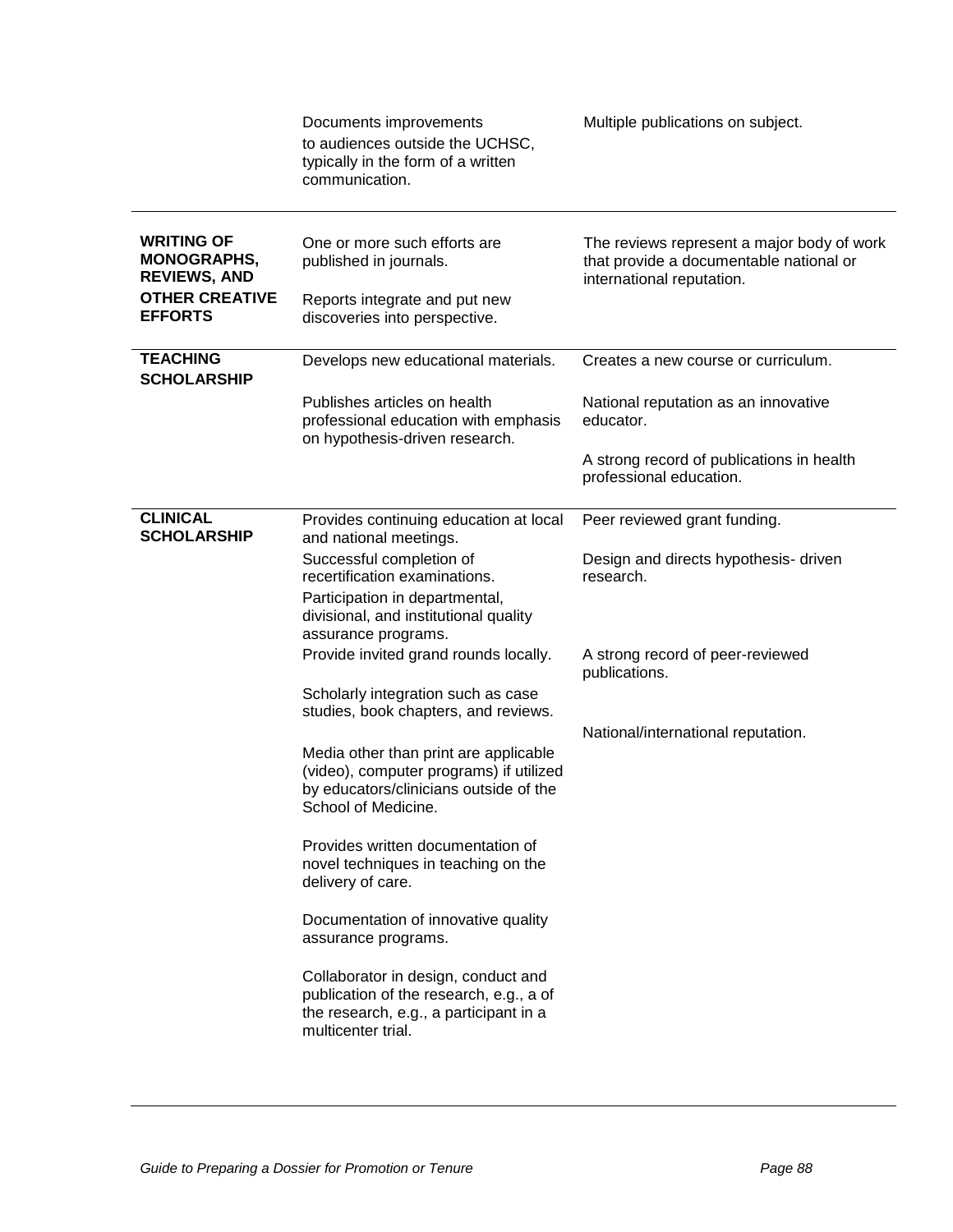|                                                                                         | Documents improvements<br>to audiences outside the UCHSC,<br>typically in the form of a written<br>communication.                                 | Multiple publications on subject.                                                                                  |
|-----------------------------------------------------------------------------------------|---------------------------------------------------------------------------------------------------------------------------------------------------|--------------------------------------------------------------------------------------------------------------------|
| <b>WRITING OF</b><br><b>MONOGRAPHS,</b><br><b>REVIEWS, AND</b><br><b>OTHER CREATIVE</b> | One or more such efforts are<br>published in journals.<br>Reports integrate and put new                                                           | The reviews represent a major body of work<br>that provide a documentable national or<br>international reputation. |
| <b>EFFORTS</b>                                                                          | discoveries into perspective.                                                                                                                     |                                                                                                                    |
| <b>TEACHING</b><br><b>SCHOLARSHIP</b>                                                   | Develops new educational materials.                                                                                                               | Creates a new course or curriculum.                                                                                |
|                                                                                         | Publishes articles on health<br>professional education with emphasis<br>on hypothesis-driven research.                                            | National reputation as an innovative<br>educator.                                                                  |
|                                                                                         |                                                                                                                                                   | A strong record of publications in health<br>professional education.                                               |
| <b>CLINICAL</b><br><b>SCHOLARSHIP</b>                                                   | Provides continuing education at local<br>and national meetings.                                                                                  | Peer reviewed grant funding.                                                                                       |
|                                                                                         | Successful completion of<br>recertification examinations.<br>Participation in departmental,                                                       | Design and directs hypothesis- driven<br>research.                                                                 |
|                                                                                         | divisional, and institutional quality<br>assurance programs.                                                                                      |                                                                                                                    |
|                                                                                         | Provide invited grand rounds locally.                                                                                                             | A strong record of peer-reviewed<br>publications.                                                                  |
|                                                                                         | Scholarly integration such as case<br>studies, book chapters, and reviews.                                                                        |                                                                                                                    |
|                                                                                         | Media other than print are applicable<br>(video), computer programs) if utilized<br>by educators/clinicians outside of the<br>School of Medicine. | National/international reputation.                                                                                 |
|                                                                                         | Provides written documentation of<br>novel techniques in teaching on the<br>delivery of care.                                                     |                                                                                                                    |
|                                                                                         | Documentation of innovative quality<br>assurance programs.                                                                                        |                                                                                                                    |
|                                                                                         | Collaborator in design, conduct and<br>publication of the research, e.g., a of<br>the research, e.g., a participant in a<br>multicenter trial.    |                                                                                                                    |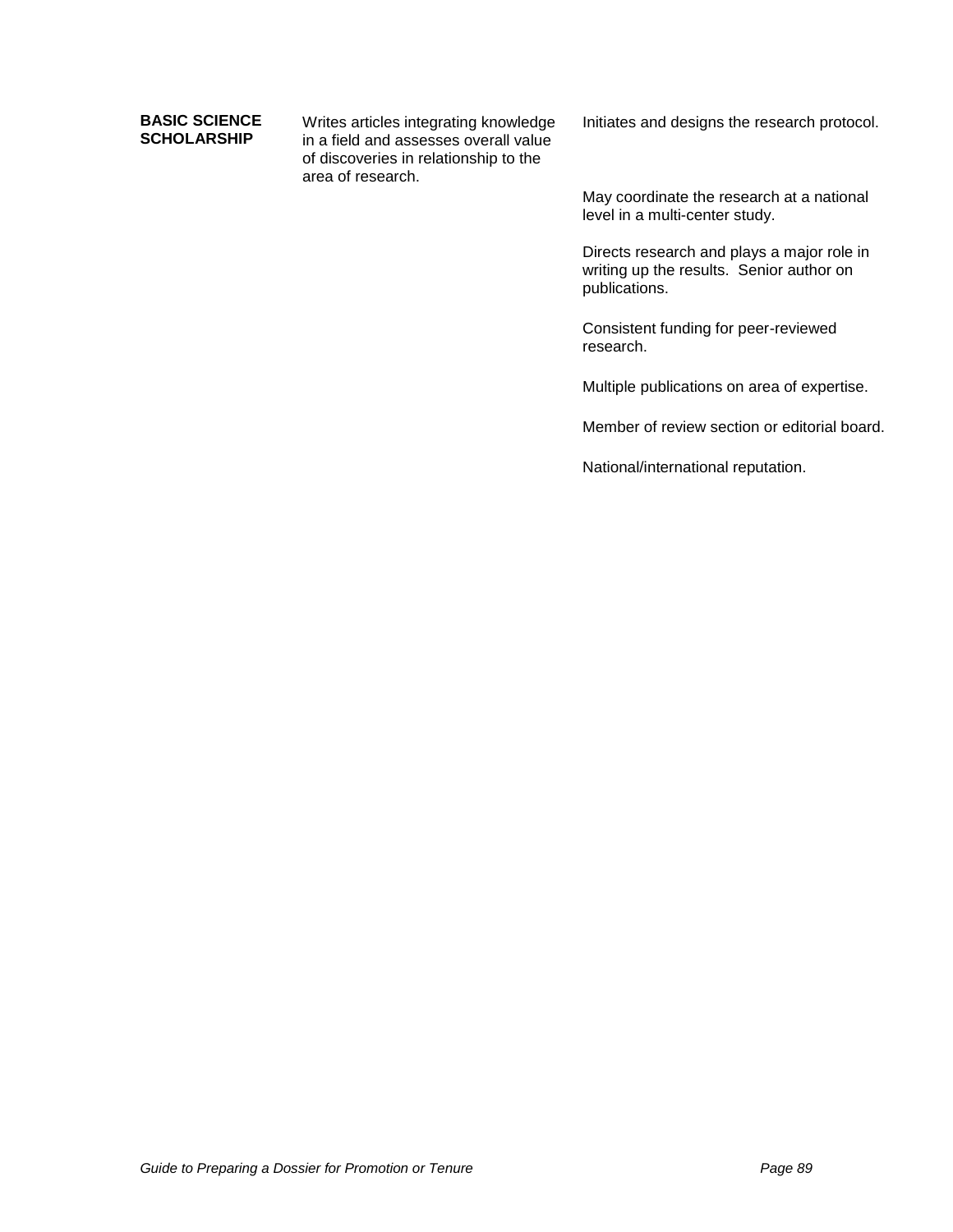### **BASIC SCIENCE SCHOLARSHIP**

Writes articles integrating knowledge in a field and assesses overall value of discoveries in relationship to the area of research.

Initiates and designs the research protocol.

May coordinate the research at a national level in a multi-center study.

Directs research and plays a major role in writing up the results. Senior author on publications.

Consistent funding for peer-reviewed research.

Multiple publications on area of expertise.

Member of review section or editorial board.

National/international reputation.